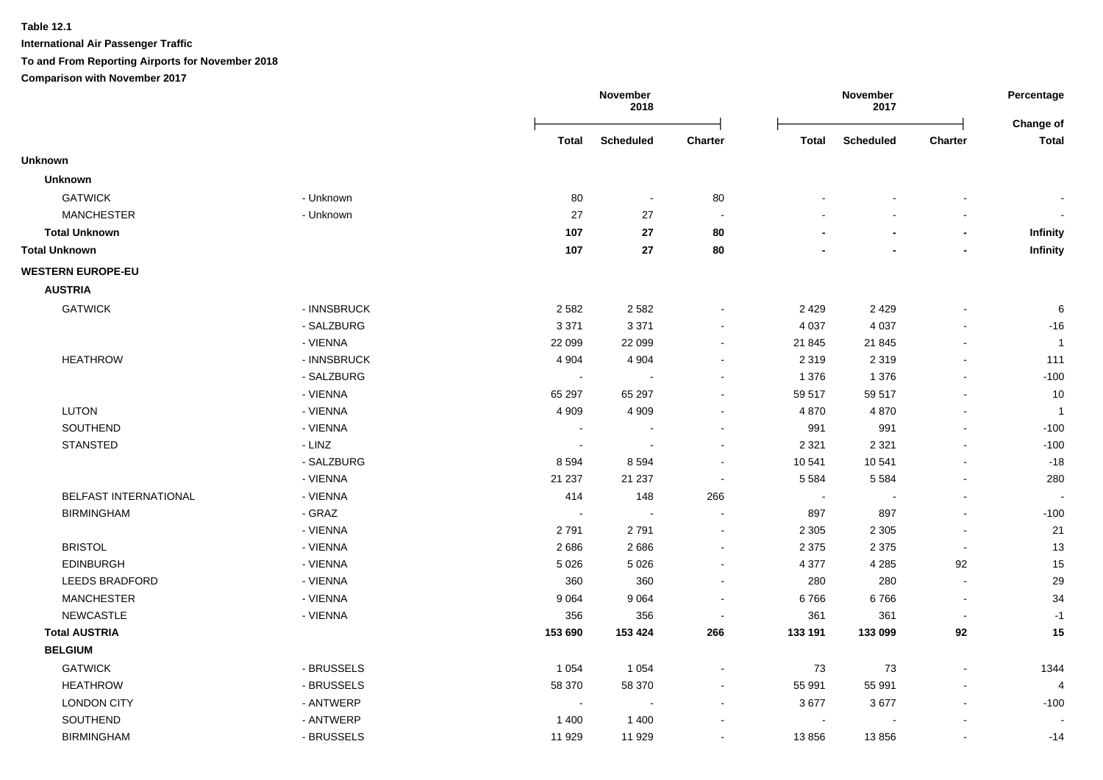**International Air Passenger Traffic**

**To and From Reporting Airports for November 2018**

|                          |             |                          | November<br>2018         |                          |              | November<br>2017 |                          | Percentage<br>Change of  |
|--------------------------|-------------|--------------------------|--------------------------|--------------------------|--------------|------------------|--------------------------|--------------------------|
|                          |             | Total                    | <b>Scheduled</b>         | Charter                  | <b>Total</b> | <b>Scheduled</b> | Charter                  | <b>Total</b>             |
| <b>Unknown</b>           |             |                          |                          |                          |              |                  |                          |                          |
| <b>Unknown</b>           |             |                          |                          |                          |              |                  |                          |                          |
| <b>GATWICK</b>           | - Unknown   | 80                       | $\sim$                   | $80\,$                   |              |                  |                          |                          |
| <b>MANCHESTER</b>        | - Unknown   | 27                       | 27                       | $\sim$                   |              |                  |                          |                          |
| <b>Total Unknown</b>     |             | 107                      | 27                       | 80                       |              |                  |                          | Infinity                 |
| <b>Total Unknown</b>     |             | 107                      | ${\bf 27}$               | 80                       |              |                  |                          | Infinity                 |
| <b>WESTERN EUROPE-EU</b> |             |                          |                          |                          |              |                  |                          |                          |
| <b>AUSTRIA</b>           |             |                          |                          |                          |              |                  |                          |                          |
| <b>GATWICK</b>           | - INNSBRUCK | 2 5 8 2                  | 2582                     |                          | 2 4 2 9      | 2 4 2 9          |                          | 6                        |
|                          | - SALZBURG  | 3 3 7 1                  | 3 3 7 1                  |                          | 4 0 3 7      | 4 0 3 7          | $\overline{\phantom{a}}$ | $-16$                    |
|                          | - VIENNA    | 22 099                   | 22 099                   |                          | 21 845       | 21 845           | $\blacksquare$           | $\overline{1}$           |
| <b>HEATHROW</b>          | - INNSBRUCK | 4 9 0 4                  | 4 9 0 4                  |                          | 2 3 1 9      | 2 3 1 9          | $\blacksquare$           | 111                      |
|                          | - SALZBURG  | $\blacksquare$           | $\sim$                   |                          | 1 3 7 6      | 1 3 7 6          |                          | $-100$                   |
|                          | - VIENNA    | 65 297                   | 65 297                   | $\overline{\phantom{a}}$ | 59 517       | 59 517           |                          | 10                       |
| <b>LUTON</b>             | - VIENNA    | 4 9 0 9                  | 4 9 0 9                  | $\blacksquare$           | 4870         | 4870             | $\blacksquare$           | $\overline{1}$           |
| SOUTHEND                 | - VIENNA    | $\overline{\phantom{a}}$ |                          |                          | 991          | 991              | ÷,                       | $-100$                   |
| <b>STANSTED</b>          | - LINZ      | $\blacksquare$           | $\overline{\phantom{a}}$ |                          | 2 3 2 1      | 2 3 2 1          | $\overline{\phantom{a}}$ | $-100$                   |
|                          | - SALZBURG  | 8594                     | 8594                     | $\overline{\phantom{a}}$ | 10 541       | 10 541           | $\overline{\phantom{a}}$ | $-18$                    |
|                          | - VIENNA    | 21 237                   | 21 237                   | $\overline{\phantom{a}}$ | 5 5 8 4      | 5 5 8 4          | $\blacksquare$           | 280                      |
| BELFAST INTERNATIONAL    | - VIENNA    | 414                      | 148                      | 266                      | $\sim$       |                  | $\blacksquare$           | $\overline{\phantom{a}}$ |
| <b>BIRMINGHAM</b>        | - GRAZ      | $\blacksquare$           | $\sim$                   |                          | 897          | 897              | ÷,                       | $-100$                   |
|                          | - VIENNA    | 2791                     | 2791                     | $\blacksquare$           | 2 3 0 5      | 2 3 0 5          | $\overline{\phantom{a}}$ | 21                       |
| <b>BRISTOL</b>           | - VIENNA    | 2686                     | 2686                     | $\overline{\phantom{a}}$ | 2 3 7 5      | 2 3 7 5          | $\blacksquare$           | 13                       |
| <b>EDINBURGH</b>         | - VIENNA    | 5 0 2 6                  | 5 0 2 6                  |                          | 4 3 7 7      | 4 2 8 5          | 92                       | 15                       |
| LEEDS BRADFORD           | - VIENNA    | 360                      | 360                      |                          | 280          | 280              | $\overline{\phantom{a}}$ | 29                       |
| <b>MANCHESTER</b>        | - VIENNA    | 9 0 6 4                  | 9 0 6 4                  |                          | 6766         | 6766             | $\blacksquare$           | 34                       |
| <b>NEWCASTLE</b>         | - VIENNA    | 356                      | 356                      | $\overline{\phantom{a}}$ | 361          | 361              | $\overline{\phantom{a}}$ | $-1$                     |
| <b>Total AUSTRIA</b>     |             | 153 690                  | 153 424                  | 266                      | 133 191      | 133 099          | 92                       | 15                       |
| <b>BELGIUM</b>           |             |                          |                          |                          |              |                  |                          |                          |
| <b>GATWICK</b>           | - BRUSSELS  | 1 0 5 4                  | 1 0 5 4                  |                          | 73           | 73               | ÷,                       | 1344                     |
| <b>HEATHROW</b>          | - BRUSSELS  | 58 370                   | 58 370                   |                          | 55 991       | 55 991           | $\overline{\phantom{a}}$ | 4                        |
| <b>LONDON CITY</b>       | - ANTWERP   | $\overline{\phantom{a}}$ | $\overline{\phantom{a}}$ |                          | 3677         | 3677             | $\blacksquare$           | $-100$                   |
| SOUTHEND                 | - ANTWERP   | 1 400                    | 1 4 0 0                  |                          | $\sim$       |                  |                          |                          |
| <b>BIRMINGHAM</b>        | - BRUSSELS  | 11 929                   | 11 929                   |                          | 13856        | 13856            | $\blacksquare$           | $-14$                    |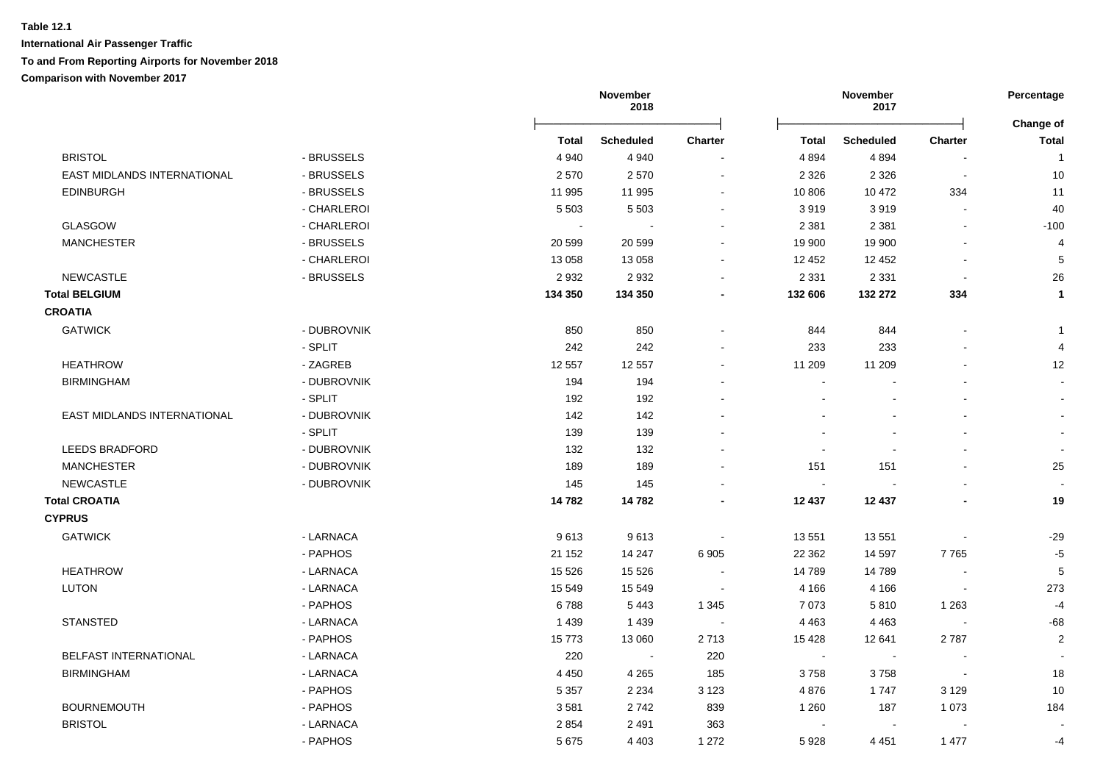|                                    |             |                | November<br>2018 |                          |              | November<br>2017         |                          | Percentage     |
|------------------------------------|-------------|----------------|------------------|--------------------------|--------------|--------------------------|--------------------------|----------------|
|                                    |             |                |                  |                          |              |                          |                          | Change of      |
|                                    |             | <b>Total</b>   | <b>Scheduled</b> | <b>Charter</b>           | <b>Total</b> | <b>Scheduled</b>         | Charter                  | <b>Total</b>   |
| <b>BRISTOL</b>                     | - BRUSSELS  | 4 9 4 0        | 4 9 4 0          |                          | 4 8 9 4      | 4894                     |                          | $\mathbf{1}$   |
| <b>EAST MIDLANDS INTERNATIONAL</b> | - BRUSSELS  | 2570           | 2570             | $\overline{\phantom{a}}$ | 2 3 2 6      | 2 3 2 6                  | $\overline{\phantom{a}}$ | 10             |
| <b>EDINBURGH</b>                   | - BRUSSELS  | 11 995         | 11 995           | $\sim$                   | 10 806       | 10 472                   | 334                      | 11             |
|                                    | - CHARLEROI | 5 5 0 3        | 5 5 0 3          | $\blacksquare$           | 3919         | 3919                     |                          | 40             |
| <b>GLASGOW</b>                     | - CHARLEROI | $\blacksquare$ |                  | $\blacksquare$           | 2 3 8 1      | 2 3 8 1                  |                          | $-100$         |
| <b>MANCHESTER</b>                  | - BRUSSELS  | 20 599         | 20 599           | $\blacksquare$           | 19 900       | 19 900                   |                          | 4              |
|                                    | - CHARLEROI | 13 0 58        | 13 0 58          | $\blacksquare$           | 12 452       | 12 452                   |                          | $\overline{5}$ |
| <b>NEWCASTLE</b>                   | - BRUSSELS  | 2932           | 2932             | $\blacksquare$           | 2 3 3 1      | 2 3 3 1                  | $\overline{\phantom{a}}$ | 26             |
| <b>Total BELGIUM</b>               |             | 134 350        | 134 350          | $\blacksquare$           | 132 606      | 132 272                  | 334                      | $\mathbf{1}$   |
| <b>CROATIA</b>                     |             |                |                  |                          |              |                          |                          |                |
| <b>GATWICK</b>                     | - DUBROVNIK | 850            | 850              |                          | 844          | 844                      |                          | -1             |
|                                    | - SPLIT     | 242            | 242              | $\overline{\phantom{a}}$ | 233          | 233                      |                          | 4              |
| <b>HEATHROW</b>                    | - ZAGREB    | 12 5 57        | 12 5 5 7         | $\blacksquare$           | 11 209       | 11 209                   |                          | 12             |
| <b>BIRMINGHAM</b>                  | - DUBROVNIK | 194            | 194              | $\blacksquare$           | $\sim$       |                          |                          |                |
|                                    | - SPLIT     | 192            | 192              |                          |              | $\overline{\phantom{a}}$ |                          |                |
| <b>EAST MIDLANDS INTERNATIONAL</b> | - DUBROVNIK | 142            | 142              |                          |              |                          |                          |                |
|                                    | - SPLIT     | 139            | 139              |                          |              |                          |                          |                |
| <b>LEEDS BRADFORD</b>              | - DUBROVNIK | 132            | 132              |                          |              |                          |                          |                |
| <b>MANCHESTER</b>                  | - DUBROVNIK | 189            | 189              |                          | 151          | 151                      |                          | 25             |
| <b>NEWCASTLE</b>                   | - DUBROVNIK | 145            | 145              |                          | $\sim$       |                          |                          |                |
| <b>Total CROATIA</b>               |             | 14782          | 14782            |                          | 12 437       | 12 437                   |                          | 19             |
| <b>CYPRUS</b>                      |             |                |                  |                          |              |                          |                          |                |
| <b>GATWICK</b>                     | - LARNACA   | 9613           | 9613             |                          | 13 551       | 13551                    |                          | $-29$          |
|                                    | - PAPHOS    | 21 152         | 14 247           | 6 9 0 5                  | 22 3 62      | 14 597                   | 7765                     | $-5$           |
| <b>HEATHROW</b>                    | - LARNACA   | 15 5 26        | 15 5 26          |                          | 14789        | 14789                    |                          | 5              |
| <b>LUTON</b>                       | - LARNACA   | 15 549         | 15 549           |                          | 4 1 6 6      | 4 1 6 6                  |                          | 273            |
|                                    | - PAPHOS    | 6788           | 5443             | 1 3 4 5                  | 7 0 7 3      | 5810                     | 1 2 6 3                  | $-4$           |
| <b>STANSTED</b>                    | - LARNACA   | 1439           | 1439             |                          | 4 4 6 3      | 4 4 6 3                  |                          | -68            |
|                                    | - PAPHOS    | 15773          | 13 060           | 2713                     | 15 4 28      | 12 641                   | 2787                     | $\mathbf 2$    |
| <b>BELFAST INTERNATIONAL</b>       | - LARNACA   | 220            | $\blacksquare$   | 220                      | $\sim$       |                          |                          |                |
| <b>BIRMINGHAM</b>                  | - LARNACA   | 4 4 5 0        | 4 2 6 5          | 185                      | 3758         | 3758                     | $\blacksquare$           | 18             |
|                                    | - PAPHOS    | 5 3 5 7        | 2 2 3 4          | 3 1 2 3                  | 4876         | 1 7 4 7                  | 3 1 2 9                  | 10             |
| <b>BOURNEMOUTH</b>                 | - PAPHOS    | 3581           | 2742             | 839                      | 1 2 6 0      | 187                      | 1 0 7 3                  | 184            |
| <b>BRISTOL</b>                     | - LARNACA   | 2854           | 2 4 9 1          | 363                      |              |                          |                          |                |
|                                    | - PAPHOS    | 5675           | 4 4 0 3          | 1 2 7 2                  | 5928         | 4 4 5 1                  | 1 477                    | -4             |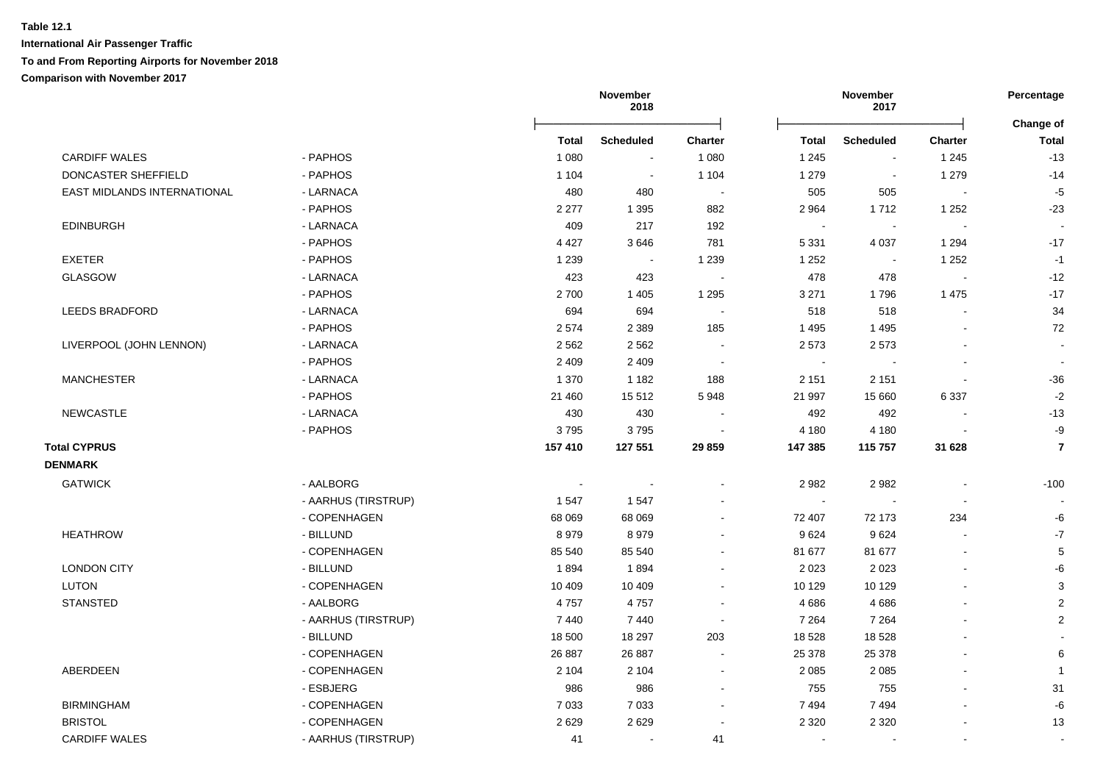|                             |                     | November<br>2018 |                  |                | November<br>2017 |                  |         |                         |
|-----------------------------|---------------------|------------------|------------------|----------------|------------------|------------------|---------|-------------------------|
|                             |                     | Total            | <b>Scheduled</b> | Charter        | Total            | <b>Scheduled</b> | Charter | Change of<br>Total      |
| <b>CARDIFF WALES</b>        | - PAPHOS            | 1 0 8 0          | $\blacksquare$   | 1 0 8 0        | 1 2 4 5          | $\blacksquare$   | 1 2 4 5 | $-13$                   |
| DONCASTER SHEFFIELD         | - PAPHOS            | 1 1 0 4          | $\blacksquare$   | 1 1 0 4        | 1 2 7 9          | $\blacksquare$   | 1 2 7 9 | $-14$                   |
| EAST MIDLANDS INTERNATIONAL | - LARNACA           | 480              | 480              | $\blacksquare$ | 505              | 505              |         | $-5$                    |
|                             | - PAPHOS            | 2 2 7 7          | 1 3 9 5          | 882            | 2 9 64           | 1712             | 1 2 5 2 | $-23$                   |
| <b>EDINBURGH</b>            | - LARNACA           | 409              | 217              | 192            | $\sim$           |                  |         |                         |
|                             | - PAPHOS            | 4 4 2 7          | 3646             | 781            | 5 3 3 1          | 4 0 3 7          | 1 2 9 4 | $-17$                   |
| <b>EXETER</b>               | - PAPHOS            | 1 2 3 9          | $\sim$           | 1 2 3 9        | 1 2 5 2          | $\blacksquare$   | 1 2 5 2 | $-1$                    |
| <b>GLASGOW</b>              | - LARNACA           | 423              | 423              |                | 478              | 478              |         | $-12$                   |
|                             | - PAPHOS            | 2700             | 1 4 0 5          | 1 2 9 5        | 3 2 7 1          | 1796             | 1 4 7 5 | $-17$                   |
| <b>LEEDS BRADFORD</b>       | - LARNACA           | 694              | 694              |                | 518              | 518              |         | 34                      |
|                             | - PAPHOS            | 2574             | 2 3 8 9          | 185            | 1 4 9 5          | 1495             |         | 72                      |
| LIVERPOOL (JOHN LENNON)     | - LARNACA           | 2 5 6 2          | 2 5 6 2          |                | 2 5 7 3          | 2573             |         | $\sim$                  |
|                             | - PAPHOS            | 2 4 0 9          | 2 4 0 9          |                | $\sim$           |                  |         |                         |
| <b>MANCHESTER</b>           | - LARNACA           | 1 370            | 1 1 8 2          | 188            | 2 1 5 1          | 2 1 5 1          |         | $-36$                   |
|                             | - PAPHOS            | 21 460           | 15512            | 5948           | 21 997           | 15 660           | 6337    | $-2$                    |
| <b>NEWCASTLE</b>            | - LARNACA           | 430              | 430              |                | 492              | 492              |         | $-13$                   |
|                             | - PAPHOS            | 3795             | 3795             |                | 4 180            | 4 1 8 0          |         | $-9$                    |
| <b>Total CYPRUS</b>         |                     | 157 410          | 127 551          | 29859          | 147 385          | 115 757          | 31 628  | $\overline{7}$          |
| <b>DENMARK</b>              |                     |                  |                  |                |                  |                  |         |                         |
| <b>GATWICK</b>              | - AALBORG           |                  |                  |                | 2 9 8 2          | 2982             |         | $-100$                  |
|                             | - AARHUS (TIRSTRUP) | 1 5 4 7          | 1547             |                | $\sim$           |                  |         |                         |
|                             | - COPENHAGEN        | 68 069           | 68 069           |                | 72 407           | 72 173           | 234     | -6                      |
| <b>HEATHROW</b>             | - BILLUND           | 8979             | 8979             |                | 9624             | 9624             |         | $\mathbf{-7}$           |
|                             | - COPENHAGEN        | 85 540           | 85 540           |                | 81 677           | 81 677           |         | $\sqrt{5}$              |
| <b>LONDON CITY</b>          | - BILLUND           | 1894             | 1894             |                | 2 0 2 3          | 2 0 2 3          |         | -6                      |
| LUTON                       | - COPENHAGEN        | 10 409           | 10 409           |                | 10 129           | 10 129           |         | 3                       |
| <b>STANSTED</b>             | - AALBORG           | 4757             | 4757             |                | 4 6 8 6          | 4686             |         | $\overline{2}$          |
|                             | - AARHUS (TIRSTRUP) | 7 4 4 0          | 7440             |                | 7 2 6 4          | 7 2 6 4          |         | $\overline{2}$          |
|                             | - BILLUND           | 18 500           | 18 297           | 203            | 18 5 28          | 18 5 28          |         |                         |
|                             | - COPENHAGEN        | 26 887           | 26 887           |                | 25 378           | 25 378           |         | 6                       |
| ABERDEEN                    | - COPENHAGEN        | 2 1 0 4          | 2 1 0 4          | $\sim$         | 2 0 8 5          | 2 0 8 5          |         | $\overline{\mathbf{1}}$ |
|                             | - ESBJERG           | 986              | 986              |                | 755              | 755              |         | 31                      |
| <b>BIRMINGHAM</b>           | - COPENHAGEN        | 7 0 3 3          | 7 0 3 3          | $\blacksquare$ | 7494             | 7 4 9 4          |         | $\textbf{-6}$           |
| <b>BRISTOL</b>              | - COPENHAGEN        | 2629             | 2629             | $\blacksquare$ | 2 3 2 0          | 2 3 2 0          |         | 13                      |
| <b>CARDIFF WALES</b>        | - AARHUS (TIRSTRUP) | 41               | $\blacksquare$   | 41             |                  |                  |         |                         |
|                             |                     |                  |                  |                |                  |                  |         |                         |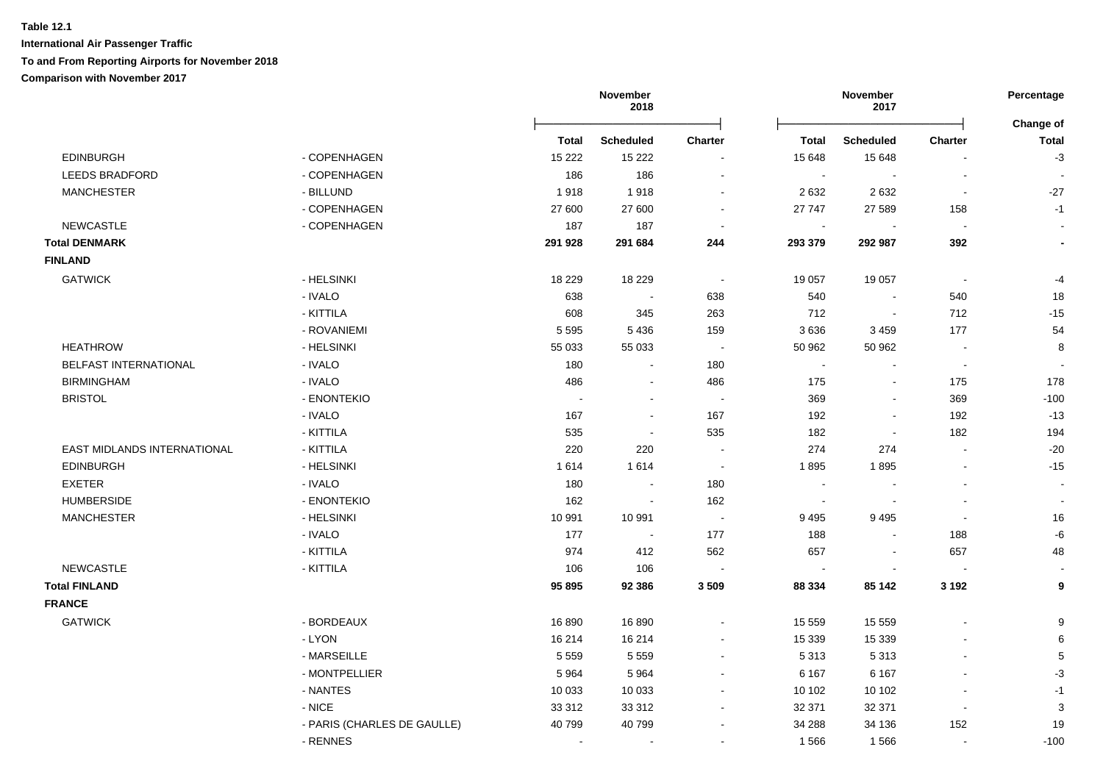|                             |                             | November<br>2018 |                  |                | November<br>2017 |                  | Percentage     |                           |
|-----------------------------|-----------------------------|------------------|------------------|----------------|------------------|------------------|----------------|---------------------------|
|                             |                             | <b>Total</b>     | <b>Scheduled</b> | Charter        | <b>Total</b>     | <b>Scheduled</b> | <b>Charter</b> | Change of<br><b>Total</b> |
| <b>EDINBURGH</b>            | - COPENHAGEN                | 15 2 22          | 15 2 22          | $\blacksquare$ | 15 648           | 15 648           |                | $-3$                      |
| <b>LEEDS BRADFORD</b>       | - COPENHAGEN                | 186              | 186              | $\blacksquare$ | $\blacksquare$   |                  |                |                           |
| <b>MANCHESTER</b>           | - BILLUND                   | 1918             | 1918             | $\sim$         | 2 6 3 2          | 2632             | $\sim$         | $-27$                     |
|                             | - COPENHAGEN                | 27 600           | 27 600           | $\blacksquare$ | 27 747           | 27 589           | 158            | $-1$                      |
| NEWCASTLE                   | - COPENHAGEN                | 187              | 187              | $\sim$         | $\blacksquare$   |                  | $\sim$         | $\overline{\phantom{a}}$  |
| <b>Total DENMARK</b>        |                             | 291 928          | 291 684          | 244            | 293 379          | 292 987          | 392            | $\blacksquare$            |
| <b>FINLAND</b>              |                             |                  |                  |                |                  |                  |                |                           |
| <b>GATWICK</b>              | - HELSINKI                  | 18 2 29          | 18 2 29          | $\sim$         | 19 057           | 19 057           | $\sim$         | $-4$                      |
|                             | - IVALO                     | 638              |                  | 638            | 540              | $\blacksquare$   | 540            | 18                        |
|                             | - KITTILA                   | 608              | 345              | 263            | 712              | $\blacksquare$   | 712            | $-15$                     |
|                             | - ROVANIEMI                 | 5 5 9 5          | 5 4 3 6          | 159            | 3636             | 3 4 5 9          | 177            | 54                        |
| <b>HEATHROW</b>             | - HELSINKI                  | 55 033           | 55 033           | $\sim$         | 50 962           | 50 962           |                | 8                         |
| BELFAST INTERNATIONAL       | - IVALO                     | 180              |                  | 180            | $\sim$           |                  |                |                           |
| <b>BIRMINGHAM</b>           | - IVALO                     | 486              |                  | 486            | 175              | $\blacksquare$   | 175            | 178                       |
| <b>BRISTOL</b>              | - ENONTEKIO                 |                  |                  | $\sim$         | 369              | $\sim$           | 369            | $-100$                    |
|                             | - IVALO                     | 167              |                  | 167            | 192              | $\sim$           | 192            | $-13$                     |
|                             | - KITTILA                   | 535              |                  | 535            | 182              | $\sim$           | 182            | 194                       |
| EAST MIDLANDS INTERNATIONAL | - KITTILA                   | 220              | 220              | $\sim$         | 274              | 274              | $\blacksquare$ | $-20$                     |
| <b>EDINBURGH</b>            | - HELSINKI                  | 1614             | 1614             | $\blacksquare$ | 1895             | 1895             |                | $-15$                     |
| <b>EXETER</b>               | - IVALO                     | 180              | $\sim$           | 180            | $\sim$           |                  |                | $\sim$                    |
| <b>HUMBERSIDE</b>           | - ENONTEKIO                 | 162              | $\sim$           | 162            | $\sim$           |                  |                | $\sim$                    |
| <b>MANCHESTER</b>           | - HELSINKI                  | 10 991           | 10 991           | $\sim$         | 9 4 9 5          | 9495             | $\blacksquare$ | 16                        |
|                             | - IVALO                     | 177              | $\sim$           | 177            | 188              | $\blacksquare$   | 188            | $\mbox{-}6$               |
|                             | - KITTILA                   | 974              | 412              | 562            | 657              | $\blacksquare$   | 657            | 48                        |
| NEWCASTLE                   | - KITTILA                   | 106              | 106              |                | $\sim$           |                  |                | $\sim$                    |
| <b>Total FINLAND</b>        |                             | 95 895           | 92 386           | 3 5 0 9        | 88 334           | 85 142           | 3 1 9 2        | 9                         |
| <b>FRANCE</b>               |                             |                  |                  |                |                  |                  |                |                           |
| <b>GATWICK</b>              | - BORDEAUX                  | 16890            | 16890            | $\blacksquare$ | 15 559           | 15 559           |                | 9                         |
|                             | - LYON                      | 16 214           | 16 214           |                | 15 3 39          | 15 3 39          |                | 6                         |
|                             | - MARSEILLE                 | 5 5 5 9          | 5 5 5 9          |                | 5 3 1 3          | 5313             |                | $\,$ 5 $\,$               |
|                             | - MONTPELLIER               | 5964             | 5964             |                | 6 1 6 7          | 6 1 6 7          |                | $-3$                      |
|                             | - NANTES                    | 10 033           | 10 033           |                | 10 10 2          | 10 10 2          |                | $-1$                      |
|                             | - NICE                      | 33 312           | 33 312           | $\blacksquare$ | 32 371           | 32 371           | $\blacksquare$ | $\mathbf{3}$              |
|                             | - PARIS (CHARLES DE GAULLE) | 40799            | 40799            |                | 34 288           | 34 136           | 152            | 19                        |
|                             | - RENNES                    | $\sim$           |                  | $\blacksquare$ | 1566             | 1566             | $\sim$         | $-100$                    |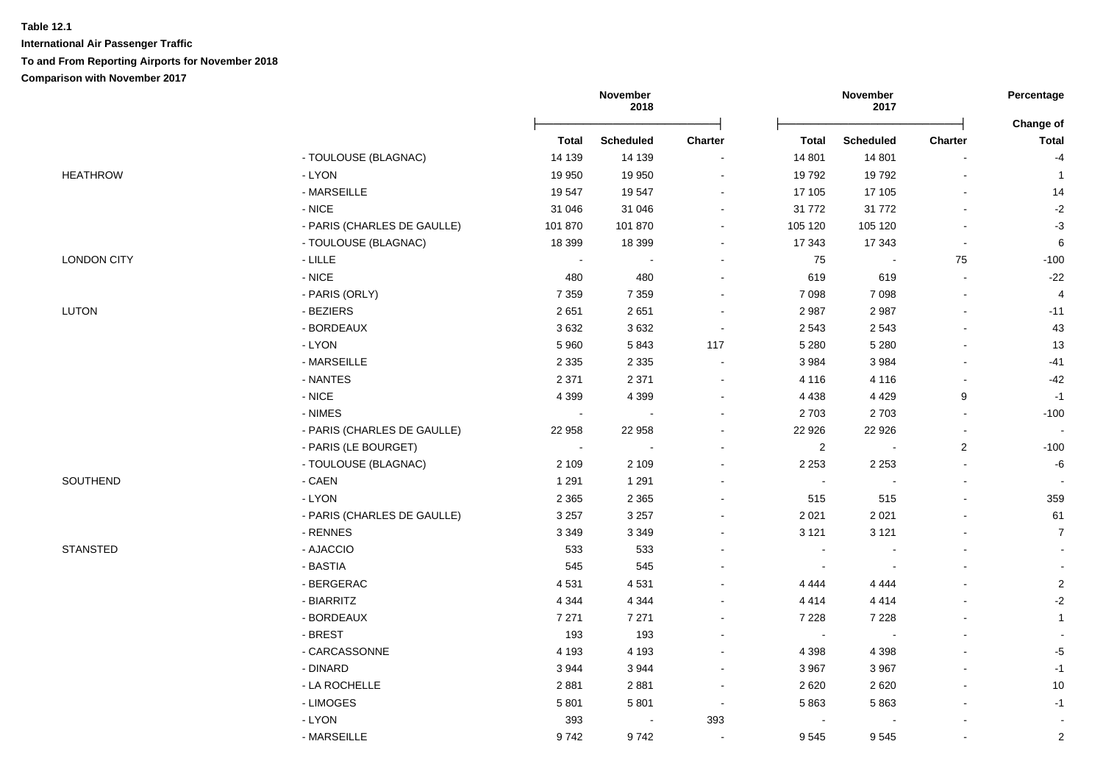**International Air Passenger Traffic**

### **To and From Reporting Airports for November 2018**

|                    |                             |                | November<br>2018 |                |                | November<br>2017 |                | Percentage<br><b>Change of</b> |
|--------------------|-----------------------------|----------------|------------------|----------------|----------------|------------------|----------------|--------------------------------|
|                    |                             | <b>Total</b>   | <b>Scheduled</b> | <b>Charter</b> | <b>Total</b>   | <b>Scheduled</b> | Charter        | <b>Total</b>                   |
|                    | - TOULOUSE (BLAGNAC)        | 14 139         | 14 139           |                | 14 801         | 14 801           |                | $-4$                           |
| <b>HEATHROW</b>    | - LYON                      | 19 950         | 19 950           | $\sim$         | 19792          | 19792            | $\sim$         | $\overline{1}$                 |
|                    | - MARSEILLE                 | 19547          | 19547            | $\sim$         | 17 105         | 17 105           |                | 14                             |
|                    | $-$ NICE                    | 31 046         | 31 046           |                | 31 772         | 31 772           |                | $-2$                           |
|                    | - PARIS (CHARLES DE GAULLE) | 101 870        | 101 870          | $\sim$         | 105 120        | 105 120          |                | $-3$                           |
|                    | - TOULOUSE (BLAGNAC)        | 18 399         | 18 399           |                | 17 343         | 17 343           |                | $\,6\,$                        |
| <b>LONDON CITY</b> | $\hbox{-}\mathsf{LILLE}$    | $\sim$         |                  |                | 75             |                  | 75             | $-100$                         |
|                    | $-$ NICE                    | 480            | 480              |                | 619            | 619              |                | $-22$                          |
|                    | - PARIS (ORLY)              | 7 3 5 9        | 7 3 5 9          |                | 7 0 9 8        | 7 0 9 8          |                | $\overline{4}$                 |
| LUTON              | - BEZIERS                   | 2651           | 2651             | $\sim$         | 2 9 8 7        | 2987             |                | $-11$                          |
|                    | - BORDEAUX                  | 3632           | 3632             | $\sim$         | 2 5 4 3        | 2543             |                | $43\,$                         |
|                    | $-LYON$                     | 5 9 6 0        | 5843             | 117            | 5 2 8 0        | 5 2 8 0          |                | 13                             |
|                    | - MARSEILLE                 | 2 3 3 5        | 2 3 3 5          | $\sim$         | 3 9 8 4        | 3984             |                | $-41$                          |
|                    | - NANTES                    | 2 3 7 1        | 2 3 7 1          | $\sim$         | 4 1 1 6        | 4 1 1 6          |                | $-42$                          |
|                    | $\text{-}\mathsf{NICE}$     | 4 3 9 9        | 4 3 9 9          |                | 4 4 3 8        | 4 4 2 9          | 9              | $-1$                           |
|                    | - NIMES                     | $\blacksquare$ |                  |                | 2703           | 2703             |                | $-100$                         |
|                    | - PARIS (CHARLES DE GAULLE) | 22 958         | 22 958           |                | 22 9 26        | 22 9 26          |                | $\sim$                         |
|                    | - PARIS (LE BOURGET)        | $\sim$         | $\sim$           | $\sim$         | 2              |                  | $\overline{2}$ | $-100$                         |
|                    | - TOULOUSE (BLAGNAC)        | 2 1 0 9        | 2 1 0 9          | $\sim$         | 2 2 5 3        | 2 2 5 3          |                | $-6$                           |
| SOUTHEND           | - CAEN                      | 1 2 9 1        | 1 2 9 1          |                | $\sim$         |                  |                | $\sim$                         |
|                    | - LYON                      | 2 3 6 5        | 2 3 6 5          |                | 515            | 515              |                | 359                            |
|                    | - PARIS (CHARLES DE GAULLE) | 3 2 5 7        | 3 2 5 7          |                | 2 0 2 1        | 2 0 2 1          |                | 61                             |
|                    | - RENNES                    | 3 3 4 9        | 3 3 4 9          |                | 3 1 2 1        | 3 1 2 1          |                | $\overline{7}$                 |
| <b>STANSTED</b>    | - AJACCIO                   | 533            | 533              |                |                |                  |                |                                |
|                    | - BASTIA                    | 545            | 545              |                | $\sim$         |                  |                | $\sim$                         |
|                    | - BERGERAC                  | 4531           | 4531             | $\sim$         | 4 4 4 4        | 4 4 4 4          |                | $\overline{2}$                 |
|                    | - BIARRITZ                  | 4 3 4 4        | 4 3 4 4          | $\sim$         | 4 4 1 4        | 4414             |                | $-2$                           |
|                    | - BORDEAUX                  | 7 2 7 1        | 7 2 7 1          | $\sim$         | 7 2 2 8        | 7 2 2 8          |                | $\mathbf{1}$                   |
|                    | - BREST                     | 193            | 193              |                | $\sim$         |                  |                |                                |
|                    | - CARCASSONNE               | 4 1 9 3        | 4 1 9 3          |                | 4 3 9 8        | 4 3 9 8          |                | $-5$                           |
|                    | - DINARD                    | 3944           | 3944             |                | 3 9 6 7        | 3 9 6 7          |                | $-1$                           |
|                    | - LA ROCHELLE               | 2881           | 2881             | $\sim$         | 2 6 2 0        | 2620             |                | $10\,$                         |
|                    | - LIMOGES                   | 5801           | 5801             | $\sim$         | 5863           | 5863             |                | $-1$                           |
|                    | - LYON                      | 393            | $\sim$           | 393            | $\blacksquare$ |                  |                | $\blacksquare$                 |
|                    | - MARSEILLE                 | 9742           | 9742             | $\sim$         | 9545           | 9545             |                | $\overline{2}$                 |
|                    |                             |                |                  |                |                |                  |                |                                |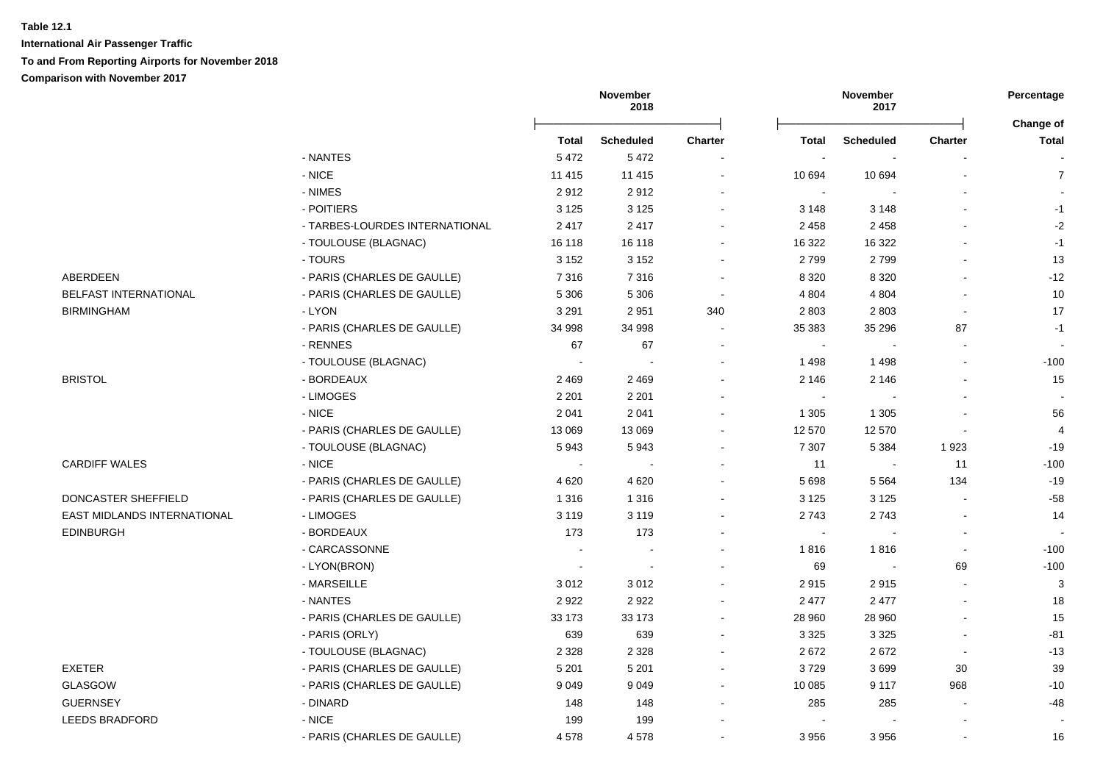**International Air Passenger Traffic To and From Reporting Airports for November 2018**

**Comparison with November 2017**

|                                    |                                |                          | November<br>2018         |                          |                | November<br>2017 |                          | Percentage               |
|------------------------------------|--------------------------------|--------------------------|--------------------------|--------------------------|----------------|------------------|--------------------------|--------------------------|
|                                    |                                | <b>Total</b>             | <b>Scheduled</b>         | <b>Charter</b>           | Total          | <b>Scheduled</b> | <b>Charter</b>           | Change of<br>Total       |
|                                    | - NANTES                       | 5 4 7 2                  | 5472                     |                          | $\sim$         | $\sim$           |                          |                          |
|                                    | - NICE                         | 11 4 15                  | 11 4 15                  | $\blacksquare$           | 10 694         | 10 694           |                          | $\overline{7}$           |
|                                    | - NIMES                        | 2912                     | 2912                     | $\blacksquare$           | $\blacksquare$ | $\blacksquare$   |                          | $\overline{\phantom{a}}$ |
|                                    | - POITIERS                     | 3 1 2 5                  | 3 1 2 5                  |                          | 3 1 4 8        | 3 1 4 8          |                          | $-1$                     |
|                                    | - TARBES-LOURDES INTERNATIONAL | 2417                     | 2417                     |                          | 2 4 5 8        | 2 4 5 8          |                          | $-2$                     |
|                                    | - TOULOUSE (BLAGNAC)           | 16 118                   | 16 118                   |                          | 16 322         | 16 322           |                          | $-1$                     |
|                                    | - TOURS                        | 3 1 5 2                  | 3 1 5 2                  |                          | 2799           | 2799             |                          | 13                       |
| ABERDEEN                           | - PARIS (CHARLES DE GAULLE)    | 7316                     | 7316                     | $\overline{\phantom{a}}$ | 8 3 2 0        | 8 3 2 0          |                          | $-12$                    |
| BELFAST INTERNATIONAL              | - PARIS (CHARLES DE GAULLE)    | 5 3 0 6                  | 5 3 0 6                  | $\sim$                   | 4 8 0 4        | 4 8 0 4          |                          | $10$                     |
| <b>BIRMINGHAM</b>                  | - LYON                         | 3 2 9 1                  | 2951                     | 340                      | 2 8 0 3        | 2803             | $\overline{a}$           | 17                       |
|                                    | - PARIS (CHARLES DE GAULLE)    | 34 998                   | 34 998                   |                          | 35 383         | 35 296           | 87                       | $-1$                     |
|                                    | - RENNES                       | 67                       | 67                       |                          |                |                  |                          |                          |
|                                    | - TOULOUSE (BLAGNAC)           | $\overline{\phantom{a}}$ | $\sim$                   |                          | 1 4 9 8        | 1 4 9 8          |                          | $-100$                   |
| <b>BRISTOL</b>                     | - BORDEAUX                     | 2 4 6 9                  | 2 4 6 9                  |                          | 2 1 4 6        | 2 1 4 6          |                          | 15                       |
|                                    | - LIMOGES                      | 2 2 0 1                  | 2 2 0 1                  |                          | $\sim$         |                  |                          |                          |
|                                    | $-$ NICE                       | 2 0 4 1                  | 2 0 4 1                  |                          | 1 3 0 5        | 1 3 0 5          |                          | 56                       |
|                                    | - PARIS (CHARLES DE GAULLE)    | 13 069                   | 13 069                   |                          | 12 570         | 12 570           | L,                       | $\overline{4}$           |
|                                    | - TOULOUSE (BLAGNAC)           | 5943                     | 5943                     |                          | 7 3 0 7        | 5 3 8 4          | 1923                     | $-19$                    |
| <b>CARDIFF WALES</b>               | - NICE                         | $\overline{\phantom{a}}$ | $\sim$                   |                          | 11             | $\sim$           | 11                       | $-100$                   |
|                                    | - PARIS (CHARLES DE GAULLE)    | 4620                     | 4620                     |                          | 5 6 9 8        | 5 5 6 4          | 134                      | $-19$                    |
| DONCASTER SHEFFIELD                | - PARIS (CHARLES DE GAULLE)    | 1 3 1 6                  | 1 3 1 6                  |                          | 3 1 2 5        | 3 1 2 5          |                          | $-58$                    |
| <b>EAST MIDLANDS INTERNATIONAL</b> | - LIMOGES                      | 3 1 1 9                  | 3 1 1 9                  |                          | 2743           | 2743             | $\blacksquare$           | 14                       |
| <b>EDINBURGH</b>                   | - BORDEAUX                     | 173                      | 173                      |                          | $\sim$         |                  | $\overline{\phantom{a}}$ |                          |
|                                    | - CARCASSONNE                  | $\sim$                   | $\sim$                   |                          | 1816           | 1816             | $\overline{a}$           | $-100$                   |
|                                    | - LYON(BRON)                   | $\sim$                   | $\overline{\phantom{a}}$ |                          | 69             |                  | 69                       | $-100$                   |
|                                    | - MARSEILLE                    | 3012                     | 3012                     |                          | 2915           | 2915             |                          | 3                        |
|                                    | - NANTES                       | 2922                     | 2922                     |                          | 2 4 7 7        | 2 4 7 7          | $\blacksquare$           | 18                       |
|                                    | - PARIS (CHARLES DE GAULLE)    | 33 173                   | 33 173                   |                          | 28 960         | 28 960           |                          | 15                       |
|                                    | - PARIS (ORLY)                 | 639                      | 639                      | ÷                        | 3 3 2 5        | 3 3 2 5          | L.                       | $-81$                    |
|                                    | - TOULOUSE (BLAGNAC)           | 2 3 2 8                  | 2 3 2 8                  |                          | 2672           | 2672             | $\blacksquare$           | $-13$                    |
| EXETER                             | - PARIS (CHARLES DE GAULLE)    | 5 2 0 1                  | 5 2 0 1                  |                          | 3729           | 3699             | 30                       | 39                       |
| <b>GLASGOW</b>                     | - PARIS (CHARLES DE GAULLE)    | 9 0 4 9                  | 9 0 4 9                  | $\blacksquare$           | 10 085         | 9 1 1 7          | 968                      | $-10$                    |
| <b>GUERNSEY</b>                    | - DINARD                       | 148                      | 148                      | $\blacksquare$           | 285            | 285              | L.                       | $-48$                    |
| <b>LEEDS BRADFORD</b>              | - NICE                         | 199                      | 199                      |                          |                |                  |                          | $\blacksquare$           |
|                                    | - PARIS (CHARLES DE GAULLE)    | 4578                     | 4578                     |                          | 3956           | 3956             | $\mathbf{r}$             | 16                       |
|                                    |                                |                          |                          |                          |                |                  |                          |                          |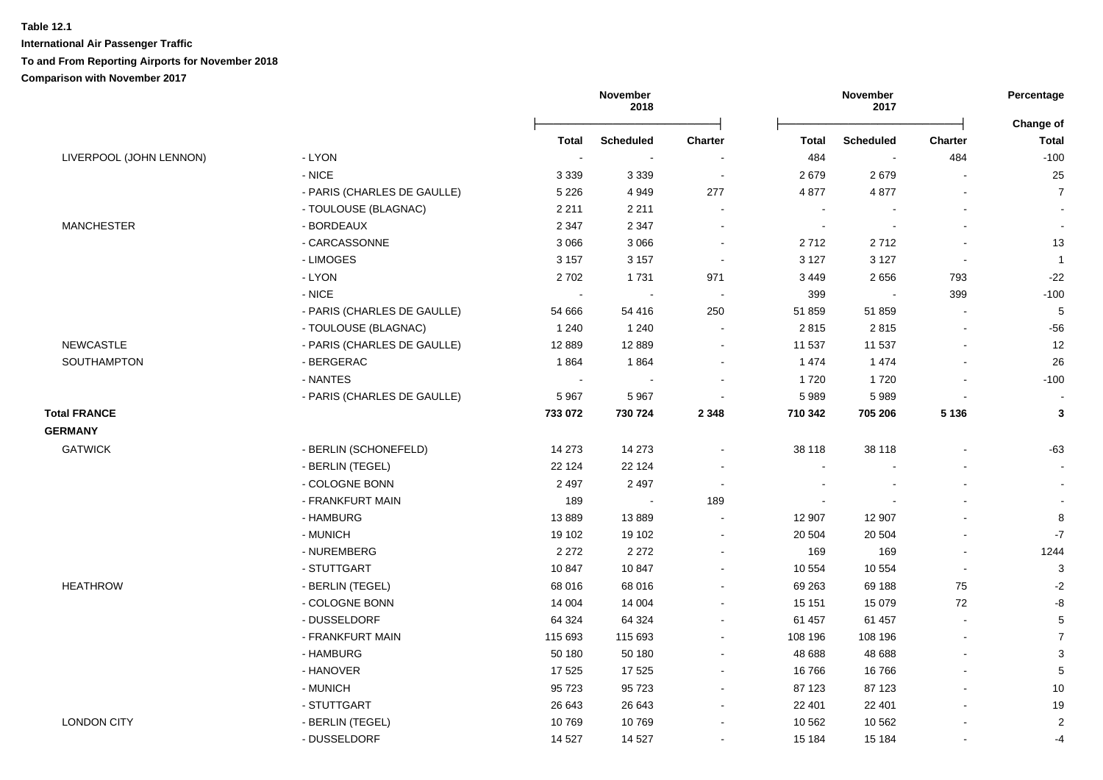**International Air Passenger Traffic**

# **To and From Reporting Airports for November 2018**

|                         |                             | November<br>2018 |                  |                          | November<br>2017 |                          | Percentage<br>Change of |                 |
|-------------------------|-----------------------------|------------------|------------------|--------------------------|------------------|--------------------------|-------------------------|-----------------|
|                         |                             | <b>Total</b>     | <b>Scheduled</b> | <b>Charter</b>           | <b>Total</b>     | <b>Scheduled</b>         | <b>Charter</b>          | <b>Total</b>    |
| LIVERPOOL (JOHN LENNON) | - LYON                      | $\sim$           |                  |                          | 484              | $\overline{\phantom{a}}$ | 484                     | $-100$          |
|                         | $-$ NICE                    | 3 3 3 9          | 3 3 3 9          | $\sim$                   | 2679             | 2679                     |                         | 25              |
|                         | - PARIS (CHARLES DE GAULLE) | 5 2 2 6          | 4949             | 277                      | 4 8 7 7          | 4877                     | $\overline{a}$          | $\overline{7}$  |
|                         | - TOULOUSE (BLAGNAC)        | 2 2 1 1          | 2 2 1 1          |                          | $\sim$           |                          | $\blacksquare$          |                 |
| <b>MANCHESTER</b>       | - BORDEAUX                  | 2 3 4 7          | 2 3 4 7          |                          | $\sim$           |                          |                         |                 |
|                         | - CARCASSONNE               | 3 0 6 6          | 3 0 6 6          | $\blacksquare$           | 2712             | 2712                     |                         | 13              |
|                         | - LIMOGES                   | 3 1 5 7          | 3 1 5 7          | $\sim$                   | 3 1 2 7          | 3 1 2 7                  | $\sim$                  | $\overline{1}$  |
|                         | - LYON                      | 2702             | 1731             | 971                      | 3 4 4 9          | 2656                     | 793                     | $-22$           |
|                         | $-$ NICE                    | $\blacksquare$   | $\sim$           | $\sim$                   | 399              | $\sim$                   | 399                     | $-100$          |
|                         | - PARIS (CHARLES DE GAULLE) | 54 666           | 54 416           | 250                      | 51 859           | 51859                    | $\sim$                  | $5\phantom{.0}$ |
|                         | - TOULOUSE (BLAGNAC)        | 1 2 4 0          | 1 2 4 0          | $\blacksquare$           | 2815             | 2815                     | $\blacksquare$          | $-56$           |
| <b>NEWCASTLE</b>        | - PARIS (CHARLES DE GAULLE) | 12 8 89          | 12 8 8 9         | $\sim$                   | 11 537           | 11 537                   | L.                      | 12              |
| SOUTHAMPTON             | - BERGERAC                  | 1864             | 1864             | $\sim$                   | 1 4 7 4          | 1474                     | $\mathbf{r}$            | 26              |
|                         | - NANTES                    | $\sim$           | $\sim$           | $\blacksquare$           | 1720             | 1720                     | $\blacksquare$          | $-100$          |
|                         | - PARIS (CHARLES DE GAULLE) | 5967             | 5967             | $\blacksquare$           | 5 9 8 9          | 5989                     | $\blacksquare$          |                 |
| <b>Total FRANCE</b>     |                             | 733 072          | 730 724          | 2 3 4 8                  | 710 342          | 705 206                  | 5 1 3 6                 | $\mathbf{3}$    |
| <b>GERMANY</b>          |                             |                  |                  |                          |                  |                          |                         |                 |
| <b>GATWICK</b>          | - BERLIN (SCHONEFELD)       | 14 273           | 14 273           | $\sim$                   | 38 118           | 38 118                   |                         | -63             |
|                         | - BERLIN (TEGEL)            | 22 124           | 22 1 24          |                          | $\blacksquare$   |                          |                         | $\sim$          |
|                         | - COLOGNE BONN              | 2 4 9 7          | 2 4 9 7          | $\overline{\phantom{a}}$ |                  |                          |                         |                 |
|                         | - FRANKFURT MAIN            | 189              | $\sim$           | 189                      |                  |                          |                         |                 |
|                         | - HAMBURG                   | 13889            | 13889            |                          | 12 907           | 12 907                   |                         | 8               |
|                         | - MUNICH                    | 19 102           | 19 102           | $\blacksquare$           | 20 504           | 20 504                   | $\blacksquare$          | $-7$            |
|                         | - NUREMBERG                 | 2 2 7 2          | 2 2 7 2          | $\blacksquare$           | 169              | 169                      | $\blacksquare$          | 1244            |
|                         | - STUTTGART                 | 10847            | 10 847           | $\sim$                   | 10 554           | 10 554                   | $\sim$                  | $\mathbf{3}$    |
| <b>HEATHROW</b>         | - BERLIN (TEGEL)            | 68 016           | 68 016           | $\blacksquare$           | 69 263           | 69 188                   | 75                      | $-2$            |
|                         | - COLOGNE BONN              | 14 004           | 14 004           | $\sim$                   | 15 15 1          | 15 0 79                  | 72                      | $-8$            |
|                         | - DUSSELDORF                | 64 324           | 64 324           | $\blacksquare$           | 61 457           | 61 457                   | $\mathbf{r}$            | $\,$ 5 $\,$     |
|                         | - FRANKFURT MAIN            | 115 693          | 115 693          | ä,                       | 108 196          | 108 196                  | ä,                      | $\overline{7}$  |
|                         | - HAMBURG                   | 50 180           | 50 180           | $\blacksquare$           | 48 688           | 48 688                   | $\mathbf{r}$            | $\mathbf{3}$    |
|                         | - HANOVER                   | 17 525           | 17 525           | $\blacksquare$           | 16766            | 16 766                   | $\blacksquare$          | $5\phantom{.0}$ |
|                         | - MUNICH                    | 95 723           | 95 723           | $\blacksquare$           | 87 123           | 87 123                   |                         | 10              |
|                         | - STUTTGART                 | 26 643           | 26 643           | ۰                        | 22 401           | 22 401                   | $\overline{a}$          | 19              |
| <b>LONDON CITY</b>      | - BERLIN (TEGEL)            | 10769            | 10769            |                          | 10 562           | 10 562                   |                         | 2               |
|                         | - DUSSELDORF                | 14 5 27          | 14 5 27          |                          | 15 184           | 15 184                   |                         | $-4$            |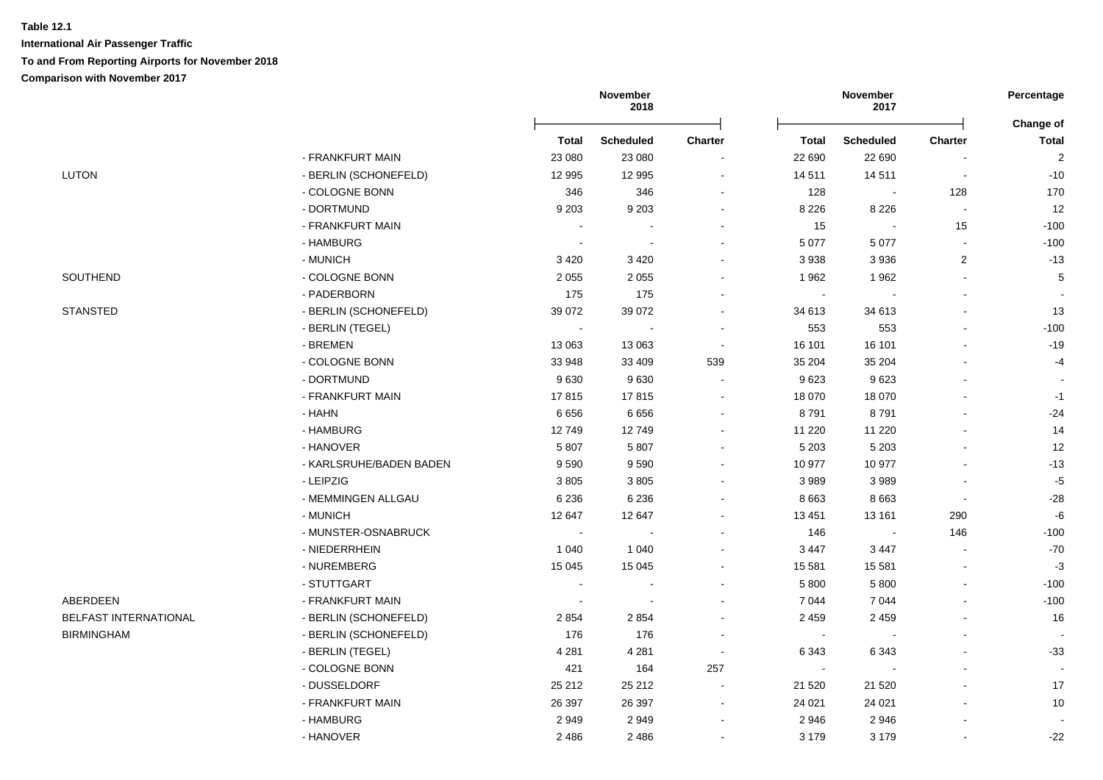## **Table 12.1 International Air Passenger Traffic To and From Reporting Airports for November 2018**

|                       |                         |                          | November<br>2018           |                                     |                          | November<br>2017           |                | Percentage                     |
|-----------------------|-------------------------|--------------------------|----------------------------|-------------------------------------|--------------------------|----------------------------|----------------|--------------------------------|
|                       |                         |                          |                            |                                     |                          |                            |                | Change of                      |
|                       | - FRANKFURT MAIN        | <b>Total</b><br>23 080   | <b>Scheduled</b><br>23 080 | Charter<br>$\overline{\phantom{a}}$ | <b>Total</b><br>22 690   | <b>Scheduled</b><br>22 690 | Charter        | <b>Total</b><br>$\overline{2}$ |
| <b>LUTON</b>          | - BERLIN (SCHONEFELD)   | 12 995                   | 12 995                     | $\blacksquare$                      | 14 511                   | 14 511                     | $\overline{a}$ | $-10$                          |
|                       | - COLOGNE BONN          | 346                      | 346                        | $\blacksquare$                      | 128                      | $\sim$                     | 128            | 170                            |
|                       | - DORTMUND              | 9 2 0 3                  | 9 2 0 3                    | $\blacksquare$                      | 8 2 2 6                  | 8 2 2 6                    | $\blacksquare$ | 12                             |
|                       | - FRANKFURT MAIN        | $\overline{\phantom{a}}$ | $\overline{\phantom{a}}$   |                                     | 15                       | $\blacksquare$             | 15             | $-100$                         |
|                       | - HAMBURG               | $\sim$                   | $\sim$                     |                                     | 5 0 7 7                  | 5 0 7 7                    | $\sim$         | $-100$                         |
|                       | - MUNICH                | 3 4 2 0                  | 3 4 2 0                    |                                     | 3938                     | 3936                       | $\overline{2}$ | $-13$                          |
| SOUTHEND              | - COLOGNE BONN          | 2 0 5 5                  | 2 0 5 5                    |                                     | 1962                     | 1962                       |                | $\,$ 5 $\,$                    |
|                       | - PADERBORN             |                          |                            |                                     |                          |                            |                |                                |
| <b>STANSTED</b>       | - BERLIN (SCHONEFELD)   | 175<br>39 0 72           | 175<br>39 0 72             |                                     | $\blacksquare$<br>34 613 | 34 613                     |                | 13                             |
|                       |                         | $\sim$                   |                            |                                     |                          |                            |                |                                |
|                       | - BERLIN (TEGEL)        |                          |                            |                                     | 553                      | 553                        |                | $-100$<br>$-19$                |
|                       | - BREMEN                | 13 063                   | 13 063                     | $\sim$                              | 16 101                   | 16 101                     |                |                                |
|                       | - COLOGNE BONN          | 33 948                   | 33 409                     | 539<br>$\sim$                       | 35 204                   | 35 204                     |                | $-4$                           |
|                       | - DORTMUND              | 9630                     | 9630                       |                                     | 9623                     | 9623                       |                |                                |
|                       | - FRANKFURT MAIN        | 17815                    | 17815                      | $\blacksquare$                      | 18 070                   | 18 070                     |                | $-1$                           |
|                       | - HAHN                  | 6656                     | 6656                       | $\blacksquare$                      | 8791                     | 8791                       |                | $-24$                          |
|                       | - HAMBURG               | 12749                    | 12749                      | $\blacksquare$                      | 11 2 20                  | 11 2 20                    |                | 14                             |
|                       | - HANOVER               | 5807                     | 5 8 0 7                    |                                     | 5 2 0 3                  | 5 2 0 3                    |                | 12                             |
|                       | - KARLSRUHE/BADEN BADEN | 9590                     | 9590                       |                                     | 10 977                   | 10 977                     |                | $-13$                          |
|                       | - LEIPZIG               | 3805                     | 3805                       |                                     | 3 9 8 9                  | 3989                       |                | $-5$                           |
|                       | - MEMMINGEN ALLGAU      | 6 2 3 6                  | 6 2 3 6                    | $\blacksquare$                      | 8 6 6 3                  | 8 6 6 3                    | $\blacksquare$ | $-28$                          |
|                       | - MUNICH                | 12 647                   | 12 647                     |                                     | 13 4 51                  | 13 161                     | 290            | $-6$                           |
|                       | - MUNSTER-OSNABRUCK     | $\sim$                   |                            |                                     | 146                      |                            | 146            | $-100$                         |
|                       | - NIEDERRHEIN           | 1 0 4 0                  | 1 0 4 0                    |                                     | 3 4 4 7                  | 3 4 4 7                    |                | $-70$                          |
|                       | - NUREMBERG             | 15 0 45                  | 15 045                     |                                     | 15 581                   | 15 5 81                    |                | $-3$                           |
|                       | - STUTTGART             | $\sim$                   | $\overline{\phantom{a}}$   |                                     | 5 8 0 0                  | 5 800                      |                | $-100$                         |
| ABERDEEN              | - FRANKFURT MAIN        | $\overline{\phantom{a}}$ | $\sim$                     | $\overline{a}$                      | 7 0 4 4                  | 7044                       |                | $-100$                         |
| BELFAST INTERNATIONAL | - BERLIN (SCHONEFELD)   | 2854                     | 2 8 5 4                    | $\blacksquare$                      | 2 4 5 9                  | 2 4 5 9                    |                | 16                             |
| <b>BIRMINGHAM</b>     | - BERLIN (SCHONEFELD)   | 176                      | 176                        | $\blacksquare$                      | $\sim$                   |                            | $\blacksquare$ | $\sim$                         |
|                       | - BERLIN (TEGEL)        | 4 2 8 1                  | 4 2 8 1                    | $\blacksquare$                      | 6 3 4 3                  | 6 3 4 3                    |                | $-33$                          |
|                       | - COLOGNE BONN          | 421                      | 164                        | 257                                 | $\sim$                   |                            | $\mathbf{r}$   |                                |
|                       | - DUSSELDORF            | 25 21 2                  | 25 21 2                    |                                     | 21 5 20                  | 21 5 20                    |                | 17                             |
|                       | - FRANKFURT MAIN        | 26 397                   | 26 397                     | $\blacksquare$                      | 24 0 21                  | 24 0 21                    |                | 10                             |
|                       | - HAMBURG               | 2949                     | 2949                       | $\blacksquare$                      | 2946                     | 2946                       |                |                                |
|                       | - HANOVER               | 2486                     | 2 4 8 6                    | $\blacksquare$                      | 3 1 7 9                  | 3 1 7 9                    |                | $-22$                          |
|                       |                         |                          |                            |                                     |                          |                            |                |                                |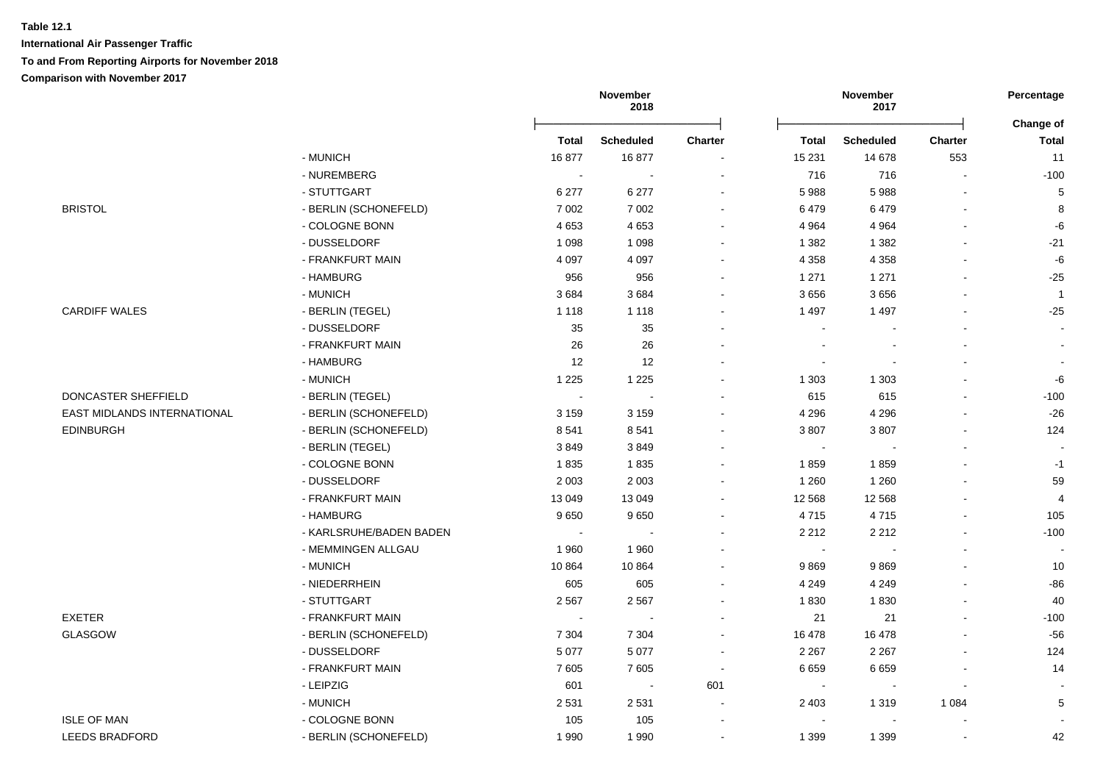|                             |                         |                | November<br>2018         |                          |         | November<br>2017 |                | Percentage         |
|-----------------------------|-------------------------|----------------|--------------------------|--------------------------|---------|------------------|----------------|--------------------|
|                             |                         | <b>Total</b>   | <b>Scheduled</b>         | Charter                  | Total   | <b>Scheduled</b> | Charter        | Change of<br>Total |
|                             | - MUNICH                | 16877          | 16877                    |                          | 15 231  | 14 678           | 553            | 11                 |
|                             | - NUREMBERG             | $\blacksquare$ | $\overline{\phantom{a}}$ | $\sim$                   | 716     | 716              | $\blacksquare$ | $-100$             |
|                             | - STUTTGART             | 6 277          | 6 277                    | $\sim$                   | 5 9 8 8 | 5988             | L,             | 5                  |
| <b>BRISTOL</b>              | - BERLIN (SCHONEFELD)   | 7 0 0 2        | 7 0 0 2                  | $\sim$                   | 6479    | 6479             |                | 8                  |
|                             | - COLOGNE BONN          | 4653           | 4653                     | $\sim$                   | 4 9 64  | 4 9 64           | $\blacksquare$ | -6                 |
|                             | - DUSSELDORF            | 1 0 9 8        | 1 0 9 8                  | $\blacksquare$           | 1 3 8 2 | 1 3 8 2          |                | $-21$              |
|                             | - FRANKFURT MAIN        | 4 0 9 7        | 4 0 9 7                  |                          | 4 3 5 8 | 4 3 5 8          |                | -6                 |
|                             | - HAMBURG               | 956            | 956                      | $\overline{\phantom{a}}$ | 1 2 7 1 | 1 2 7 1          |                | $-25$              |
|                             | - MUNICH                | 3684           | 3684                     | $\overline{\phantom{a}}$ | 3656    | 3656             |                | $\overline{1}$     |
| <b>CARDIFF WALES</b>        | - BERLIN (TEGEL)        | 1 1 1 8        | 1 1 1 8                  |                          | 1 4 9 7 | 1 4 9 7          |                | $-25$              |
|                             | - DUSSELDORF            | 35             | 35                       |                          |         |                  |                |                    |
|                             | - FRANKFURT MAIN        | 26             | 26                       |                          |         |                  |                |                    |
|                             | - HAMBURG               | 12             | 12                       |                          |         |                  |                |                    |
|                             | - MUNICH                | 1 2 2 5        | 1 2 2 5                  | $\overline{a}$           | 1 3 0 3 | 1 3 0 3          |                | -6                 |
| DONCASTER SHEFFIELD         | - BERLIN (TEGEL)        | $\sim$         | $\sim$                   |                          | 615     | 615              |                | $-100$             |
| EAST MIDLANDS INTERNATIONAL | - BERLIN (SCHONEFELD)   | 3 1 5 9        | 3 1 5 9                  | ÷                        | 4 2 9 6 | 4 2 9 6          |                | $-26$              |
| <b>EDINBURGH</b>            | - BERLIN (SCHONEFELD)   | 8541           | 8541                     | ÷                        | 3807    | 3807             |                | 124                |
|                             | - BERLIN (TEGEL)        | 3849           | 3849                     | $\overline{\phantom{a}}$ | $\sim$  |                  |                |                    |
|                             | - COLOGNE BONN          | 1835           | 1835                     | $\overline{\phantom{a}}$ | 1859    | 1859             |                | $-1$               |
|                             | - DUSSELDORF            | 2 0 0 3        | 2 0 0 3                  | $\blacksquare$           | 1 2 6 0 | 1 2 6 0          | $\blacksquare$ | 59                 |
|                             | - FRANKFURT MAIN        | 13 049         | 13 049                   | $\overline{\phantom{a}}$ | 12 5 68 | 12 5 68          |                | $\overline{4}$     |
|                             | - HAMBURG               | 9650           | 9650                     | $\sim$                   | 4715    | 4715             | $\blacksquare$ | 105                |
|                             | - KARLSRUHE/BADEN BADEN | $\sim$         |                          |                          | 2 2 1 2 | 2 2 1 2          | $\blacksquare$ | $-100$             |
|                             | - MEMMINGEN ALLGAU      | 1 9 6 0        | 1960                     |                          | $\sim$  |                  | $\blacksquare$ |                    |
|                             | - MUNICH                | 10864          | 10864                    |                          | 9869    | 9869             |                | 10                 |
|                             | - NIEDERRHEIN           | 605            | 605                      | $\sim$                   | 4 2 4 9 | 4 2 4 9          | $\blacksquare$ | $-86$              |
|                             | - STUTTGART             | 2 5 6 7        | 2567                     |                          | 1830    | 1830             |                | 40                 |
| <b>EXETER</b>               | - FRANKFURT MAIN        | $\sim$         |                          | ۰                        | 21      | 21               |                | $-100$             |
| GLASGOW                     | - BERLIN (SCHONEFELD)   | 7 3 0 4        | 7 3 0 4                  | $\overline{\phantom{a}}$ | 16 478  | 16 478           |                | $-56$              |
|                             | - DUSSELDORF            | 5 0 7 7        | 5 0 7 7                  | $\blacksquare$           | 2 2 6 7 | 2 2 6 7          | $\blacksquare$ | 124                |
|                             | - FRANKFURT MAIN        | 7605           | 7605                     | $\blacksquare$           | 6 6 5 9 | 6659             |                | 14                 |
|                             | - LEIPZIG               | 601            | $\sim$                   | 601                      |         |                  |                |                    |
|                             | - MUNICH                | 2 5 3 1        | 2531                     |                          | 2 4 0 3 | 1 3 1 9          | 1 0 8 4        | 5                  |
| <b>ISLE OF MAN</b>          | - COLOGNE BONN          | 105            | 105                      |                          |         |                  |                |                    |
| <b>LEEDS BRADFORD</b>       | - BERLIN (SCHONEFELD)   | 1 9 9 0        | 1990                     |                          | 1 3 9 9 | 1 3 9 9          |                | 42                 |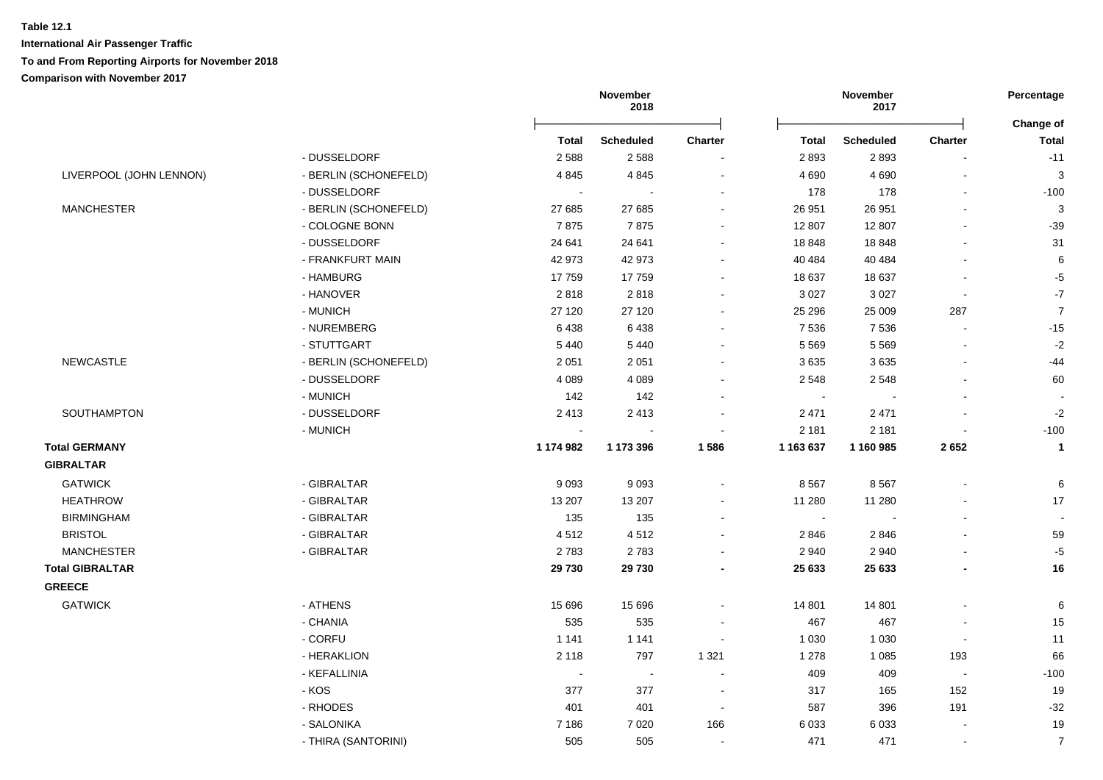|                         |                       |           | November<br>2018 |                |                            | November<br>2017 |                          | Percentage     |
|-------------------------|-----------------------|-----------|------------------|----------------|----------------------------|------------------|--------------------------|----------------|
|                         |                       |           |                  |                |                            |                  |                          | Change of      |
|                         |                       | Total     | Scheduled        | <b>Charter</b> | <b>Total</b>               | <b>Scheduled</b> | Charter                  | <b>Total</b>   |
|                         | - DUSSELDORF          | 2588      | 2588             |                | 2893                       | 2893             |                          | $-11$          |
| LIVERPOOL (JOHN LENNON) | - BERLIN (SCHONEFELD) | 4845      | 4845             | $\sim$         | 4 6 9 0                    | 4690             | $\blacksquare$           | $\mathbf{3}$   |
|                         | - DUSSELDORF          | $\sim$    |                  |                | 178                        | 178              | $\blacksquare$           | $-100$         |
| <b>MANCHESTER</b>       | - BERLIN (SCHONEFELD) | 27 685    | 27 685           |                | 26 951                     | 26 951           | $\blacksquare$           | $\mathbf{3}$   |
|                         | - COLOGNE BONN        | 7875      | 7875             |                | 12 807                     | 12 807           | $\blacksquare$           | $-39$          |
|                         | - DUSSELDORF          | 24 641    | 24 641           |                | 18 848                     | 18 848           | $\blacksquare$           | 31             |
|                         | - FRANKFURT MAIN      | 42 973    | 42 973           |                | 40 484                     | 40 484           | $\blacksquare$           | 6              |
|                         | - HAMBURG             | 17759     | 17759            | $\sim$         | 18 637                     | 18 637           | $\sim$                   | $-5$           |
|                         | - HANOVER             | 2818      | 2818             |                | 3 0 27                     | 3 0 2 7          | $\blacksquare$           | $-7$           |
|                         | - MUNICH              | 27 120    | 27 120           |                | 25 29 6                    | 25 009           | 287                      | $\overline{7}$ |
|                         | - NUREMBERG           | 6438      | 6438             |                | 7 5 3 6                    | 7 5 3 6          | $\blacksquare$           | $-15$          |
|                         | - STUTTGART           | 5 4 4 0   | 5 4 4 0          |                | 5 5 6 9                    | 5 5 6 9          | $\overline{\phantom{a}}$ | $-2$           |
| <b>NEWCASTLE</b>        | - BERLIN (SCHONEFELD) | 2 0 5 1   | 2 0 5 1          |                | 3635                       | 3635             | $\blacksquare$           | -44            |
|                         | - DUSSELDORF          | 4 0 8 9   | 4 0 8 9          |                | 2 5 4 8                    | 2 5 4 8          | $\blacksquare$           | 60             |
|                         | - MUNICH              | 142       | 142              |                | $\blacksquare$             | $\blacksquare$   | $\blacksquare$           |                |
| SOUTHAMPTON             | - DUSSELDORF          | 2413      | 2413             |                | 2 4 7 1                    | 2 4 7 1          | $\blacksquare$           | $-2$           |
|                         | - MUNICH              |           |                  |                | 2 1 8 1                    | 2 1 8 1          |                          | $-100$         |
| <b>Total GERMANY</b>    |                       | 1 174 982 | 1 173 396        | 1586           | 1 163 637                  | 1 160 985        | 2652                     | $\mathbf{1}$   |
| <b>GIBRALTAR</b>        |                       |           |                  |                |                            |                  |                          |                |
| <b>GATWICK</b>          | - GIBRALTAR           | 9093      | 9093             |                | 8 5 6 7                    | 8567             | $\blacksquare$           | 6              |
| <b>HEATHROW</b>         | - GIBRALTAR           | 13 207    | 13 207           |                | 11 280                     | 11 280           |                          | 17             |
| <b>BIRMINGHAM</b>       | - GIBRALTAR           | 135       | 135              |                | $\mathcal{L}_{\mathbf{r}}$ |                  | $\blacksquare$           | $\mathbf{r}$   |
| <b>BRISTOL</b>          | - GIBRALTAR           | 4512      | 4512             |                | 2846                       | 2846             |                          | 59             |
| <b>MANCHESTER</b>       | - GIBRALTAR           | 2783      | 2783             |                | 2 9 4 0                    | 2 9 4 0          | $\overline{a}$           | $-5$           |
| <b>Total GIBRALTAR</b>  |                       | 29 730    | 29 730           |                | 25 633                     | 25 633           |                          | 16             |
| <b>GREECE</b>           |                       |           |                  |                |                            |                  |                          |                |
| <b>GATWICK</b>          | - ATHENS              | 15 6 96   | 15 6 96          |                | 14 801                     | 14 801           | $\blacksquare$           | 6              |
|                         | - CHANIA              | 535       | 535              |                | 467                        | 467              |                          | 15             |
|                         | - CORFU               | 1 1 4 1   | 1 1 4 1          |                | 1 0 3 0                    | 1 0 3 0          | $\blacksquare$           | 11             |
|                         | - HERAKLION           | 2 1 1 8   | 797              | 1 3 2 1        | 1 2 7 8                    | 1 0 8 5          | 193                      | 66             |
|                         | - KEFALLINIA          | $\sim$    | $\blacksquare$   | $\sim$         | 409                        | 409              | $\blacksquare$           | $-100$         |
|                         | - KOS                 | 377       | 377              |                | 317                        | 165              | 152                      | 19             |
|                         | - RHODES              | 401       | 401              | $\sim$         | 587                        | 396              | 191                      | $-32$          |
|                         | - SALONIKA            | 7 186     | 7 0 20           | 166            | 6 0 3 3                    | 6 0 3 3          |                          | 19             |
|                         | - THIRA (SANTORINI)   | 505       | 505              |                | 471                        | 471              | $\blacksquare$           | $\overline{7}$ |
|                         |                       |           |                  |                |                            |                  |                          |                |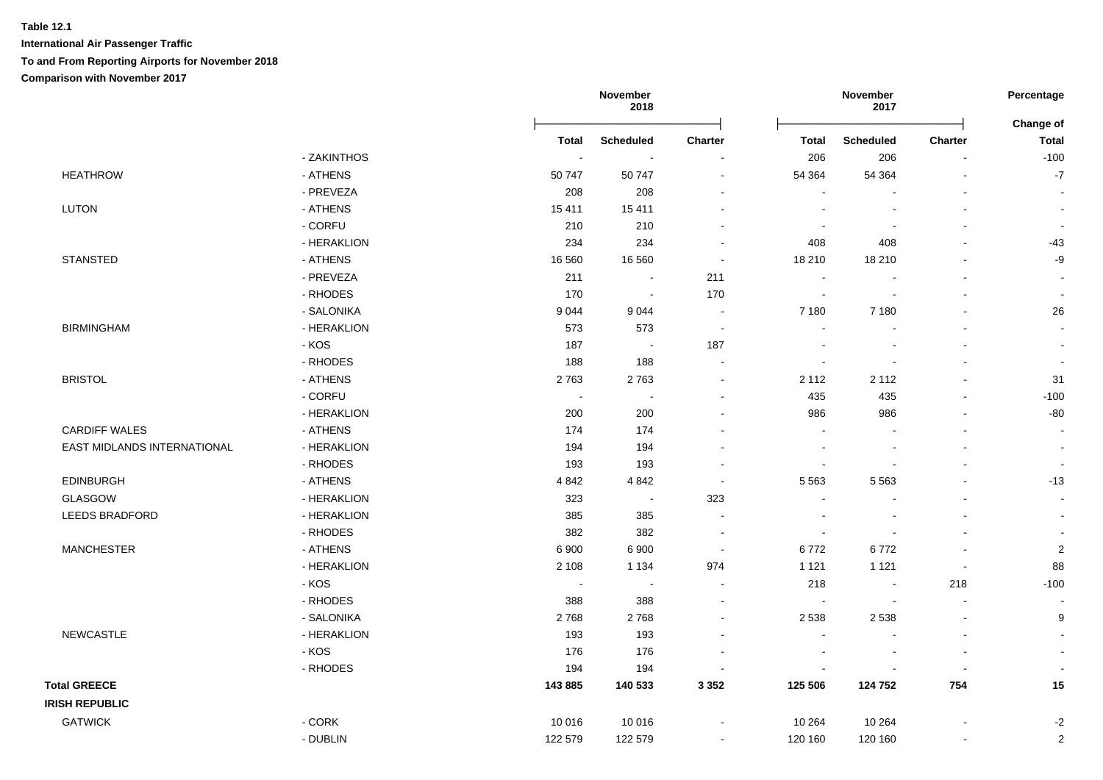|                             |             |                          | November<br>2018 |                          |                          | November<br>2017 |                | Percentage                |
|-----------------------------|-------------|--------------------------|------------------|--------------------------|--------------------------|------------------|----------------|---------------------------|
|                             |             | <b>Total</b>             | <b>Scheduled</b> | <b>Charter</b>           | <b>Total</b>             | <b>Scheduled</b> | Charter        | Change of<br><b>Total</b> |
|                             | - ZAKINTHOS | $\sim$                   |                  |                          | 206                      | 206              |                | $-100$                    |
| <b>HEATHROW</b>             | - ATHENS    | 50 747                   | 50 747           | $\sim$                   | 54 364                   | 54 364           |                | $\mathbf{-7}$             |
|                             | - PREVEZA   | 208                      | 208              |                          |                          |                  |                |                           |
| <b>LUTON</b>                | - ATHENS    | 15 4 11                  | 15 4 11          |                          |                          | $\blacksquare$   |                |                           |
|                             | - CORFU     | 210                      | 210              |                          | $\overline{\phantom{a}}$ | $\blacksquare$   |                | $\sim$                    |
|                             | - HERAKLION | 234                      | 234              | $\blacksquare$           | 408                      | 408              |                | $-43$                     |
| <b>STANSTED</b>             | - ATHENS    | 16 560                   | 16 560           | $\sim$                   | 18 210                   | 18 210           |                | $-9$                      |
|                             | - PREVEZA   | 211                      | $\blacksquare$   | 211                      | $\sim$                   |                  |                | $\blacksquare$            |
|                             | - RHODES    | 170                      | $\sim$           | 170                      | $\blacksquare$           | $\blacksquare$   |                | $\overline{\phantom{a}}$  |
|                             | - SALONIKA  | 9044                     | 9044             | $\sim$                   | 7 180                    | 7 1 8 0          |                | 26                        |
| <b>BIRMINGHAM</b>           | - HERAKLION | 573                      | 573              | $\sim$                   | $\blacksquare$           |                  |                |                           |
|                             | - KOS       | 187                      | $\sim$           | 187                      | $\sim$                   | $\blacksquare$   | $\sim$         | $\blacksquare$            |
|                             | - RHODES    | 188                      | 188              | $\sim$                   | $\sim$                   |                  |                |                           |
| <b>BRISTOL</b>              | - ATHENS    | 2763                     | 2763             | $\blacksquare$           | 2 1 1 2                  | 2 1 1 2          |                | 31                        |
|                             | - CORFU     |                          |                  |                          | 435                      | 435              |                | $-100$                    |
|                             | - HERAKLION | 200                      | 200              |                          | 986                      | 986              |                | $-80$                     |
| <b>CARDIFF WALES</b>        | - ATHENS    | 174                      | 174              |                          | $\sim$                   |                  |                |                           |
| EAST MIDLANDS INTERNATIONAL | - HERAKLION | 194                      | 194              |                          | $\sim$                   |                  |                |                           |
|                             | - RHODES    | 193                      | 193              |                          | $\blacksquare$           |                  |                |                           |
| <b>EDINBURGH</b>            | - ATHENS    | 4 8 4 2                  | 4 8 4 2          | $\sim$                   | 5 5 6 3                  | 5 5 6 3          |                | $-13$                     |
| GLASGOW                     | - HERAKLION | 323                      | $\sim$           | 323                      | $\sim$                   | $\blacksquare$   |                |                           |
| LEEDS BRADFORD              | - HERAKLION | 385                      | 385              | $\overline{\phantom{a}}$ | $\blacksquare$           |                  |                |                           |
|                             | - RHODES    | 382                      | 382              | $\sim$                   | $\blacksquare$           |                  |                |                           |
| <b>MANCHESTER</b>           | - ATHENS    | 6 900                    | 6 900            | $\sim$                   | 6772                     | 6772             |                | $\overline{c}$            |
|                             | - HERAKLION | 2 1 0 8                  | 1 1 3 4          | 974                      | 1 1 2 1                  | 1 1 2 1          | $\sim$         | 88                        |
|                             | - KOS       | $\overline{\phantom{a}}$ | $\sim$           | $\blacksquare$           | 218                      | $\sim$           | 218            | $-100$                    |
|                             | - RHODES    | 388                      | 388              | $\overline{\phantom{a}}$ | $\sim$                   | $\sim$           | $\sim$         |                           |
|                             | - SALONIKA  | 2768                     | 2768             | $\blacksquare$           | 2 5 3 8                  | 2 5 3 8          | $\blacksquare$ | 9                         |
| NEWCASTLE                   | - HERAKLION | 193                      | 193              |                          | $\sim$                   | $\blacksquare$   | $\blacksquare$ |                           |
|                             | - KOS       | 176                      | 176              |                          |                          |                  |                |                           |
|                             | - RHODES    | 194                      | 194              |                          |                          |                  |                |                           |
| <b>Total GREECE</b>         |             | 143 885                  | 140 533          | 3 3 5 2                  | 125 506                  | 124 752          | 754            | 15                        |
| <b>IRISH REPUBLIC</b>       |             |                          |                  |                          |                          |                  |                |                           |
| <b>GATWICK</b>              | - CORK      | 10 016                   | 10 016           |                          | 10 264                   | 10 264           |                | $-2$                      |
|                             | - DUBLIN    | 122 579                  | 122 579          |                          | 120 160                  | 120 160          |                | $\overline{2}$            |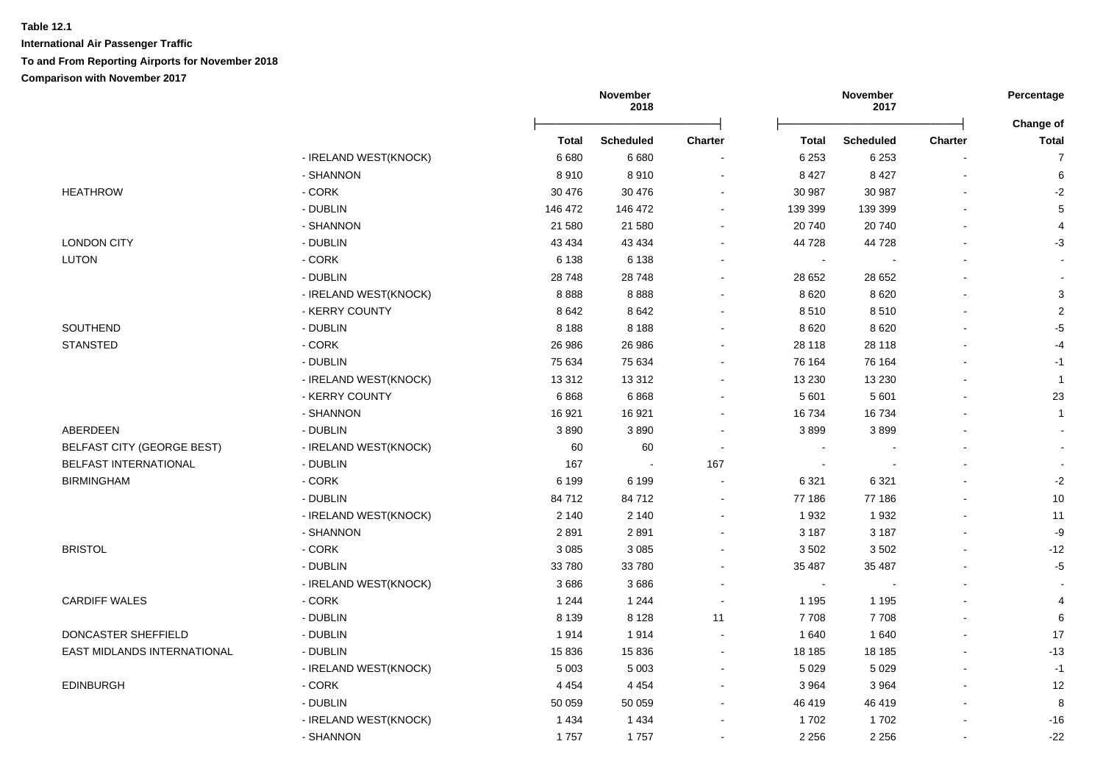|                                    |                       | November<br>2018 |                  |                | November<br>2017         | Percentage<br>Change of |                |                           |
|------------------------------------|-----------------------|------------------|------------------|----------------|--------------------------|-------------------------|----------------|---------------------------|
|                                    |                       | <b>Total</b>     | <b>Scheduled</b> | <b>Charter</b> | <b>Total</b>             | <b>Scheduled</b>        | <b>Charter</b> | <b>Total</b>              |
|                                    | - IRELAND WEST(KNOCK) | 6680             | 6680             |                | 6 2 5 3                  | 6 2 5 3                 |                | $\overline{7}$            |
|                                    | - SHANNON             | 8910             | 8910             | $\sim$         | 8 4 2 7                  | 8 4 2 7                 | $\blacksquare$ | 6                         |
| <b>HEATHROW</b>                    | - CORK                | 30 476           | 30 476           |                | 30 987                   | 30 987                  |                | $-2$                      |
|                                    | - DUBLIN              | 146 472          | 146 472          | $\sim$         | 139 399                  | 139 399                 |                | $\,$ 5 $\,$               |
|                                    | - SHANNON             | 21 580           | 21 580           |                | 20 740                   | 20740                   |                | 4                         |
| <b>LONDON CITY</b>                 | - DUBLIN              | 43 4 34          | 43 4 34          |                | 44 728                   | 44728                   |                | $-3$                      |
| <b>LUTON</b>                       | $-CORK$               | 6 1 3 8          | 6 1 3 8          |                | $\blacksquare$           |                         |                | $\overline{a}$            |
|                                    | - DUBLIN              | 28748            | 28748            |                | 28 652                   | 28 652                  |                |                           |
|                                    | - IRELAND WEST(KNOCK) | 8888             | 8888             |                | 8620                     | 8620                    |                | $\ensuremath{\mathsf{3}}$ |
|                                    | - KERRY COUNTY        | 8642             | 8642             |                | 8510                     | 8510                    |                | $\sqrt{2}$                |
| SOUTHEND                           | - DUBLIN              | 8 1 8 8          | 8 1 8 8          |                | 8620                     | 8620                    |                | $-5$                      |
| <b>STANSTED</b>                    | - CORK                | 26 986           | 26 986           |                | 28 118                   | 28 118                  |                | $-4$                      |
|                                    | - DUBLIN              | 75 634           | 75 634           |                | 76 164                   | 76 164                  |                | $-1$                      |
|                                    | - IRELAND WEST(KNOCK) | 13312            | 13 3 12          |                | 13 2 30                  | 13 2 30                 |                | $\overline{1}$            |
|                                    | - KERRY COUNTY        | 6868             | 6868             |                | 5 601                    | 5 601                   |                | 23                        |
|                                    | - SHANNON             | 16 921           | 16 921           |                | 16 734                   | 16734                   |                | $\mathbf{1}$              |
| ABERDEEN                           | - DUBLIN              | 3890             | 3890             |                | 3899                     | 3899                    |                | $\mathbf{r}$              |
| BELFAST CITY (GEORGE BEST)         | - IRELAND WEST(KNOCK) | 60               | 60               | $\sim$         | $\overline{\phantom{a}}$ |                         |                | $\overline{\phantom{a}}$  |
| <b>BELFAST INTERNATIONAL</b>       | - DUBLIN              | 167              | $\sim$           | 167            |                          |                         |                |                           |
| <b>BIRMINGHAM</b>                  | - CORK                | 6 1 9 9          | 6 1 9 9          |                | 6 3 2 1                  | 6 3 2 1                 |                | $-2$                      |
|                                    | - DUBLIN              | 84712            | 84712            |                | 77 186                   | 77 186                  |                | $10$                      |
|                                    | - IRELAND WEST(KNOCK) | 2 140            | 2 1 4 0          |                | 1932                     | 1932                    |                | 11                        |
|                                    | - SHANNON             | 2891             | 2891             |                | 3 1 8 7                  | 3 1 8 7                 | $\blacksquare$ | -9                        |
| <b>BRISTOL</b>                     | - CORK                | 3 0 8 5          | 3 0 8 5          |                | 3502                     | 3502                    | $\overline{a}$ | $-12$                     |
|                                    | - DUBLIN              | 33 780           | 33 780           |                | 35 487                   | 35 487                  | $\sim$         | $-5$                      |
|                                    | - IRELAND WEST(KNOCK) | 3686             | 3686             | $\sim$         | $\overline{\phantom{a}}$ | $\blacksquare$          | $\blacksquare$ | $\blacksquare$            |
| <b>CARDIFF WALES</b>               | - CORK                | 1 2 4 4          | 1 2 4 4          |                | 1 1 9 5                  | 1 1 9 5                 |                | 4                         |
|                                    | - DUBLIN              | 8 1 3 9          | 8 1 2 8          | 11             | 7708                     | 7708                    | $\sim$         | 6                         |
| DONCASTER SHEFFIELD                | - DUBLIN              | 1914             | 1914             | $\sim$         | 1 640                    | 1640                    | $\blacksquare$ | 17                        |
| <b>EAST MIDLANDS INTERNATIONAL</b> | - DUBLIN              | 15836            | 15836            | $\sim$         | 18 18 5                  | 18 18 5                 |                | $-13$                     |
|                                    | - IRELAND WEST(KNOCK) | 5 0 0 3          | 5 0 0 3          |                | 5 0 2 9                  | 5 0 2 9                 |                | $-1$                      |
| <b>EDINBURGH</b>                   | - CORK                | 4 4 5 4          | 4 4 5 4          |                | 3 9 6 4                  | 3 9 6 4                 | $\sim$         | 12                        |
|                                    | - DUBLIN              | 50 059           | 50 059           |                | 46 419                   | 46 419                  | $\blacksquare$ | 8                         |
|                                    | - IRELAND WEST(KNOCK) | 1 4 3 4          | 1434             |                | 1702                     | 1702                    | $\blacksquare$ | $-16$                     |
|                                    |                       |                  |                  |                |                          |                         |                |                           |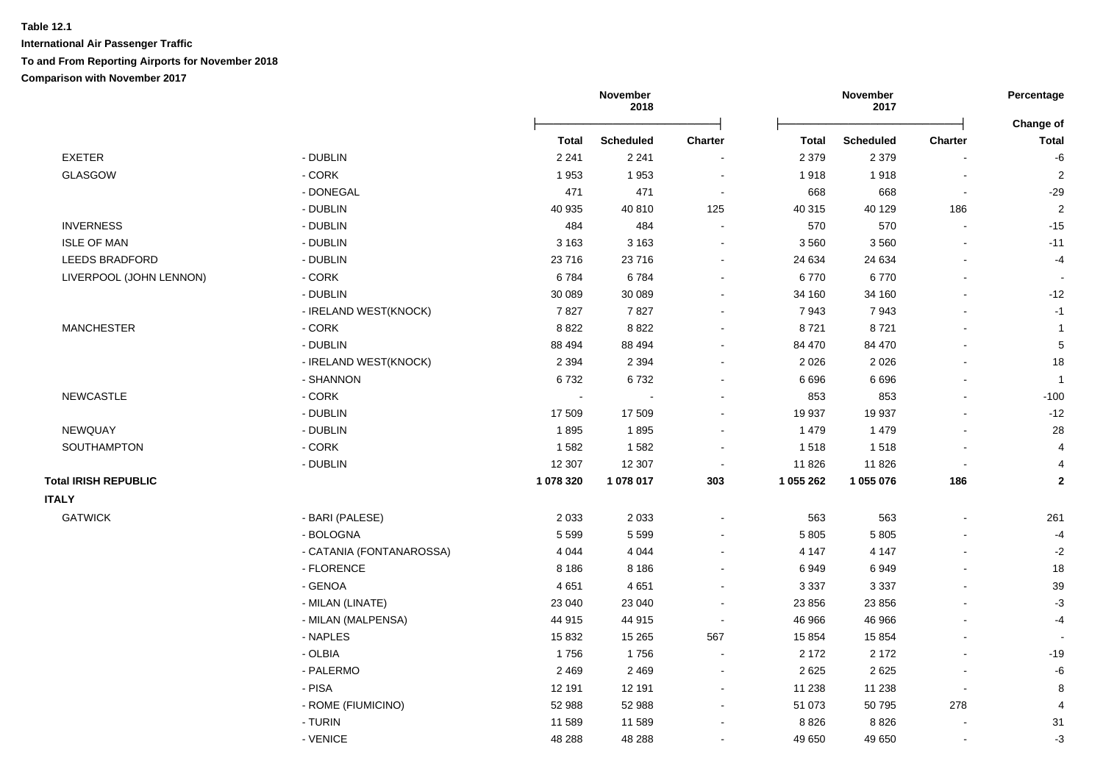|                             |                          | November<br>2018 |                  |                | November<br>2017 |                  | Percentage               |                           |
|-----------------------------|--------------------------|------------------|------------------|----------------|------------------|------------------|--------------------------|---------------------------|
|                             |                          | Total            | <b>Scheduled</b> | <b>Charter</b> | Total            | <b>Scheduled</b> | <b>Charter</b>           | Change of<br><b>Total</b> |
| EXETER                      | - DUBLIN                 | 2 2 4 1          | 2 2 4 1          |                | 2 3 7 9          | 2 3 7 9          |                          | -6                        |
| <b>GLASGOW</b>              | - CORK                   | 1953             | 1953             | $\blacksquare$ | 1918             | 1918             | $\overline{\phantom{a}}$ | $\overline{2}$            |
|                             | - DONEGAL                | 471              | 471              | $\blacksquare$ | 668              | 668              |                          | $-29$                     |
|                             | - DUBLIN                 | 40 935           | 40 810           | 125            | 40 315           | 40 129           | 186                      | $\overline{2}$            |
| <b>INVERNESS</b>            | - DUBLIN                 | 484              | 484              |                | 570              | 570              |                          | $-15$                     |
| <b>ISLE OF MAN</b>          | - DUBLIN                 | 3 1 6 3          | 3 1 6 3          |                | 3560             | 3560             |                          | $-11$                     |
| <b>LEEDS BRADFORD</b>       | - DUBLIN                 | 23716            | 23716            | ä,             | 24 634           | 24 634           |                          | $-4$                      |
| LIVERPOOL (JOHN LENNON)     | - CORK                   | 6784             | 6784             | $\blacksquare$ | 6770             | 6770             |                          |                           |
|                             | - DUBLIN                 | 30 089           | 30 089           | $\overline{a}$ | 34 160           | 34 160           |                          | $-12$                     |
|                             | - IRELAND WEST(KNOCK)    | 7827             | 7827             | $\overline{a}$ | 7943             | 7943             |                          | $-1$                      |
| <b>MANCHESTER</b>           | $-CORK$                  | 8822             | 8822             | $\blacksquare$ | 8721             | 8721             |                          | $\mathbf{1}$              |
|                             | - DUBLIN                 | 88 494           | 88 494           | ۰              | 84 470           | 84 470           |                          | $5\phantom{.0}$           |
|                             | - IRELAND WEST(KNOCK)    | 2 3 9 4          | 2 3 9 4          |                | 2 0 2 6          | 2 0 2 6          |                          | 18                        |
|                             | - SHANNON                | 6732             | 6732             |                | 6696             | 6696             |                          | $\mathbf{1}$              |
| <b>NEWCASTLE</b>            | - CORK                   | $\sim$           |                  | $\blacksquare$ | 853              | 853              |                          | $-100$                    |
|                             | - DUBLIN                 | 17 509           | 17 509           | $\blacksquare$ | 19 937           | 19 937           |                          | $-12$                     |
| NEWQUAY                     | - DUBLIN                 | 1895             | 1895             | $\blacksquare$ | 1 4 7 9          | 1479             |                          | 28                        |
| SOUTHAMPTON                 | $-CORK$                  | 1582             | 1582             | ÷,             | 1518             | 1518             |                          | $\overline{4}$            |
|                             | - DUBLIN                 | 12 307           | 12 307           | $\sim$         | 11 826           | 11826            |                          | 4                         |
| <b>Total IRISH REPUBLIC</b> |                          | 1 078 320        | 1 078 017        | 303            | 1 055 262        | 1 055 076        | 186                      | $\mathbf{2}$              |
| <b>ITALY</b>                |                          |                  |                  |                |                  |                  |                          |                           |
| <b>GATWICK</b>              | - BARI (PALESE)          | 2 0 3 3          | 2 0 3 3          | $\blacksquare$ | 563              | 563              | $\blacksquare$           | 261                       |
|                             | - BOLOGNA                | 5 5 9 9          | 5 5 9 9          | $\blacksquare$ | 5 8 0 5          | 5805             |                          | $-4$                      |
|                             | - CATANIA (FONTANAROSSA) | 4 0 4 4          | 4 0 4 4          | ä,             | 4 1 4 7          | 4 1 4 7          |                          | $-2$                      |
|                             | - FLORENCE               | 8 1 8 6          | 8 1 8 6          |                | 6949             | 6949             |                          | 18                        |
|                             | - GENOA                  | 4651             | 4651             | $\blacksquare$ | 3 3 3 7          | 3 3 3 7          |                          | 39                        |
|                             | - MILAN (LINATE)         | 23 040           | 23 040           | $\sim$         | 23 856           | 23 856           |                          | $-3$                      |
|                             | - MILAN (MALPENSA)       | 44 915           | 44 915           | $\sim$         | 46 966           | 46 966           |                          | $-4$                      |
|                             | - NAPLES                 | 15832            | 15 2 65          | 567            | 15 854           | 15 8 54          |                          |                           |
|                             | - OLBIA                  | 1756             | 1756             | $\blacksquare$ | 2 1 7 2          | 2 1 7 2          | $\blacksquare$           | $-19$                     |
|                             | - PALERMO                | 2 4 6 9          | 2 4 6 9          | $\blacksquare$ | 2625             | 2625             | $\sim$                   | $\textnormal{-}6$         |
|                             | - PISA                   | 12 191           | 12 191           | $\blacksquare$ | 11 238           | 11 238           |                          | 8                         |
|                             | - ROME (FIUMICINO)       | 52 988           | 52 988           | $\blacksquare$ | 51 073           | 50 795           | 278                      | $\overline{4}$            |
|                             |                          |                  |                  |                |                  |                  |                          |                           |
|                             | - TURIN                  | 11 589           | 11 589           | ÷              | 8826             | 8826             |                          | 31                        |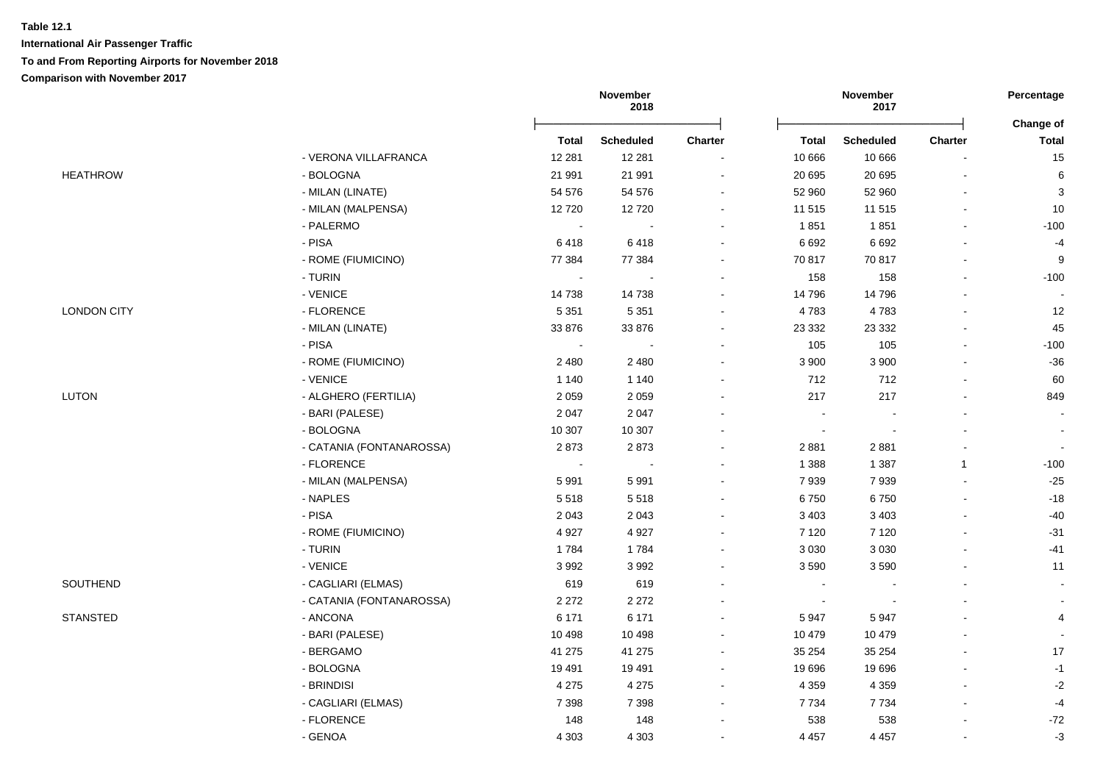|                    |                          |                          | November<br>2018 |                |                | November<br>2017         |                | Percentage                |
|--------------------|--------------------------|--------------------------|------------------|----------------|----------------|--------------------------|----------------|---------------------------|
|                    |                          | <b>Total</b>             | <b>Scheduled</b> | <b>Charter</b> | <b>Total</b>   | <b>Scheduled</b>         | <b>Charter</b> | Change of<br><b>Total</b> |
|                    | - VERONA VILLAFRANCA     | 12 2 8 1                 | 12 281           |                | 10 666         | 10 666                   |                | 15                        |
| <b>HEATHROW</b>    | - BOLOGNA                | 21 991                   | 21 991           | $\blacksquare$ | 20 695         | 20 695                   |                | 6                         |
|                    | - MILAN (LINATE)         | 54 576                   | 54 576           | ä,             | 52 960         | 52 960                   |                | 3                         |
|                    | - MILAN (MALPENSA)       | 12720                    | 12720            | $\blacksquare$ | 11 515         | 11 515                   | $\blacksquare$ | $10$                      |
|                    | - PALERMO                | $\sim$                   |                  | ä,             | 1851           | 1851                     |                | $-100$                    |
|                    | - PISA                   | 6418                     | 6418             | ä,             | 6 6 9 2        | 6 6 9 2                  |                | $-4$                      |
|                    | - ROME (FIUMICINO)       | 77 384                   | 77 384           | $\blacksquare$ | 70 817         | 70 817                   |                | 9                         |
|                    | - TURIN                  | $\sim$                   |                  |                | 158            | 158                      |                | $-100$                    |
|                    | - VENICE                 | 14738                    | 14738            |                | 14 796         | 14796                    |                |                           |
| <b>LONDON CITY</b> | - FLORENCE               | 5 3 5 1                  | 5 3 5 1          | $\blacksquare$ | 4783           | 4783                     |                | 12                        |
|                    | - MILAN (LINATE)         | 33 876                   | 33 876           | $\blacksquare$ | 23 3 3 2       | 23 3 3 2                 |                | 45                        |
|                    | - PISA                   | $\sim$                   | $\blacksquare$   | ä,             | 105            | 105                      |                | $-100$                    |
|                    | - ROME (FIUMICINO)       | 2 4 8 0                  | 2 4 8 0          | ä,             | 3 900          | 3 900                    |                | $-36$                     |
|                    | - VENICE                 | 1 1 4 0                  | 1 1 4 0          | $\blacksquare$ | 712            | 712                      |                | 60                        |
| <b>LUTON</b>       | - ALGHERO (FERTILIA)     | 2 0 5 9                  | 2 0 5 9          |                | 217            | 217                      |                | 849                       |
|                    | - BARI (PALESE)          | 2 0 4 7                  | 2 0 4 7          |                | $\sim$         |                          |                |                           |
|                    | - BOLOGNA                | 10 307                   | 10 307           | $\blacksquare$ |                |                          |                |                           |
|                    | - CATANIA (FONTANAROSSA) | 2873                     | 2873             | $\overline{a}$ | 2881           | 2881                     |                | $\blacksquare$            |
|                    | - FLORENCE               | $\overline{\phantom{a}}$ | $\overline{a}$   | $\blacksquare$ | 1 3 8 8        | 1 3 8 7                  | $\mathbf{1}$   | $-100$                    |
|                    | - MILAN (MALPENSA)       | 5991                     | 5991             | ä,             | 7939           | 7939                     |                | $-25$                     |
|                    | - NAPLES                 | 5518                     | 5518             | ä,             | 6750           | 6750                     |                | $-18$                     |
|                    | - PISA                   | 2 0 4 3                  | 2043             | ۰              | 3 4 0 3        | 3 4 0 3                  |                | -40                       |
|                    | - ROME (FIUMICINO)       | 4 9 27                   | 4 9 27           |                | 7 1 2 0        | 7 1 2 0                  |                | $-31$                     |
|                    | - TURIN                  | 1784                     | 1784             | ä,             | 3 0 3 0        | 3 0 3 0                  |                | -41                       |
|                    | - VENICE                 | 3992                     | 3992             | $\blacksquare$ | 3590           | 3590                     |                | 11                        |
| SOUTHEND           | - CAGLIARI (ELMAS)       | 619                      | 619              | $\blacksquare$ | $\sim$         |                          |                |                           |
|                    | - CATANIA (FONTANAROSSA) | 2 2 7 2                  | 2 2 7 2          | ۰              | $\blacksquare$ | $\overline{\phantom{a}}$ |                |                           |
| <b>STANSTED</b>    | - ANCONA                 | 6 1 7 1                  | 6 1 7 1          | ä,             | 5947           | 5947                     |                | 4                         |
|                    | - BARI (PALESE)          | 10 4 98                  | 10 4 98          | $\sim$         | 10 479         | 10 479                   |                |                           |
|                    | - BERGAMO                | 41 275                   | 41 275           | $\blacksquare$ | 35 254         | 35 254                   |                | 17                        |
|                    | - BOLOGNA                | 19 4 91                  | 19 4 91          | $\blacksquare$ | 19 696         | 19696                    |                | $-1$                      |
|                    | - BRINDISI               | 4 2 7 5                  | 4 2 7 5          | $\blacksquare$ | 4 3 5 9        | 4 3 5 9                  |                | $-2$                      |
|                    | - CAGLIARI (ELMAS)       | 7 3 9 8                  | 7 3 9 8          | $\blacksquare$ | 7 7 3 4        | 7734                     |                | $-4$                      |
|                    | - FLORENCE               | 148                      | 148              | ä,             | 538            | 538                      |                | $-72$                     |
|                    | - GENOA                  | 4 3 0 3                  | 4 3 0 3          |                | 4 4 5 7        | 4 4 5 7                  |                | $-3$                      |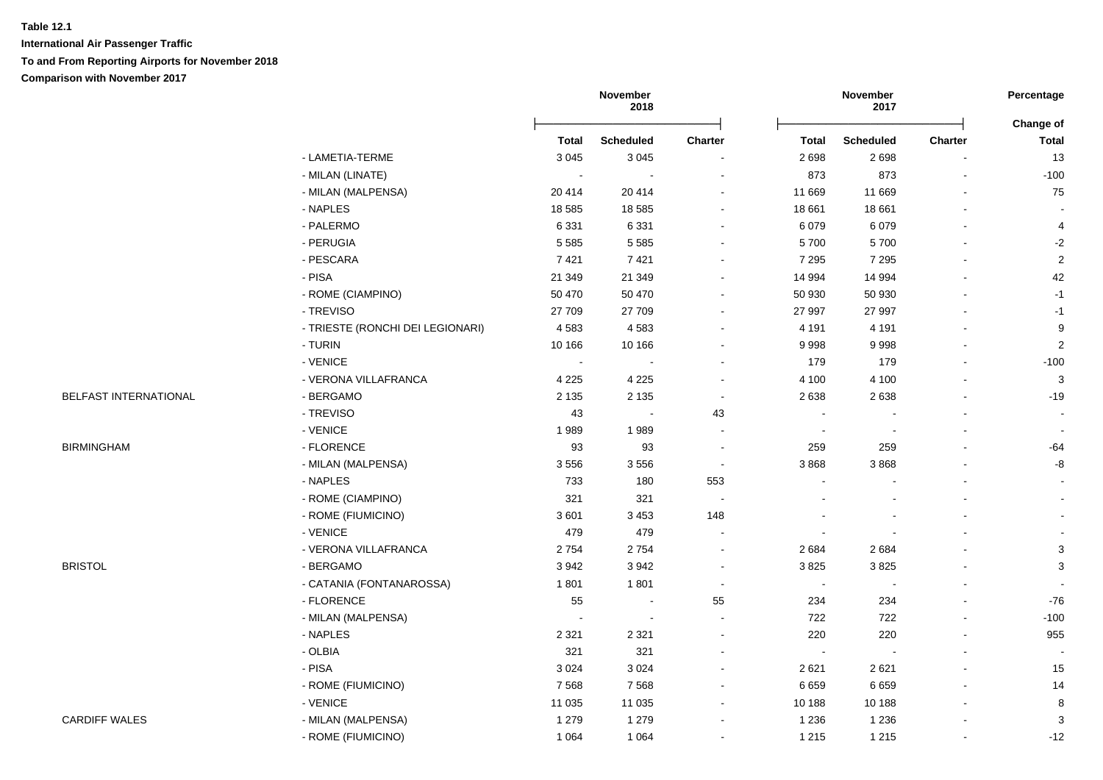**International Air Passenger Traffic To and From Reporting Airports for November 2018 Comparison with November 2017**

|                       |                                  |                | November<br>2018         |                          |                | November<br>2017 |                | Percentage                |
|-----------------------|----------------------------------|----------------|--------------------------|--------------------------|----------------|------------------|----------------|---------------------------|
|                       |                                  | <b>Total</b>   | <b>Scheduled</b>         | <b>Charter</b>           | <b>Total</b>   | <b>Scheduled</b> | <b>Charter</b> | Change of<br><b>Total</b> |
|                       | - LAMETIA-TERME                  | 3 0 4 5        | 3 0 4 5                  |                          | 2698           | 2698             | $\blacksquare$ | 13                        |
|                       | - MILAN (LINATE)                 | $\blacksquare$ |                          |                          | 873            | 873              | $\blacksquare$ | $-100$                    |
|                       | - MILAN (MALPENSA)               | 20 414         | 20 414                   |                          | 11 669         | 11 669           |                | 75                        |
|                       | - NAPLES                         | 18 5 85        | 18 5 85                  | $\sim$                   | 18 661         | 18 661           |                |                           |
|                       | - PALERMO                        | 6 3 3 1        | 6 3 3 1                  | $\sim$                   | 6 0 7 9        | 6079             |                | 4                         |
|                       | - PERUGIA                        | 5 5 8 5        | 5 5 8 5                  | $\sim$                   | 5700           | 5700             |                | $-2$                      |
|                       | - PESCARA                        | 7421           | 7421                     |                          | 7 2 9 5        | 7 2 9 5          |                | $\overline{2}$            |
|                       | - PISA                           | 21 349         | 21 349                   |                          | 14 994         | 14 994           |                | 42                        |
|                       | - ROME (CIAMPINO)                | 50 470         | 50 470                   |                          | 50 930         | 50 930           |                | $-1$                      |
|                       | - TREVISO                        | 27 709         | 27 709                   |                          | 27 997         | 27 997           |                | $-1$                      |
|                       | - TRIESTE (RONCHI DEI LEGIONARI) | 4583           | 4583                     |                          | 4 1 9 1        | 4 1 9 1          |                | $\boldsymbol{9}$          |
|                       | - TURIN                          | 10 166         | 10 166                   |                          | 9998           | 9998             |                | $\overline{2}$            |
|                       | - VENICE                         | $\sim$         | $\sim$                   | $\sim$                   | 179            | 179              |                | $-100$                    |
|                       | - VERONA VILLAFRANCA             | 4 2 2 5        | 4 2 2 5                  | $\overline{\phantom{a}}$ | 4 100          | 4 100            |                | $\mathbf{3}$              |
| BELFAST INTERNATIONAL | - BERGAMO                        | 2 1 3 5        | 2 1 3 5                  | $\sim$                   | 2638           | 2638             |                | $-19$                     |
|                       | - TREVISO                        | 43             | $\sim$                   | 43                       | $\blacksquare$ |                  |                |                           |
|                       | - VENICE                         | 1989           | 1989                     |                          | $\sim$         |                  |                |                           |
| <b>BIRMINGHAM</b>     | - FLORENCE                       | 93             | 93                       | $\sim$                   | 259            | 259              |                | $-64$                     |
|                       | - MILAN (MALPENSA)               | 3556           | 3556                     | $\sim$                   | 3868           | 3868             |                | $\mbox{-}8$               |
|                       | - NAPLES                         | 733            | 180                      | 553                      | ä,             |                  |                | $\blacksquare$            |
|                       | - ROME (CIAMPINO)                | 321            | 321                      | $\sim$                   |                |                  |                | $\sim$                    |
|                       | - ROME (FIUMICINO)               | 3601           | 3 4 5 3                  | 148                      |                |                  |                | $\blacksquare$            |
|                       | - VENICE                         | 479            | 479                      |                          |                |                  |                |                           |
|                       | - VERONA VILLAFRANCA             | 2754           | 2754                     | $\overline{\phantom{a}}$ | 2684           | 2684             |                | $\sqrt{3}$                |
| <b>BRISTOL</b>        | - BERGAMO                        | 3942           | 3942                     |                          | 3825           | 3825             |                | 3                         |
|                       | - CATANIA (FONTANAROSSA)         | 1801           | 1801                     |                          | $\sim$         |                  |                |                           |
|                       | - FLORENCE                       | 55             | $\sim$                   | 55                       | 234            | 234              |                | $-76$                     |
|                       | - MILAN (MALPENSA)               | $\sim$         | $\overline{\phantom{a}}$ |                          | 722            | 722              |                | $-100$                    |
|                       | - NAPLES                         | 2 3 2 1        | 2 3 2 1                  | $\overline{a}$           | 220            | 220              |                | 955                       |
|                       | $-$ OLBIA                        | 321            | 321                      | $\sim$                   | $\sim$         |                  |                |                           |
|                       | $-$ PISA                         | 3 0 2 4        | 3 0 2 4                  | $\sim$                   | 2 6 2 1        | 2621             |                | 15                        |
|                       | - ROME (FIUMICINO)               | 7 5 6 8        | 7568                     | $\blacksquare$           | 6659           | 6659             | $\blacksquare$ | 14                        |
|                       | - VENICE                         | 11 0 35        | 11 0 35                  | $\sim$                   | 10 188         | 10 188           | $\sim$         | 8                         |
| <b>CARDIFF WALES</b>  | - MILAN (MALPENSA)               | 1 2 7 9        | 1 2 7 9                  |                          | 1 2 3 6        | 1 2 3 6          |                | 3                         |
|                       | - ROME (FIUMICINO)               | 1 0 6 4        | 1 0 6 4                  |                          | 1 2 1 5        | 1 2 1 5          | $\blacksquare$ | $-12$                     |
|                       |                                  |                |                          |                          |                |                  |                |                           |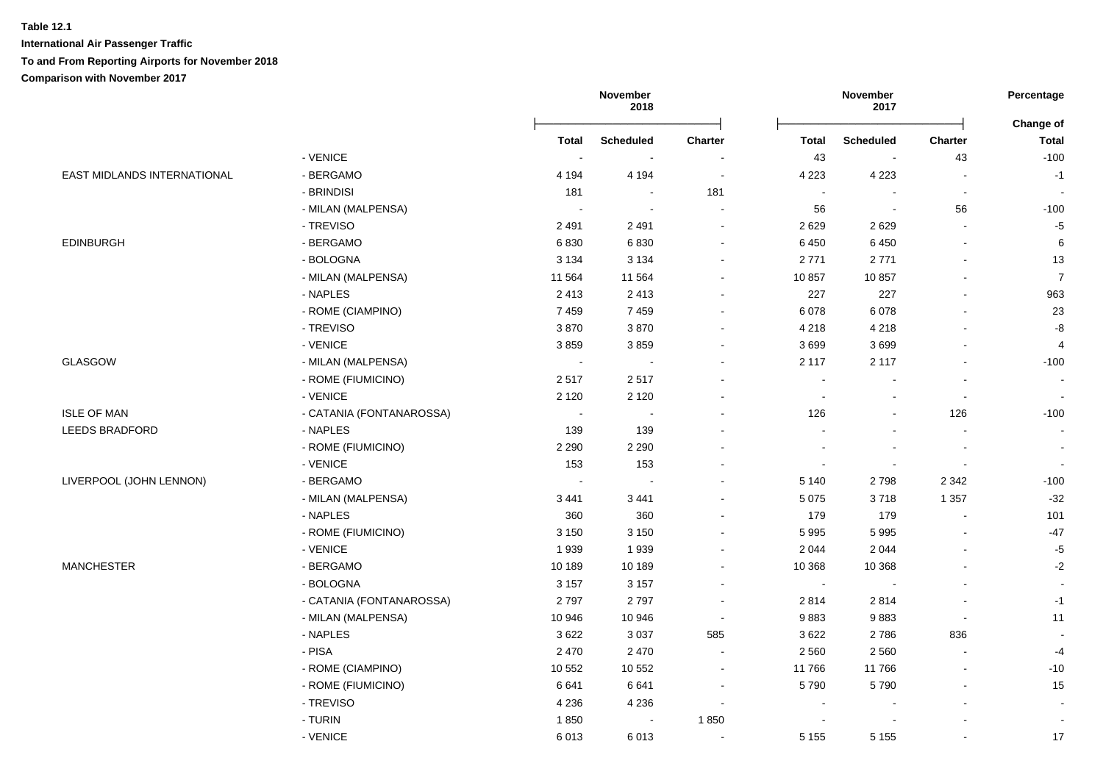|                             |                          |                | November<br>2018         |                          |                          | November<br>2017         |                          | Percentage                |
|-----------------------------|--------------------------|----------------|--------------------------|--------------------------|--------------------------|--------------------------|--------------------------|---------------------------|
|                             |                          | <b>Total</b>   | <b>Scheduled</b>         | <b>Charter</b>           | <b>Total</b>             | <b>Scheduled</b>         | <b>Charter</b>           | Change of<br><b>Total</b> |
|                             | - VENICE                 | $\blacksquare$ | $\overline{\phantom{a}}$ |                          | 43                       | $\overline{\phantom{a}}$ | 43                       | $-100$                    |
| EAST MIDLANDS INTERNATIONAL | - BERGAMO                | 4 1 9 4        | 4 1 9 4                  | $\sim$                   | 4 2 2 3                  | 4 2 2 3                  | $\overline{\phantom{a}}$ | $-1$                      |
|                             | - BRINDISI               | 181            | $\blacksquare$           | 181                      | $\sim$                   | $\overline{\phantom{a}}$ | $\overline{\phantom{a}}$ | $\blacksquare$            |
|                             | - MILAN (MALPENSA)       | $\blacksquare$ | $\blacksquare$           | $\blacksquare$           | 56                       | $\overline{\phantom{a}}$ | 56                       | $-100$                    |
|                             | - TREVISO                | 2491           | 2491                     | $\sim$                   | 2629                     | 2629                     | L.                       | $-5$                      |
| <b>EDINBURGH</b>            | - BERGAMO                | 6830           | 6830                     | $\blacksquare$           | 6 4 5 0                  | 6450                     | $\overline{a}$           | $\,6\,$                   |
|                             | - BOLOGNA                | 3 1 3 4        | 3 1 3 4                  | $\overline{\phantom{a}}$ | 2771                     | 2771                     | $\blacksquare$           | 13                        |
|                             | - MILAN (MALPENSA)       | 11 564         | 11 5 64                  | $\sim$                   | 10 857                   | 10857                    | $\blacksquare$           | $\overline{7}$            |
|                             | - NAPLES                 | 2413           | 2 4 1 3                  | $\overline{a}$           | 227                      | 227                      | $\blacksquare$           | 963                       |
|                             | - ROME (CIAMPINO)        | 7459           | 7459                     | $\sim$                   | 6 0 78                   | 6078                     | $\mathbf{r}$             | 23                        |
|                             | - TREVISO                | 3870           | 3870                     | $\sim$                   | 4 2 1 8                  | 4 2 1 8                  | L,                       | -8                        |
|                             | - VENICE                 | 3859           | 3859                     |                          | 3699                     | 3699                     |                          | $\overline{4}$            |
| <b>GLASGOW</b>              | - MILAN (MALPENSA)       | $\sim$         | $\overline{a}$           | ÷                        | 2 1 1 7                  | 2 1 1 7                  | $\overline{a}$           | $-100$                    |
|                             | - ROME (FIUMICINO)       | 2517           | 2517                     |                          | $\sim$                   | $\sim$                   | $\overline{\phantom{a}}$ |                           |
|                             | - VENICE                 | 2 1 2 0        | 2 1 2 0                  |                          | $\overline{\phantom{a}}$ | $\overline{\phantom{a}}$ | $\overline{\phantom{a}}$ |                           |
| <b>ISLE OF MAN</b>          | - CATANIA (FONTANAROSSA) | $\sim$         | $\blacksquare$           | $\overline{\phantom{a}}$ | 126                      | $\blacksquare$           | 126                      | $-100$                    |
| <b>LEEDS BRADFORD</b>       | - NAPLES                 | 139            | 139                      |                          |                          |                          | $\blacksquare$           |                           |
|                             | - ROME (FIUMICINO)       | 2 2 9 0        | 2 2 9 0                  |                          |                          |                          | $\overline{\phantom{a}}$ |                           |
|                             | - VENICE                 | 153            | 153                      |                          | $\sim$                   | $\sim$                   | $\blacksquare$           | $\blacksquare$            |
| LIVERPOOL (JOHN LENNON)     | - BERGAMO                | $\sim$         |                          |                          | 5 1 4 0                  | 2798                     | 2 3 4 2                  | $-100$                    |
|                             | - MILAN (MALPENSA)       | 3 4 4 1        | 3 4 4 1                  | $\overline{a}$           | 5 0 7 5                  | 3718                     | 1 3 5 7                  | $-32$                     |
|                             | - NAPLES                 | 360            | 360                      | $\overline{a}$           | 179                      | 179                      | $\overline{a}$           | 101                       |
|                             | - ROME (FIUMICINO)       | 3 1 5 0        | 3 1 5 0                  |                          | 5 9 9 5                  | 5995                     |                          | $-47$                     |
|                             | - VENICE                 | 1939           | 1939                     |                          | 2 0 4 4                  | 2 0 4 4                  | L,                       | $-5$                      |
| <b>MANCHESTER</b>           | - BERGAMO                | 10 189         | 10 189                   | $\overline{a}$           | 10 368                   | 10 368                   | L,                       | $-2$                      |
|                             | - BOLOGNA                | 3 1 5 7        | 3 1 5 7                  | $\overline{a}$           | $\blacksquare$           | $\sim$                   | $\sim$                   | $\sim$                    |
|                             | - CATANIA (FONTANAROSSA) | 2797           | 2797                     | $\overline{a}$           | 2814                     | 2814                     | $\blacksquare$           | $-1$                      |
|                             | - MILAN (MALPENSA)       | 10 946         | 10 946                   | $\tilde{\phantom{a}}$    | 9883                     | 9883                     | $\sim$                   | 11                        |
|                             | - NAPLES                 | 3622           | 3 0 3 7                  | 585                      | 3622                     | 2786                     | 836                      |                           |
|                             | - PISA                   | 2 4 7 0        | 2 4 7 0                  | $\overline{\phantom{a}}$ | 2 5 6 0                  | 2 5 6 0                  | $\overline{\phantom{a}}$ | $-4$                      |
|                             | - ROME (CIAMPINO)        | 10 552         | 10 552                   | $\ddot{\phantom{a}}$     | 11766                    | 11766                    | $\blacksquare$           | $-10$                     |
|                             | - ROME (FIUMICINO)       | 6641           | 6641                     | $\overline{\phantom{a}}$ | 5790                     | 5790                     | $\blacksquare$           | 15                        |
|                             | - TREVISO                | 4 2 3 6        | 4 2 3 6                  | $\ddot{\phantom{a}}$     | $\sim$                   |                          | $\blacksquare$           |                           |
|                             | - TURIN                  | 1850           | $\sim$                   | 1850                     | $\sim$                   | $\overline{\phantom{a}}$ | $\blacksquare$           |                           |
|                             | - VENICE                 | 6013           | 6013                     |                          | 5 1 5 5                  | 5 1 5 5                  |                          | 17                        |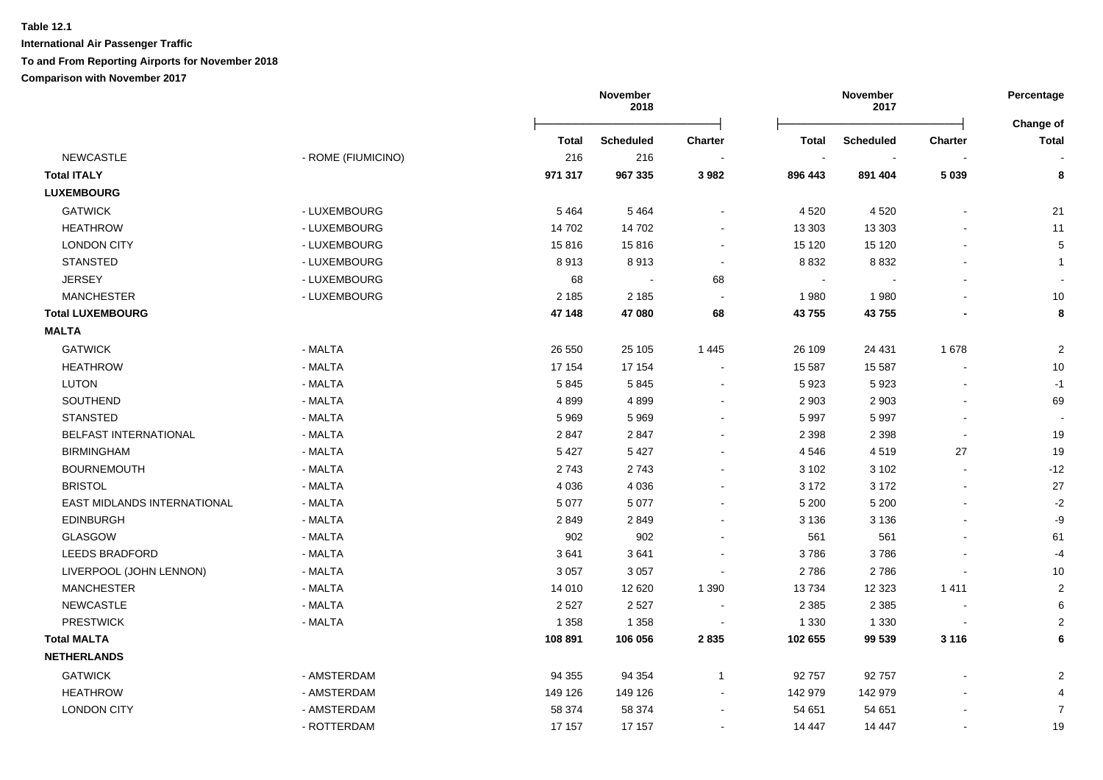## **Table 12.1 International Air Passenger Traffic**

### **To and From Reporting Airports for November 2018**

|                             |                    |         | November<br>2018 |                          |              | November<br>2017 |                          | Percentage                       |
|-----------------------------|--------------------|---------|------------------|--------------------------|--------------|------------------|--------------------------|----------------------------------|
|                             |                    | Total   | <b>Scheduled</b> | <b>Charter</b>           | <b>Total</b> | <b>Scheduled</b> | <b>Charter</b>           | <b>Change of</b><br><b>Total</b> |
| NEWCASTLE                   | - ROME (FIUMICINO) | 216     | 216              |                          | $\sim$       |                  |                          |                                  |
| <b>Total ITALY</b>          |                    | 971 317 | 967 335          | 3 9 8 2                  | 896 443      | 891 404          | 5 0 3 9                  | 8                                |
| <b>LUXEMBOURG</b>           |                    |         |                  |                          |              |                  |                          |                                  |
| <b>GATWICK</b>              | - LUXEMBOURG       | 5 4 6 4 | 5 4 6 4          |                          | 4 5 20       | 4 5 20           |                          | 21                               |
| <b>HEATHROW</b>             | - LUXEMBOURG       | 14 702  | 14 702           |                          | 13 30 3      | 13 30 3          |                          | 11                               |
| <b>LONDON CITY</b>          | - LUXEMBOURG       | 15816   | 15816            | $\overline{\phantom{a}}$ | 15 120       | 15 1 20          |                          | 5                                |
| <b>STANSTED</b>             | - LUXEMBOURG       | 8913    | 8913             |                          | 8 8 3 2      | 8 8 3 2          |                          | $\mathbf{1}$                     |
| <b>JERSEY</b>               | - LUXEMBOURG       | 68      | $\sim$           | 68                       | $\sim$       |                  |                          |                                  |
| <b>MANCHESTER</b>           | - LUXEMBOURG       | 2 1 8 5 | 2 1 8 5          |                          | 1980         | 1980             |                          | 10                               |
| <b>Total LUXEMBOURG</b>     |                    | 47 148  | 47 080           | 68                       | 43755        | 43755            |                          | 8                                |
| <b>MALTA</b>                |                    |         |                  |                          |              |                  |                          |                                  |
| <b>GATWICK</b>              | - MALTA            | 26 550  | 25 105           | 1445                     | 26 109       | 24 4 31          | 1678                     | $\boldsymbol{2}$                 |
| <b>HEATHROW</b>             | - MALTA            | 17 154  | 17 154           |                          | 15 587       | 15 5 87          |                          | 10                               |
| <b>LUTON</b>                | - MALTA            | 5845    | 5845             |                          | 5923         | 5923             |                          | $-1$                             |
| SOUTHEND                    | - MALTA            | 4899    | 4899             |                          | 2 9 0 3      | 2 9 0 3          |                          | 69                               |
| <b>STANSTED</b>             | - MALTA            | 5969    | 5969             |                          | 5 9 9 7      | 5997             |                          |                                  |
| BELFAST INTERNATIONAL       | - MALTA            | 2847    | 2847             |                          | 2 3 9 8      | 2 3 9 8          | $\overline{a}$           | 19                               |
| <b>BIRMINGHAM</b>           | - MALTA            | 5 4 2 7 | 5 4 2 7          |                          | 4546         | 4519             | 27                       | 19                               |
| <b>BOURNEMOUTH</b>          | - MALTA            | 2743    | 2743             |                          | 3 1 0 2      | 3 1 0 2          | $\overline{\phantom{a}}$ | $-12$                            |
| <b>BRISTOL</b>              | - MALTA            | 4 0 3 6 | 4 0 3 6          |                          | 3 172        | 3 1 7 2          | $\overline{\phantom{a}}$ | 27                               |
| EAST MIDLANDS INTERNATIONAL | - MALTA            | 5 0 7 7 | 5 0 7 7          |                          | 5 200        | 5 200            |                          | $-2$                             |
| <b>EDINBURGH</b>            | - MALTA            | 2849    | 2849             |                          | 3 1 3 6      | 3 1 3 6          |                          | -9                               |
| GLASGOW                     | - MALTA            | 902     | 902              |                          | 561          | 561              |                          | 61                               |
| <b>LEEDS BRADFORD</b>       | - MALTA            | 3641    | 3641             |                          | 3786         | 3786             |                          | $-4$                             |
| LIVERPOOL (JOHN LENNON)     | - MALTA            | 3 0 5 7 | 3 0 5 7          |                          | 2786         | 2786             |                          | 10                               |
| <b>MANCHESTER</b>           | - MALTA            | 14 010  | 12 6 20          | 1 3 9 0                  | 13734        | 12 3 23          | 1411                     | $\overline{2}$                   |
| <b>NEWCASTLE</b>            | - MALTA            | 2 5 2 7 | 2 5 2 7          | $\blacksquare$           | 2 3 8 5      | 2 3 8 5          |                          | 6                                |
| <b>PRESTWICK</b>            | - MALTA            | 1 3 5 8 | 1 3 5 8          | $\overline{\phantom{a}}$ | 1 3 3 0      | 1 3 3 0          | $\blacksquare$           | 2                                |
| <b>Total MALTA</b>          |                    | 108 891 | 106 056          | 2835                     | 102 655      | 99 539           | 3 1 1 6                  | 6                                |
| <b>NETHERLANDS</b>          |                    |         |                  |                          |              |                  |                          |                                  |
| <b>GATWICK</b>              | - AMSTERDAM        | 94 355  | 94 354           | $\mathbf{1}$             | 92 757       | 92757            |                          | $\overline{2}$                   |
| <b>HEATHROW</b>             | - AMSTERDAM        | 149 126 | 149 126          |                          | 142 979      | 142 979          |                          |                                  |
| <b>LONDON CITY</b>          | - AMSTERDAM        | 58 374  | 58 374           |                          | 54 651       | 54 651           |                          | $\overline{7}$                   |
|                             | - ROTTERDAM        | 17 157  | 17 157           |                          | 14 447       | 14 447           | $\blacksquare$           | 19                               |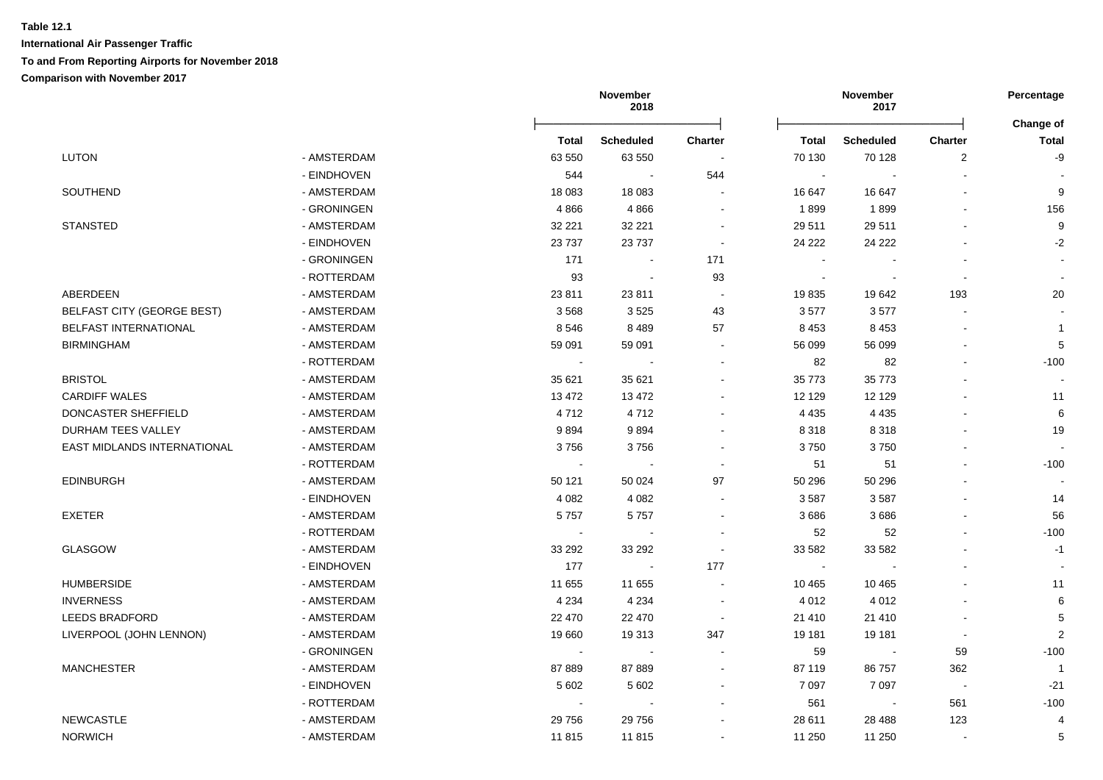|                              |             |                | November<br>2018 |                          | November<br>2017         |                  | Percentage               |                           |
|------------------------------|-------------|----------------|------------------|--------------------------|--------------------------|------------------|--------------------------|---------------------------|
|                              |             | Total          | <b>Scheduled</b> | <b>Charter</b>           | Total                    | <b>Scheduled</b> | Charter                  | Change of<br><b>Total</b> |
| <b>LUTON</b>                 | - AMSTERDAM | 63 550         | 63 550           | $\overline{\phantom{a}}$ | 70 130                   | 70 128           | $\overline{c}$           | -9                        |
|                              | - EINDHOVEN | 544            | $\sim$           | 544                      | $\sim$                   |                  |                          |                           |
| SOUTHEND                     | - AMSTERDAM | 18 083         | 18 0 83          |                          | 16 647                   | 16 647           |                          | 9                         |
|                              | - GRONINGEN | 4866           | 4866             | $\blacksquare$           | 1899                     | 1899             |                          | 156                       |
| <b>STANSTED</b>              | - AMSTERDAM | 32 221         | 32 221           | $\overline{\phantom{a}}$ | 29 511                   | 29 511           |                          | 9                         |
|                              | - EINDHOVEN | 23 7 37        | 23 7 37          | $\overline{\phantom{a}}$ | 24 222                   | 24 222           |                          | $-2$                      |
|                              | - GRONINGEN | 171            |                  | 171                      | $\overline{\phantom{a}}$ |                  |                          |                           |
|                              | - ROTTERDAM | 93             | $\sim$           | 93                       | $\sim$                   | $\sim$           | $\sim$                   |                           |
| ABERDEEN                     | - AMSTERDAM | 23 8 11        | 23 811           | $\overline{\phantom{a}}$ | 19835                    | 19642            | 193                      | 20                        |
| BELFAST CITY (GEORGE BEST)   | - AMSTERDAM | 3568           | 3525             | 43                       | 3577                     | 3577             | $\overline{\phantom{a}}$ |                           |
| <b>BELFAST INTERNATIONAL</b> | - AMSTERDAM | 8546           | 8489             | 57                       | 8 4 5 3                  | 8 4 5 3          |                          | $\mathbf 1$               |
| <b>BIRMINGHAM</b>            | - AMSTERDAM | 59 091         | 59 091           | $\blacksquare$           | 56 099                   | 56 099           |                          | 5                         |
|                              | - ROTTERDAM | $\blacksquare$ |                  | $\blacksquare$           | 82                       | 82               |                          | $-100$                    |
| <b>BRISTOL</b>               | - AMSTERDAM | 35 621         | 35 621           | $\sim$                   | 35 773                   | 35 773           |                          |                           |
| <b>CARDIFF WALES</b>         | - AMSTERDAM | 13 472         | 13 472           | $\sim$                   | 12 129                   | 12 129           |                          | 11                        |
| DONCASTER SHEFFIELD          | - AMSTERDAM | 4712           | 4712             | $\overline{\phantom{a}}$ | 4 4 3 5                  | 4 4 3 5          |                          | 6                         |
| DURHAM TEES VALLEY           | - AMSTERDAM | 9894           | 9894             | $\sim$                   | 8 3 1 8                  | 8318             |                          | 19                        |
| EAST MIDLANDS INTERNATIONAL  | - AMSTERDAM | 3756           | 3756             | $\blacksquare$           | 3750                     | 3750             |                          |                           |
|                              | - ROTTERDAM | $\blacksquare$ | $\sim$           | $\overline{\phantom{a}}$ | 51                       | 51               |                          | $-100$                    |
| <b>EDINBURGH</b>             | - AMSTERDAM | 50 121         | 50 0 24          | 97                       | 50 296                   | 50 296           |                          |                           |
|                              | - EINDHOVEN | 4 0 8 2        | 4 0 8 2          | $\sim$                   | 3587                     | 3587             |                          | 14                        |
| <b>EXETER</b>                | - AMSTERDAM | 5757           | 5757             | $\sim$                   | 3686                     | 3686             |                          | 56                        |
|                              | - ROTTERDAM | $\sim$         | $\sim$           | $\overline{\phantom{a}}$ | 52                       | 52               |                          | $-100$                    |
| GLASGOW                      | - AMSTERDAM | 33 29 2        | 33 29 2          | $\sim$                   | 33 582                   | 33 582           |                          | $-1$                      |
|                              | - EINDHOVEN | 177            | $\sim$           | 177                      | $\blacksquare$           | $\sim$           | $\sim$                   |                           |
| <b>HUMBERSIDE</b>            | - AMSTERDAM | 11 655         | 11 655           | $\sim$                   | 10 4 65                  | 10 4 65          |                          | 11                        |
| <b>INVERNESS</b>             | - AMSTERDAM | 4 2 3 4        | 4 2 3 4          | $\sim$                   | 4 0 1 2                  | 4 0 1 2          |                          | 6                         |
| <b>LEEDS BRADFORD</b>        | - AMSTERDAM | 22 470         | 22 470           | $\sim$                   | 21 410                   | 21 4 10          |                          | 5                         |
| LIVERPOOL (JOHN LENNON)      | - AMSTERDAM | 19660          | 19 313           | 347                      | 19 181                   | 19 181           | $\overline{\phantom{a}}$ | $\overline{2}$            |
|                              | - GRONINGEN | $\sim$         | $\sim$           | $\overline{\phantom{a}}$ | 59                       | $\sim$           | 59                       | $-100$                    |
| <b>MANCHESTER</b>            | - AMSTERDAM | 87 889         | 87 889           | $\blacksquare$           | 87 119                   | 86757            | 362                      | $\overline{1}$            |
|                              | - EINDHOVEN | 5 6 0 2        | 5 6 0 2          | $\blacksquare$           | 7 0 9 7                  | 7 0 9 7          | $\sim$                   | $-21$                     |
|                              | - ROTTERDAM |                |                  |                          | 561                      | $\blacksquare$   | 561                      | $-100$                    |
| <b>NEWCASTLE</b>             | - AMSTERDAM | 29 756         | 29 756           | $\overline{\phantom{a}}$ | 28 611                   | 28 4 88          | 123                      | 4                         |

NORWICH - AMSTERDAM 11 815 11 815 - 11 250 11 250 - 5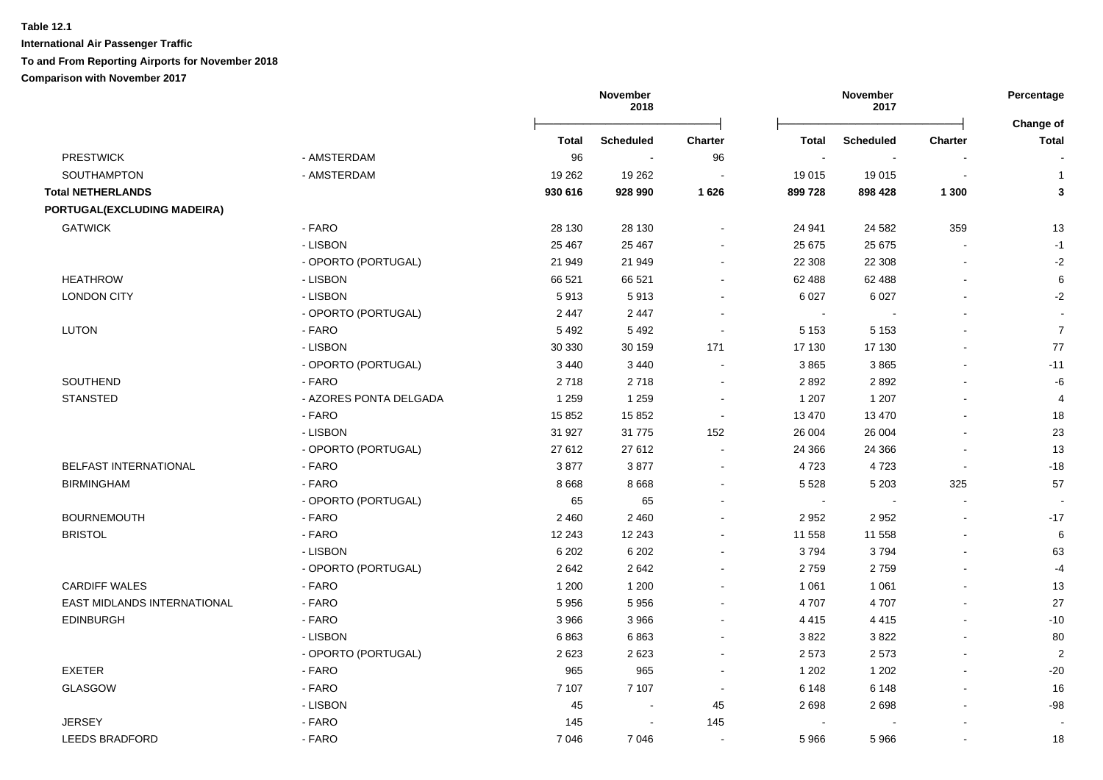**International Air Passenger Traffic To and From Reporting Airports for November 2018**

|                             |                        |              | November<br>2018 |                |              | November<br>2017 |                | Percentage                |
|-----------------------------|------------------------|--------------|------------------|----------------|--------------|------------------|----------------|---------------------------|
|                             |                        | <b>Total</b> | <b>Scheduled</b> | <b>Charter</b> | <b>Total</b> | <b>Scheduled</b> | <b>Charter</b> | Change of<br><b>Total</b> |
| <b>PRESTWICK</b>            | - AMSTERDAM            | 96           |                  | 96             | $\sim$       |                  |                |                           |
| SOUTHAMPTON                 | - AMSTERDAM            | 19 262       | 19 26 2          |                | 19 015       | 19 015           | ÷              | $\mathbf{1}$              |
| <b>Total NETHERLANDS</b>    |                        | 930 616      | 928 990          | 1 6 2 6        | 899 728      | 898 428          | 1 300          | 3                         |
| PORTUGAL(EXCLUDING MADEIRA) |                        |              |                  |                |              |                  |                |                           |
| <b>GATWICK</b>              | - FARO                 | 28 130       | 28 130           |                | 24 941       | 24 5 82          | 359            | 13                        |
|                             | - LISBON               | 25 4 67      | 25 4 67          |                | 25 675       | 25 675           | $\overline{a}$ | $-1$                      |
|                             | - OPORTO (PORTUGAL)    | 21 949       | 21 949           |                | 22 308       | 22 308           |                | $-2$                      |
| <b>HEATHROW</b>             | - LISBON               | 66 521       | 66 521           | $\sim$         | 62 488       | 62 488           | $\blacksquare$ | 6                         |
| <b>LONDON CITY</b>          | - LISBON               | 5913         | 5913             | $\sim$         | 6 0 27       | 6 0 27           |                | $-2$                      |
|                             | - OPORTO (PORTUGAL)    | 2 4 4 7      | 2 4 4 7          |                | $\sim$       |                  |                |                           |
| <b>LUTON</b>                | - FARO                 | 5492         | 5 4 9 2          | $\sim$         | 5 1 5 3      | 5 1 5 3          |                | $\overline{7}$            |
|                             | - LISBON               | 30 330       | 30 159           | 171            | 17 130       | 17 130           | $\blacksquare$ | $77\,$                    |
|                             | - OPORTO (PORTUGAL)    | 3 4 4 0      | 3 4 4 0          | $\sim$         | 3865         | 3865             | $\overline{a}$ | $-11$                     |
| SOUTHEND                    | - FARO                 | 2718         | 2718             |                | 2892         | 2892             |                | -6                        |
| <b>STANSTED</b>             | - AZORES PONTA DELGADA | 1 2 5 9      | 1 2 5 9          |                | 1 207        | 1 207            | ä,             | $\overline{4}$            |
|                             | - FARO                 | 15 852       | 15 852           | $\blacksquare$ | 13 470       | 13 470           |                | 18                        |
|                             | - LISBON               | 31 927       | 31 7 7 5         | 152            | 26 004       | 26 004           |                | 23                        |
|                             | - OPORTO (PORTUGAL)    | 27 612       | 27 612           |                | 24 3 66      | 24 3 66          |                | 13                        |
| BELFAST INTERNATIONAL       | - FARO                 | 3877         | 3877             | $\sim$         | 4723         | 4723             | $\sim$         | $-18$                     |
| <b>BIRMINGHAM</b>           | - FARO                 | 8 6 6 8      | 8 6 6 8          |                | 5 5 2 8      | 5 2 0 3          | 325            | 57                        |
|                             | - OPORTO (PORTUGAL)    | 65           | 65               |                | $\sim$       | $\sim$           | $\sim$         |                           |
| <b>BOURNEMOUTH</b>          | - FARO                 | 2 4 6 0      | 2 4 6 0          |                | 2 9 5 2      | 2952             | $\blacksquare$ | $-17$                     |
| <b>BRISTOL</b>              | - FARO                 | 12 243       | 12 243           |                | 11 558       | 11 558           | $\blacksquare$ | 6                         |
|                             | - LISBON               | 6 2 0 2      | 6 2 0 2          |                | 3794         | 3794             |                | 63                        |
|                             | - OPORTO (PORTUGAL)    | 2642         | 2642             |                | 2759         | 2759             | $\blacksquare$ | $-4$                      |
| <b>CARDIFF WALES</b>        | - FARO                 | 1 200        | 1 200            |                | 1 0 6 1      | 1 0 6 1          | $\overline{a}$ | 13                        |
| EAST MIDLANDS INTERNATIONAL | - FARO                 | 5956         | 5956             |                | 4707         | 4707             |                | 27                        |
| <b>EDINBURGH</b>            | - FARO                 | 3966         | 3966             |                | 4 4 1 5      | 4 4 1 5          | $\overline{a}$ | $-10$                     |
|                             | - LISBON               | 6863         | 6863             |                | 3822         | 3822             |                | 80                        |
|                             | - OPORTO (PORTUGAL)    | 2623         | 2623             |                | 2 5 7 3      | 2573             |                | $\overline{2}$            |
| <b>EXETER</b>               | - FARO                 | 965          | 965              |                | 1 202        | 1 2 0 2          |                | $-20$                     |
| <b>GLASGOW</b>              | - FARO                 | 7 107        | 7 107            | $\sim$         | 6 1 4 8      | 6 1 4 8          |                | 16                        |
|                             | - LISBON               | 45           | $\sim$           | 45             | 2698         | 2698             |                | $-98$                     |
| <b>JERSEY</b>               | - FARO                 | 145          | $\sim$           | 145            |              |                  |                |                           |
| <b>LEEDS BRADFORD</b>       | - FARO                 | 7046         | 7 0 4 6          | $\blacksquare$ | 5966         | 5966             | $\blacksquare$ | 18                        |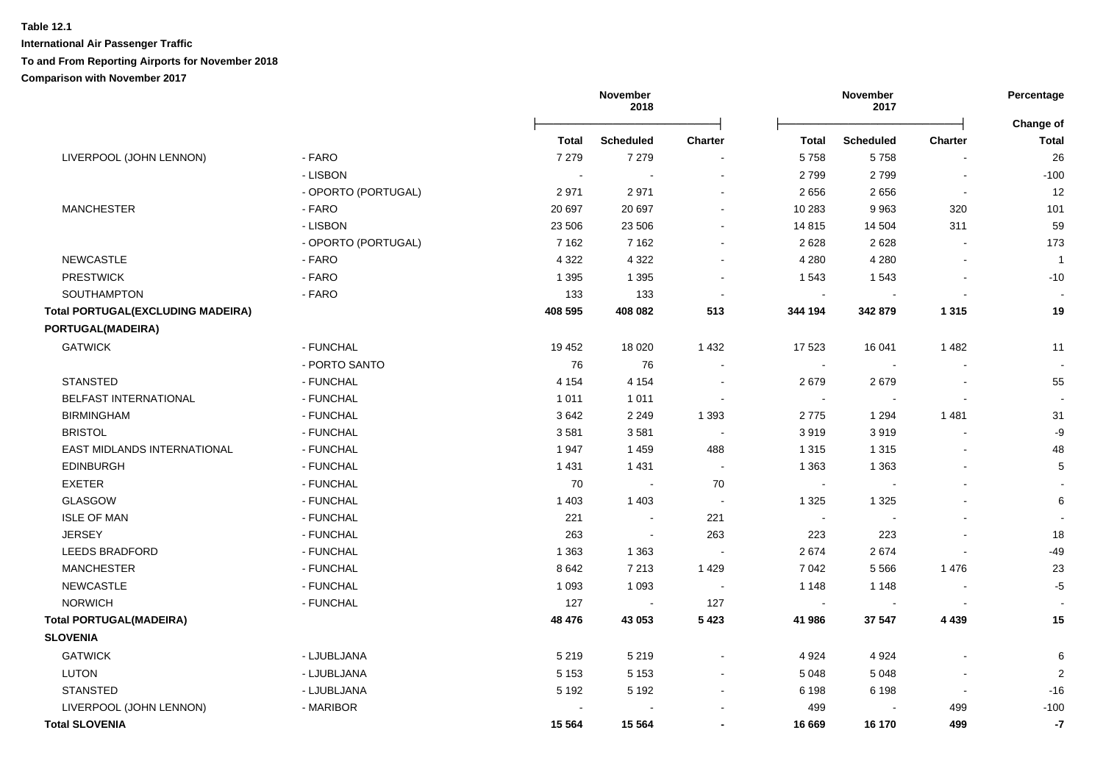|                                          |                     |              | November<br>2018 |                          |                | November<br>2017         |                | Percentage                |
|------------------------------------------|---------------------|--------------|------------------|--------------------------|----------------|--------------------------|----------------|---------------------------|
|                                          |                     | <b>Total</b> | <b>Scheduled</b> | <b>Charter</b>           | <b>Total</b>   | <b>Scheduled</b>         | Charter        | Change of<br><b>Total</b> |
| LIVERPOOL (JOHN LENNON)                  | - FARO              | 7 2 7 9      | 7 2 7 9          |                          | 5758           | 5758                     |                | 26                        |
|                                          | - LISBON            | $\sim$       | $\sim$           | $\overline{a}$           | 2799           | 2799                     | $\blacksquare$ | $-100$                    |
|                                          | - OPORTO (PORTUGAL) | 2971         | 2971             |                          | 2656           | 2656                     | $\blacksquare$ | 12                        |
| <b>MANCHESTER</b>                        | - FARO              | 20 697       | 20 697           | $\blacksquare$           | 10 283         | 9963                     | 320            | 101                       |
|                                          | - LISBON            | 23 506       | 23 506           | $\blacksquare$           | 14 8 15        | 14 504                   | 311            | 59                        |
|                                          | - OPORTO (PORTUGAL) | 7 1 6 2      | 7 1 6 2          | $\blacksquare$           | 2628           | 2628                     | $\blacksquare$ | 173                       |
| <b>NEWCASTLE</b>                         | - FARO              | 4 3 2 2      | 4 3 2 2          | $\blacksquare$           | 4 2 8 0        | 4 2 8 0                  |                | $\overline{1}$            |
| <b>PRESTWICK</b>                         | - FARO              | 1 3 9 5      | 1 3 9 5          | $\blacksquare$           | 1 5 4 3        | 1543                     |                | $-10$                     |
| SOUTHAMPTON                              | - FARO              | 133          | 133              | $\overline{\phantom{a}}$ | $\blacksquare$ |                          |                |                           |
| <b>Total PORTUGAL(EXCLUDING MADEIRA)</b> |                     | 408 595      | 408 082          | 513                      | 344 194        | 342 879                  | 1 3 1 5        | 19                        |
| PORTUGAL(MADEIRA)                        |                     |              |                  |                          |                |                          |                |                           |
| <b>GATWICK</b>                           | - FUNCHAL           | 19 452       | 18 0 20          | 1 4 3 2                  | 17 523         | 16 041                   | 1482           | 11                        |
|                                          | - PORTO SANTO       | 76           | 76               | $\overline{\phantom{a}}$ | $\sim$         | $\sim$                   |                | $\overline{\phantom{a}}$  |
| <b>STANSTED</b>                          | - FUNCHAL           | 4 1 5 4      | 4 1 5 4          | $\overline{\phantom{a}}$ | 2679           | 2679                     |                | 55                        |
| BELFAST INTERNATIONAL                    | - FUNCHAL           | 1 0 1 1      | 1011             |                          | $\sim$         | $\sim$                   |                |                           |
| <b>BIRMINGHAM</b>                        | - FUNCHAL           | 3642         | 2 2 4 9          | 1 3 9 3                  | 2775           | 1 2 9 4                  | 1481           | 31                        |
| <b>BRISTOL</b>                           | - FUNCHAL           | 3581         | 3581             | $\sim$                   | 3919           | 3919                     |                | $-9$                      |
| EAST MIDLANDS INTERNATIONAL              | - FUNCHAL           | 1947         | 1 4 5 9          | 488                      | 1 3 1 5        | 1 3 1 5                  |                | 48                        |
| <b>EDINBURGH</b>                         | - FUNCHAL           | 1 4 3 1      | 1 4 3 1          | $\sim$                   | 1 3 6 3        | 1 3 6 3                  |                | 5                         |
| <b>EXETER</b>                            | - FUNCHAL           | 70           | $\sim$           | 70                       | $\sim$         | $\blacksquare$           |                |                           |
| <b>GLASGOW</b>                           | - FUNCHAL           | 1 4 0 3      | 1 4 0 3          | $\sim$                   | 1 3 2 5        | 1 3 2 5                  |                | $\,6$                     |
| <b>ISLE OF MAN</b>                       | - FUNCHAL           | 221          | $\sim$           | 221                      | $\sim$         | $\sim$                   |                |                           |
| <b>JERSEY</b>                            | - FUNCHAL           | 263          | $\blacksquare$   | 263                      | 223            | 223                      |                | 18                        |
| <b>LEEDS BRADFORD</b>                    | - FUNCHAL           | 1 3 6 3      | 1 3 6 3          |                          | 2674           | 2674                     |                | $-49$                     |
| <b>MANCHESTER</b>                        | - FUNCHAL           | 8642         | 7 2 1 3          | 1429                     | 7 0 4 2        | 5566                     | 1476           | 23                        |
| <b>NEWCASTLE</b>                         | - FUNCHAL           | 1 0 9 3      | 1 0 9 3          | $\sim$                   | 1 1 4 8        | 1 1 4 8                  |                | $-5$                      |
| <b>NORWICH</b>                           | - FUNCHAL           | 127          | $\blacksquare$   | 127                      | $\blacksquare$ | $\overline{\phantom{a}}$ |                |                           |
| <b>Total PORTUGAL(MADEIRA)</b>           |                     | 48 476       | 43 053           | 5 4 2 3                  | 41 986         | 37 547                   | 4 4 3 9        | 15                        |
| <b>SLOVENIA</b>                          |                     |              |                  |                          |                |                          |                |                           |
| <b>GATWICK</b>                           | - LJUBLJANA         | 5 2 1 9      | 5 2 1 9          |                          | 4 9 24         | 4 9 24                   |                | 6                         |
| <b>LUTON</b>                             | - LJUBLJANA         | 5 1 5 3      | 5 1 5 3          | $\blacksquare$           | 5 0 4 8        | 5 0 4 8                  |                | $\overline{2}$            |
| <b>STANSTED</b>                          | - LJUBLJANA         | 5 1 9 2      | 5 1 9 2          |                          | 6 1 9 8        | 6 1 9 8                  | $\blacksquare$ | $-16$                     |
| LIVERPOOL (JOHN LENNON)                  | - MARIBOR           |              |                  |                          | 499            |                          | 499            | $-100$                    |
| <b>Total SLOVENIA</b>                    |                     | 15 5 64      | 15 5 64          |                          | 16 669         | 16 170                   | 499            | $-7$                      |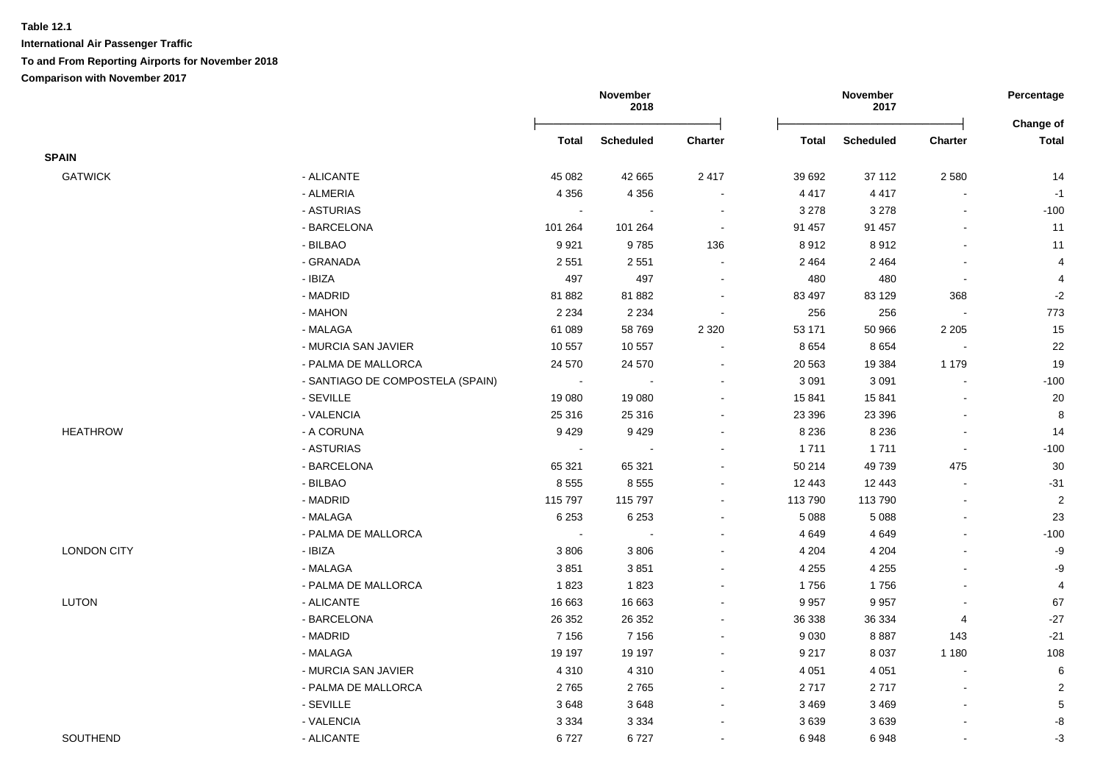|                    |                                  |                | November<br>2018 |                |              | November<br>2017 |                         |                                                                                                                                                                                                                                                                            |
|--------------------|----------------------------------|----------------|------------------|----------------|--------------|------------------|-------------------------|----------------------------------------------------------------------------------------------------------------------------------------------------------------------------------------------------------------------------------------------------------------------------|
|                    |                                  | Total          | <b>Scheduled</b> | Charter        | <b>Total</b> | <b>Scheduled</b> | <b>Charter</b>          | Percentage<br>Change of<br><b>Total</b><br>14<br>$-1$<br>$-100$<br>11<br>11<br>$\overline{\mathbf{4}}$<br>$\overline{\mathbf{4}}$<br>$-2$<br>773<br>15<br>$22\,$<br>19<br>$-100$<br>$20\,$<br>$\bf 8$<br>14<br>$-100$<br>30<br>$-31$<br>$\sqrt{2}$<br>23<br>$-100$<br>$-9$ |
| <b>SPAIN</b>       |                                  |                |                  |                |              |                  |                         |                                                                                                                                                                                                                                                                            |
| <b>GATWICK</b>     | - ALICANTE                       | 45 082         | 42 665           | 2 4 1 7        | 39 692       | 37 112           | 2 5 8 0                 |                                                                                                                                                                                                                                                                            |
|                    | - ALMERIA                        | 4 3 5 6        | 4 3 5 6          | $\sim$         | 4 4 1 7      | 4 4 1 7          | $\blacksquare$          |                                                                                                                                                                                                                                                                            |
|                    | - ASTURIAS                       | $\blacksquare$ |                  | $\sim$         | 3 2 7 8      | 3 2 7 8          |                         |                                                                                                                                                                                                                                                                            |
|                    | - BARCELONA                      | 101 264        | 101 264          | $\sim$         | 91 457       | 91 457           |                         |                                                                                                                                                                                                                                                                            |
|                    | - BILBAO                         | 9921           | 9785             | 136            | 8912         | 8912             | $\overline{a}$          |                                                                                                                                                                                                                                                                            |
|                    | - GRANADA                        | 2 5 5 1        | 2 5 5 1          | $\blacksquare$ | 2 4 6 4      | 2 4 6 4          | $\blacksquare$          |                                                                                                                                                                                                                                                                            |
|                    | - IBIZA                          | 497            | 497              | $\blacksquare$ | 480          | 480              | $\blacksquare$          |                                                                                                                                                                                                                                                                            |
|                    | - MADRID                         | 81882          | 81882            |                | 83 497       | 83 1 29          | 368                     |                                                                                                                                                                                                                                                                            |
|                    | - MAHON                          | 2 2 3 4        | 2 2 3 4          |                | 256          | 256              |                         |                                                                                                                                                                                                                                                                            |
|                    | - MALAGA                         | 61 089         | 58769            | 2 3 2 0        | 53 171       | 50 966           | 2 2 0 5                 |                                                                                                                                                                                                                                                                            |
|                    | - MURCIA SAN JAVIER              | 10 557         | 10 557           |                | 8 6 5 4      | 8 6 5 4          | $\blacksquare$          |                                                                                                                                                                                                                                                                            |
|                    | - PALMA DE MALLORCA              | 24 570         | 24 570           |                | 20 563       | 19 3 84          | 1 1 7 9                 |                                                                                                                                                                                                                                                                            |
|                    | - SANTIAGO DE COMPOSTELA (SPAIN) | $\sim$         |                  |                | 3 0 9 1      | 3 0 9 1          |                         |                                                                                                                                                                                                                                                                            |
|                    | - SEVILLE                        | 19 080         | 19 080           |                | 15 841       | 15 841           |                         |                                                                                                                                                                                                                                                                            |
|                    | - VALENCIA                       | 25 316         | 25 316           | ٠              | 23 39 6      | 23 396           | $\overline{a}$          |                                                                                                                                                                                                                                                                            |
| <b>HEATHROW</b>    | - A CORUNA                       | 9429           | 9429             |                | 8 2 3 6      | 8 2 3 6          | $\blacksquare$          |                                                                                                                                                                                                                                                                            |
|                    | - ASTURIAS                       | $\sim$         |                  |                | 1711         | 1711             | $\sim$                  |                                                                                                                                                                                                                                                                            |
|                    | - BARCELONA                      | 65 321         | 65 321           |                | 50 214       | 49739            | 475                     |                                                                                                                                                                                                                                                                            |
|                    | - BILBAO                         | 8555           | 8 5 5 5          |                | 12 443       | 12 443           | $\blacksquare$          |                                                                                                                                                                                                                                                                            |
|                    | - MADRID                         | 115 797        | 115 797          | $\blacksquare$ | 113 790      | 113 790          | $\blacksquare$          |                                                                                                                                                                                                                                                                            |
|                    | - MALAGA                         | 6 2 5 3        | 6 2 5 3          |                | 5 0 8 8      | 5 0 8 8          | ä,                      |                                                                                                                                                                                                                                                                            |
|                    | - PALMA DE MALLORCA              | $\sim$         |                  |                | 4 6 4 9      | 4 6 4 9          | $\blacksquare$          |                                                                                                                                                                                                                                                                            |
| <b>LONDON CITY</b> | - IBIZA                          | 3806           | 3 8 0 6          |                | 4 2 0 4      | 4 2 0 4          |                         |                                                                                                                                                                                                                                                                            |
|                    | - MALAGA                         | 3851           | 3851             |                | 4 2 5 5      | 4 2 5 5          |                         | $-9$                                                                                                                                                                                                                                                                       |
|                    | - PALMA DE MALLORCA              | 1823           | 1823             |                | 1756         | 1756             | $\blacksquare$          | $\overline{4}$                                                                                                                                                                                                                                                             |
| <b>LUTON</b>       | - ALICANTE                       | 16 663         | 16 663           | $\blacksquare$ | 9 9 5 7      | 9957             | $\blacksquare$          | 67                                                                                                                                                                                                                                                                         |
|                    | - BARCELONA                      | 26 352         | 26 35 2          | ÷.             | 36 338       | 36 334           | $\overline{\mathbf{4}}$ | $-27$                                                                                                                                                                                                                                                                      |
|                    | - MADRID                         | 7 1 5 6        | 7 1 5 6          | $\blacksquare$ | 9 0 3 0      | 8887             | 143                     | $-21$                                                                                                                                                                                                                                                                      |
|                    | - MALAGA                         | 19 197         | 19 197           | $\sim$         | 9 2 1 7      | 8 0 3 7          | 1 1 8 0                 | 108                                                                                                                                                                                                                                                                        |
|                    | - MURCIA SAN JAVIER              | 4 3 1 0        | 4 3 1 0          | $\sim$         | 4 0 51       | 4 0 5 1          | $\sim$                  | 6                                                                                                                                                                                                                                                                          |
|                    | - PALMA DE MALLORCA              | 2765           | 2765             |                | 2717         | 2717             | $\blacksquare$          | $\sqrt{2}$                                                                                                                                                                                                                                                                 |
|                    | - SEVILLE                        | 3648           | 3648             | $\sim$         | 3 4 6 9      | 3 4 6 9          | $\sim$                  | $\,$ 5 $\,$                                                                                                                                                                                                                                                                |
|                    | - VALENCIA                       | 3 3 3 4        | 3 3 3 4          |                | 3639         | 3639             |                         | -8                                                                                                                                                                                                                                                                         |
| SOUTHEND           | - ALICANTE                       | 6727           | 6727             |                | 6948         | 6948             |                         | $-3$                                                                                                                                                                                                                                                                       |
|                    |                                  |                |                  |                |              |                  |                         |                                                                                                                                                                                                                                                                            |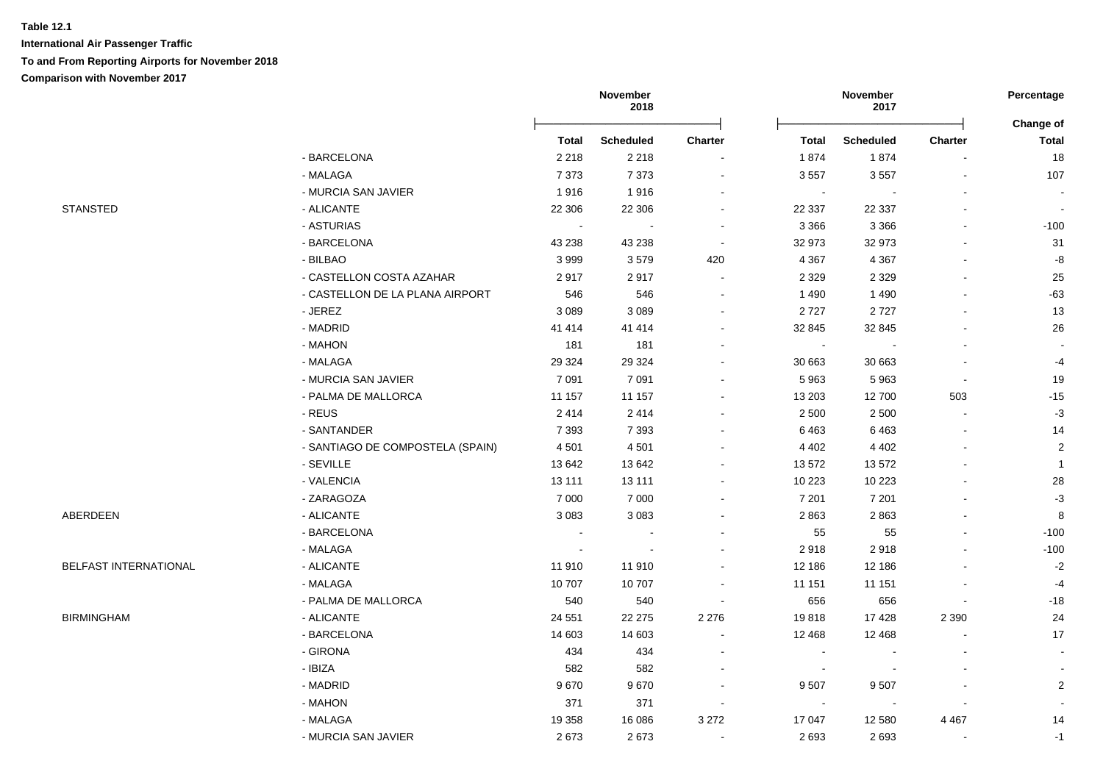**International Air Passenger Traffic To and From Reporting Airports for November 2018**

**Comparison with November 2017**

|                       |                                  | November<br>2018 |                          |                          |                          | November<br>2017 |                | Percentage                |
|-----------------------|----------------------------------|------------------|--------------------------|--------------------------|--------------------------|------------------|----------------|---------------------------|
|                       |                                  | <b>Total</b>     | <b>Scheduled</b>         | Charter                  | <b>Total</b>             | <b>Scheduled</b> | <b>Charter</b> | Change of<br><b>Total</b> |
|                       | - BARCELONA                      | 2 2 1 8          | 2 2 1 8                  |                          | 1874                     | 1874             |                | 18                        |
|                       | - MALAGA                         | 7 3 7 3          | 7 3 7 3                  |                          | 3 5 5 7                  | 3557             |                | 107                       |
|                       | - MURCIA SAN JAVIER              | 1916             | 1916                     |                          | $\sim$                   |                  |                | $\sim$                    |
| <b>STANSTED</b>       | - ALICANTE                       | 22 306           | 22 30 6                  | $\sim$                   | 22 337                   | 22 3 37          |                | $\sim$                    |
|                       | - ASTURIAS                       | $\sim$           | $\overline{\phantom{a}}$ | $\sim$                   | 3 3 6 6                  | 3 3 6 6          |                | $-100$                    |
|                       | - BARCELONA                      | 43 238           | 43 238                   | $\sim$                   | 32 973                   | 32 973           |                | 31                        |
|                       | - BILBAO                         | 3999             | 3579                     | 420                      | 4 3 6 7                  | 4 3 6 7          |                | $\textnormal{-}8$         |
|                       | - CASTELLON COSTA AZAHAR         | 2917             | 2917                     | $\blacksquare$           | 2 3 2 9                  | 2 3 2 9          |                | 25                        |
|                       | - CASTELLON DE LA PLANA AIRPORT  | 546              | 546                      | $\overline{\phantom{a}}$ | 1 4 9 0                  | 1 4 9 0          |                | $-63$                     |
|                       | - JEREZ                          | 3 0 8 9          | 3 0 8 9                  |                          | 2727                     | 2727             |                | 13                        |
|                       | - MADRID                         | 41 4 14          | 41 4 14                  | $\overline{\phantom{a}}$ | 32 845                   | 32 845           |                | $26\,$                    |
|                       | - MAHON                          | 181              | 181                      |                          | $\blacksquare$           |                  |                |                           |
|                       | - MALAGA                         | 29 324           | 29 3 24                  |                          | 30 663                   | 30 663           |                | $-4$                      |
|                       | - MURCIA SAN JAVIER              | 7 0 9 1          | 7 0 9 1                  |                          | 5 9 6 3                  | 5963             |                | 19                        |
|                       | - PALMA DE MALLORCA              | 11 157           | 11 157                   |                          | 13 203                   | 12700            | 503            | $-15$                     |
|                       | - REUS                           | 2414             | 2 4 1 4                  |                          | 2 5 0 0                  | 2 5 0 0          |                | $-3$                      |
|                       | - SANTANDER                      | 7 3 9 3          | 7 3 9 3                  |                          | 6463                     | 6463             |                | 14                        |
|                       | - SANTIAGO DE COMPOSTELA (SPAIN) | 4 5 0 1          | 4 5 0 1                  |                          | 4 4 0 2                  | 4 4 0 2          |                | $\sqrt{2}$                |
|                       | - SEVILLE                        | 13 642           | 13 642                   |                          | 13 572                   | 13 572           |                | $\mathbf{1}$              |
|                       | - VALENCIA                       | 13 111           | 13 111                   |                          | 10 223                   | 10 223           |                | 28                        |
|                       | - ZARAGOZA                       | 7 0 0 0          | 7 0 0 0                  |                          | 7 2 0 1                  | 7 2 0 1          |                | $-3$                      |
| ABERDEEN              | - ALICANTE                       | 3 0 8 3          | 3 0 8 3                  |                          | 2863                     | 2863             |                | 8                         |
|                       | - BARCELONA                      | $\blacksquare$   |                          |                          | 55                       | 55               |                | $-100$                    |
|                       | - MALAGA                         | $\sim$           |                          |                          | 2918                     | 2918             |                | $-100$                    |
| BELFAST INTERNATIONAL | - ALICANTE                       | 11 910           | 11 910                   |                          | 12 186                   | 12 186           |                | $-2$                      |
|                       | - MALAGA                         | 10707            | 10707                    |                          | 11 151                   | 11 151           |                | $-4$                      |
|                       | - PALMA DE MALLORCA              | 540              | 540                      |                          | 656                      | 656              |                | $-18$                     |
| <b>BIRMINGHAM</b>     | - ALICANTE                       | 24 551           | 22 275                   | 2 2 7 6                  | 19818                    | 17 4 28          | 2 3 9 0        | 24                        |
|                       | - BARCELONA                      | 14 603           | 14 603                   |                          | 12 4 68                  | 12 4 68          |                | 17                        |
|                       | - GIRONA                         | 434              | 434                      | $\overline{\phantom{a}}$ | $\overline{\phantom{a}}$ |                  |                | $\blacksquare$            |
|                       | $-$ IBIZA                        | 582              | 582                      |                          | $\overline{\phantom{a}}$ |                  |                |                           |
|                       | - MADRID                         | 9670             | 9670                     |                          | 9507                     | 9507             |                | $\overline{2}$            |
|                       | - MAHON                          | 371              | 371                      | $\overline{\phantom{a}}$ | $\blacksquare$           | $\blacksquare$   |                |                           |
|                       | - MALAGA                         | 19 3 58          | 16 086                   | 3 2 7 2                  | 17 047                   | 12 580           | 4 4 6 7        | 14                        |
|                       | - MURCIA SAN JAVIER              | 2673             | 2673                     |                          | 2693                     | 2693             |                | $-1$                      |
|                       |                                  |                  |                          |                          |                          |                  |                |                           |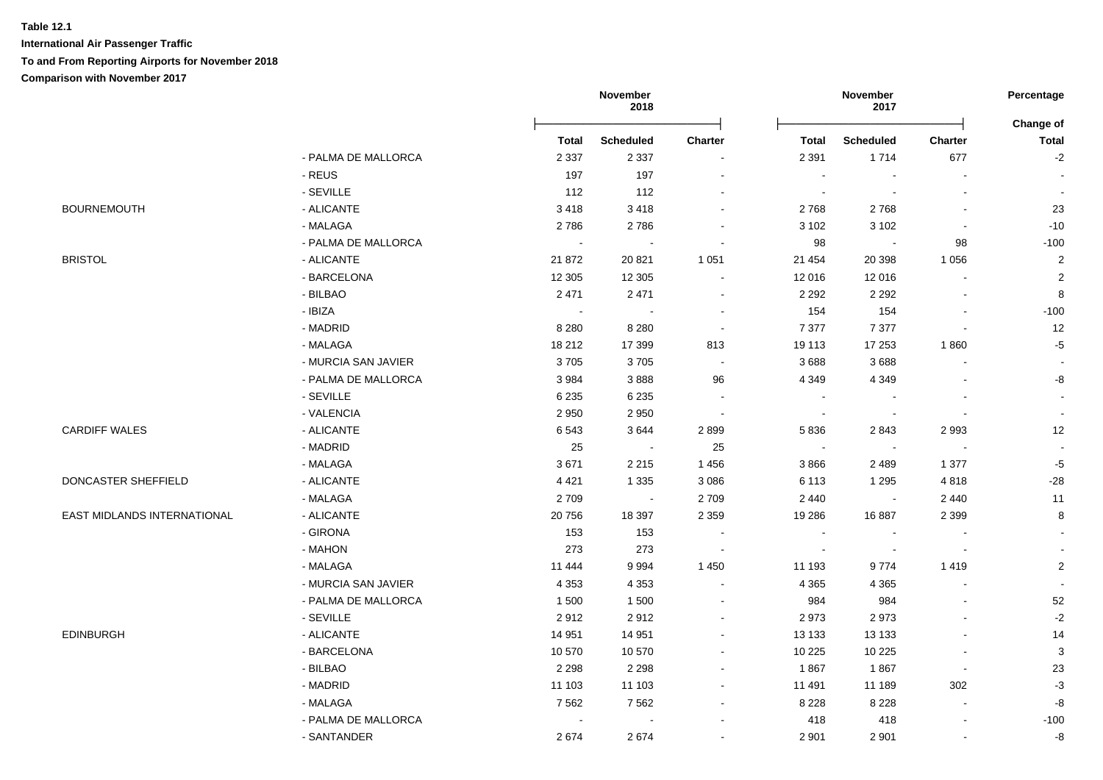**International Air Passenger Traffic**

**To and From Reporting Airports for November 2018**

|                             |                     |              | November<br>2018 |                |                          | November<br>2017 |                          | Percentage<br>Change of  |
|-----------------------------|---------------------|--------------|------------------|----------------|--------------------------|------------------|--------------------------|--------------------------|
|                             |                     | <b>Total</b> | <b>Scheduled</b> | Charter        | Total                    | <b>Scheduled</b> | Charter                  | <b>Total</b>             |
|                             | - PALMA DE MALLORCA | 2 3 3 7      | 2 3 3 7          |                | 2 3 9 1                  | 1714             | 677                      | $-2$                     |
|                             | - REUS              | 197          | 197              | $\blacksquare$ | $\sim$                   |                  |                          |                          |
|                             | - SEVILLE           | 112          | 112              | $\sim$         | $\sim$                   | $\blacksquare$   |                          | $\sim$                   |
| <b>BOURNEMOUTH</b>          | - ALICANTE          | 3418         | 3418             |                | 2768                     | 2768             | $\overline{a}$           | 23                       |
|                             | - MALAGA            | 2786         | 2786             |                | 3 1 0 2                  | 3 1 0 2          |                          | $-10$                    |
|                             | - PALMA DE MALLORCA | $\sim$       |                  |                | 98                       |                  | 98                       | $-100$                   |
| <b>BRISTOL</b>              | - ALICANTE          | 21 872       | 20 8 21          | 1 0 5 1        | 21 4 54                  | 20 398           | 1 0 5 6                  | $\overline{2}$           |
|                             | - BARCELONA         | 12 305       | 12 3 05          |                | 12 016                   | 12 016           |                          | $\overline{2}$           |
|                             | - BILBAO            | 2 4 7 1      | 2 4 7 1          | $\sim$         | 2 2 9 2                  | 2 2 9 2          |                          | $\,8\,$                  |
|                             | - IBIZA             | $\sim$       | $\sim$           | $\blacksquare$ | 154                      | 154              |                          | $-100$                   |
|                             | - MADRID            | 8 2 8 0      | 8 2 8 0          | $\sim$         | 7 3 7 7                  | 7 3 7 7          |                          | 12                       |
|                             | - MALAGA            | 18 212       | 17 399           | 813            | 19 113                   | 17 253           | 1860                     | $-5$                     |
|                             | - MURCIA SAN JAVIER | 3705         | 3705             | $\sim$         | 3688                     | 3688             |                          | $\overline{\phantom{a}}$ |
|                             | - PALMA DE MALLORCA | 3984         | 3888             | 96             | 4 3 4 9                  | 4 3 4 9          |                          | -8                       |
|                             | - SEVILLE           | 6 2 3 5      | 6 2 3 5          |                | $\sim$                   |                  |                          | $\sim$                   |
|                             | - VALENCIA          | 2 9 5 0      | 2950             | $\sim$         |                          |                  |                          | $\sim$                   |
| <b>CARDIFF WALES</b>        | - ALICANTE          | 6543         | 3644             | 2899           | 5836                     | 2843             | 2993                     | 12                       |
|                             | - MADRID            | 25           | $\sim$           | 25             | $\sim$                   | $\sim$           | ÷,                       | $\sim$                   |
|                             | - MALAGA            | 3671         | 2 2 1 5          | 1 4 5 6        | 3866                     | 2489             | 1 377                    | $-5$                     |
| DONCASTER SHEFFIELD         | - ALICANTE          | 4 4 2 1      | 1 3 3 5          | 3 0 8 6        | 6 1 1 3                  | 1 2 9 5          | 4818                     | $-28$                    |
|                             | - MALAGA            | 2709         | $\sim$           | 2 7 0 9        | 2 4 4 0                  | $\blacksquare$   | 2 4 4 0                  | 11                       |
| EAST MIDLANDS INTERNATIONAL | - ALICANTE          | 20756        | 18 397           | 2 3 5 9        | 19 28 6                  | 16887            | 2 3 9 9                  | 8                        |
|                             | - GIRONA            | 153          | 153              |                | $\overline{\phantom{a}}$ |                  |                          | $\blacksquare$           |
|                             | - MAHON             | 273          | 273              | $\sim$         | $\sim$                   | $\sim$           | $\overline{\phantom{a}}$ | $\sim$                   |
|                             | - MALAGA            | 11 444       | 9994             | 1 4 5 0        | 11 193                   | 9774             | 1419                     | $\overline{2}$           |
|                             | - MURCIA SAN JAVIER | 4 3 5 3      | 4 3 5 3          | $\blacksquare$ | 4 3 6 5                  | 4 3 6 5          |                          | $\sim$                   |
|                             | - PALMA DE MALLORCA | 1500         | 1500             | $\sim$         | 984                      | 984              |                          | 52                       |
|                             | - SEVILLE           | 2912         | 2912             | $\blacksquare$ | 2973                     | 2973             |                          | $-2$                     |
| <b>EDINBURGH</b>            | - ALICANTE          | 14 951       | 14 951           | $\blacksquare$ | 13 133                   | 13 133           | $\sim$                   | 14                       |
|                             | - BARCELONA         | 10 570       | 10 570           | $\blacksquare$ | 10 225                   | 10 225           | $\overline{a}$           | $\mathbf{3}$             |
|                             | - BILBAO            | 2 2 9 8      | 2 2 9 8          |                | 1867                     | 1867             | $\sim$                   | 23                       |
|                             | - MADRID            | 11 103       | 11 103           | $\blacksquare$ | 11 491                   | 11 189           | 302                      | $-3$                     |
|                             | - MALAGA            | 7562         | 7562             | $\blacksquare$ | 8 2 2 8                  | 8 2 2 8          | $\blacksquare$           | $\textnormal{-}8$        |
|                             | - PALMA DE MALLORCA | $\sim$       |                  |                | 418                      | 418              | $\overline{\phantom{a}}$ | $-100$                   |
|                             | - SANTANDER         | 2674         | 2674             |                | 2 9 0 1                  | 2 9 0 1          |                          | -8                       |
|                             |                     |              |                  |                |                          |                  |                          |                          |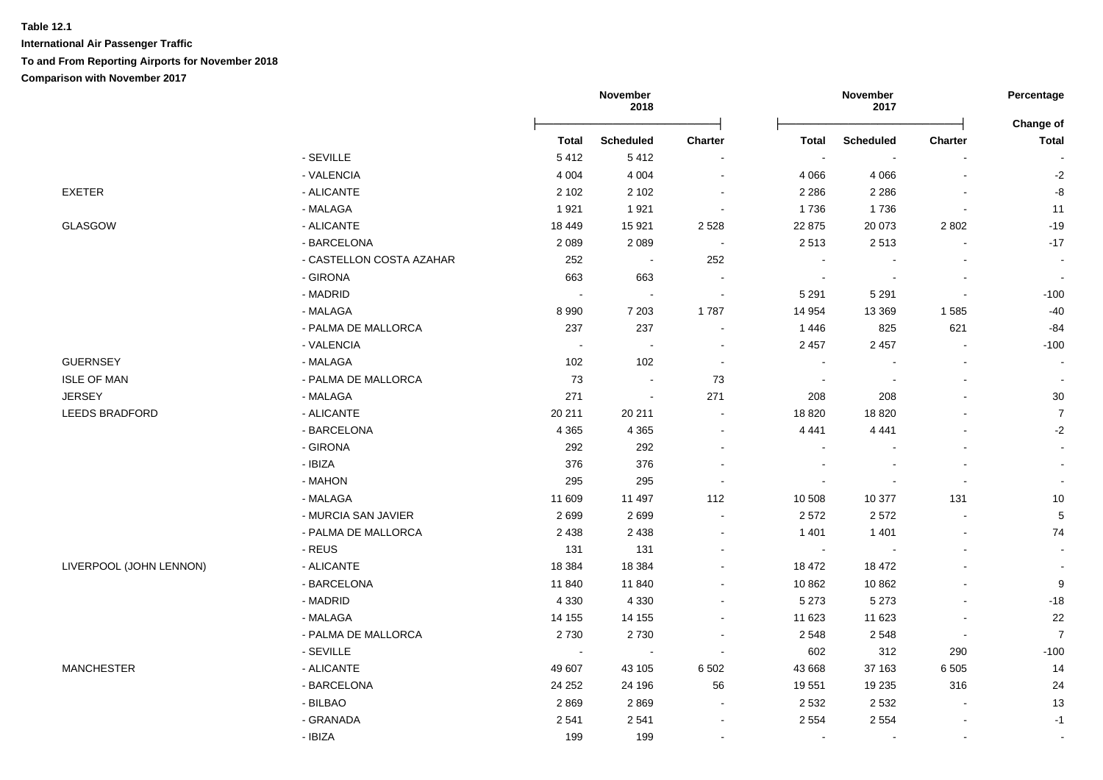**International Air Passenger Traffic To and From Reporting Airports for November 2018**

|                         |                          | November<br>2018 |                          |                            |              | November<br>2017 |                | Percentage<br>Change of  |  |
|-------------------------|--------------------------|------------------|--------------------------|----------------------------|--------------|------------------|----------------|--------------------------|--|
|                         |                          | <b>Total</b>     | <b>Scheduled</b>         | <b>Charter</b>             | <b>Total</b> | <b>Scheduled</b> | <b>Charter</b> | <b>Total</b>             |  |
|                         | - SEVILLE                | 5412             | 5412                     | $\sim$                     |              |                  |                |                          |  |
|                         | - VALENCIA               | 4 0 0 4          | 4 0 0 4                  | $\sim$                     | 4 0 6 6      | 4 0 6 6          | $\blacksquare$ | $-2$                     |  |
| <b>EXETER</b>           | - ALICANTE               | 2 1 0 2          | 2 1 0 2                  | $\sim$                     | 2 2 8 6      | 2 2 8 6          |                | $-8$                     |  |
|                         | - MALAGA                 | 1921             | 1921                     | $\overline{\phantom{a}}$   | 1736         | 1736             |                | 11                       |  |
| <b>GLASGOW</b>          | - ALICANTE               | 18 4 49          | 15 9 21                  | 2 5 2 8                    | 22 875       | 20 073           | 2 8 0 2        | $-19$                    |  |
|                         | - BARCELONA              | 2 0 8 9          | 2 0 8 9                  | $\sim$                     | 2513         | 2513             |                | $-17$                    |  |
|                         | - CASTELLON COSTA AZAHAR | 252              | $\sim$                   | 252                        |              |                  |                | $\sim$                   |  |
|                         | - GIRONA                 | 663              | 663                      | $\sim$                     | $\sim$       |                  | $\overline{a}$ | $\sim$                   |  |
|                         | - MADRID                 | $\sim$           | $\sim$                   | $\sim$                     | 5 2 9 1      | 5 2 9 1          | $\sim$         | $-100$                   |  |
|                         | - MALAGA                 | 8 9 9 0          | 7 2 0 3                  | 1787                       | 14 9 54      | 13 3 69          | 1585           | $-40$                    |  |
|                         | - PALMA DE MALLORCA      | 237              | 237                      | $\sim$                     | 1 4 4 6      | 825              | 621            | $-84$                    |  |
|                         | - VALENCIA               | $\sim$           | $\overline{\phantom{a}}$ | $\blacksquare$             | 2 4 5 7      | 2 4 5 7          | $\blacksquare$ | $-100$                   |  |
| <b>GUERNSEY</b>         | - MALAGA                 | 102              | 102                      | $\sim$                     |              |                  | ä,             | $\sim$                   |  |
| <b>ISLE OF MAN</b>      | - PALMA DE MALLORCA      | 73               | $\blacksquare$           | 73                         |              |                  | L.             |                          |  |
| <b>JERSEY</b>           | - MALAGA                 | 271              | $\sim$                   | 271                        | 208          | 208              |                | $30\,$                   |  |
| <b>LEEDS BRADFORD</b>   | - ALICANTE               | 20 211           | 20 211                   | $\sim$                     | 18 8 20      | 18820            |                | $\overline{7}$           |  |
|                         | - BARCELONA              | 4 3 6 5          | 4 3 6 5                  | $\sim$                     | 4 4 4 1      | 4 4 4 1          |                | $-2$                     |  |
|                         | - GIRONA                 | 292              | 292                      | $\blacksquare$             |              |                  | ä,             | $\mathbf{r}$             |  |
|                         | - IBIZA                  | 376              | 376                      | $\blacksquare$             |              |                  |                |                          |  |
|                         | - MAHON                  | 295              | 295                      | $\blacksquare$             |              |                  |                |                          |  |
|                         | - MALAGA                 | 11 609           | 11 497                   | 112                        | 10 508       | 10 377           | 131            | $10$                     |  |
|                         | - MURCIA SAN JAVIER      | 2699             | 2699                     | $\sim$                     | 2572         | 2572             |                | $\,$ 5 $\,$              |  |
|                         | - PALMA DE MALLORCA      | 2 4 3 8          | 2 4 3 8                  | $\sim$                     | 1 4 0 1      | 1 4 0 1          | $\blacksquare$ | 74                       |  |
|                         | - REUS                   | 131              | 131                      | $\sim$                     | $\sim$       |                  | $\overline{a}$ | $\sim$                   |  |
| LIVERPOOL (JOHN LENNON) | - ALICANTE               | 18 3 84          | 18 3 84                  | $\blacksquare$             | 18 472       | 18 472           |                | $\overline{\phantom{a}}$ |  |
|                         | - BARCELONA              | 11 840           | 11 840                   | $\blacksquare$             | 10 862       | 10 862           |                | $\boldsymbol{9}$         |  |
|                         | - MADRID                 | 4 3 3 0          | 4 3 3 0                  | $\blacksquare$             | 5 2 7 3      | 5 2 7 3          | $\blacksquare$ | $-18$                    |  |
|                         | - MALAGA                 | 14 155           | 14 155                   | $\blacksquare$             | 11 623       | 11 623           | ä,             | 22                       |  |
|                         | - PALMA DE MALLORCA      | 2730             | 2730                     | $\blacksquare$             | 2 5 4 8      | 2548             | $\blacksquare$ | $\overline{7}$           |  |
|                         | - SEVILLE                | $\sim$           | $\sim$                   | $\sim$                     | 602          | 312              | 290            | $-100$                   |  |
| <b>MANCHESTER</b>       | - ALICANTE               | 49 607           | 43 105                   | 6 5 0 2                    | 43 668       | 37 163           | 6 5 0 5        | 14                       |  |
|                         | - BARCELONA              | 24 25 2          | 24 196                   | 56                         | 19 551       | 19 235           | 316            | 24                       |  |
|                         | - BILBAO                 | 2869             | 2869                     | $\mathcal{L}_{\mathbf{r}}$ | 2 5 3 2      | 2 5 3 2          | $\mathbf{r}$   | 13                       |  |
|                         | - GRANADA                | 2541             | 2541                     | $\blacksquare$             | 2 5 5 4      | 2 5 5 4          | $\blacksquare$ | $-1$                     |  |
|                         | - IBIZA                  | 199              | 199                      | $\blacksquare$             | $\sim$       |                  | ä,             |                          |  |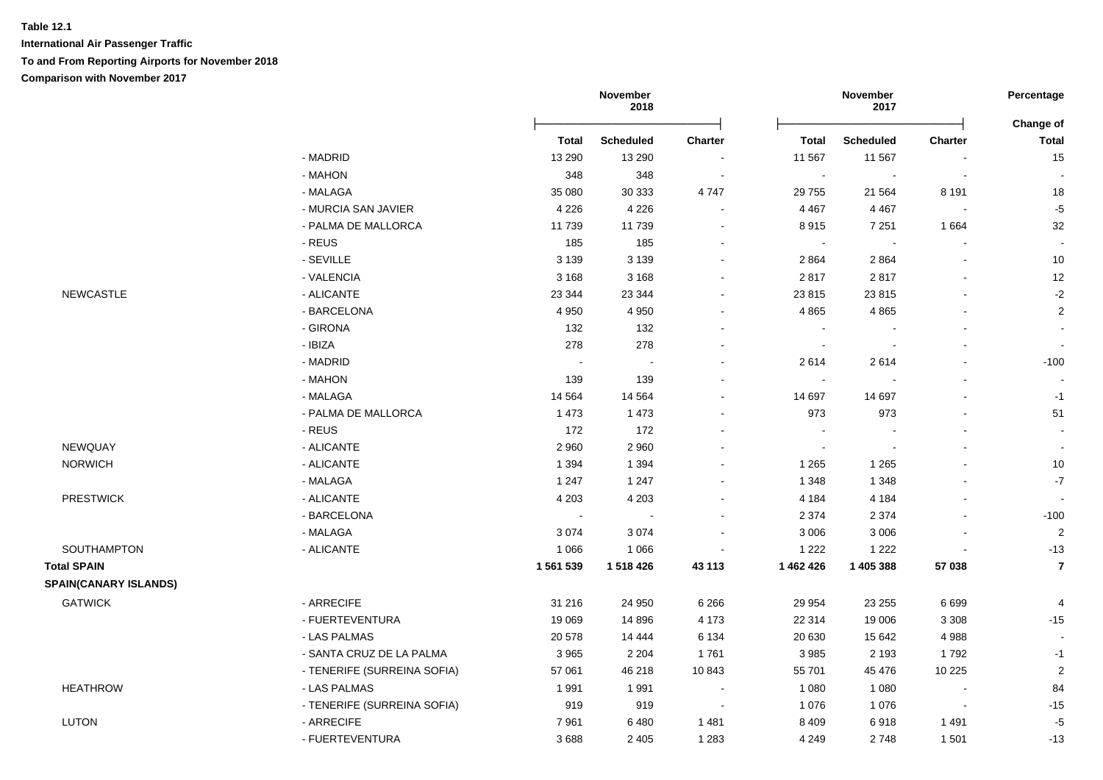**International Air Passenger Traffic**

**To and From Reporting Airports for November 2018**

**Comparison with November 2017**

|                              |                             | November<br>2018 |                  |                          | November<br>2017 |                          | Percentage               |                           |
|------------------------------|-----------------------------|------------------|------------------|--------------------------|------------------|--------------------------|--------------------------|---------------------------|
|                              |                             | <b>Total</b>     | <b>Scheduled</b> | <b>Charter</b>           | Total            | <b>Scheduled</b>         | <b>Charter</b>           | Change of<br><b>Total</b> |
|                              | - MADRID                    | 13 290           | 13 290           | $\sim$                   | 11 567           | 11 567                   |                          | 15                        |
|                              | - MAHON                     | 348              | 348              | $\sim$                   | $\sim$           | $\overline{\phantom{a}}$ | $\overline{\phantom{a}}$ |                           |
|                              | - MALAGA                    | 35 080           | 30 333           | 4747                     | 29 755           | 21 5 64                  | 8 1 9 1                  | $18$                      |
|                              | - MURCIA SAN JAVIER         | 4 2 2 6          | 4 2 2 6          | $\blacksquare$           | 4 4 6 7          | 4 4 6 7                  | $\blacksquare$           | $-5$                      |
|                              | - PALMA DE MALLORCA         | 11739            | 11 739           | $\overline{\phantom{a}}$ | 8915             | 7 2 5 1                  | 1664                     | 32                        |
|                              | - REUS                      | 185              | 185              |                          | $\sim$           | $\overline{\phantom{a}}$ |                          |                           |
|                              | - SEVILLE                   | 3 1 3 9          | 3 1 3 9          | $\blacksquare$           | 2 8 6 4          | 2864                     | $\blacksquare$           | 10                        |
|                              | - VALENCIA                  | 3 1 6 8          | 3 1 6 8          | $\sim$                   | 2817             | 2817                     | $\blacksquare$           | 12                        |
| <b>NEWCASTLE</b>             | - ALICANTE                  | 23 344           | 23 344           | $\overline{\phantom{a}}$ | 23 815           | 23815                    |                          | $-2$                      |
|                              | - BARCELONA                 | 4 9 5 0          | 4 9 5 0          | $\overline{\phantom{a}}$ | 4 8 6 5          | 4 8 6 5                  |                          | $\overline{2}$            |
|                              | - GIRONA                    | 132              | 132              | $\overline{\phantom{a}}$ |                  |                          |                          |                           |
|                              | - IBIZA                     | 278              | 278              |                          |                  |                          |                          |                           |
|                              | - MADRID                    |                  |                  |                          | 2614             | 2614                     |                          | $-100$                    |
|                              | - MAHON                     | 139              | 139              |                          |                  |                          |                          |                           |
|                              | - MALAGA                    | 14 5 64          | 14 5 64          | $\blacksquare$           | 14 697           | 14 697                   |                          | $-1$                      |
|                              | - PALMA DE MALLORCA         | 1 4 7 3          | 1 4 7 3          | $\sim$                   | 973              | 973                      |                          | 51                        |
|                              | - REUS                      | 172              | 172              | $\overline{a}$           |                  |                          |                          |                           |
| <b>NEWQUAY</b>               | - ALICANTE                  | 2 9 6 0          | 2 9 6 0          |                          | $\sim$           | $\blacksquare$           |                          |                           |
| <b>NORWICH</b>               | - ALICANTE                  | 1 3 9 4          | 1 3 9 4          |                          | 1 2 6 5          | 1 2 6 5                  |                          | $10$                      |
|                              | - MALAGA                    | 1 2 4 7          | 1 2 4 7          |                          | 1 3 4 8          | 1 3 4 8                  |                          | $-7$                      |
| <b>PRESTWICK</b>             | - ALICANTE                  | 4 2 0 3          | 4 2 0 3          |                          | 4 1 8 4          | 4 1 8 4                  |                          |                           |
|                              | - BARCELONA                 | $\sim$           | $\sim$           | $\blacksquare$           | 2 3 7 4          | 2 3 7 4                  | $\blacksquare$           | $-100$                    |
|                              | - MALAGA                    | 3074             | 3074             |                          | 3 0 0 6          | 3 0 0 6                  |                          | $\overline{2}$            |
| SOUTHAMPTON                  | - ALICANTE                  | 1 0 6 6          | 1 0 6 6          | $\overline{\phantom{a}}$ | 1 2 2 2          | 1 2 2 2                  |                          | $-13$                     |
| <b>Total SPAIN</b>           |                             | 1 561 539        | 1 518 426        | 43 113                   | 1 462 426        | 1 405 388                | 57 038                   | $\overline{7}$            |
| <b>SPAIN(CANARY ISLANDS)</b> |                             |                  |                  |                          |                  |                          |                          |                           |
| <b>GATWICK</b>               | - ARRECIFE                  | 31 216           | 24 950           | 6 2 6 6                  | 29 9 54          | 23 25 5                  | 6699                     | $\overline{4}$            |
|                              | - FUERTEVENTURA             | 19 069           | 14 8 96          | 4 1 7 3                  | 22 314           | 19 006                   | 3 3 0 8                  | $-15$                     |
|                              | - LAS PALMAS                | 20 578           | 14 444           | 6 1 3 4                  | 20 630           | 15 642                   | 4988                     |                           |
|                              | - SANTA CRUZ DE LA PALMA    | 3965             | 2 2 0 4          | 1761                     | 3 9 8 5          | 2 1 9 3                  | 1792                     | $-1$                      |
|                              | - TENERIFE (SURREINA SOFIA) | 57 061           | 46 218           | 10843                    | 55 701           | 45 476                   | 10 2 25                  | $\overline{2}$            |
| <b>HEATHROW</b>              | - LAS PALMAS                | 1991             | 1991             | $\overline{\phantom{a}}$ | 1 0 8 0          | 1 0 8 0                  | L,                       | 84                        |
|                              | - TENERIFE (SURREINA SOFIA) | 919              | 919              | $\overline{\phantom{a}}$ | 1 0 7 6          | 1 0 7 6                  | $\blacksquare$           | $-15$                     |
| LUTON                        | - ARRECIFE                  | 7961             | 6480             | 1481                     | 8 4 0 9          | 6918                     | 1491                     | $-5$                      |
|                              | - FUERTEVENTURA             | 3688             | 2 4 0 5          | 1 2 8 3                  | 4 2 4 9          | 2748                     | 1501                     | $-13$                     |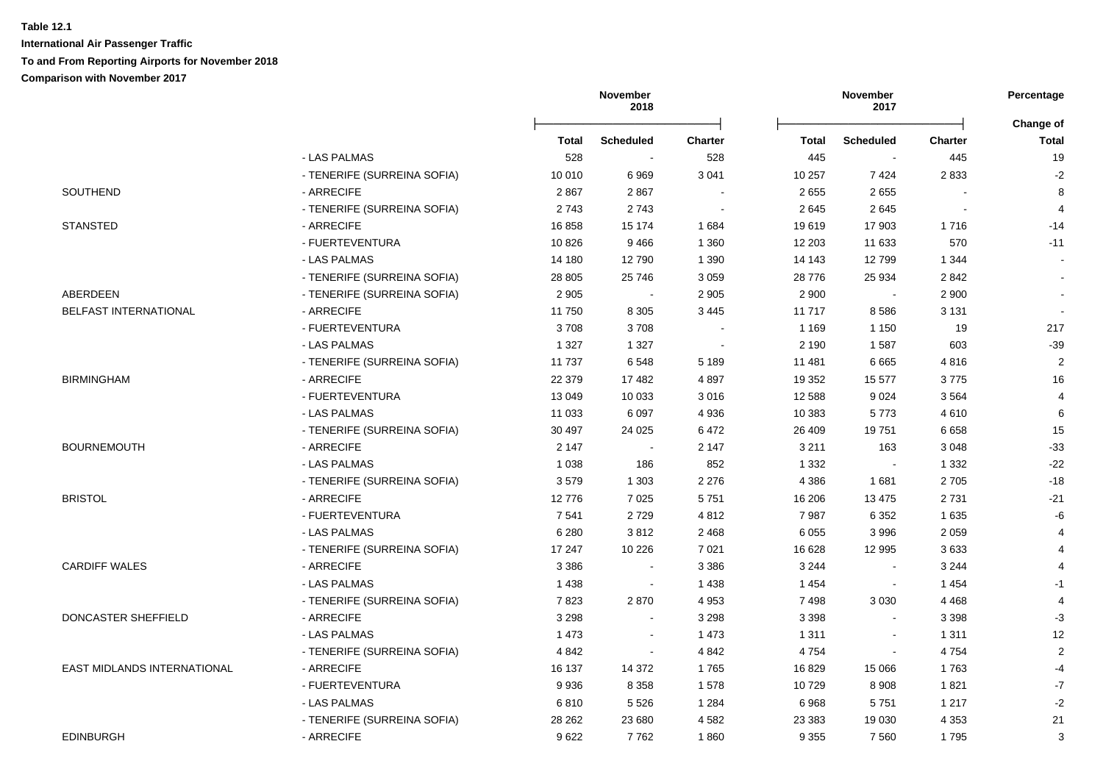|                             |                             | November<br>2018 |                  |                | November<br>2017 |                  |                |                    |
|-----------------------------|-----------------------------|------------------|------------------|----------------|------------------|------------------|----------------|--------------------|
|                             |                             | Total            | <b>Scheduled</b> | <b>Charter</b> | Total            | <b>Scheduled</b> | <b>Charter</b> | Change of<br>Total |
|                             | - LAS PALMAS                | 528              |                  | 528            | 445              |                  | 445            | 19                 |
|                             | - TENERIFE (SURREINA SOFIA) | 10 010           | 6969             | 3 0 4 1        | 10 257           | 7424             | 2833           | $-2$               |
| SOUTHEND                    | - ARRECIFE                  | 2867             | 2867             |                | 2655             | 2655             |                | 8                  |
|                             | - TENERIFE (SURREINA SOFIA) | 2743             | 2743             |                | 2645             | 2645             |                | 4                  |
| <b>STANSTED</b>             | - ARRECIFE                  | 16858            | 15 174           | 1684           | 19619            | 17 903           | 1716           | $-14$              |
|                             | - FUERTEVENTURA             | 10826            | 9466             | 1 3 6 0        | 12 203           | 11 633           | 570            | $-11$              |
|                             | - LAS PALMAS                | 14 180           | 12790            | 1 3 9 0        | 14 143           | 12799            | 1 3 4 4        |                    |
|                             | - TENERIFE (SURREINA SOFIA) | 28 805           | 25 746           | 3 0 5 9        | 28 776           | 25 934           | 2842           |                    |
| ABERDEEN                    | - TENERIFE (SURREINA SOFIA) | 2 9 0 5          | $\sim$           | 2 9 0 5        | 2 9 0 0          |                  | 2 9 0 0        |                    |
| BELFAST INTERNATIONAL       | - ARRECIFE                  | 11750            | 8 3 0 5          | 3 4 4 5        | 11717            | 8586             | 3 1 3 1        |                    |
|                             | - FUERTEVENTURA             | 3708             | 3708             |                | 1 1 6 9          | 1 1 5 0          | 19             | 217                |
|                             | - LAS PALMAS                | 1 3 2 7          | 1 3 2 7          |                | 2 1 9 0          | 1587             | 603            | $-39$              |
|                             | - TENERIFE (SURREINA SOFIA) | 11 737           | 6548             | 5 1 8 9        | 11 481           | 6665             | 4816           | $\overline{2}$     |
| <b>BIRMINGHAM</b>           | - ARRECIFE                  | 22 379           | 17482            | 4897           | 19 352           | 15 577           | 3775           | 16                 |
|                             | - FUERTEVENTURA             | 13 049           | 10 0 33          | 3 0 16         | 12 588           | 9024             | 3564           | 4                  |
|                             | - LAS PALMAS                | 11 033           | 6 0 9 7          | 4 9 3 6        | 10 383           | 5773             | 4610           | $\,6\,$            |
|                             | - TENERIFE (SURREINA SOFIA) | 30 497           | 24 0 25          | 6472           | 26 409           | 19751            | 6658           | 15                 |
| <b>BOURNEMOUTH</b>          | - ARRECIFE                  | 2 1 4 7          | $\blacksquare$   | 2 1 4 7        | 3 2 1 1          | 163              | 3 0 4 8        | $-33$              |
|                             | - LAS PALMAS                | 1 0 3 8          | 186              | 852            | 1 3 3 2          |                  | 1 3 3 2        | $-22$              |
|                             | - TENERIFE (SURREINA SOFIA) | 3579             | 1 3 0 3          | 2 2 7 6        | 4 3 8 6          | 1681             | 2705           | $-18$              |
| <b>BRISTOL</b>              | - ARRECIFE                  | 12776            | 7 0 2 5          | 5751           | 16 20 6          | 13 4 75          | 2731           | $-21$              |
|                             | - FUERTEVENTURA             | 7541             | 2729             | 4 8 1 2        | 7987             | 6 3 5 2          | 1635           | -6                 |
|                             | - LAS PALMAS                | 6 2 8 0          | 3812             | 2 4 6 8        | 6 0 5 5          | 3 9 9 6          | 2 0 5 9        | 4                  |
|                             | - TENERIFE (SURREINA SOFIA) | 17 247           | 10 2 26          | 7 0 21         | 16 628           | 12 995           | 3633           | 4                  |
| <b>CARDIFF WALES</b>        | - ARRECIFE                  | 3 3 8 6          |                  | 3 3 8 6        | 3 2 4 4          |                  | 3 2 4 4        |                    |
|                             | - LAS PALMAS                | 1 4 3 8          | $\blacksquare$   | 1 4 3 8        | 1454             |                  | 1454           | $-1$               |
|                             | - TENERIFE (SURREINA SOFIA) | 7823             | 2870             | 4 9 5 3        | 7498             | 3 0 3 0          | 4 4 6 8        | $\overline{4}$     |
| DONCASTER SHEFFIELD         | - ARRECIFE                  | 3 2 9 8          | $\sim$           | 3 2 9 8        | 3 3 9 8          | $\sim$           | 3 3 9 8        | $-3$               |
|                             | - LAS PALMAS                | 1 4 7 3          | $\blacksquare$   | 1 473          | 1 3 1 1          | $\mathbf{r}$     | 1 3 1 1        | 12                 |
|                             | - TENERIFE (SURREINA SOFIA) | 4 8 4 2          | $\blacksquare$   | 4 8 4 2        | 4754             | $\blacksquare$   | 4754           | $\sqrt{2}$         |
| EAST MIDLANDS INTERNATIONAL | - ARRECIFE                  | 16 137           | 14 372           | 1765           | 16829            | 15 0 66          | 1763           | $-4$               |
|                             | - FUERTEVENTURA             | 9936             | 8 3 5 8          | 1578           | 10729            | 8908             | 1821           | $-7$               |
|                             | - LAS PALMAS                | 6810             | 5 5 2 6          | 1 2 8 4        | 6968             | 5751             | 1 2 1 7        | $-2$               |
|                             | - TENERIFE (SURREINA SOFIA) | 28 262           | 23 680           | 4582           | 23 383           | 19 0 30          | 4 3 5 3        | 21                 |
| <b>EDINBURGH</b>            | - ARRECIFE                  | 9622             | 7762             | 1860           | 9 3 5 5          | 7560             | 1795           | 3                  |
|                             |                             |                  |                  |                |                  |                  |                |                    |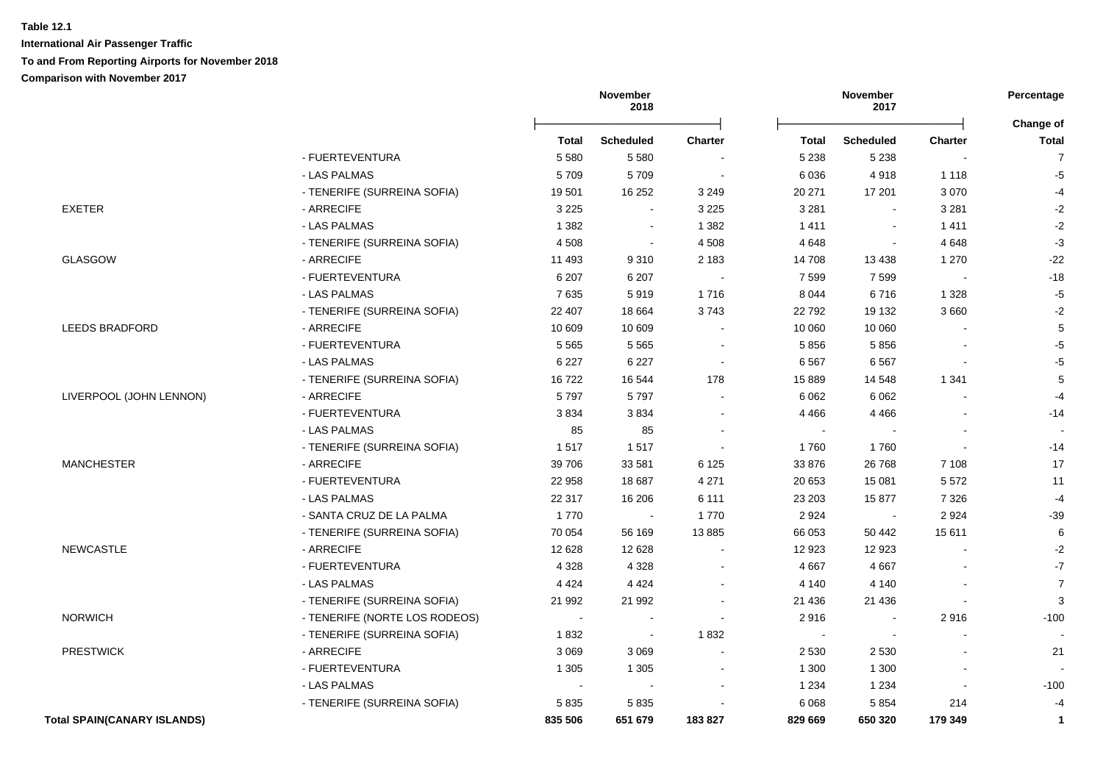**International Air Passenger Traffic**

### **To and From Reporting Airports for November 2018**

|                                    |                               |         | November<br>2018 |                          |         | November<br>2017 |                | Percentage                |
|------------------------------------|-------------------------------|---------|------------------|--------------------------|---------|------------------|----------------|---------------------------|
|                                    |                               | Total   | <b>Scheduled</b> | <b>Charter</b>           | Total   | <b>Scheduled</b> | <b>Charter</b> | Change of<br><b>Total</b> |
|                                    | - FUERTEVENTURA               | 5 5 8 0 | 5 5 8 0          |                          | 5 2 3 8 | 5 2 3 8          |                | $\overline{7}$            |
|                                    | - LAS PALMAS                  | 5709    | 5709             | $\sim$                   | 6 0 36  | 4918             | 1 1 1 8        | $-5$                      |
|                                    | - TENERIFE (SURREINA SOFIA)   | 19501   | 16 25 2          | 3 2 4 9                  | 20 271  | 17 201           | 3 0 7 0        | $-4$                      |
| <b>EXETER</b>                      | - ARRECIFE                    | 3 2 2 5 | $\sim$           | 3 2 2 5                  | 3 2 8 1 | $\sim$           | 3 2 8 1        | $-2$                      |
|                                    | - LAS PALMAS                  | 1 3 8 2 | $\sim$           | 1 3 8 2                  | 1411    | $\sim$           | 1411           | $-2$                      |
|                                    | - TENERIFE (SURREINA SOFIA)   | 4508    | $\blacksquare$   | 4 5 0 8                  | 4648    | $\sim$           | 4648           | $-3$                      |
| <b>GLASGOW</b>                     | - ARRECIFE                    | 11 493  | 9310             | 2 1 8 3                  | 14 708  | 13 4 38          | 1 2 7 0        | $-22$                     |
|                                    | - FUERTEVENTURA               | 6 207   | 6 207            | $\sim$                   | 7 5 9 9 | 7599             | $\sim$         | $-18$                     |
|                                    | - LAS PALMAS                  | 7635    | 5919             | 1716                     | 8 0 4 4 | 6716             | 1 3 2 8        | $-5$                      |
|                                    | - TENERIFE (SURREINA SOFIA)   | 22 407  | 18 6 64          | 3743                     | 22 792  | 19 132           | 3660           | $-2$                      |
| <b>LEEDS BRADFORD</b>              | - ARRECIFE                    | 10 609  | 10 609           |                          | 10 060  | 10 060           |                | 5                         |
|                                    | - FUERTEVENTURA               | 5 5 6 5 | 5565             |                          | 5856    | 5856             |                | $-5$                      |
|                                    | - LAS PALMAS                  | 6 2 2 7 | 6 2 2 7          | $\overline{\phantom{a}}$ | 6 5 67  | 6567             |                | $-5$                      |
|                                    | - TENERIFE (SURREINA SOFIA)   | 16722   | 16 544           | 178                      | 15 889  | 14 548           | 1 3 4 1        | 5                         |
| LIVERPOOL (JOHN LENNON)            | - ARRECIFE                    | 5797    | 5797             |                          | 6 0 62  | 6 0 62           |                | $-4$                      |
|                                    | - FUERTEVENTURA               | 3834    | 3834             |                          | 4 4 6 6 | 4 4 6 6          |                | $-14$                     |
|                                    | - LAS PALMAS                  | 85      | 85               |                          | $\sim$  |                  |                |                           |
|                                    | - TENERIFE (SURREINA SOFIA)   | 1517    | 1517             |                          | 1760    | 1760             | ÷,             | $-14$                     |
| <b>MANCHESTER</b>                  | - ARRECIFE                    | 39 706  | 33 581           | 6 1 2 5                  | 33 876  | 26 7 68          | 7 1 0 8        | 17                        |
|                                    | - FUERTEVENTURA               | 22 958  | 18 687           | 4 2 7 1                  | 20 653  | 15 081           | 5572           | 11                        |
|                                    | - LAS PALMAS                  | 22 317  | 16 206           | 6 1 1 1                  | 23 203  | 15877            | 7 3 2 6        | $-4$                      |
|                                    | - SANTA CRUZ DE LA PALMA      | 1770    | $\sim$           | 1770                     | 2 9 2 4 | $\sim$           | 2924           | $-39$                     |
|                                    | - TENERIFE (SURREINA SOFIA)   | 70 054  | 56 169           | 13885                    | 66 053  | 50 442           | 15611          | 6                         |
| <b>NEWCASTLE</b>                   | - ARRECIFE                    | 12 6 28 | 12 6 28          |                          | 12 923  | 12 923           |                | $-2$                      |
|                                    | - FUERTEVENTURA               | 4 3 2 8 | 4 3 2 8          |                          | 4 6 67  | 4 6 6 7          |                | $-7$                      |
|                                    | - LAS PALMAS                  | 4 4 2 4 | 4 4 2 4          |                          | 4 140   | 4 1 4 0          |                | $\overline{7}$            |
|                                    | - TENERIFE (SURREINA SOFIA)   | 21 992  | 21 992           |                          | 21 4 36 | 21 4 36          |                | 3                         |
| <b>NORWICH</b>                     | - TENERIFE (NORTE LOS RODEOS) |         |                  |                          | 2916    |                  | 2916           | $-100$                    |
|                                    | - TENERIFE (SURREINA SOFIA)   | 1832    | $\sim$           | 1832                     |         |                  |                |                           |
| <b>PRESTWICK</b>                   | - ARRECIFE                    | 3 0 6 9 | 3 0 6 9          |                          | 2 5 3 0 | 2 5 3 0          |                | 21                        |
|                                    | - FUERTEVENTURA               | 1 3 0 5 | 1 3 0 5          |                          | 1 300   | 1 300            |                |                           |
|                                    | - LAS PALMAS                  |         |                  |                          | 1 2 3 4 | 1 2 3 4          |                | $-100$                    |
|                                    | - TENERIFE (SURREINA SOFIA)   | 5835    | 5835             |                          | 6 0 68  | 5 8 5 4          | 214            | $-4$                      |
| <b>Total SPAIN(CANARY ISLANDS)</b> |                               | 835 506 | 651 679          | 183827                   | 829 669 | 650 320          | 179 349        | $\mathbf{1}$              |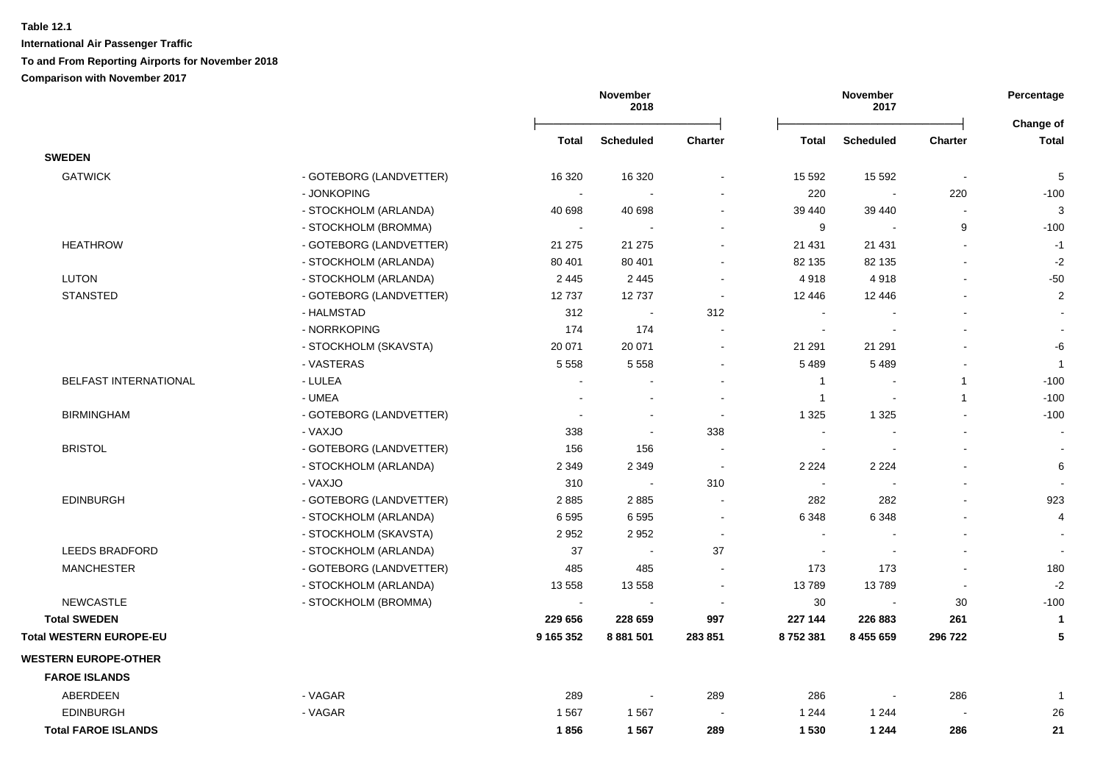|                                |                         |              | November<br>2018         |                          |                          | November<br>2017 |              | Percentage<br>Change of  |
|--------------------------------|-------------------------|--------------|--------------------------|--------------------------|--------------------------|------------------|--------------|--------------------------|
|                                |                         | <b>Total</b> | <b>Scheduled</b>         | <b>Charter</b>           | <b>Total</b>             | <b>Scheduled</b> | Charter      | <b>Total</b>             |
| <b>SWEDEN</b>                  |                         |              |                          |                          |                          |                  |              |                          |
| <b>GATWICK</b>                 | - GOTEBORG (LANDVETTER) | 16 3 20      | 16 3 20                  |                          | 15 592                   | 15 5 9 2         |              | $\sqrt{5}$               |
|                                | - JONKOPING             |              |                          |                          | 220                      |                  | 220          | $-100$                   |
|                                | - STOCKHOLM (ARLANDA)   | 40 698       | 40 698                   |                          | 39 440                   | 39 440           |              | 3                        |
|                                | - STOCKHOLM (BROMMA)    | $\sim$       |                          |                          | 9                        | $\sim$           | 9            | $-100$                   |
| <b>HEATHROW</b>                | - GOTEBORG (LANDVETTER) | 21 275       | 21 275                   |                          | 21 431                   | 21 4 31          |              | $-1$                     |
|                                | - STOCKHOLM (ARLANDA)   | 80 401       | 80 401                   |                          | 82 135                   | 82 135           |              | $-2$                     |
| <b>LUTON</b>                   | - STOCKHOLM (ARLANDA)   | 2 4 4 5      | 2 4 4 5                  | $\blacksquare$           | 4918                     | 4918             |              | $-50$                    |
| <b>STANSTED</b>                | - GOTEBORG (LANDVETTER) | 12737        | 12737                    | $\blacksquare$           | 12 446                   | 12 446           |              | $\sqrt{2}$               |
|                                | - HALMSTAD              | 312          | $\sim$                   | 312                      | $\blacksquare$           |                  |              | $\overline{\phantom{a}}$ |
|                                | - NORRKOPING            | 174          | 174                      | $\blacksquare$           | $\blacksquare$           |                  |              | $\blacksquare$           |
|                                | - STOCKHOLM (SKAVSTA)   | 20 071       | 20 071                   | $\blacksquare$           | 21 291                   | 21 291           |              | -6                       |
|                                | - VASTERAS              | 5 5 5 8      | 5 5 5 8                  | $\blacksquare$           | 5 4 8 9                  | 5 4 8 9          |              | $\overline{1}$           |
| BELFAST INTERNATIONAL          | - LULEA                 |              |                          |                          | $\mathbf{1}$             |                  | $\mathbf{1}$ | $-100$                   |
|                                | - UMEA                  |              |                          |                          | $\mathbf{1}$             | $\blacksquare$   | $\mathbf{1}$ | $-100$                   |
| <b>BIRMINGHAM</b>              | - GOTEBORG (LANDVETTER) |              |                          | $\blacksquare$           | 1 3 2 5                  | 1 3 2 5          |              | $-100$                   |
|                                | - VAXJO                 | 338          | $\blacksquare$           | 338                      | $\overline{\phantom{a}}$ |                  |              |                          |
| <b>BRISTOL</b>                 | - GOTEBORG (LANDVETTER) | 156          | 156                      |                          | $\overline{\phantom{a}}$ |                  |              | $\overline{\phantom{a}}$ |
|                                | - STOCKHOLM (ARLANDA)   | 2 3 4 9      | 2 3 4 9                  | $\sim$                   | 2 2 2 4                  | 2 2 2 4          |              | 6                        |
|                                | - VAXJO                 | 310          | $\sim$                   | 310                      | $\sim$                   |                  |              | $\sim$                   |
| <b>EDINBURGH</b>               | - GOTEBORG (LANDVETTER) | 2885         | 2885                     |                          | 282                      | 282              |              | 923                      |
|                                | - STOCKHOLM (ARLANDA)   | 6595         | 6595                     | $\blacksquare$           | 6 3 4 8                  | 6 3 4 8          |              | $\overline{4}$           |
|                                | - STOCKHOLM (SKAVSTA)   | 2952         | 2952                     |                          | $\sim$                   |                  |              | $\overline{\phantom{a}}$ |
| <b>LEEDS BRADFORD</b>          | - STOCKHOLM (ARLANDA)   | 37           | $\blacksquare$           | 37                       | $\sim$                   |                  |              |                          |
| <b>MANCHESTER</b>              | - GOTEBORG (LANDVETTER) | 485          | 485                      |                          | 173                      | 173              |              | 180                      |
|                                | - STOCKHOLM (ARLANDA)   | 13 558       | 13 558                   | $\overline{\phantom{a}}$ | 13789                    | 13789            |              | $-2$                     |
| <b>NEWCASTLE</b>               | - STOCKHOLM (BROMMA)    |              |                          |                          | 30                       |                  | 30           | $-100$                   |
| <b>Total SWEDEN</b>            |                         | 229 656      | 228 659                  | 997                      | 227 144                  | 226 883          | 261          | $\mathbf{1}$             |
| <b>Total WESTERN EUROPE-EU</b> |                         | 9 165 352    | 8 881 501                | 283 851                  | 8752381                  | 8 455 659        | 296 722      | 5                        |
| <b>WESTERN EUROPE-OTHER</b>    |                         |              |                          |                          |                          |                  |              |                          |
| <b>FAROE ISLANDS</b>           |                         |              |                          |                          |                          |                  |              |                          |
| ABERDEEN                       | - VAGAR                 | 289          | $\overline{\phantom{a}}$ | 289                      | 286                      |                  | 286          | $\overline{1}$           |
| <b>EDINBURGH</b>               | - VAGAR                 | 1567         | 1567                     |                          | 1 2 4 4                  | 1 2 4 4          |              | 26                       |
| <b>Total FAROE ISLANDS</b>     |                         | 1856         | 1567                     | 289                      | 1 5 3 0                  | 1 2 4 4          | 286          | 21                       |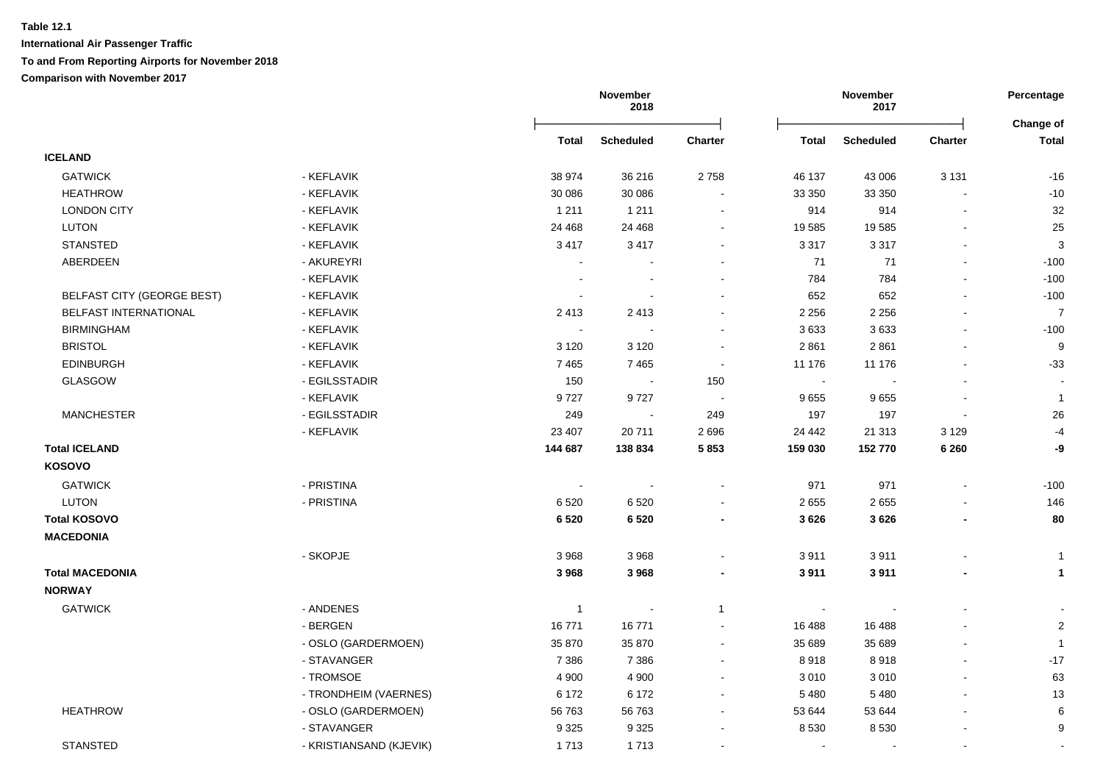|                                   |                         |                | November<br>2018 | November<br>2017 |              | Percentage<br>Change of |                          |                          |
|-----------------------------------|-------------------------|----------------|------------------|------------------|--------------|-------------------------|--------------------------|--------------------------|
|                                   |                         | <b>Total</b>   | <b>Scheduled</b> | <b>Charter</b>   | <b>Total</b> | <b>Scheduled</b>        | <b>Charter</b>           | <b>Total</b>             |
| <b>ICELAND</b>                    |                         |                |                  |                  |              |                         |                          |                          |
| <b>GATWICK</b>                    | - KEFLAVIK              | 38 974         | 36 216           | 2758             | 46 137       | 43 006                  | 3 1 3 1                  | $-16$                    |
| <b>HEATHROW</b>                   | - KEFLAVIK              | 30 086         | 30 086           | $\blacksquare$   | 33 350       | 33 350                  |                          | $-10$                    |
| <b>LONDON CITY</b>                | - KEFLAVIK              | 1 2 1 1        | 1 2 1 1          | $\overline{a}$   | 914          | 914                     | $\overline{\phantom{a}}$ | 32                       |
| LUTON                             | - KEFLAVIK              | 24 4 68        | 24 4 68          | $\blacksquare$   | 19 585       | 19585                   | $\blacksquare$           | 25                       |
| <b>STANSTED</b>                   | - KEFLAVIK              | 3417           | 3417             | $\blacksquare$   | 3 3 1 7      | 3 3 1 7                 |                          | $\mathbf{3}$             |
| ABERDEEN                          | - AKUREYRI              |                |                  |                  | 71           | 71                      |                          | $-100$                   |
|                                   | - KEFLAVIK              |                |                  |                  | 784          | 784                     |                          | $-100$                   |
| <b>BELFAST CITY (GEORGE BEST)</b> | - KEFLAVIK              |                |                  |                  | 652          | 652                     |                          | $-100$                   |
| BELFAST INTERNATIONAL             | - KEFLAVIK              | 2413           | 2413             |                  | 2 2 5 6      | 2 2 5 6                 |                          | $\overline{7}$           |
| <b>BIRMINGHAM</b>                 | - KEFLAVIK              | $\sim$         |                  |                  | 3633         | 3633                    |                          | $-100$                   |
| <b>BRISTOL</b>                    | - KEFLAVIK              | 3 1 2 0        | 3 1 2 0          | $\blacksquare$   | 2 8 6 1      | 2861                    |                          | 9                        |
| <b>EDINBURGH</b>                  | - KEFLAVIK              | 7 4 6 5        | 7465             | $\sim$           | 11 176       | 11 176                  |                          | $-33$                    |
| GLASGOW                           | - EGILSSTADIR           | 150            | $\sim$           | 150              | $\sim$       |                         |                          | $\overline{\phantom{a}}$ |
|                                   | - KEFLAVIK              | 9727           | 9727             | $\sim$           | 9655         | 9655                    |                          | $\mathbf{1}$             |
| <b>MANCHESTER</b>                 | - EGILSSTADIR           | 249            | $\sim$           | 249              | 197          | 197                     | $\blacksquare$           | 26                       |
|                                   | - KEFLAVIK              | 23 407         | 20711            | 2696             | 24 442       | 21 313                  | 3 1 2 9                  | $-4$                     |
| <b>Total ICELAND</b>              |                         | 144 687        | 138 834          | 5853             | 159 030      | 152 770                 | 6 2 6 0                  | -9                       |
| <b>KOSOVO</b>                     |                         |                |                  |                  |              |                         |                          |                          |
| <b>GATWICK</b>                    | - PRISTINA              | $\blacksquare$ |                  | $\blacksquare$   | 971          | 971                     |                          | $-100$                   |
| <b>LUTON</b>                      | - PRISTINA              | 6520           | 6520             |                  | 2 6 5 5      | 2655                    |                          | 146                      |
| <b>Total KOSOVO</b>               |                         | 6 5 20         | 6 5 20           | $\blacksquare$   | 3 6 2 6      | 3626                    |                          | 80                       |
| <b>MACEDONIA</b>                  |                         |                |                  |                  |              |                         |                          |                          |
|                                   | - SKOPJE                | 3 9 6 8        | 3 9 6 8          |                  | 3911         | 3911                    |                          | $\mathbf{1}$             |
| <b>Total MACEDONIA</b>            |                         | 3968           | 3968             |                  | 3911         | 3911                    |                          | $\mathbf{1}$             |
| <b>NORWAY</b>                     |                         |                |                  |                  |              |                         |                          |                          |
| <b>GATWICK</b>                    | - ANDENES               | $\overline{1}$ |                  | $\overline{1}$   | $\sim$       |                         |                          |                          |
|                                   | - BERGEN                | 16771          | 16771            |                  | 16 488       | 16 488                  |                          | $\sqrt{2}$               |
|                                   | - OSLO (GARDERMOEN)     | 35 870         | 35 870           |                  | 35 689       | 35 689                  |                          | $\mathbf{1}$             |
|                                   | - STAVANGER             | 7 3 8 6        | 7 3 8 6          | $\blacksquare$   | 8918         | 8918                    | $\overline{a}$           | $-17$                    |
|                                   | - TROMSOE               | 4 9 0 0        | 4 9 0 0          | $\blacksquare$   | 3 0 1 0      | 3 0 1 0                 | $\blacksquare$           | 63                       |
|                                   | - TRONDHEIM (VAERNES)   | 6 172          | 6 172            | $\blacksquare$   | 5 4 8 0      | 5 4 8 0                 |                          | 13                       |
| <b>HEATHROW</b>                   | - OSLO (GARDERMOEN)     | 56 763         | 56 763           | $\blacksquare$   | 53 644       | 53 644                  |                          | 6                        |
|                                   | - STAVANGER             | 9 3 2 5        | 9 3 2 5          |                  | 8 5 3 0      | 8530                    |                          | 9                        |
| <b>STANSTED</b>                   | - KRISTIANSAND (KJEVIK) | 1713           | 1713             |                  | $\sim$       |                         |                          |                          |
|                                   |                         |                |                  |                  |              |                         |                          |                          |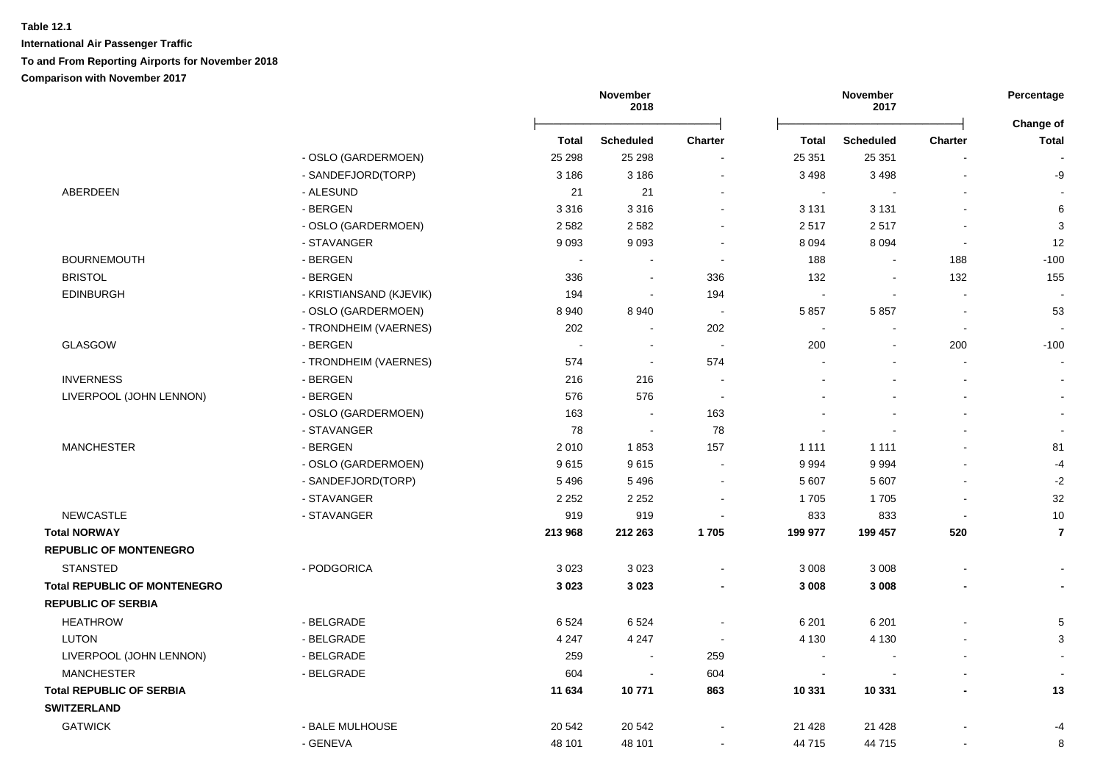|                                     |                         |         | November<br>2018 |                |                          | November<br>2017 |                | Percentage                |
|-------------------------------------|-------------------------|---------|------------------|----------------|--------------------------|------------------|----------------|---------------------------|
|                                     |                         | Total   | <b>Scheduled</b> | <b>Charter</b> | <b>Total</b>             | <b>Scheduled</b> | <b>Charter</b> | Change of<br><b>Total</b> |
|                                     | - OSLO (GARDERMOEN)     | 25 298  | 25 298           |                | 25 351                   | 25 351           |                |                           |
|                                     | - SANDEFJORD(TORP)      | 3 1 8 6 | 3 1 8 6          | $\blacksquare$ | 3 4 9 8                  | 3 4 9 8          |                | -9                        |
| ABERDEEN                            | - ALESUND               | 21      | 21               | $\sim$         | $\sim$                   |                  |                | $\sim$                    |
|                                     | - BERGEN                | 3316    | 3 3 1 6          | $\sim$         | 3 1 3 1                  | 3 1 3 1          |                | $\,6$                     |
|                                     | - OSLO (GARDERMOEN)     | 2582    | 2582             |                | 2517                     | 2517             |                | $\mathbf{3}$              |
|                                     | - STAVANGER             | 9093    | 9093             | $\blacksquare$ | 8 0 9 4                  | 8 0 9 4          |                | 12                        |
| <b>BOURNEMOUTH</b>                  | - BERGEN                |         |                  |                | 188                      |                  | 188            | $-100$                    |
| <b>BRISTOL</b>                      | - BERGEN                | 336     | $\sim$           | 336            | 132                      |                  | 132            | 155                       |
| <b>EDINBURGH</b>                    | - KRISTIANSAND (KJEVIK) | 194     | $\blacksquare$   | 194            | $\sim$                   | $\sim$           |                | $\overline{\phantom{a}}$  |
|                                     | - OSLO (GARDERMOEN)     | 8940    | 8940             | $\sim$         | 5 8 5 7                  | 5857             |                | 53                        |
|                                     | - TRONDHEIM (VAERNES)   | 202     | $\blacksquare$   | 202            | $\sim$                   |                  | $\sim$         | $\blacksquare$            |
| <b>GLASGOW</b>                      | - BERGEN                | $\sim$  | $\blacksquare$   | $\sim$         | 200                      |                  | 200            | $-100$                    |
|                                     | - TRONDHEIM (VAERNES)   | 574     | $\blacksquare$   | 574            |                          |                  | $\blacksquare$ | $\sim$                    |
| <b>INVERNESS</b>                    | - BERGEN                | 216     | 216              |                |                          |                  |                |                           |
| LIVERPOOL (JOHN LENNON)             | - BERGEN                | 576     | 576              | $\sim$         |                          |                  |                | $\sim$                    |
|                                     | - OSLO (GARDERMOEN)     | 163     | $\sim$           | 163            |                          |                  |                | $\sim$                    |
|                                     | - STAVANGER             | 78      | $\sim$           | 78             |                          |                  |                | $\sim$                    |
| <b>MANCHESTER</b>                   | - BERGEN                | 2010    | 1853             | 157            | 1 1 1 1                  | 1 1 1 1          |                | 81                        |
|                                     | - OSLO (GARDERMOEN)     | 9615    | 9615             | $\overline{a}$ | 9 9 9 4                  | 9994             |                | $-4$                      |
|                                     | - SANDEFJORD(TORP)      | 5 4 9 6 | 5 4 9 6          |                | 5 607                    | 5 607            |                | $-2$                      |
|                                     | - STAVANGER             | 2 2 5 2 | 2 2 5 2          | ÷              | 1705                     | 1705             |                | 32                        |
| <b>NEWCASTLE</b>                    | - STAVANGER             | 919     | 919              |                | 833                      | 833              |                | 10                        |
| <b>Total NORWAY</b>                 |                         | 213 968 | 212 263          | 1705           | 199 977                  | 199 457          | 520            | $\overline{7}$            |
| <b>REPUBLIC OF MONTENEGRO</b>       |                         |         |                  |                |                          |                  |                |                           |
| <b>STANSTED</b>                     | - PODGORICA             | 3023    | 3023             |                | 3 0 0 8                  | 3 0 0 8          |                |                           |
| <b>Total REPUBLIC OF MONTENEGRO</b> |                         | 3023    | 3 0 2 3          | $\blacksquare$ | 3 0 0 8                  | 3 0 0 8          |                | $\blacksquare$            |
| <b>REPUBLIC OF SERBIA</b>           |                         |         |                  |                |                          |                  |                |                           |
| <b>HEATHROW</b>                     | - BELGRADE              | 6524    | 6524             |                | 6 2 0 1                  | 6 2 0 1          |                | 5                         |
| <b>LUTON</b>                        | - BELGRADE              | 4 2 4 7 | 4 2 4 7          | $\sim$         | 4 1 3 0                  | 4 1 3 0          |                | 3                         |
| LIVERPOOL (JOHN LENNON)             | - BELGRADE              | 259     | $\sim$           | 259            | $\overline{\phantom{a}}$ |                  |                |                           |
| <b>MANCHESTER</b>                   | - BELGRADE              | 604     | $\sim$           | 604            | $\sim$                   |                  |                | $\sim$                    |
| <b>Total REPUBLIC OF SERBIA</b>     |                         | 11 634  | 10771            | 863            | 10 331                   | 10 331           | $\blacksquare$ | 13                        |
| <b>SWITZERLAND</b>                  |                         |         |                  |                |                          |                  |                |                           |
| <b>GATWICK</b>                      | - BALE MULHOUSE         | 20 542  | 20 542           |                | 21 4 28                  | 21 4 28          |                | $-4$                      |
|                                     | - GENEVA                | 48 101  | 48 101           | $\sim$         | 44 715                   | 44 715           |                | 8                         |
|                                     |                         |         |                  |                |                          |                  |                |                           |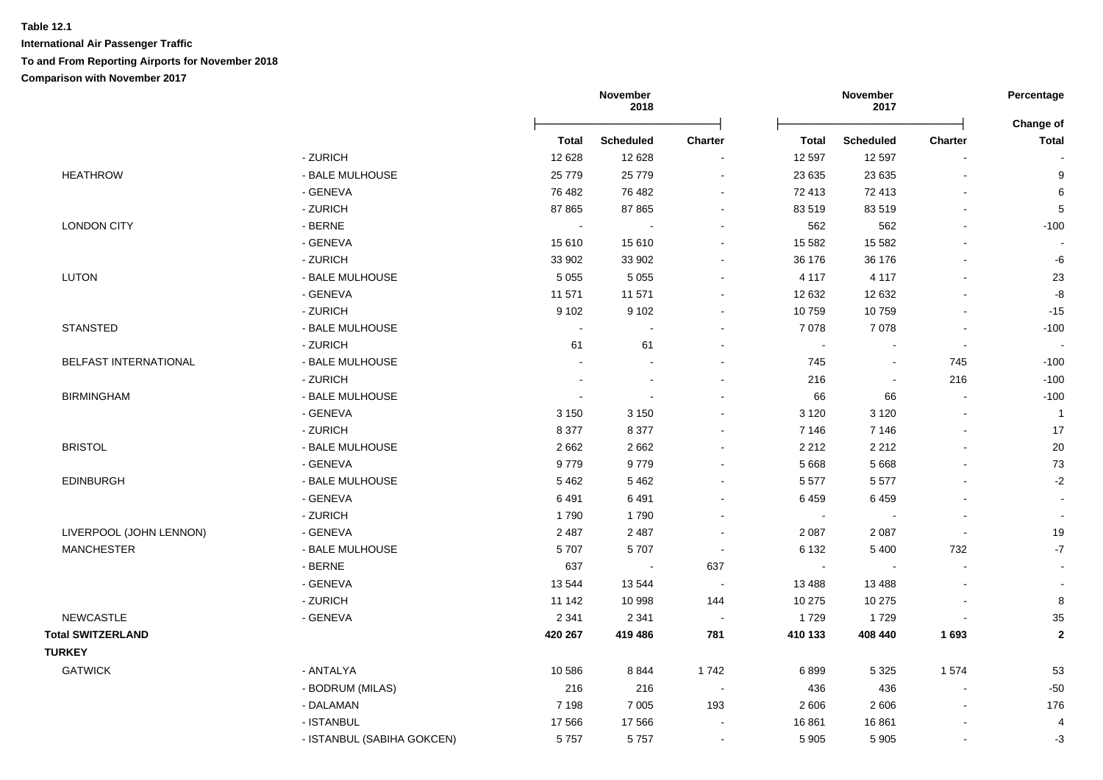|                          |                            | November<br>2018 |                  |         | November<br>2017 |                  |                          |                          |
|--------------------------|----------------------------|------------------|------------------|---------|------------------|------------------|--------------------------|--------------------------|
|                          |                            | <b>Total</b>     | <b>Scheduled</b> | Charter | <b>Total</b>     | <b>Scheduled</b> | Charter                  | Change of<br>Total       |
|                          | - ZURICH                   | 12 6 28          | 12 6 28          |         | 12 597           | 12 5 9 7         |                          |                          |
| <b>HEATHROW</b>          | - BALE MULHOUSE            | 25 7 7 9         | 25 7 7 9         | $\sim$  | 23 635           | 23 635           | $\sim$                   | 9                        |
|                          | - GENEVA                   | 76 482           | 76 482           |         | 72 413           | 72 413           |                          | 6                        |
|                          | - ZURICH                   | 87 865           | 87 865           |         | 83 519           | 83519            | $\blacksquare$           | $\sqrt{5}$               |
| <b>LONDON CITY</b>       | - BERNE                    | $\sim$           |                  |         | 562              | 562              | ä,                       | $-100$                   |
|                          | - GENEVA                   | 15 610           | 15610            |         | 15 5 82          | 15 5 82          | $\blacksquare$           |                          |
|                          | - ZURICH                   | 33 902           | 33 902           |         | 36 176           | 36 176           | $\overline{a}$           | -6                       |
| <b>LUTON</b>             | - BALE MULHOUSE            | 5 0 5 5          | 5 0 5 5          |         | 4 1 1 7          | 4 1 1 7          | $\blacksquare$           | 23                       |
|                          | - GENEVA                   | 11 571           | 11 571           |         | 12 632           | 12 632           |                          | -8                       |
|                          | - ZURICH                   | 9 1 0 2          | 9 1 0 2          |         | 10759            | 10759            |                          | $-15$                    |
| <b>STANSTED</b>          | - BALE MULHOUSE            |                  |                  |         | 7 0 7 8          | 7 0 7 8          |                          | $-100$                   |
|                          | - ZURICH                   | 61               | 61               |         | $\blacksquare$   |                  | $\sim$                   |                          |
| BELFAST INTERNATIONAL    | - BALE MULHOUSE            |                  |                  |         | 745              |                  | 745                      | $-100$                   |
|                          | - ZURICH                   |                  | $\sim$           |         | 216              |                  | 216                      | $-100$                   |
| <b>BIRMINGHAM</b>        | - BALE MULHOUSE            | $\blacksquare$   | $\sim$           |         | 66               | 66               | $\sim$                   | $-100$                   |
|                          | - GENEVA                   | 3 1 5 0          | 3 1 5 0          |         | 3 1 2 0          | 3 1 2 0          |                          | $\overline{1}$           |
|                          | - ZURICH                   | 8 3 7 7          | 8 3 7 7          |         | 7 1 4 6          | 7 1 4 6          |                          | 17                       |
| <b>BRISTOL</b>           | - BALE MULHOUSE            | 2 6 6 2          | 2 6 6 2          |         | 2 2 1 2          | 2 2 1 2          |                          | $20\,$                   |
|                          | - GENEVA                   | 9779             | 9779             |         | 5 6 6 8          | 5 6 6 8          |                          | 73                       |
| <b>EDINBURGH</b>         | - BALE MULHOUSE            | 5 4 6 2          | 5 4 6 2          |         | 5 5 7 7          | 5577             |                          | $-2$                     |
|                          | - GENEVA                   | 6491             | 6491             |         | 6459             | 6459             |                          |                          |
|                          | - ZURICH                   | 1790             | 1790             |         | $\sim$           |                  | $\sim$                   | $\blacksquare$           |
| LIVERPOOL (JOHN LENNON)  | - GENEVA                   | 2 4 8 7          | 2 4 8 7          |         | 2 0 8 7          | 2 0 8 7          | $\overline{\phantom{a}}$ | 19                       |
| <b>MANCHESTER</b>        | - BALE MULHOUSE            | 5707             | 5707             |         | 6 1 3 2          | 5 4 0 0          | 732                      | $-7$                     |
|                          | $-BERNE$                   | 637              |                  | 637     | $\blacksquare$   |                  |                          | $\overline{\phantom{a}}$ |
|                          | - GENEVA                   | 13544            | 13544            |         | 13 4 8 8         | 13 4 88          |                          |                          |
|                          | - ZURICH                   | 11 142           | 10 998           | 144     | 10 275           | 10 275           |                          | 8                        |
| NEWCASTLE                | - GENEVA                   | 2 3 4 1          | 2 3 4 1          | $\sim$  | 1729             | 1729             |                          | 35                       |
| <b>Total SWITZERLAND</b> |                            | 420 267          | 419 486          | 781     | 410 133          | 408 440          | 1693                     | $\mathbf{2}$             |
| <b>TURKEY</b>            |                            |                  |                  |         |                  |                  |                          |                          |
| <b>GATWICK</b>           | - ANTALYA                  | 10 586           | 8844             | 1742    | 6899             | 5 3 2 5          | 1574                     | 53                       |
|                          | - BODRUM (MILAS)           | 216              | 216              |         | 436              | 436              | $\sim$                   | $-50$                    |
|                          | - DALAMAN                  | 7 1 9 8          | 7 0 0 5          | 193     | 2 6 0 6          | 2606             |                          | 176                      |
|                          | - ISTANBUL                 | 17 566           | 17 566           |         | 16 861           | 16861            |                          | 4                        |
|                          | - ISTANBUL (SABIHA GOKCEN) | 5757             | 5757             |         | 5 9 0 5          | 5 9 0 5          | $\blacksquare$           | $-3$                     |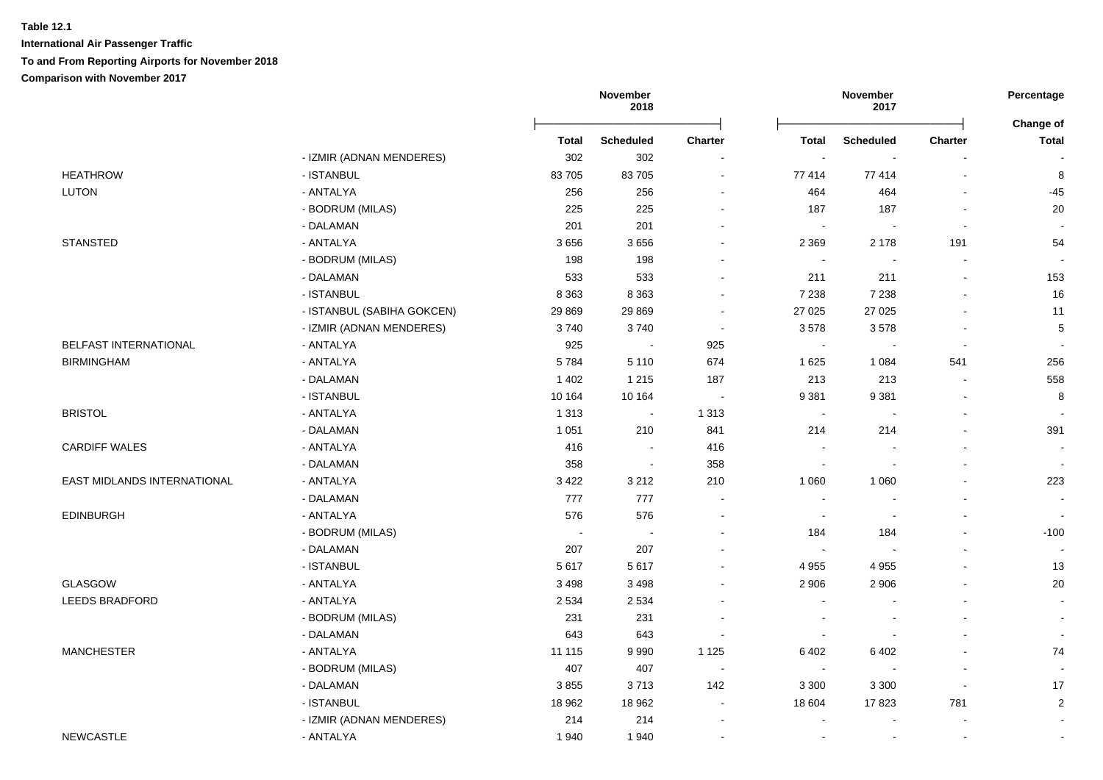|                             |                            | November<br>2018 |                  |                | November<br>2017         |                  | Percentage               |                           |
|-----------------------------|----------------------------|------------------|------------------|----------------|--------------------------|------------------|--------------------------|---------------------------|
|                             |                            | Total            | <b>Scheduled</b> | <b>Charter</b> | <b>Total</b>             | <b>Scheduled</b> | <b>Charter</b>           | Change of<br><b>Total</b> |
|                             | - IZMIR (ADNAN MENDERES)   | 302              | 302              |                | $\sim$                   |                  |                          |                           |
| <b>HEATHROW</b>             | - ISTANBUL                 | 83705            | 83 705           | $\blacksquare$ | 77 414                   | 77414            | $\blacksquare$           | 8                         |
| <b>LUTON</b>                | - ANTALYA                  | 256              | 256              |                | 464                      | 464              |                          | $-45$                     |
|                             | - BODRUM (MILAS)           | 225              | 225              |                | 187                      | 187              | $\blacksquare$           | 20                        |
|                             | - DALAMAN                  | 201              | 201              |                | $\sim$                   |                  | $\blacksquare$           |                           |
| <b>STANSTED</b>             | - ANTALYA                  | 3656             | 3656             |                | 2 3 6 9                  | 2 1 7 8          | 191                      | 54                        |
|                             | - BODRUM (MILAS)           | 198              | 198              |                | $\sim$                   |                  | L.                       |                           |
|                             | - DALAMAN                  | 533              | 533              |                | 211                      | 211              | $\blacksquare$           | 153                       |
|                             | - ISTANBUL                 | 8 3 6 3          | 8 3 6 3          |                | 7 2 3 8                  | 7 2 3 8          |                          | 16                        |
|                             | - ISTANBUL (SABIHA GOKCEN) | 29 8 69          | 29 8 69          |                | 27 0 25                  | 27 0 25          |                          | 11                        |
|                             | - IZMIR (ADNAN MENDERES)   | 3740             | 3740             | $\sim$         | 3578                     | 3578             |                          | 5                         |
| BELFAST INTERNATIONAL       | - ANTALYA                  | 925              | $\sim$           | 925            | $\sim$                   | $\sim$           | $\sim$                   |                           |
| <b>BIRMINGHAM</b>           | - ANTALYA                  | 5784             | 5 1 1 0          | 674            | 1 6 2 5                  | 1 0 8 4          | 541                      | 256                       |
|                             | - DALAMAN                  | 1 4 0 2          | 1 2 1 5          | 187            | 213                      | 213              | $\sim$                   | 558                       |
|                             | - ISTANBUL                 | 10 164           | 10 164           | $\sim$         | 9 3 8 1                  | 9 3 8 1          |                          | 8                         |
| <b>BRISTOL</b>              | - ANTALYA                  | 1 3 1 3          | $\sim$           | 1 3 1 3        | $\sim$                   | $\sim$           |                          |                           |
|                             | - DALAMAN                  | 1 0 5 1          | 210              | 841            | 214                      | 214              |                          | 391                       |
| <b>CARDIFF WALES</b>        | - ANTALYA                  | 416              | $\sim$           | 416            | $\sim$                   |                  |                          | $\sim$                    |
|                             | - DALAMAN                  | 358              | $\sim$           | 358            | $\blacksquare$           |                  |                          | $\sim$                    |
| EAST MIDLANDS INTERNATIONAL | - ANTALYA                  | 3 4 2 2          | 3 2 1 2          | 210            | 1 0 6 0                  | 1 0 6 0          | L,                       | 223                       |
|                             | - DALAMAN                  | 777              | 777              |                | $\blacksquare$           |                  | $\blacksquare$           | $\blacksquare$            |
| <b>EDINBURGH</b>            | - ANTALYA                  | 576              | 576              | $\sim$         | $\sim$                   |                  | $\blacksquare$           | $\sim$                    |
|                             | - BODRUM (MILAS)           | $\sim$           |                  |                | 184                      | 184              | L,                       | $-100$                    |
|                             | - DALAMAN                  | 207              | 207              |                | $\sim$                   |                  |                          | $\blacksquare$            |
|                             | - ISTANBUL                 | 5617             | 5617             |                | 4 9 5 5                  | 4 9 5 5          | $\blacksquare$           | 13                        |
| GLASGOW                     | - ANTALYA                  | 3 4 9 8          | 3 4 9 8          |                | 2 9 0 6                  | 2 9 0 6          |                          | 20                        |
| <b>LEEDS BRADFORD</b>       | - ANTALYA                  | 2 5 3 4          | 2 5 3 4          |                |                          |                  |                          | $\sim$                    |
|                             | - BODRUM (MILAS)           | 231              | 231              |                |                          |                  |                          |                           |
|                             | - DALAMAN                  | 643              | 643              |                | $\overline{\phantom{a}}$ |                  |                          | $\overline{\phantom{a}}$  |
| <b>MANCHESTER</b>           | - ANTALYA                  | 11 115           | 9990             | 1 1 2 5        | 6 4 0 2                  | 6402             |                          | 74                        |
|                             | - BODRUM (MILAS)           | 407              | 407              | $\sim$         | $\sim$                   |                  | $\overline{\phantom{a}}$ | $\sim$                    |
|                             | - DALAMAN                  | 3855             | 3713             | 142            | 3 3 0 0                  | 3 3 0 0          | $\blacksquare$           | 17                        |
|                             | - ISTANBUL                 | 18 962           | 18 962           | $\blacksquare$ | 18 604                   | 17823            | 781                      | $\sqrt{2}$                |
|                             | - IZMIR (ADNAN MENDERES)   | 214              | 214              |                |                          |                  | $\overline{a}$           |                           |
| <b>NEWCASTLE</b>            | - ANTALYA                  | 1940             | 1940             |                | $\sim$                   |                  | $\blacksquare$           |                           |
|                             |                            |                  |                  |                |                          |                  |                          |                           |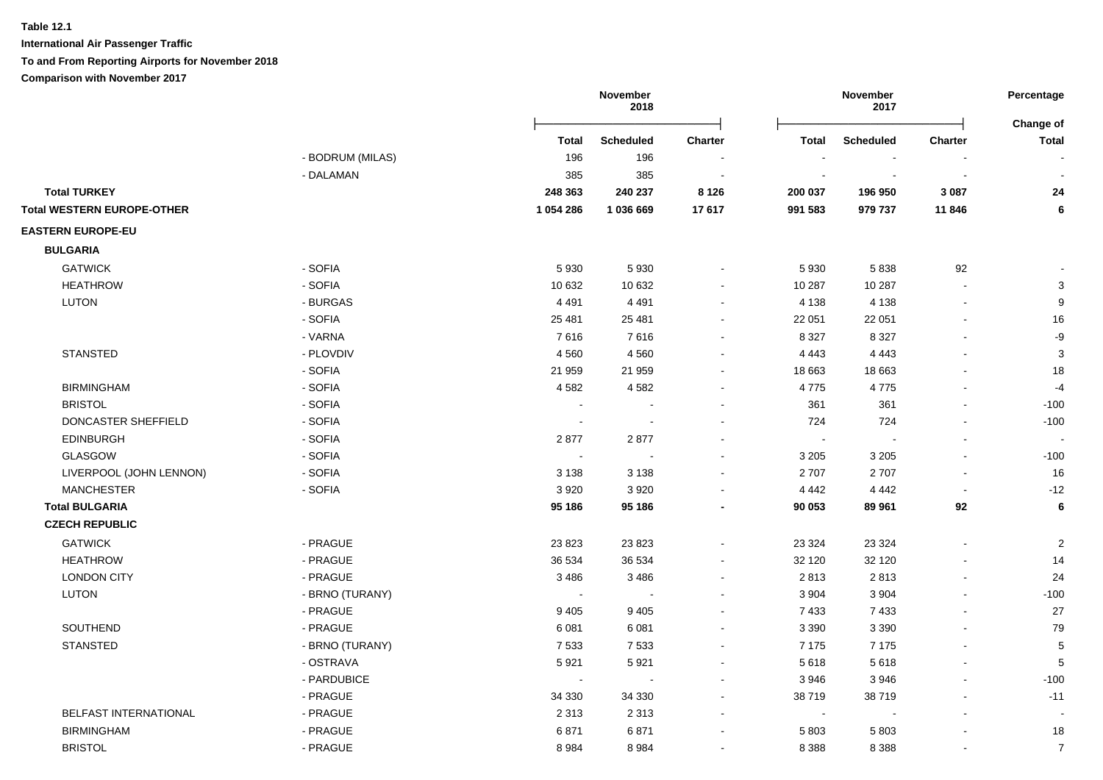**International Air Passenger Traffic**

### **To and From Reporting Airports for November 2018**

|                                   |                  |              | November<br>2018 |                |                          | November<br>2017 |                | Percentage<br>Change of |
|-----------------------------------|------------------|--------------|------------------|----------------|--------------------------|------------------|----------------|-------------------------|
|                                   |                  | <b>Total</b> | <b>Scheduled</b> | <b>Charter</b> | <b>Total</b>             | <b>Scheduled</b> | <b>Charter</b> | <b>Total</b>            |
|                                   | - BODRUM (MILAS) | 196          | 196              |                |                          |                  |                |                         |
|                                   | - DALAMAN        | 385          | 385              |                |                          | $\blacksquare$   |                |                         |
| <b>Total TURKEY</b>               |                  | 248 363      | 240 237          | 8 1 2 6        | 200 037                  | 196 950          | 3 0 8 7        | 24                      |
| <b>Total WESTERN EUROPE-OTHER</b> |                  | 1 054 286    | 1 036 669        | 17617          | 991 583                  | 979 737          | 11 846         | 6                       |
| <b>EASTERN EUROPE-EU</b>          |                  |              |                  |                |                          |                  |                |                         |
| <b>BULGARIA</b>                   |                  |              |                  |                |                          |                  |                |                         |
| <b>GATWICK</b>                    | - SOFIA          | 5930         | 5930             |                | 5 9 3 0                  | 5838             | 92             |                         |
| <b>HEATHROW</b>                   | - SOFIA          | 10 632       | 10 632           |                | 10 287                   | 10 287           | $\sim$         | $\mathbf{3}$            |
| <b>LUTON</b>                      | - BURGAS         | 4 4 9 1      | 4 4 9 1          | $\blacksquare$ | 4 1 3 8                  | 4 1 3 8          |                | 9                       |
|                                   | - SOFIA          | 25 4 81      | 25 4 81          | $\blacksquare$ | 22 051                   | 22 051           |                | 16                      |
|                                   | - VARNA          | 7616         | 7616             |                | 8 3 2 7                  | 8 3 2 7          |                | -9                      |
| <b>STANSTED</b>                   | - PLOVDIV        | 4560         | 4560             |                | 4 4 4 3                  | 4 4 4 3          |                | $\sqrt{3}$              |
|                                   | - SOFIA          | 21 959       | 21 959           |                | 18 663                   | 18 663           |                | 18                      |
| <b>BIRMINGHAM</b>                 | - SOFIA          | 4582         | 4582             |                | 4775                     | 4775             |                | $-4$                    |
| <b>BRISTOL</b>                    | - SOFIA          |              |                  |                | 361                      | 361              |                | $-100$                  |
| DONCASTER SHEFFIELD               | - SOFIA          |              |                  |                | 724                      | 724              |                | $-100$                  |
| <b>EDINBURGH</b>                  | - SOFIA          | 2877         | 2877             |                |                          |                  |                |                         |
| GLASGOW                           | - SOFIA          |              |                  |                | 3 2 0 5                  | 3 2 0 5          |                | $-100$                  |
| LIVERPOOL (JOHN LENNON)           | - SOFIA          | 3 1 3 8      | 3 1 3 8          |                | 2 7 0 7                  | 2707             |                | 16                      |
| <b>MANCHESTER</b>                 | - SOFIA          | 3920         | 3920             |                | 4 4 4 2                  | 4 4 4 2          |                | $-12$                   |
| <b>Total BULGARIA</b>             |                  | 95 186       | 95 186           |                | 90 053                   | 89 961           | 92             | 6                       |
| <b>CZECH REPUBLIC</b>             |                  |              |                  |                |                          |                  |                |                         |
| <b>GATWICK</b>                    | - PRAGUE         | 23 8 23      | 23 8 23          |                | 23 3 24                  | 23 3 24          |                | $\overline{c}$          |
| <b>HEATHROW</b>                   | - PRAGUE         | 36 534       | 36 534           |                | 32 120                   | 32 120           |                | 14                      |
| <b>LONDON CITY</b>                | - PRAGUE         | 3486         | 3 4 8 6          | $\sim$         | 2813                     | 2813             |                | 24                      |
| LUTON                             | - BRNO (TURANY)  |              |                  |                | 3 9 0 4                  | 3 9 0 4          |                | $-100$                  |
|                                   | - PRAGUE         | 9405         | 9405             |                | 7 4 3 3                  | 7 4 3 3          |                | 27                      |
| SOUTHEND                          | - PRAGUE         | 6081         | 6081             |                | 3 3 9 0                  | 3 3 9 0          |                | 79                      |
| <b>STANSTED</b>                   | - BRNO (TURANY)  | 7533         | 7 5 3 3          |                | 7 1 7 5                  | 7 1 7 5          |                | 5                       |
|                                   | - OSTRAVA        | 5921         | 5921             |                | 5618                     | 5618             |                | 5                       |
|                                   | - PARDUBICE      |              |                  |                | 3946                     | 3946             |                | $-100$                  |
|                                   | - PRAGUE         | 34 330       | 34 330           |                | 38719                    | 38719            |                | $-11$                   |
| BELFAST INTERNATIONAL             | - PRAGUE         | 2 3 1 3      | 2 3 1 3          |                | $\overline{\phantom{a}}$ |                  |                |                         |
| <b>BIRMINGHAM</b>                 | - PRAGUE         | 6871         | 6871             |                | 5 8 0 3                  | 5803             |                | 18                      |
| <b>BRISTOL</b>                    | - PRAGUE         | 8 9 8 4      | 8984             |                | 8 3 8 8                  | 8 3 8 8          |                | $\overline{7}$          |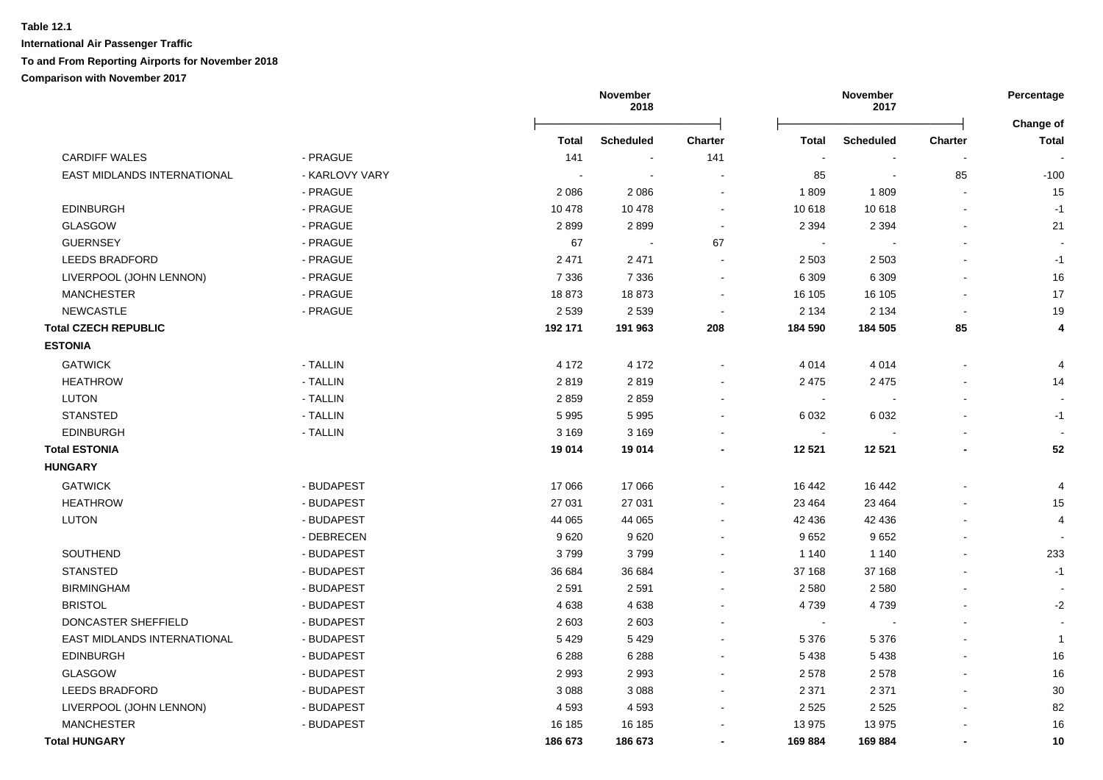|                                    |                |              | November<br>2018 |                |                          | November<br>2017 |                | Percentage                       |
|------------------------------------|----------------|--------------|------------------|----------------|--------------------------|------------------|----------------|----------------------------------|
|                                    |                | <b>Total</b> | <b>Scheduled</b> | <b>Charter</b> | <b>Total</b>             | <b>Scheduled</b> | <b>Charter</b> | <b>Change of</b><br><b>Total</b> |
| <b>CARDIFF WALES</b>               | - PRAGUE       | 141          |                  | 141            |                          |                  |                |                                  |
| <b>EAST MIDLANDS INTERNATIONAL</b> | - KARLOVY VARY |              |                  |                | 85                       | $\blacksquare$   | 85             | $-100$                           |
|                                    | - PRAGUE       | 2086         | 2086             | $\blacksquare$ | 1809                     | 1809             | $\sim$         | 15                               |
| <b>EDINBURGH</b>                   | - PRAGUE       | 10 478       | 10 478           | $\sim$         | 10 618                   | 10 618           |                | $-1$                             |
| <b>GLASGOW</b>                     | - PRAGUE       | 2899         | 2899             | $\blacksquare$ | 2 3 9 4                  | 2 3 9 4          |                | 21                               |
| <b>GUERNSEY</b>                    | - PRAGUE       | 67           |                  | 67             |                          |                  |                |                                  |
| <b>LEEDS BRADFORD</b>              | - PRAGUE       | 2 4 7 1      | 2 4 7 1          |                | 2 5 0 3                  | 2 5 0 3          |                | $-1$                             |
| LIVERPOOL (JOHN LENNON)            | - PRAGUE       | 7 3 3 6      | 7 3 3 6          |                | 6 3 0 9                  | 6 3 0 9          |                | 16                               |
| <b>MANCHESTER</b>                  | - PRAGUE       | 18873        | 18873            |                | 16 105                   | 16 105           |                | 17                               |
| <b>NEWCASTLE</b>                   | - PRAGUE       | 2 5 3 9      | 2 5 3 9          |                | 2 1 3 4                  | 2 1 3 4          |                | 19                               |
| <b>Total CZECH REPUBLIC</b>        |                | 192 171      | 191 963          | 208            | 184 590                  | 184 505          | 85             | 4                                |
| <b>ESTONIA</b>                     |                |              |                  |                |                          |                  |                |                                  |
| <b>GATWICK</b>                     | - TALLIN       | 4 172        | 4 1 7 2          |                | 4 0 1 4                  | 4014             |                | $\overline{4}$                   |
| <b>HEATHROW</b>                    | - TALLIN       | 2819         | 2819             |                | 2 4 7 5                  | 2 4 7 5          |                | 14                               |
| LUTON                              | - TALLIN       | 2859         | 2859             |                |                          |                  |                |                                  |
| <b>STANSTED</b>                    | - TALLIN       | 5995         | 5995             |                | 6 0 3 2                  | 6 0 3 2          |                | $-1$                             |
| <b>EDINBURGH</b>                   | - TALLIN       | 3 1 6 9      | 3 1 6 9          |                | $\sim$                   |                  |                |                                  |
| <b>Total ESTONIA</b>               |                | 19 014       | 19 014           |                | 12 5 21                  | 12 5 21          |                | 52                               |
| <b>HUNGARY</b>                     |                |              |                  |                |                          |                  |                |                                  |
| <b>GATWICK</b>                     | - BUDAPEST     | 17 066       | 17 066           |                | 16 442                   | 16 442           |                | 4                                |
| <b>HEATHROW</b>                    | - BUDAPEST     | 27 031       | 27 031           |                | 23 4 64                  | 23 4 64          |                | 15                               |
| <b>LUTON</b>                       | - BUDAPEST     | 44 065       | 44 065           |                | 42 436                   | 42 436           |                | $\overline{4}$                   |
|                                    | - DEBRECEN     | 9620         | 9620             |                | 9652                     | 9652             |                |                                  |
| SOUTHEND                           | - BUDAPEST     | 3799         | 3799             |                | 1 1 4 0                  | 1 1 4 0          |                | 233                              |
| <b>STANSTED</b>                    | - BUDAPEST     | 36 684       | 36 684           |                | 37 168                   | 37 168           |                | $-1$                             |
| <b>BIRMINGHAM</b>                  | - BUDAPEST     | 2591         | 2591             |                | 2 5 8 0                  | 2580             |                |                                  |
| <b>BRISTOL</b>                     | - BUDAPEST     | 4638         | 4638             |                | 4 7 3 9                  | 4739             |                | $-2$                             |
| DONCASTER SHEFFIELD                | - BUDAPEST     | 2 603        | 2 6 0 3          |                | $\overline{\phantom{a}}$ |                  |                |                                  |
| EAST MIDLANDS INTERNATIONAL        | - BUDAPEST     | 5 4 2 9      | 5429             |                | 5 3 7 6                  | 5 3 7 6          |                | $\overline{1}$                   |
| <b>EDINBURGH</b>                   | - BUDAPEST     | 6 2 8 8      | 6 2 8 8          |                | 5 4 3 8                  | 5 4 3 8          |                | 16                               |
| <b>GLASGOW</b>                     | - BUDAPEST     | 2993         | 2993             |                | 2578                     | 2578             |                | 16                               |
| <b>LEEDS BRADFORD</b>              | - BUDAPEST     | 3 0 8 8      | 3 0 8 8          |                | 2 3 7 1                  | 2 3 7 1          |                | 30                               |
| LIVERPOOL (JOHN LENNON)            | - BUDAPEST     | 4593         | 4 5 9 3          |                | 2 5 2 5                  | 2 5 2 5          |                | 82                               |
| <b>MANCHESTER</b>                  | - BUDAPEST     | 16 185       | 16 185           |                | 13 975                   | 13 975           |                | 16                               |
| <b>Total HUNGARY</b>               |                | 186 673      | 186 673          |                | 169884                   | 169884           |                | 10                               |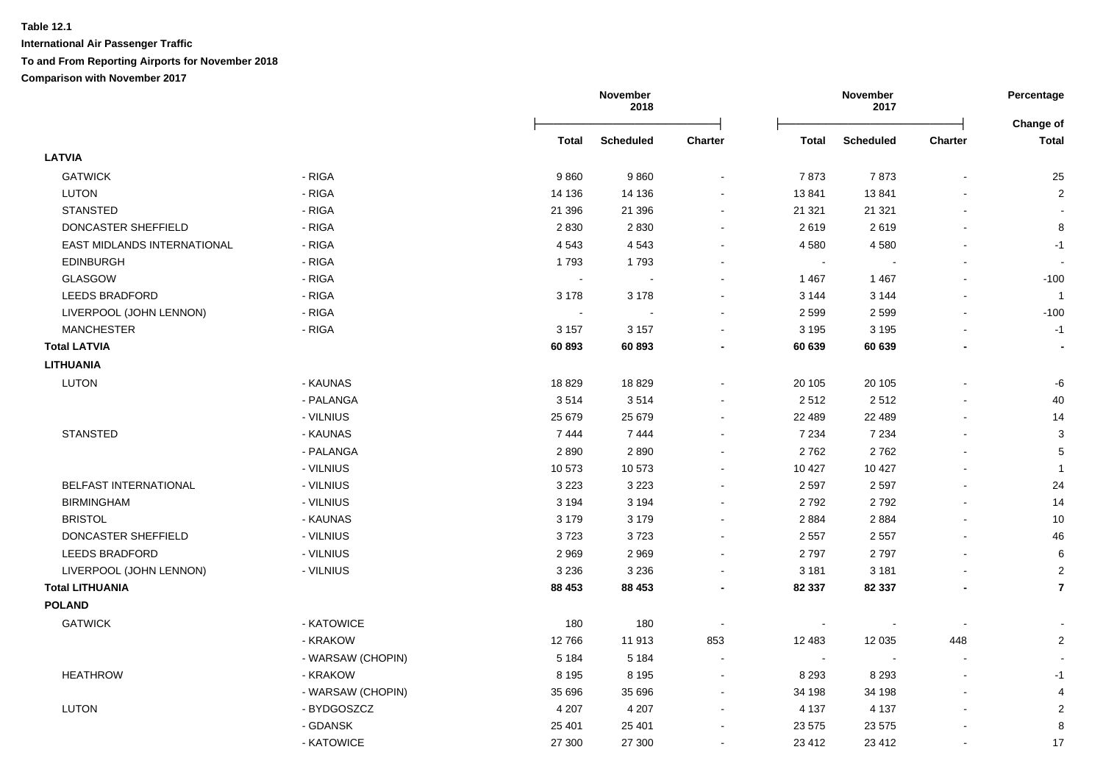|                             |                   |         | November<br>2018 |                |                | November<br>2017 |                          | Percentage                |
|-----------------------------|-------------------|---------|------------------|----------------|----------------|------------------|--------------------------|---------------------------|
|                             |                   | Total   | <b>Scheduled</b> | <b>Charter</b> | <b>Total</b>   | <b>Scheduled</b> | <b>Charter</b>           | Change of<br><b>Total</b> |
| <b>LATVIA</b>               |                   |         |                  |                |                |                  |                          |                           |
| <b>GATWICK</b>              | - RIGA            | 9860    | 9860             | $\sim$         | 7873           | 7873             |                          | 25                        |
| <b>LUTON</b>                | - RIGA            | 14 136  | 14 136           | $\blacksquare$ | 13841          | 13841            |                          | $\overline{c}$            |
| <b>STANSTED</b>             | - RIGA            | 21 396  | 21 39 6          | $\blacksquare$ | 21 321         | 21 3 21          |                          | $\overline{\phantom{a}}$  |
| DONCASTER SHEFFIELD         | - RIGA            | 2830    | 2830             | $\sim$         | 2619           | 2619             | $\mathbf{r}$             | 8                         |
| EAST MIDLANDS INTERNATIONAL | - RIGA            | 4543    | 4543             | $\blacksquare$ | 4580           | 4580             |                          | $-1$                      |
| <b>EDINBURGH</b>            | - RIGA            | 1793    | 1793             | $\blacksquare$ | $\sim$         |                  |                          |                           |
| GLASGOW                     | - RIGA            | $\sim$  |                  |                | 1467           | 1 4 6 7          |                          | $-100$                    |
| <b>LEEDS BRADFORD</b>       | - RIGA            | 3 1 7 8 | 3 1 7 8          |                | 3 1 4 4        | 3 1 4 4          |                          | $\overline{1}$            |
| LIVERPOOL (JOHN LENNON)     | - RIGA            | $\sim$  |                  | $\overline{a}$ | 2 5 9 9        | 2 5 9 9          | $\overline{a}$           | $-100$                    |
| <b>MANCHESTER</b>           | - RIGA            | 3 1 5 7 | 3 1 5 7          | ÷              | 3 1 9 5        | 3 1 9 5          | $\overline{a}$           | $-1$                      |
| <b>Total LATVIA</b>         |                   | 60893   | 60893            |                | 60 639         | 60 639           |                          | $\overline{\phantom{a}}$  |
| <b>LITHUANIA</b>            |                   |         |                  |                |                |                  |                          |                           |
| <b>LUTON</b>                | - KAUNAS          | 18829   | 18829            |                | 20 10 5        | 20 10 5          |                          | -6                        |
|                             | - PALANGA         | 3514    | 3514             | $\blacksquare$ | 2512           | 2512             |                          | 40                        |
|                             | - VILNIUS         | 25 679  | 25 679           | $\blacksquare$ | 22 489         | 22 489           |                          | 14                        |
| <b>STANSTED</b>             | - KAUNAS          | 7444    | 7444             | $\blacksquare$ | 7 2 3 4        | 7 2 3 4          |                          | $\sqrt{3}$                |
|                             | - PALANGA         | 2890    | 2890             | $\blacksquare$ | 2762           | 2762             |                          | $\,$ 5 $\,$               |
|                             | - VILNIUS         | 10573   | 10573            | $\blacksquare$ | 10 427         | 10 4 27          |                          | $\mathbf{1}$              |
| BELFAST INTERNATIONAL       | - VILNIUS         | 3 2 2 3 | 3 2 2 3          | $\blacksquare$ | 2 5 9 7        | 2 5 9 7          | $\blacksquare$           | 24                        |
| <b>BIRMINGHAM</b>           | - VILNIUS         | 3 1 9 4 | 3 1 9 4          | $\blacksquare$ | 2792           | 2792             | $\mathbf{r}$             | 14                        |
| <b>BRISTOL</b>              | - KAUNAS          | 3 1 7 9 | 3 1 7 9          | $\blacksquare$ | 2 8 8 4        | 2884             |                          | 10                        |
| DONCASTER SHEFFIELD         | - VILNIUS         | 3723    | 3723             | $\blacksquare$ | 2 5 5 7        | 2 5 5 7          |                          | 46                        |
| <b>LEEDS BRADFORD</b>       | - VILNIUS         | 2969    | 2969             |                | 2797           | 2797             |                          | 6                         |
| LIVERPOOL (JOHN LENNON)     | - VILNIUS         | 3 2 3 6 | 3 2 3 6          |                | 3 1 8 1        | 3 1 8 1          |                          | $\overline{2}$            |
| <b>Total LITHUANIA</b>      |                   | 88 453  | 88 453           | $\blacksquare$ | 82 337         | 82 337           | $\overline{\phantom{a}}$ | $\overline{7}$            |
| <b>POLAND</b>               |                   |         |                  |                |                |                  |                          |                           |
| <b>GATWICK</b>              | - KATOWICE        | 180     | 180              | $\sim$         | $\sim$         |                  |                          |                           |
|                             | - KRAKOW          | 12766   | 11913            | 853            | 12 483         | 12 0 35          | 448                      | $\overline{\mathbf{c}}$   |
|                             | - WARSAW (CHOPIN) | 5 1 8 4 | 5 1 8 4          | $\sim$         | $\blacksquare$ | $\sim$           | $\overline{\phantom{a}}$ |                           |
| <b>HEATHROW</b>             | - KRAKOW          | 8 1 9 5 | 8 1 9 5          | $\blacksquare$ | 8 2 9 3        | 8 2 9 3          |                          | $-1$                      |
|                             | - WARSAW (CHOPIN) | 35 696  | 35 696           | $\blacksquare$ | 34 198         | 34 198           |                          | 4                         |
| <b>LUTON</b>                | - BYDGOSZCZ       | 4 207   | 4 2 0 7          | $\sim$         | 4 1 3 7        | 4 1 3 7          |                          | $\overline{c}$            |
|                             | - GDANSK          | 25 4 01 | 25 401           | $\blacksquare$ | 23 575         | 23 575           |                          | $\bf 8$                   |
|                             | - KATOWICE        | 27 300  | 27 300           | $\blacksquare$ | 23 412         | 23 412           | $\overline{\phantom{a}}$ | 17                        |
|                             |                   |         |                  |                |                |                  |                          |                           |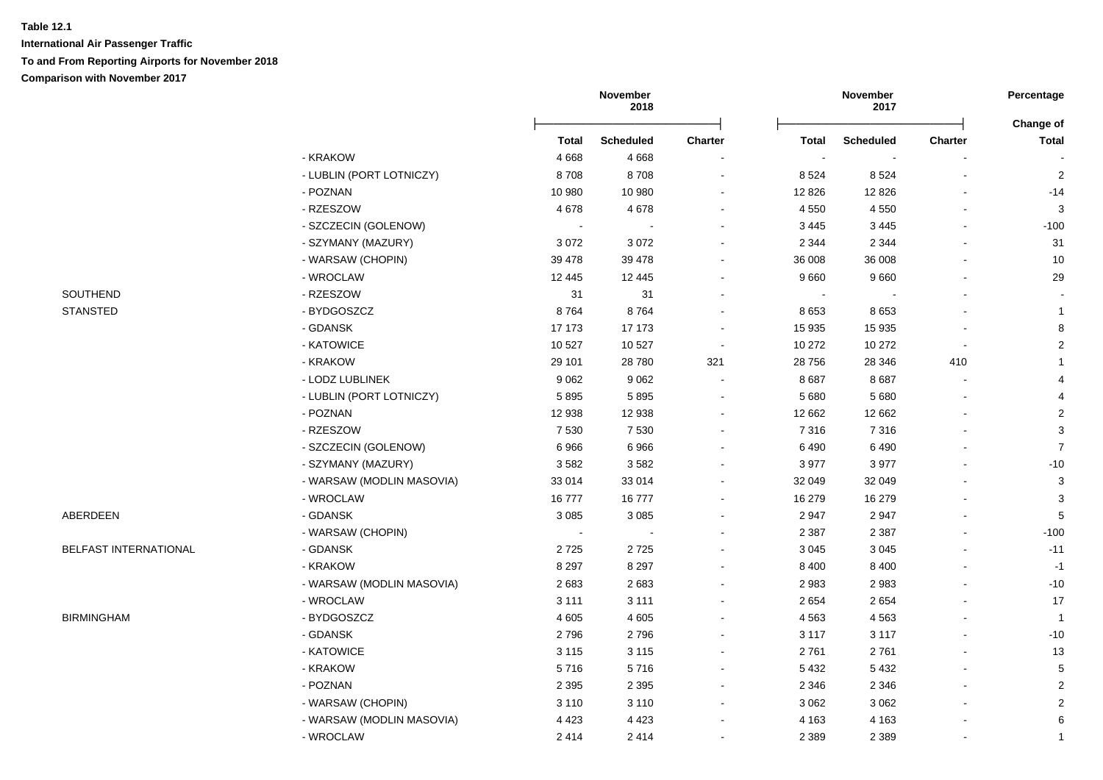|                       |                           | November<br>2018 |                  |                          | November<br>2017 |                  | Percentage     |                           |
|-----------------------|---------------------------|------------------|------------------|--------------------------|------------------|------------------|----------------|---------------------------|
|                       |                           | <b>Total</b>     | <b>Scheduled</b> | <b>Charter</b>           | Total            | <b>Scheduled</b> | <b>Charter</b> | Change of<br><b>Total</b> |
|                       | - KRAKOW                  | 4 6 6 8          | 4668             |                          | $\blacksquare$   |                  |                |                           |
|                       | - LUBLIN (PORT LOTNICZY)  | 8708             | 8708             |                          | 8524             | 8524             | $\blacksquare$ | $\overline{2}$            |
|                       | - POZNAN                  | 10 980           | 10 980           |                          | 12 8 26          | 12 8 26          |                | $-14$                     |
|                       | - RZESZOW                 | 4678             | 4678             |                          | 4 5 5 0          | 4 5 5 0          |                | 3                         |
|                       | - SZCZECIN (GOLENOW)      | $\sim$           |                  |                          | 3 4 4 5          | 3 4 4 5          |                | $-100$                    |
|                       | - SZYMANY (MAZURY)        | 3072             | 3072             |                          | 2 3 4 4          | 2 3 4 4          |                | 31                        |
|                       | - WARSAW (CHOPIN)         | 39 4 78          | 39 4 78          |                          | 36 008           | 36 008           |                | 10                        |
|                       | - WROCLAW                 | 12 4 45          | 12 4 4 5         |                          | 9660             | 9660             |                | 29                        |
| SOUTHEND              | - RZESZOW                 | 31               | 31               |                          | $\sim$           |                  |                |                           |
| <b>STANSTED</b>       | - BYDGOSZCZ               | 8764             | 8764             |                          | 8653             | 8653             |                | $\mathbf{1}$              |
|                       | - GDANSK                  | 17 173           | 17 173           |                          | 15 935           | 15 935           |                | $\bf8$                    |
|                       | - KATOWICE                | 10 527           | 10 527           |                          | 10 272           | 10 27 2          | $\blacksquare$ | $\overline{2}$            |
|                       | - KRAKOW                  | 29 101           | 28 7 80          | 321                      | 28 756           | 28 346           | 410            | $\mathbf{1}$              |
|                       | - LODZ LUBLINEK           | 9 0 6 2          | 9062             | $\sim$                   | 8687             | 8687             |                | $\overline{4}$            |
|                       | - LUBLIN (PORT LOTNICZY)  | 5895             | 5895             | $\overline{\phantom{a}}$ | 5 6 8 0          | 5 6 8 0          |                | 4                         |
|                       | - POZNAN                  | 12 938           | 12 938           |                          | 12 662           | 12 662           |                | $\sqrt{2}$                |
|                       | - RZESZOW                 | 7 5 3 0          | 7 5 3 0          |                          | 7 3 1 6          | 7 3 1 6          |                | 3                         |
|                       | - SZCZECIN (GOLENOW)      | 6966             | 6966             |                          | 6490             | 6490             |                | $\overline{7}$            |
|                       | - SZYMANY (MAZURY)        | 3582             | 3582             |                          | 3 9 7 7          | 3977             |                | $-10$                     |
|                       | - WARSAW (MODLIN MASOVIA) | 33 014           | 33 014           |                          | 32 049           | 32 049           |                | $\mathbf{3}$              |
|                       | - WROCLAW                 | 16777            | 16777            |                          | 16 279           | 16 279           |                | 3                         |
| ABERDEEN              | - GDANSK                  | 3 0 8 5          | 3 0 8 5          |                          | 2 9 4 7          | 2947             |                | 5                         |
|                       | - WARSAW (CHOPIN)         | $\sim$           | $\sim$           |                          | 2 3 8 7          | 2 3 8 7          |                | $-100$                    |
| BELFAST INTERNATIONAL | - GDANSK                  | 2725             | 2725             |                          | 3 0 4 5          | 3 0 4 5          |                | $-11$                     |
|                       | - KRAKOW                  | 8 2 9 7          | 8 2 9 7          |                          | 8 4 0 0          | 8 4 0 0          |                | $-1$                      |
|                       | - WARSAW (MODLIN MASOVIA) | 2683             | 2683             |                          | 2983             | 2983             |                | $-10$                     |
|                       | - WROCLAW                 | 3 1 1 1          | 3 1 1 1          |                          | 2 6 5 4          | 2654             |                | 17                        |
| <b>BIRMINGHAM</b>     | - BYDGOSZCZ               | 4 6 0 5          | 4 6 0 5          |                          | 4563             | 4563             |                | $\overline{1}$            |
|                       | - GDANSK                  | 2796             | 2796             |                          | 3 1 1 7          | 3 1 1 7          |                | $-10$                     |
|                       | - KATOWICE                | 3 1 1 5          | 3 1 1 5          |                          | 2761             | 2761             |                | 13                        |
|                       | - KRAKOW                  | 5716             | 5716             | ÷                        | 5 4 3 2          | 5 4 3 2          |                | $\sqrt{5}$                |
|                       | - POZNAN                  | 2 3 9 5          | 2 3 9 5          | $\sim$                   | 2 3 4 6          | 2 3 4 6          |                | $\sqrt{2}$                |
|                       | - WARSAW (CHOPIN)         | 3 1 1 0          | 3 1 1 0          | $\blacksquare$           | 3 0 6 2          | 3 0 6 2          |                | $\overline{2}$            |
|                       | - WARSAW (MODLIN MASOVIA) | 4 4 2 3          | 4 4 2 3          |                          | 4 1 6 3          | 4 1 6 3          |                | 6                         |
|                       | - WROCLAW                 | 2414             | 2414             |                          | 2 3 8 9          | 2 3 8 9          | $\blacksquare$ | $\mathbf{1}$              |
|                       |                           |                  |                  |                          |                  |                  |                |                           |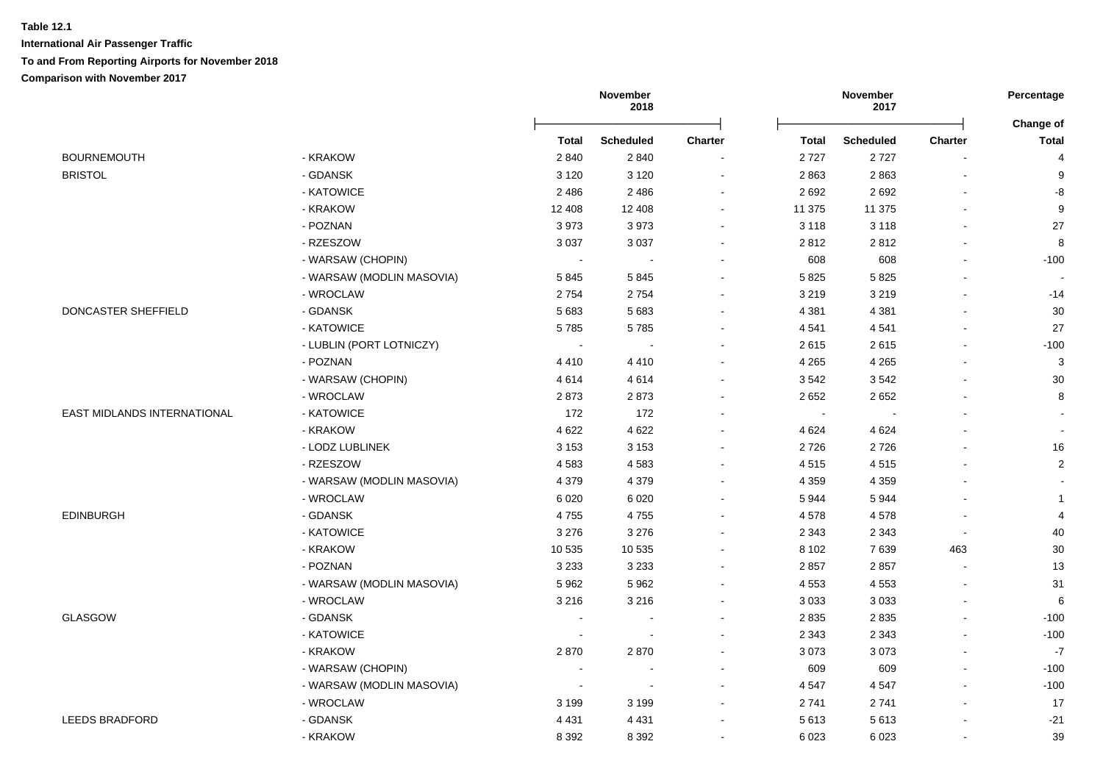|                             |                           |         | November<br>2018 |                |                | November<br>2017 |                          | Percentage<br>Change of  |
|-----------------------------|---------------------------|---------|------------------|----------------|----------------|------------------|--------------------------|--------------------------|
|                             |                           | Total   | <b>Scheduled</b> | <b>Charter</b> | <b>Total</b>   | <b>Scheduled</b> | Charter                  | <b>Total</b>             |
| <b>BOURNEMOUTH</b>          | - KRAKOW                  | 2 8 4 0 | 2840             |                | 2727           | 2727             |                          | $\overline{4}$           |
| <b>BRISTOL</b>              | - GDANSK                  | 3 1 2 0 | 3 1 2 0          | $\blacksquare$ | 2863           | 2863             |                          | 9                        |
|                             | - KATOWICE                | 2486    | 2 4 8 6          | $\blacksquare$ | 2 6 9 2        | 2692             |                          | $\mbox{-}8$              |
|                             | - KRAKOW                  | 12 408  | 12 408           | $\sim$         | 11 375         | 11 375           | $\overline{\phantom{a}}$ | $\boldsymbol{9}$         |
|                             | - POZNAN                  | 3973    | 3973             | $\blacksquare$ | 3 1 1 8        | 3 1 1 8          | $\overline{\phantom{a}}$ | 27                       |
|                             | - RZESZOW                 | 3 0 3 7 | 3 0 3 7          | $\blacksquare$ | 2812           | 2812             |                          | 8                        |
|                             | - WARSAW (CHOPIN)         |         |                  | ÷              | 608            | 608              |                          | $-100$                   |
|                             | - WARSAW (MODLIN MASOVIA) | 5845    | 5845             | $\blacksquare$ | 5825           | 5825             |                          |                          |
|                             | - WROCLAW                 | 2754    | 2754             |                | 3 2 1 9        | 3 2 1 9          |                          | $-14$                    |
| DONCASTER SHEFFIELD         | - GDANSK                  | 5683    | 5 6 8 3          |                | 4 3 8 1        | 4 3 8 1          |                          | 30                       |
|                             | - KATOWICE                | 5785    | 5785             | ÷              | 4 5 4 1        | 4541             |                          | 27                       |
|                             | - LUBLIN (PORT LOTNICZY)  | $\sim$  | $\sim$           | $\blacksquare$ | 2615           | 2615             |                          | $-100$                   |
|                             | - POZNAN                  | 4410    | 4410             | $\blacksquare$ | 4 2 6 5        | 4 2 6 5          |                          | 3                        |
|                             | - WARSAW (CHOPIN)         | 4614    | 4614             | $\blacksquare$ | 3542           | 3542             |                          | 30                       |
|                             | - WROCLAW                 | 2873    | 2873             | $\blacksquare$ | 2 6 5 2        | 2652             |                          | 8                        |
| EAST MIDLANDS INTERNATIONAL | - KATOWICE                | 172     | 172              | $\mathbf{r}$   | $\blacksquare$ |                  |                          |                          |
|                             | - KRAKOW                  | 4 6 22  | 4 6 2 2          | $\mathbf{r}$   | 4 6 24         | 4 6 24           |                          | $\overline{\phantom{a}}$ |
|                             | - LODZ LUBLINEK           | 3 1 5 3 | 3 1 5 3          | $\blacksquare$ | 2726           | 2726             |                          | $16\,$                   |
|                             | - RZESZOW                 | 4583    | 4583             | $\mathbf{r}$   | 4515           | 4515             |                          | $\overline{c}$           |
|                             | - WARSAW (MODLIN MASOVIA) | 4 3 7 9 | 4 3 7 9          | $\sim$         | 4 3 5 9        | 4 3 5 9          |                          |                          |
|                             | - WROCLAW                 | 6 0 20  | 6 0 20           | $\blacksquare$ | 5944           | 5944             |                          | $\mathbf{1}$             |
| <b>EDINBURGH</b>            | - GDANSK                  | 4755    | 4755             | $\blacksquare$ | 4578           | 4578             | $\overline{\phantom{a}}$ | $\overline{4}$           |
|                             | - KATOWICE                | 3 2 7 6 | 3 2 7 6          | $\blacksquare$ | 2 3 4 3        | 2 3 4 3          |                          | 40                       |
|                             | - KRAKOW                  | 10 535  | 10 535           | $\blacksquare$ | 8 1 0 2        | 7639             | 463                      | 30                       |
|                             | - POZNAN                  | 3 2 3 3 | 3 2 3 3          |                | 2857           | 2857             |                          | 13                       |
|                             | - WARSAW (MODLIN MASOVIA) | 5 9 6 2 | 5962             |                | 4 5 5 3        | 4 5 5 3          |                          | 31                       |
|                             | - WROCLAW                 | 3 2 1 6 | 3 2 1 6          | $\blacksquare$ | 3 0 3 3        | 3 0 3 3          |                          | $\,6$                    |
| <b>GLASGOW</b>              | - GDANSK                  |         |                  | $\blacksquare$ | 2 8 3 5        | 2835             |                          | $-100$                   |
|                             | - KATOWICE                | $\sim$  | $\blacksquare$   | $\blacksquare$ | 2 3 4 3        | 2 3 4 3          |                          | $-100$                   |
|                             | - KRAKOW                  | 2870    | 2870             |                | 3 0 7 3        | 3073             |                          | $-7$                     |
|                             | - WARSAW (CHOPIN)         |         | $\blacksquare$   | $\blacksquare$ | 609            | 609              |                          | $-100$                   |
|                             | - WARSAW (MODLIN MASOVIA) | $\sim$  | $\sim$           | $\blacksquare$ | 4 5 4 7        | 4 5 4 7          |                          | $-100$                   |
|                             | - WROCLAW                 | 3 1 9 9 | 3 1 9 9          | $\blacksquare$ | 2741           | 2741             |                          | 17                       |
| LEEDS BRADFORD              | - GDANSK                  | 4 4 3 1 | 4 4 3 1          | $\blacksquare$ | 5613           | 5613             |                          | $-21$                    |
|                             | - KRAKOW                  | 8 3 9 2 | 8 3 9 2          | $\blacksquare$ | 6 0 23         | 6 0 23           |                          | 39                       |
|                             |                           |         |                  |                |                |                  |                          |                          |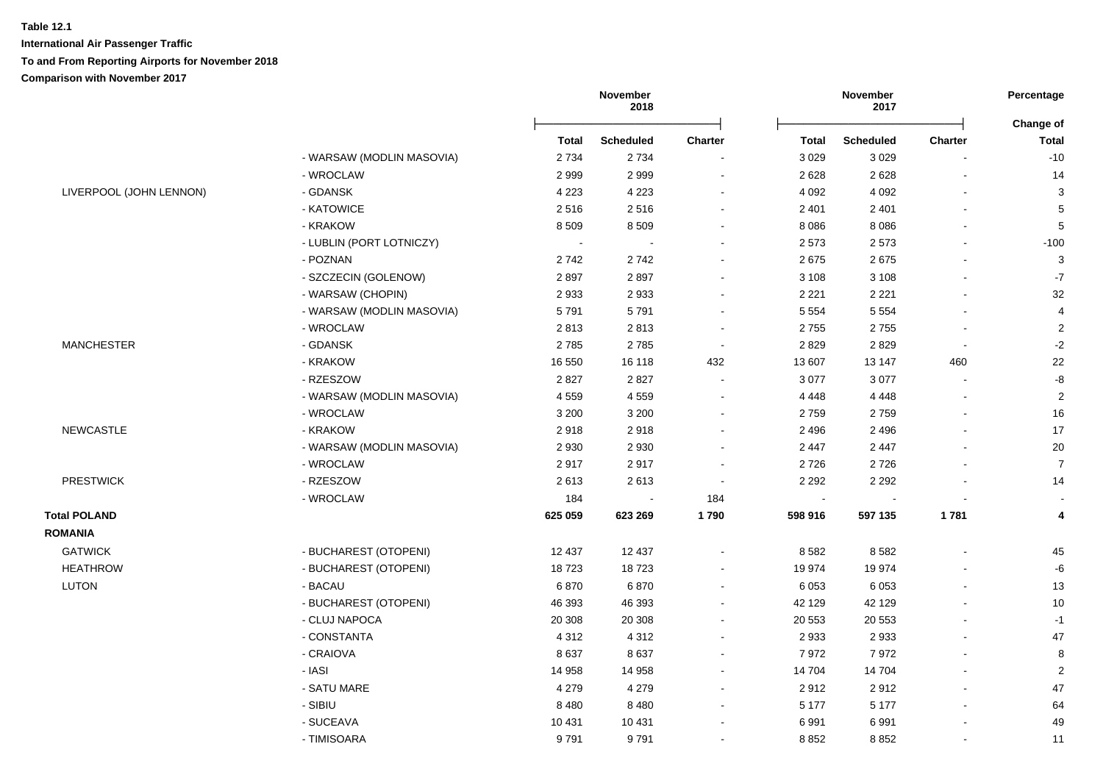|                         |                           |              | November<br>2018 |                |              | November<br>2017 |                | Percentage<br>Change of |
|-------------------------|---------------------------|--------------|------------------|----------------|--------------|------------------|----------------|-------------------------|
|                         |                           | <b>Total</b> | <b>Scheduled</b> | <b>Charter</b> | <b>Total</b> | <b>Scheduled</b> | <b>Charter</b> | <b>Total</b>            |
|                         | - WARSAW (MODLIN MASOVIA) | 2 7 3 4      | 2 7 3 4          |                | 3 0 2 9      | 3029             |                | $-10$                   |
|                         | - WROCLAW                 | 2999         | 2999             |                | 2628         | 2628             |                | 14                      |
| LIVERPOOL (JOHN LENNON) | - GDANSK                  | 4 2 2 3      | 4 2 2 3          |                | 4 0 9 2      | 4 0 9 2          |                | $\sqrt{3}$              |
|                         | - KATOWICE                | 2516         | 2516             |                | 2 4 0 1      | 2 4 0 1          |                | $\sqrt{5}$              |
|                         | - KRAKOW                  | 8509         | 8509             |                | 8 0 8 6      | 8086             |                | $\sqrt{5}$              |
|                         | - LUBLIN (PORT LOTNICZY)  | $\sim$       |                  |                | 2 5 7 3      | 2573             |                | $-100$                  |
|                         | - POZNAN                  | 2742         | 2742             |                | 2675         | 2675             |                | 3                       |
|                         | - SZCZECIN (GOLENOW)      | 2897         | 2897             |                | 3 1 0 8      | 3 1 0 8          |                | $-7$                    |
|                         | - WARSAW (CHOPIN)         | 2933         | 2933             |                | 2 2 2 1      | 2 2 2 1          |                | 32                      |
|                         | - WARSAW (MODLIN MASOVIA) | 5791         | 5791             |                | 5 5 5 4      | 5 5 5 4          |                | $\overline{4}$          |
|                         | - WROCLAW                 | 2813         | 2813             | $\sim$         | 2755         | 2755             | $\sim$         | $\sqrt{2}$              |
| <b>MANCHESTER</b>       | - GDANSK                  | 2785         | 2785             | $\sim$         | 2829         | 2829             | $\sim$         | $-2$                    |
|                         | - KRAKOW                  | 16 550       | 16 118           | 432            | 13 607       | 13 147           | 460            | 22                      |
|                         | - RZESZOW                 | 2827         | 2827             | $\sim$         | 3 0 7 7      | 3 0 7 7          |                | $\textnormal{-}8$       |
|                         | - WARSAW (MODLIN MASOVIA) | 4559         | 4559             |                | 4 4 4 8      | 4 4 4 8          |                | $\overline{2}$          |
|                         | - WROCLAW                 | 3 2 0 0      | 3 2 0 0          |                | 2759         | 2759             |                | 16                      |
| <b>NEWCASTLE</b>        | - KRAKOW                  | 2918         | 2918             |                | 2 4 9 6      | 2 4 9 6          |                | 17                      |
|                         | - WARSAW (MODLIN MASOVIA) | 2930         | 2930             |                | 2 4 4 7      | 2 4 4 7          |                | 20                      |
|                         | - WROCLAW                 | 2917         | 2917             |                | 2726         | 2726             |                | $\overline{7}$          |
| <b>PRESTWICK</b>        | - RZESZOW                 | 2613         | 2613             |                | 2 2 9 2      | 2 2 9 2          |                | 14                      |
|                         | - WROCLAW                 | 184          |                  | 184            |              |                  |                |                         |
| <b>Total POLAND</b>     |                           | 625 059      | 623 269          | 1790           | 598 916      | 597 135          | 1781           | 4                       |
| <b>ROMANIA</b>          |                           |              |                  |                |              |                  |                |                         |
| <b>GATWICK</b>          | - BUCHAREST (OTOPENI)     | 12 437       | 12 437           |                | 8582         | 8582             |                | 45                      |
| <b>HEATHROW</b>         | - BUCHAREST (OTOPENI)     | 18723        | 18723            |                | 19 974       | 19 974           |                | -6                      |
| LUTON                   | - BACAU                   | 6870         | 6870             |                | 6 0 5 3      | 6 0 5 3          |                | 13                      |
|                         | - BUCHAREST (OTOPENI)     | 46 393       | 46 393           |                | 42 129       | 42 129           |                | 10                      |
|                         | - CLUJ NAPOCA             | 20 30 8      | 20 30 8          |                | 20 553       | 20 553           |                | $-1$                    |
|                         | - CONSTANTA               | 4 3 1 2      | 4 3 1 2          | $\sim$         | 2 9 3 3      | 2933             |                | 47                      |
|                         | - CRAIOVA                 | 8637         | 8637             |                | 7972         | 7972             |                | 8                       |
|                         | - IASI                    | 14 958       | 14 958           |                | 14 704       | 14 704           |                | $\overline{2}$          |
|                         | - SATU MARE               | 4 2 7 9      | 4 2 7 9          |                | 2912         | 2912             |                | 47                      |
|                         | - SIBIU                   | 8 4 8 0      | 8 4 8 0          |                | 5 1 7 7      | 5 1 7 7          |                | 64                      |
|                         | - SUCEAVA                 | 10 4 31      | 10 4 31          |                | 6991         | 6991             |                | 49                      |
|                         | - TIMISOARA               | 9791         | 9791             |                | 8852         | 8852             |                | 11                      |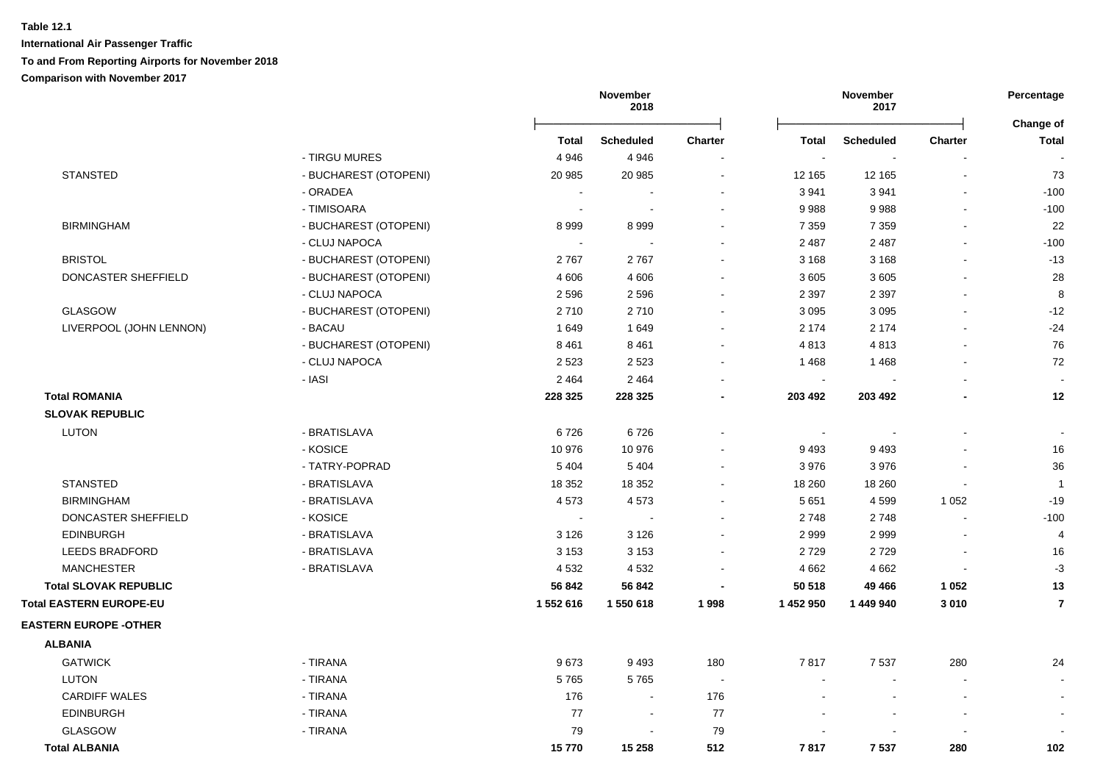|                              |                       |              | November<br>2018         |                |                          | November<br>2017 |                | Percentage                |  |
|------------------------------|-----------------------|--------------|--------------------------|----------------|--------------------------|------------------|----------------|---------------------------|--|
|                              |                       | <b>Total</b> | <b>Scheduled</b>         | <b>Charter</b> | <b>Total</b>             | <b>Scheduled</b> | <b>Charter</b> | Change of<br><b>Total</b> |  |
|                              | - TIRGU MURES         | 4 9 4 6      | 4946                     |                | $\sim$                   |                  |                |                           |  |
| <b>STANSTED</b>              | - BUCHAREST (OTOPENI) | 20 985       | 20 985                   | $\blacksquare$ | 12 165                   | 12 165           |                | 73                        |  |
|                              | - ORADEA              |              |                          |                | 3 9 4 1                  | 3941             |                | $-100$                    |  |
|                              | - TIMISOARA           | $\sim$       | $\overline{\phantom{a}}$ |                | 9988                     | 9988             |                | $-100$                    |  |
| <b>BIRMINGHAM</b>            | - BUCHAREST (OTOPENI) | 8999         | 8999                     |                | 7 3 5 9                  | 7 3 5 9          |                | 22                        |  |
|                              | - CLUJ NAPOCA         |              |                          |                | 2 4 8 7                  | 2 4 8 7          |                | $-100$                    |  |
| <b>BRISTOL</b>               | - BUCHAREST (OTOPENI) | 2767         | 2767                     |                | 3 1 6 8                  | 3 1 6 8          |                | $-13$                     |  |
| DONCASTER SHEFFIELD          | - BUCHAREST (OTOPENI) | 4 6 0 6      | 4 6 0 6                  |                | 3 6 0 5                  | 3 6 0 5          |                | 28                        |  |
|                              | - CLUJ NAPOCA         | 2596         | 2596                     |                | 2 3 9 7                  | 2 3 9 7          |                | 8                         |  |
| <b>GLASGOW</b>               | - BUCHAREST (OTOPENI) | 2710         | 2710                     |                | 3 0 9 5                  | 3 0 9 5          |                | $-12$                     |  |
| LIVERPOOL (JOHN LENNON)      | - BACAU               | 1649         | 1649                     |                | 2 1 7 4                  | 2 1 7 4          |                | $-24$                     |  |
|                              | - BUCHAREST (OTOPENI) | 8 4 6 1      | 8 4 6 1                  |                | 4813                     | 4813             |                | 76                        |  |
|                              | - CLUJ NAPOCA         | 2 5 2 3      | 2 5 2 3                  |                | 1468                     | 1468             |                | 72                        |  |
|                              | - IASI                | 2 4 6 4      | 2 4 6 4                  |                | $\sim$                   |                  |                | $\sim$                    |  |
| <b>Total ROMANIA</b>         |                       | 228 325      | 228 325                  |                | 203 492                  | 203 492          |                | 12                        |  |
| <b>SLOVAK REPUBLIC</b>       |                       |              |                          |                |                          |                  |                |                           |  |
| <b>LUTON</b>                 | - BRATISLAVA          | 6726         | 6726                     |                | $\overline{\phantom{a}}$ |                  |                |                           |  |
|                              | - KOSICE              | 10 976       | 10 976                   |                | 9 4 9 3                  | 9493             |                | 16                        |  |
|                              | - TATRY-POPRAD        | 5 4 0 4      | 5 4 0 4                  |                | 3976                     | 3976             |                | 36                        |  |
| <b>STANSTED</b>              | - BRATISLAVA          | 18 3 5 2     | 18 3 5 2                 |                | 18 260                   | 18 260           |                | $\overline{1}$            |  |
| <b>BIRMINGHAM</b>            | - BRATISLAVA          | 4573         | 4573                     |                | 5 6 5 1                  | 4599             | 1 0 5 2        | $-19$                     |  |
| DONCASTER SHEFFIELD          | - KOSICE              |              |                          |                | 2748                     | 2748             |                | $-100$                    |  |
| <b>EDINBURGH</b>             | - BRATISLAVA          | 3 1 2 6      | 3 1 2 6                  |                | 2 9 9 9                  | 2999             |                | $\overline{4}$            |  |
| <b>LEEDS BRADFORD</b>        | - BRATISLAVA          | 3 1 5 3      | 3 1 5 3                  |                | 2729                     | 2729             |                | 16                        |  |
| <b>MANCHESTER</b>            | - BRATISLAVA          | 4532         | 4532                     |                | 4 6 6 2                  | 4 6 6 2          |                | $-3$                      |  |
| <b>Total SLOVAK REPUBLIC</b> |                       | 56 842       | 56 842                   |                | 50 518                   | 49 4 66          | 1 0 5 2        | 13                        |  |
| Total EASTERN EUROPE-EU      |                       | 1 552 616    | 1 550 618                | 1998           | 1 452 950                | 1 449 940        | 3010           | $\overline{7}$            |  |
| <b>EASTERN EUROPE -OTHER</b> |                       |              |                          |                |                          |                  |                |                           |  |
| <b>ALBANIA</b>               |                       |              |                          |                |                          |                  |                |                           |  |
| <b>GATWICK</b>               | - TIRANA              | 9673         | 9493                     | 180            | 7817                     | 7537             | 280            | 24                        |  |
| <b>LUTON</b>                 | - TIRANA              | 5765         | 5765                     |                |                          |                  |                |                           |  |
| <b>CARDIFF WALES</b>         | - TIRANA              | 176          | $\blacksquare$           | 176            |                          |                  |                |                           |  |
| <b>EDINBURGH</b>             | - TIRANA              | 77           | $\blacksquare$           | 77             |                          |                  |                |                           |  |
| <b>GLASGOW</b>               | - TIRANA              | 79           |                          | 79             |                          |                  |                |                           |  |
| <b>Total ALBANIA</b>         |                       | 15770        | 15 258                   | 512            | 7817                     | 7537             | 280            | 102                       |  |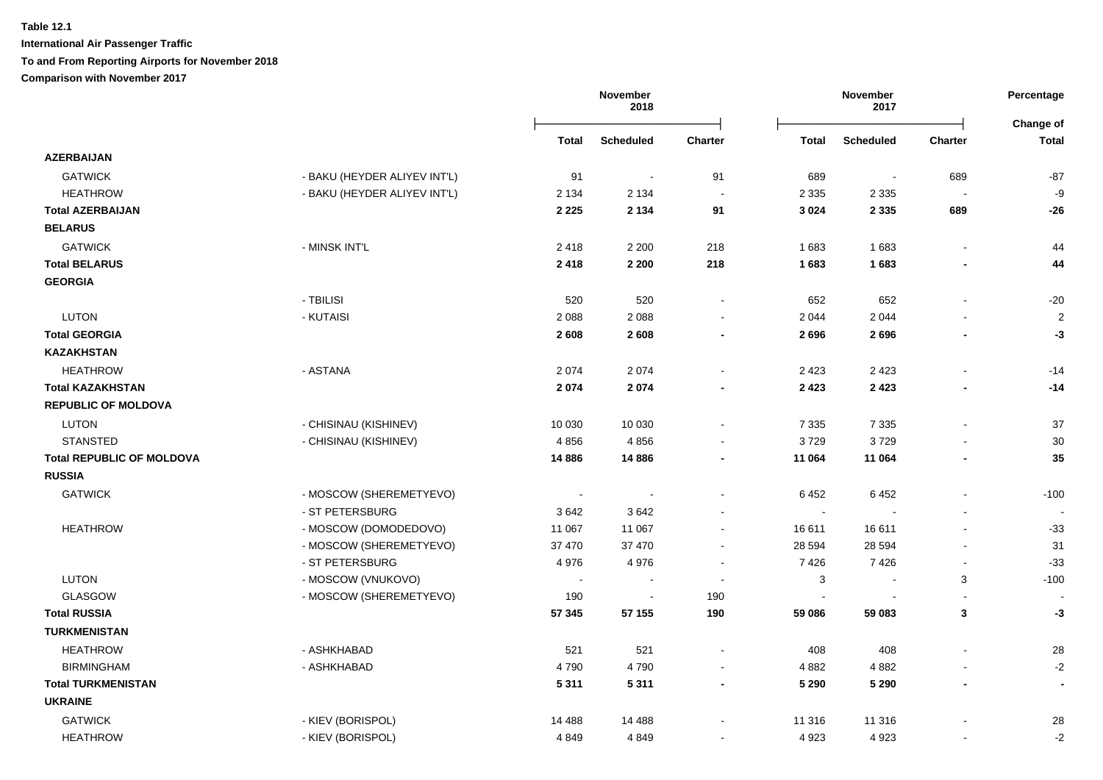|                                  |                              |          | November<br>2018 |                          |              | November<br>2017 |                          | Percentage<br>Change of |
|----------------------------------|------------------------------|----------|------------------|--------------------------|--------------|------------------|--------------------------|-------------------------|
|                                  |                              | Total    | <b>Scheduled</b> | <b>Charter</b>           | <b>Total</b> | <b>Scheduled</b> | <b>Charter</b>           | <b>Total</b>            |
| <b>AZERBAIJAN</b>                |                              |          |                  |                          |              |                  |                          |                         |
| <b>GATWICK</b>                   | - BAKU (HEYDER ALIYEV INT'L) | 91       | $\sim$           | 91                       | 689          | $\blacksquare$   | 689                      | $-87$                   |
| <b>HEATHROW</b>                  | - BAKU (HEYDER ALIYEV INT'L) | 2 1 3 4  | 2 1 3 4          | $\sim$                   | 2 3 3 5      | 2 3 3 5          | $\sim$                   | -9                      |
| <b>Total AZERBAIJAN</b>          |                              | 2 2 2 5  | 2 1 3 4          | 91                       | 3 0 2 4      | 2 3 3 5          | 689                      | $-26$                   |
| <b>BELARUS</b>                   |                              |          |                  |                          |              |                  |                          |                         |
| <b>GATWICK</b>                   | - MINSK INT'L                | 2418     | 2 2 0 0          | 218                      | 1683         | 1683             |                          | 44                      |
| <b>Total BELARUS</b>             |                              | 2418     | 2 2 0 0          | 218                      | 1683         | 1683             |                          | 44                      |
| <b>GEORGIA</b>                   |                              |          |                  |                          |              |                  |                          |                         |
|                                  | - TBILISI                    | 520      | 520              | $\blacksquare$           | 652          | 652              |                          | $-20$                   |
| <b>LUTON</b>                     | - KUTAISI                    | 2088     | 2 0 8 8          | $\blacksquare$           | 2 0 4 4      | 2 0 4 4          |                          | $\overline{c}$          |
| <b>Total GEORGIA</b>             |                              | 2608     | 2608             | $\blacksquare$           | 2696         | 2696             |                          | $-3$                    |
| <b>KAZAKHSTAN</b>                |                              |          |                  |                          |              |                  |                          |                         |
| <b>HEATHROW</b>                  | - ASTANA                     | 2074     | 2074             |                          | 2 4 2 3      | 2 4 2 3          |                          | $-14$                   |
| <b>Total KAZAKHSTAN</b>          |                              | 2074     | 2074             | $\blacksquare$           | 2 4 2 3      | 2 4 2 3          |                          | $-14$                   |
| <b>REPUBLIC OF MOLDOVA</b>       |                              |          |                  |                          |              |                  |                          |                         |
| <b>LUTON</b>                     | - CHISINAU (KISHINEV)        | 10 030   | 10 030           |                          | 7 3 3 5      | 7 3 3 5          |                          | 37                      |
| <b>STANSTED</b>                  | - CHISINAU (KISHINEV)        | 4856     | 4856             | $\blacksquare$           | 3729         | 3729             |                          | 30                      |
| <b>Total REPUBLIC OF MOLDOVA</b> |                              | 14 8 86  | 14 8 86          | $\overline{\phantom{a}}$ | 11 064       | 11 064           |                          | 35                      |
| <b>RUSSIA</b>                    |                              |          |                  |                          |              |                  |                          |                         |
| <b>GATWICK</b>                   | - MOSCOW (SHEREMETYEVO)      | $\sim$   | $\blacksquare$   | $\blacksquare$           | 6452         | 6452             |                          | $-100$                  |
|                                  | - ST PETERSBURG              | 3642     | 3642             |                          | $\sim$       |                  |                          |                         |
| <b>HEATHROW</b>                  | - MOSCOW (DOMODEDOVO)        | 11 067   | 11 067           | $\blacksquare$           | 16 611       | 16611            |                          | $-33$                   |
|                                  | - MOSCOW (SHEREMETYEVO)      | 37 470   | 37 470           | $\sim$                   | 28 594       | 28 5 94          | $\overline{\phantom{a}}$ | 31                      |
|                                  | - ST PETERSBURG              | 4976     | 4976             | $\blacksquare$           | 7426         | 7426             | $\overline{\phantom{a}}$ | $-33$                   |
| <b>LUTON</b>                     | - MOSCOW (VNUKOVO)           |          | $\sim$           | $\blacksquare$           | 3            | $\blacksquare$   | 3                        | $-100$                  |
| <b>GLASGOW</b>                   | - MOSCOW (SHEREMETYEVO)      | 190      | $\sim$           | 190                      | $\sim$       |                  | $\sim$                   |                         |
| <b>Total RUSSIA</b>              |                              | 57 345   | 57 155           | 190                      | 59 086       | 59 083           | $\mathbf{3}$             | $-3$                    |
| <b>TURKMENISTAN</b>              |                              |          |                  |                          |              |                  |                          |                         |
| <b>HEATHROW</b>                  | - ASHKHABAD                  | 521      | 521              |                          | 408          | 408              |                          | 28                      |
| <b>BIRMINGHAM</b>                | - ASHKHABAD                  | 4790     | 4790             | $\blacksquare$           | 4 8 8 2      | 4882             |                          | $-2$                    |
| <b>Total TURKMENISTAN</b>        |                              | 5311     | 5311             | $\blacksquare$           | 5 2 9 0      | 5 2 9 0          | $\blacksquare$           | $\blacksquare$          |
| <b>UKRAINE</b>                   |                              |          |                  |                          |              |                  |                          |                         |
| <b>GATWICK</b>                   | - KIEV (BORISPOL)            | 14 4 8 8 | 14 4 8 8         |                          | 11 316       | 11 316           |                          | 28                      |
| <b>HEATHROW</b>                  | - KIEV (BORISPOL)            | 4 8 4 9  | 4849             | $\blacksquare$           | 4 9 23       | 4923             |                          | $-2$                    |
|                                  |                              |          |                  |                          |              |                  |                          |                         |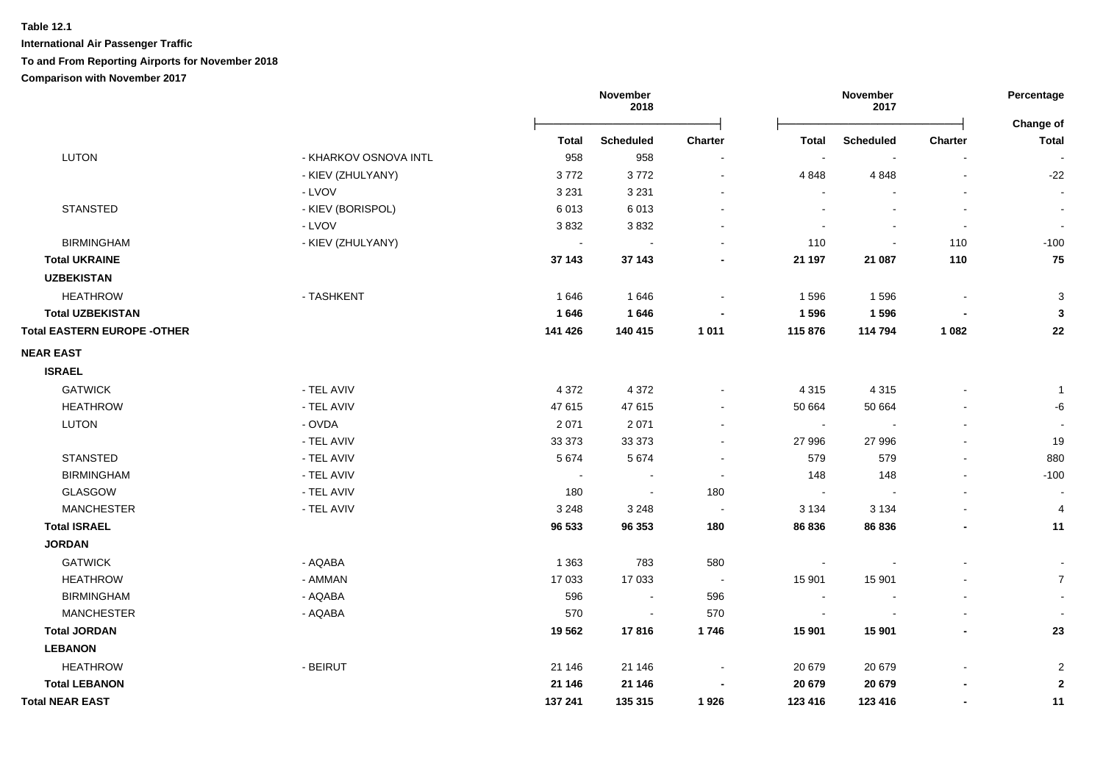|                                    |                       | November<br>2018 |                  |                          | November<br>2017 |                  |                          |                           |
|------------------------------------|-----------------------|------------------|------------------|--------------------------|------------------|------------------|--------------------------|---------------------------|
|                                    |                       | <b>Total</b>     | <b>Scheduled</b> | Charter                  | Total            | <b>Scheduled</b> | Charter                  | Change of<br><b>Total</b> |
| LUTON                              | - KHARKOV OSNOVA INTL | 958              | 958              |                          |                  |                  |                          |                           |
|                                    | - KIEV (ZHULYANY)     | 3772             | 3772             |                          | 4 8 4 8          | 4 8 4 8          | $\blacksquare$           | $-22$                     |
|                                    | - LVOV                | 3 2 3 1          | 3 2 3 1          |                          |                  |                  |                          |                           |
| <b>STANSTED</b>                    | - KIEV (BORISPOL)     | 6013             | 6013             |                          |                  |                  |                          |                           |
|                                    | - LVOV                | 3832             | 3832             |                          |                  | $\overline{a}$   | $\overline{\phantom{a}}$ | $\sim$                    |
| <b>BIRMINGHAM</b>                  | - KIEV (ZHULYANY)     | $\sim$           |                  |                          | 110              |                  | 110                      | $-100$                    |
| <b>Total UKRAINE</b>               |                       | 37 143           | 37 143           |                          | 21 197           | 21 087           | 110                      | 75                        |
| <b>UZBEKISTAN</b>                  |                       |                  |                  |                          |                  |                  |                          |                           |
| <b>HEATHROW</b>                    | - TASHKENT            | 1646             | 1646             | $\blacksquare$           | 1 5 9 6          | 1596             | $\overline{\phantom{a}}$ | $\sqrt{3}$                |
| <b>Total UZBEKISTAN</b>            |                       | 1646             | 1646             |                          | 1596             | 1596             |                          | $\mathbf{3}$              |
| <b>Total EASTERN EUROPE -OTHER</b> |                       | 141 426          | 140 415          | 1 0 1 1                  | 115 876          | 114 794          | 1 0 8 2                  | 22                        |
| <b>NEAR EAST</b>                   |                       |                  |                  |                          |                  |                  |                          |                           |
| <b>ISRAEL</b>                      |                       |                  |                  |                          |                  |                  |                          |                           |
| <b>GATWICK</b>                     | - TEL AVIV            | 4 3 7 2          | 4 3 7 2          |                          | 4 3 1 5          | 4 3 1 5          |                          | -1                        |
| <b>HEATHROW</b>                    | - TEL AVIV            | 47 615           | 47 615           |                          | 50 664           | 50 664           | $\blacksquare$           | -6                        |
| <b>LUTON</b>                       | - OVDA                | 2 0 7 1          | 2 0 7 1          |                          | $\sim$           |                  | $\blacksquare$           | $\blacksquare$            |
|                                    | - TEL AVIV            | 33 373           | 33 373           |                          | 27 996           | 27 996           | $\blacksquare$           | 19                        |
| <b>STANSTED</b>                    | - TEL AVIV            | 5 6 7 4          | 5 6 7 4          |                          | 579              | 579              | $\blacksquare$           | 880                       |
| <b>BIRMINGHAM</b>                  | - TEL AVIV            | $\bullet$        |                  | $\blacksquare$           | 148              | 148              | $\blacksquare$           | $-100$                    |
| GLASGOW                            | - TEL AVIV            | 180              | $\sim$           | 180                      | $\sim$           |                  | $\blacksquare$           |                           |
| <b>MANCHESTER</b>                  | - TEL AVIV            | 3 2 4 8          | 3 2 4 8          | $\sim$                   | 3 1 3 4          | 3 1 3 4          | $\blacksquare$           | $\overline{4}$            |
| <b>Total ISRAEL</b>                |                       | 96 533           | 96 353           | 180                      | 86 836           | 86 836           | $\overline{\phantom{a}}$ | 11                        |
| <b>JORDAN</b>                      |                       |                  |                  |                          |                  |                  |                          |                           |
| <b>GATWICK</b>                     | - AQABA               | 1 3 6 3          | 783              | 580                      |                  |                  |                          |                           |
| <b>HEATHROW</b>                    | - AMMAN               | 17 033           | 17 033           | $\overline{\phantom{a}}$ | 15 901           | 15 901           |                          | $\overline{7}$            |
| <b>BIRMINGHAM</b>                  | - AQABA               | 596              |                  | 596                      |                  |                  |                          |                           |
| <b>MANCHESTER</b>                  | - AQABA               | 570              | $\sim$           | 570                      |                  |                  |                          |                           |
| <b>Total JORDAN</b>                |                       | 19562            | 17816            | 1746                     | 15 901           | 15 901           | $\blacksquare$           | 23                        |
| <b>LEBANON</b>                     |                       |                  |                  |                          |                  |                  |                          |                           |
| <b>HEATHROW</b>                    | - BEIRUT              | 21 146           | 21 146           |                          | 20 679           | 20 679           | $\blacksquare$           | $\overline{2}$            |
| <b>Total LEBANON</b>               |                       | 21 146           | 21 146           |                          | 20 679           | 20 679           | $\blacksquare$           | $\boldsymbol{2}$          |
| <b>Total NEAR EAST</b>             |                       | 137 241          | 135 315          | 1926                     | 123 416          | 123 416          | $\overline{\phantom{a}}$ | 11                        |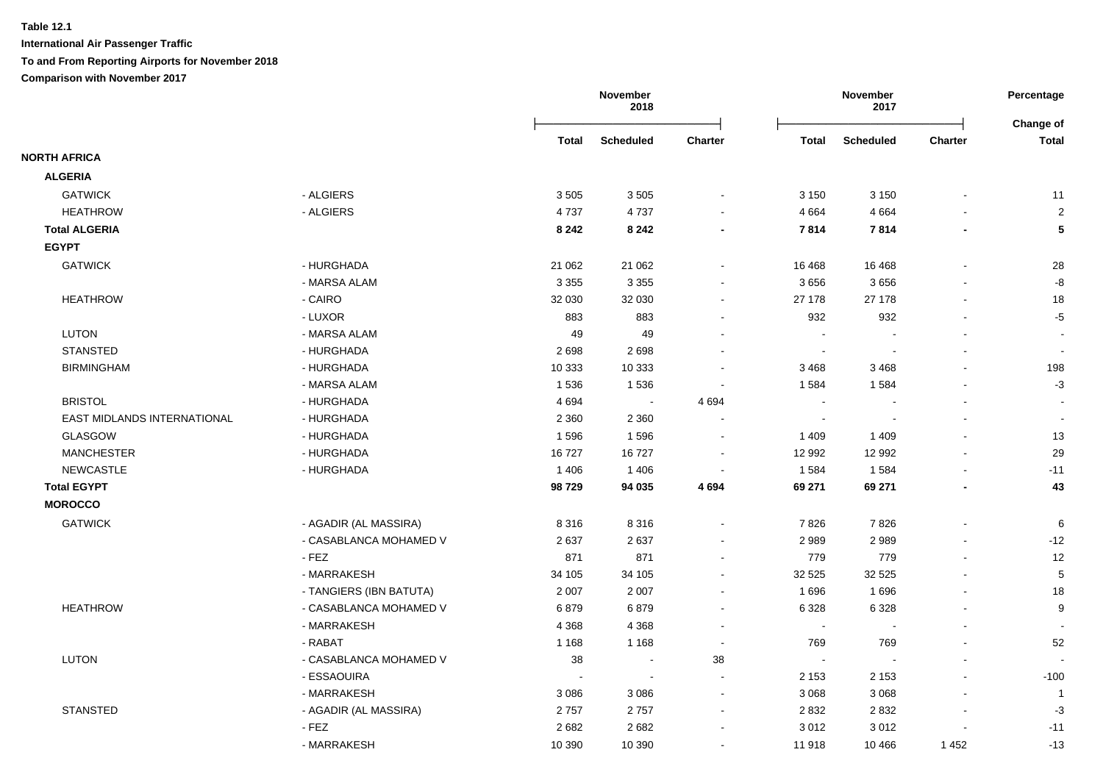**International Air Passenger Traffic**

**To and From Reporting Airports for November 2018**

|                             |                         |              | November<br>2018 |                          | November<br>2017 |                  | Percentage<br>Change of |                          |
|-----------------------------|-------------------------|--------------|------------------|--------------------------|------------------|------------------|-------------------------|--------------------------|
|                             |                         | <b>Total</b> | <b>Scheduled</b> | <b>Charter</b>           | <b>Total</b>     | <b>Scheduled</b> | Charter                 | <b>Total</b>             |
| <b>NORTH AFRICA</b>         |                         |              |                  |                          |                  |                  |                         |                          |
| <b>ALGERIA</b>              |                         |              |                  |                          |                  |                  |                         |                          |
| <b>GATWICK</b>              | - ALGIERS               | 3505         | 3 5 0 5          | $\blacksquare$           | 3 1 5 0          | 3 1 5 0          |                         | 11                       |
| <b>HEATHROW</b>             | - ALGIERS               | 4737         | 4737             |                          | 4 6 6 4          | 4 6 6 4          |                         | $\sqrt{2}$               |
| <b>Total ALGERIA</b>        |                         | 8 2 4 2      | 8 2 4 2          | $\blacksquare$           | 7814             | 7814             | ٠                       | ${\bf 5}$                |
| <b>EGYPT</b>                |                         |              |                  |                          |                  |                  |                         |                          |
| <b>GATWICK</b>              | - HURGHADA              | 21 062       | 21 062           |                          | 16 4 68          | 16 4 68          |                         | 28                       |
|                             | - MARSA ALAM            | 3 3 5 5      | 3 3 5 5          | $\blacksquare$           | 3656             | 3656             |                         | -8                       |
| <b>HEATHROW</b>             | - CAIRO                 | 32 030       | 32 030           | $\sim$                   | 27 178           | 27 178           | $\blacksquare$          | 18                       |
|                             | - LUXOR                 | 883          | 883              | $\blacksquare$           | 932              | 932              |                         | $-5$                     |
| <b>LUTON</b>                | - MARSA ALAM            | 49           | 49               |                          | $\sim$           |                  |                         | $\overline{\phantom{a}}$ |
| <b>STANSTED</b>             | - HURGHADA              | 2698         | 2698             |                          | $\sim$           |                  |                         |                          |
| <b>BIRMINGHAM</b>           | - HURGHADA              | 10 333       | 10 333           |                          | 3 4 6 8          | 3468             |                         | 198                      |
|                             | - MARSA ALAM            | 1536         | 1536             |                          | 1584             | 1584             |                         | $-3$                     |
| <b>BRISTOL</b>              | - HURGHADA              | 4694         | $\sim$           | 4 6 9 4                  | $\sim$           |                  |                         | $\blacksquare$           |
| EAST MIDLANDS INTERNATIONAL | - HURGHADA              | 2 3 6 0      | 2 3 6 0          |                          | $\sim$           |                  |                         |                          |
| <b>GLASGOW</b>              | - HURGHADA              | 1596         | 1596             |                          | 1 4 0 9          | 1 4 0 9          |                         | 13                       |
| <b>MANCHESTER</b>           | - HURGHADA              | 16727        | 16727            | $\sim$                   | 12 992           | 12 992           |                         | 29                       |
| <b>NEWCASTLE</b>            | - HURGHADA              | 1 4 0 6      | 1406             | $\overline{\phantom{a}}$ | 1 5 8 4          | 1584             |                         | $-11$                    |
| <b>Total EGYPT</b>          |                         | 98729        | 94 035           | 4 6 9 4                  | 69 271           | 69 271           |                         | 43                       |
| <b>MOROCCO</b>              |                         |              |                  |                          |                  |                  |                         |                          |
| <b>GATWICK</b>              | - AGADIR (AL MASSIRA)   | 8 3 1 6      | 8316             | $\blacksquare$           | 7826             | 7826             |                         | 6                        |
|                             | - CASABLANCA MOHAMED V  | 2637         | 2637             |                          | 2989             | 2989             |                         | $-12$                    |
|                             | - FEZ                   | 871          | 871              | $\blacksquare$           | 779              | 779              |                         | 12                       |
|                             | - MARRAKESH             | 34 105       | 34 105           | $\blacksquare$           | 32 5 25          | 32 5 25          |                         | $\,$ 5 $\,$              |
|                             | - TANGIERS (IBN BATUTA) | 2 0 0 7      | 2 0 0 7          | $\blacksquare$           | 1696             | 1696             |                         | 18                       |
| <b>HEATHROW</b>             | - CASABLANCA MOHAMED V  | 6879         | 6879             |                          | 6 3 28           | 6 3 2 8          |                         | 9                        |
|                             | - MARRAKESH             | 4 3 6 8      | 4 3 6 8          | $\blacksquare$           | $\sim$           |                  |                         |                          |
|                             | - RABAT                 | 1 1 6 8      | 1 1 6 8          | $\blacksquare$           | 769              | 769              |                         | 52                       |
| <b>LUTON</b>                | - CASABLANCA MOHAMED V  | 38           |                  | 38                       | $\sim$           |                  |                         |                          |
|                             | - ESSAOUIRA             | $\sim$       | $\sim$           | $\overline{a}$           | 2 1 5 3          | 2 1 5 3          | $\overline{a}$          | $-100$                   |
|                             | - MARRAKESH             | 3 0 8 6      | 3 0 8 6          | $\sim$                   | 3 0 6 8          | 3 0 6 8          | $\mathbf{r}$            | $\overline{1}$           |
| <b>STANSTED</b>             | - AGADIR (AL MASSIRA)   | 2757         | 2757             | $\blacksquare$           | 2832             | 2 8 3 2          | $\blacksquare$          | $-3$                     |
|                             | - FEZ                   | 2682         | 2682             |                          | 3012             | 3012             |                         | $-11$                    |
|                             | - MARRAKESH             | 10 390       | 10 390           | $\blacksquare$           | 11 918           | 10 4 66          | 1452                    | $-13$                    |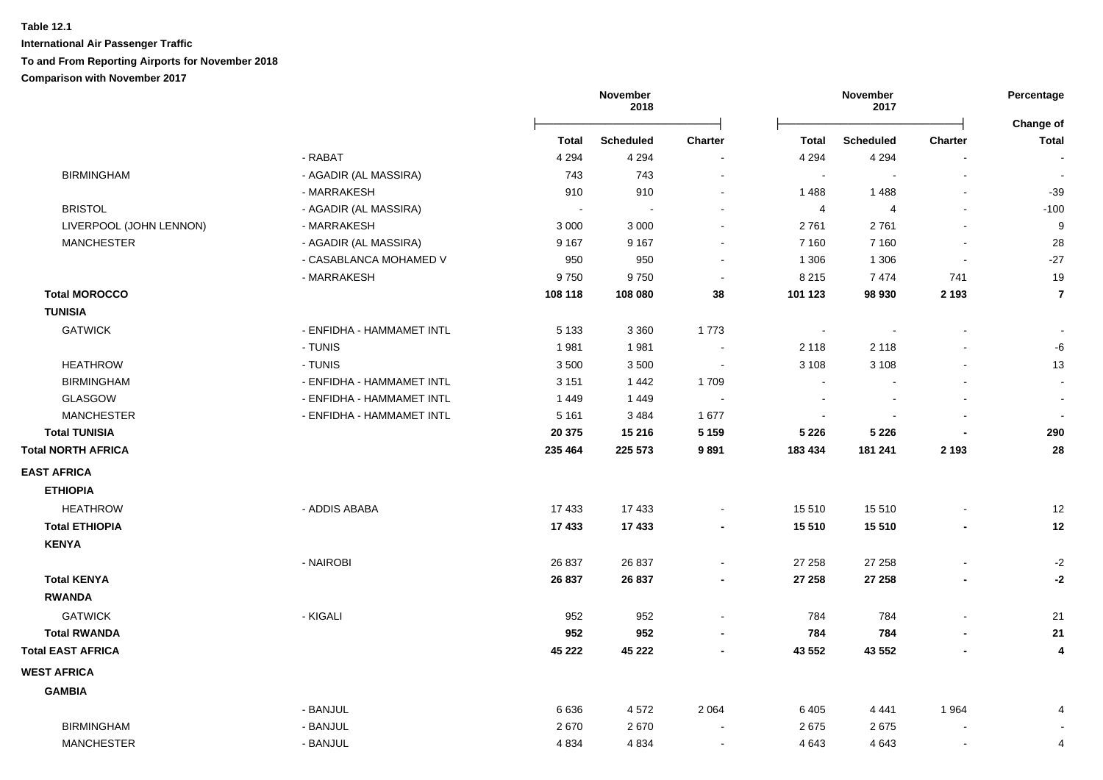|                           |                           | November<br>2018 |                  | November<br>2017         |              | Percentage       |                          |                           |
|---------------------------|---------------------------|------------------|------------------|--------------------------|--------------|------------------|--------------------------|---------------------------|
|                           |                           | Total            | <b>Scheduled</b> | <b>Charter</b>           | <b>Total</b> | <b>Scheduled</b> | <b>Charter</b>           | Change of<br><b>Total</b> |
|                           | - RABAT                   | 4 2 9 4          | 4 2 9 4          | $\blacksquare$           | 4 2 9 4      | 4 2 9 4          | $\blacksquare$           |                           |
| <b>BIRMINGHAM</b>         | - AGADIR (AL MASSIRA)     | 743              | 743              | $\blacksquare$           | $\sim$       | $\blacksquare$   | $\mathbf{r}$             | $\overline{\phantom{a}}$  |
|                           | - MARRAKESH               | 910              | 910              | $\blacksquare$           | 1 4 8 8      | 1488             |                          | $-39$                     |
| <b>BRISTOL</b>            | - AGADIR (AL MASSIRA)     |                  | $\blacksquare$   | $\blacksquare$           | 4            | $\overline{4}$   |                          | $-100$                    |
| LIVERPOOL (JOHN LENNON)   | - MARRAKESH               | 3 0 0 0          | 3 0 0 0          | $\overline{\phantom{a}}$ | 2761         | 2761             | $\blacksquare$           | 9                         |
| <b>MANCHESTER</b>         | - AGADIR (AL MASSIRA)     | 9 1 6 7          | 9 1 6 7          | $\blacksquare$           | 7 1 6 0      | 7 1 6 0          |                          | 28                        |
|                           | - CASABLANCA MOHAMED V    | 950              | 950              |                          | 1 3 0 6      | 1 3 0 6          | $\blacksquare$           | $-27$                     |
|                           | - MARRAKESH               | 9750             | 9750             | $\overline{\phantom{a}}$ | 8 2 1 5      | 7474             | 741                      | 19                        |
| <b>Total MOROCCO</b>      |                           | 108 118          | 108 080          | 38                       | 101 123      | 98 930           | 2 1 9 3                  | $\overline{7}$            |
| <b>TUNISIA</b>            |                           |                  |                  |                          |              |                  |                          |                           |
| <b>GATWICK</b>            | - ENFIDHA - HAMMAMET INTL | 5 1 3 3          | 3 3 6 0          | 1773                     | $\sim$       |                  | $\overline{\phantom{a}}$ |                           |
|                           | - TUNIS                   | 1981             | 1981             |                          | 2 1 1 8      | 2 1 1 8          |                          | -6                        |
| <b>HEATHROW</b>           | - TUNIS                   | 3500             | 3500             |                          | 3 1 0 8      | 3 1 0 8          |                          | 13                        |
| <b>BIRMINGHAM</b>         | - ENFIDHA - HAMMAMET INTL | 3 1 5 1          | 1442             | 1709                     |              |                  |                          | $\overline{\phantom{a}}$  |
| <b>GLASGOW</b>            | - ENFIDHA - HAMMAMET INTL | 1449             | 1449             |                          |              |                  |                          |                           |
| <b>MANCHESTER</b>         | - ENFIDHA - HAMMAMET INTL | 5 1 6 1          | 3 4 8 4          | 1677                     | $\sim$       |                  |                          |                           |
| <b>Total TUNISIA</b>      |                           | 20 375           | 15 216           | 5 1 5 9                  | 5 2 2 6      | 5 2 2 6          | $\blacksquare$           | 290                       |
| <b>Total NORTH AFRICA</b> |                           | 235 464          | 225 573          | 9891                     | 183 434      | 181 241          | 2 1 9 3                  | 28                        |
| <b>EAST AFRICA</b>        |                           |                  |                  |                          |              |                  |                          |                           |
| <b>ETHIOPIA</b>           |                           |                  |                  |                          |              |                  |                          |                           |
| <b>HEATHROW</b>           | - ADDIS ABABA             | 17 433           | 17 433           | $\overline{\phantom{a}}$ | 15 510       | 15 510           |                          | 12                        |
| <b>Total ETHIOPIA</b>     |                           | 17 433           | 17 433           | $\overline{\phantom{a}}$ | 15 510       | 15 510           | $\overline{\phantom{a}}$ | 12                        |
| <b>KENYA</b>              |                           |                  |                  |                          |              |                  |                          |                           |
|                           | - NAIROBI                 | 26 837           | 26 837           | $\blacksquare$           | 27 258       | 27 258           | $\blacksquare$           | $-2$                      |
| <b>Total KENYA</b>        |                           | 26 837           | 26 837           | $\blacksquare$           | 27 258       | 27 258           | $\overline{a}$           | $-2$                      |
| <b>RWANDA</b>             |                           |                  |                  |                          |              |                  |                          |                           |
| <b>GATWICK</b>            | - KIGALI                  | 952              | 952              | $\blacksquare$           | 784          | 784              | $\blacksquare$           | $21$                      |
| <b>Total RWANDA</b>       |                           | 952              | 952              | $\blacksquare$           | 784          | 784              |                          | 21                        |
| <b>Total EAST AFRICA</b>  |                           | 45 222           | 45 222           | $\blacksquare$           | 43 552       | 43 552           | $\overline{a}$           | 4                         |
| <b>WEST AFRICA</b>        |                           |                  |                  |                          |              |                  |                          |                           |
| <b>GAMBIA</b>             |                           |                  |                  |                          |              |                  |                          |                           |
|                           | - BANJUL                  | 6636             | 4572             | 2 0 6 4                  | 6405         | 4 4 4 1          | 1964                     | 4                         |
| <b>BIRMINGHAM</b>         | - BANJUL                  | 2670             | 2670             |                          | 2675         | 2675             |                          |                           |
| <b>MANCHESTER</b>         | - BANJUL                  | 4 8 3 4          | 4 8 3 4          | $\overline{\phantom{a}}$ | 4 6 4 3      | 4 6 4 3          | $\blacksquare$           | 4                         |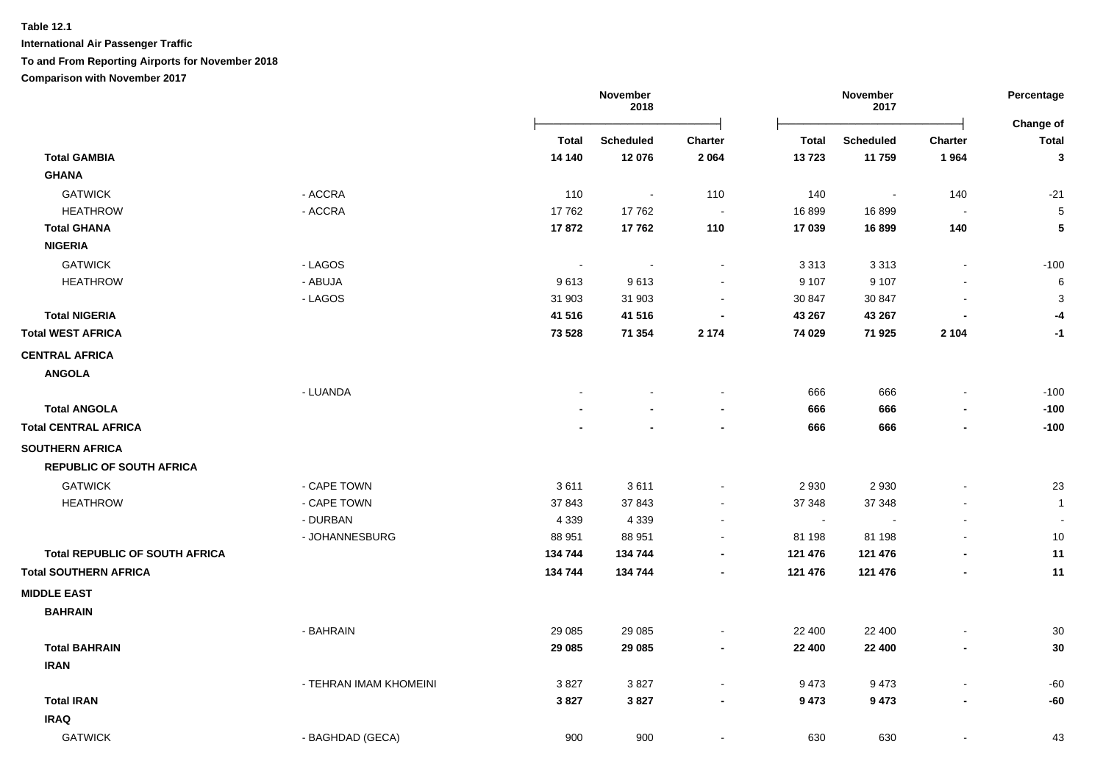**International Air Passenger Traffic**

**To and From Reporting Airports for November 2018**

|                                       |                        |                | November<br>2018 | November<br>2017         |              | Percentage<br>Change of  |                          |                |
|---------------------------------------|------------------------|----------------|------------------|--------------------------|--------------|--------------------------|--------------------------|----------------|
|                                       |                        | <b>Total</b>   | <b>Scheduled</b> | Charter                  | <b>Total</b> | <b>Scheduled</b>         | <b>Charter</b>           | <b>Total</b>   |
| <b>Total GAMBIA</b>                   |                        | 14 140         | 12 076           | 2 0 6 4                  | 13723        | 11759                    | 1964                     | $\mathbf{3}$   |
| <b>GHANA</b>                          |                        |                |                  |                          |              |                          |                          |                |
| <b>GATWICK</b>                        | - ACCRA                | 110            | $\sim$           | 110                      | 140          | $\overline{\phantom{a}}$ | 140                      | $-21$          |
| <b>HEATHROW</b>                       | - ACCRA                | 17762          | 17762            | $\sim$                   | 16 899       | 16899                    | $\overline{\phantom{a}}$ | 5              |
| <b>Total GHANA</b>                    |                        | 17872          | 17762            | 110                      | 17 039       | 16899                    | 140                      | 5              |
| <b>NIGERIA</b>                        |                        |                |                  |                          |              |                          |                          |                |
| <b>GATWICK</b>                        | - LAGOS                | $\blacksquare$ | $\sim$           | $\sim$                   | 3 3 1 3      | 3 3 1 3                  | $\blacksquare$           | $-100$         |
| <b>HEATHROW</b>                       | - ABUJA                | 9613           | 9613             | $\blacksquare$           | 9 1 0 7      | 9 1 0 7                  | $\sim$                   | $\,6$          |
|                                       | - LAGOS                | 31 903         | 31 903           | $\sim$                   | 30 847       | 30 847                   | $\overline{\phantom{a}}$ | 3              |
| <b>Total NIGERIA</b>                  |                        | 41 516         | 41 516           | $\blacksquare$           | 43 267       | 43 267                   |                          | -4             |
| <b>Total WEST AFRICA</b>              |                        | 73 5 28        | 71 354           | 2 1 7 4                  | 74 029       | 71 925                   | 2 1 0 4                  | $-1$           |
| <b>CENTRAL AFRICA</b>                 |                        |                |                  |                          |              |                          |                          |                |
| <b>ANGOLA</b>                         |                        |                |                  |                          |              |                          |                          |                |
|                                       | - LUANDA               |                |                  | $\tilde{\phantom{a}}$    | 666          | 666                      | $\blacksquare$           | $-100$         |
| <b>Total ANGOLA</b>                   |                        |                |                  |                          | 666          | 666                      |                          | $-100$         |
| <b>Total CENTRAL AFRICA</b>           |                        |                |                  |                          | 666          | 666                      | $\blacksquare$           | $-100$         |
| <b>SOUTHERN AFRICA</b>                |                        |                |                  |                          |              |                          |                          |                |
| <b>REPUBLIC OF SOUTH AFRICA</b>       |                        |                |                  |                          |              |                          |                          |                |
| <b>GATWICK</b>                        | - CAPE TOWN            | 3611           | 3611             | $\sim$                   | 2 9 3 0      | 2930                     |                          | 23             |
| <b>HEATHROW</b>                       | - CAPE TOWN            | 37 843         | 37 843           | $\blacksquare$           | 37 348       | 37 348                   |                          | $\overline{1}$ |
|                                       | - DURBAN               | 4 3 3 9        | 4 3 3 9          | $\blacksquare$           | $\sim$       |                          |                          | $\blacksquare$ |
|                                       | - JOHANNESBURG         | 88 951         | 88 951           | $\sim$                   | 81 198       | 81 198                   |                          | $10$           |
| <b>Total REPUBLIC OF SOUTH AFRICA</b> |                        | 134 744        | 134 744          | $\blacksquare$           | 121 476      | 121 476                  |                          | 11             |
| <b>Total SOUTHERN AFRICA</b>          |                        | 134 744        | 134 744          | $\blacksquare$           | 121 476      | 121 476                  | $\blacksquare$           | 11             |
| <b>MIDDLE EAST</b>                    |                        |                |                  |                          |              |                          |                          |                |
| <b>BAHRAIN</b>                        |                        |                |                  |                          |              |                          |                          |                |
|                                       | - BAHRAIN              | 29 0 85        | 29 0 85          | $\blacksquare$           | 22 400       | 22 400                   | $\blacksquare$           | $30\,$         |
| <b>Total BAHRAIN</b>                  |                        | 29 085         | 29 085           | $\blacksquare$           | 22 400       | 22 400                   | $\blacksquare$           | 30             |
| <b>IRAN</b>                           |                        |                |                  |                          |              |                          |                          |                |
|                                       | - TEHRAN IMAM KHOMEINI | 3827           | 3827             | $\sim$                   | 9473         | 9473                     | $\blacksquare$           | $-60$          |
| <b>Total IRAN</b>                     |                        | 3827           | 3827             | $\overline{\phantom{a}}$ | 9473         | 9473                     | $\overline{\phantom{a}}$ | $-60$          |
| <b>IRAQ</b>                           |                        |                |                  |                          |              |                          |                          |                |
| <b>GATWICK</b>                        | - BAGHDAD (GECA)       | 900            | 900              | $\blacksquare$           | 630          | 630                      | $\blacksquare$           | 43             |
|                                       |                        |                |                  |                          |              |                          |                          |                |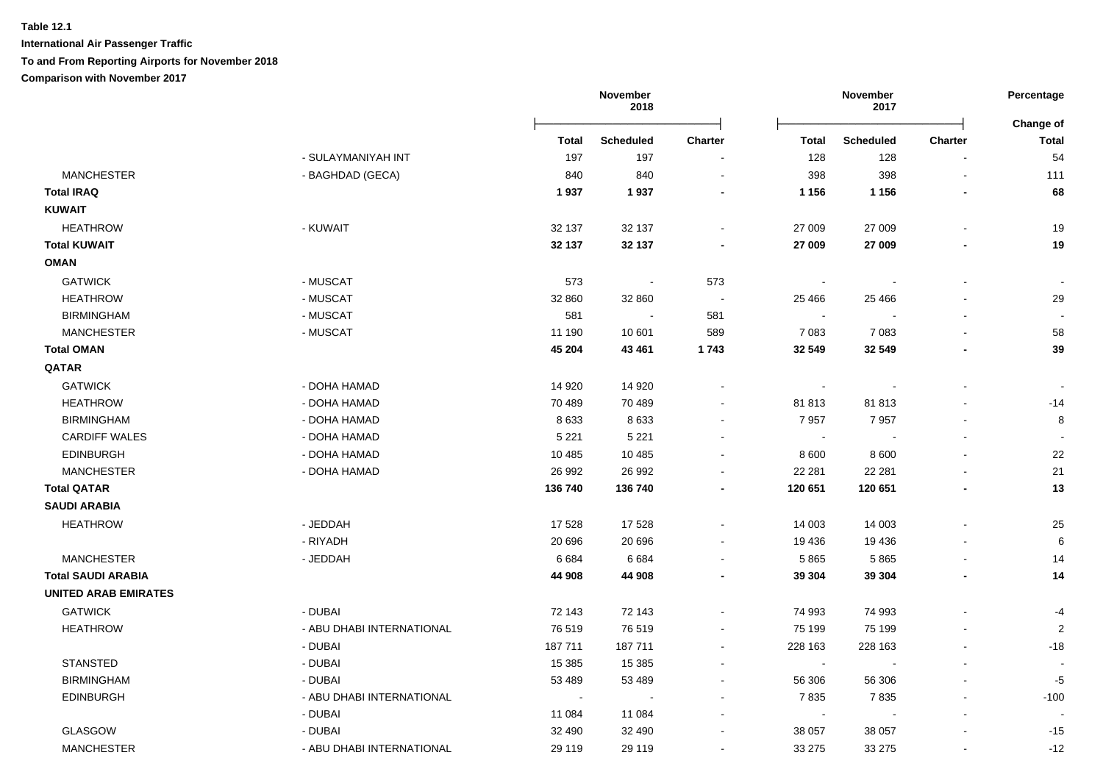|                             |                           |                          | November<br>2018 |                |                          | November<br>2017 |                | Percentage                |
|-----------------------------|---------------------------|--------------------------|------------------|----------------|--------------------------|------------------|----------------|---------------------------|
|                             |                           | Total                    | <b>Scheduled</b> | Charter        | <b>Total</b>             | <b>Scheduled</b> | <b>Charter</b> | Change of<br><b>Total</b> |
|                             | - SULAYMANIYAH INT        | 197                      | 197              |                | 128                      | 128              |                | 54                        |
| <b>MANCHESTER</b>           | - BAGHDAD (GECA)          | 840                      | 840              |                | 398                      | 398              | L,             | 111                       |
| <b>Total IRAQ</b>           |                           | 1937                     | 1937             |                | 1 1 5 6                  | 1 1 5 6          |                | 68                        |
| <b>KUWAIT</b>               |                           |                          |                  |                |                          |                  |                |                           |
| <b>HEATHROW</b>             | - KUWAIT                  | 32 137                   | 32 137           |                | 27 009                   | 27 009           |                | 19                        |
| <b>Total KUWAIT</b>         |                           | 32 137                   | 32 137           |                | 27 009                   | 27 009           | $\blacksquare$ | 19                        |
| <b>OMAN</b>                 |                           |                          |                  |                |                          |                  |                |                           |
| <b>GATWICK</b>              | - MUSCAT                  | 573                      | $\sim$           | 573            | $\overline{\phantom{a}}$ |                  |                |                           |
| <b>HEATHROW</b>             | - MUSCAT                  | 32 860                   | 32 860           | $\blacksquare$ | 25 4 66                  | 25 4 66          |                | 29                        |
| <b>BIRMINGHAM</b>           | - MUSCAT                  | 581                      | $\sim$ $-$       | 581            | $\overline{\phantom{a}}$ |                  |                |                           |
| <b>MANCHESTER</b>           | - MUSCAT                  | 11 190                   | 10 601           | 589            | 7 0 8 3                  | 7 0 8 3          |                | 58                        |
| <b>Total OMAN</b>           |                           | 45 204                   | 43 4 61          | 1743           | 32 549                   | 32 549           |                | 39                        |
| QATAR                       |                           |                          |                  |                |                          |                  |                |                           |
| <b>GATWICK</b>              | - DOHA HAMAD              | 14 9 20                  | 14 9 20          |                | $\sim$                   |                  |                |                           |
| <b>HEATHROW</b>             | - DOHA HAMAD              | 70 489                   | 70 489           |                | 81813                    | 81813            |                | $-14$                     |
| <b>BIRMINGHAM</b>           | - DOHA HAMAD              | 8633                     | 8633             |                | 7957                     | 7957             |                | 8                         |
| <b>CARDIFF WALES</b>        | - DOHA HAMAD              | 5 2 2 1                  | 5 2 2 1          |                | $\overline{\phantom{a}}$ |                  |                |                           |
| <b>EDINBURGH</b>            | - DOHA HAMAD              | 10 4 8 5                 | 10 4 8 5         |                | 8 600                    | 8 6 0 0          |                | 22                        |
| <b>MANCHESTER</b>           | - DOHA HAMAD              | 26 992                   | 26 992           |                | 22 281                   | 22 281           |                | 21                        |
| <b>Total QATAR</b>          |                           | 136 740                  | 136 740          |                | 120 651                  | 120 651          |                | 13                        |
| <b>SAUDI ARABIA</b>         |                           |                          |                  |                |                          |                  |                |                           |
| <b>HEATHROW</b>             | - JEDDAH                  | 17 528                   | 17 528           |                | 14 003                   | 14 003           |                | 25                        |
|                             | - RIYADH                  | 20 696                   | 20 696           |                | 19 4 36                  | 19 4 36          |                | 6                         |
| <b>MANCHESTER</b>           | - JEDDAH                  | 6684                     | 6684             |                | 5865                     | 5865             |                | 14                        |
| <b>Total SAUDI ARABIA</b>   |                           | 44 908                   | 44 908           |                | 39 304                   | 39 304           |                | 14                        |
| <b>UNITED ARAB EMIRATES</b> |                           |                          |                  |                |                          |                  |                |                           |
| <b>GATWICK</b>              | - DUBAI                   | 72 143                   | 72 143           |                | 74 993                   | 74 993           |                | $-4$                      |
| <b>HEATHROW</b>             | - ABU DHABI INTERNATIONAL | 76519                    | 76519            |                | 75 199                   | 75 199           |                | $\overline{2}$            |
|                             | - DUBAI                   | 187 711                  | 187 711          |                | 228 163                  | 228 163          |                | $-18$                     |
| <b>STANSTED</b>             | - DUBAI                   | 15 3 8 5                 | 15 3 85          |                | $\sim$                   |                  |                |                           |
| <b>BIRMINGHAM</b>           | - DUBAI                   | 53 489                   | 53 489           |                | 56 306                   | 56 306           |                | -5                        |
| <b>EDINBURGH</b>            | - ABU DHABI INTERNATIONAL | $\overline{\phantom{a}}$ |                  |                | 7835                     | 7835             |                | $-100$                    |
|                             | - DUBAI                   | 11 084                   | 11 084           |                | $\blacksquare$           |                  |                |                           |
| <b>GLASGOW</b>              | - DUBAI                   | 32 490                   | 32 490           |                | 38 057                   | 38 057           |                | $-15$                     |
| <b>MANCHESTER</b>           | - ABU DHABI INTERNATIONAL | 29 119                   | 29 119           |                | 33 275                   | 33 275           |                | $-12$                     |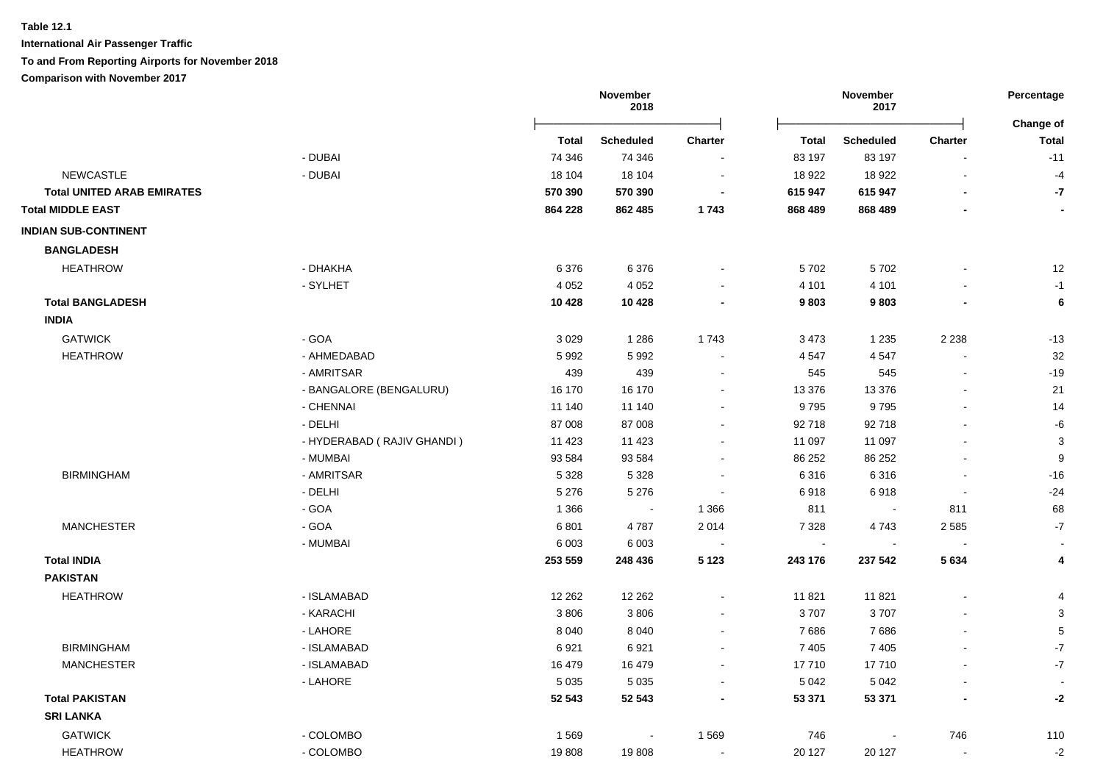**International Air Passenger Traffic**

### **To and From Reporting Airports for November 2018**

|                                   |                            |              | November<br>2018 |                |              | November<br>2017 |                | Percentage                       |
|-----------------------------------|----------------------------|--------------|------------------|----------------|--------------|------------------|----------------|----------------------------------|
|                                   |                            | <b>Total</b> | <b>Scheduled</b> | <b>Charter</b> | <b>Total</b> | <b>Scheduled</b> | Charter        | <b>Change of</b><br><b>Total</b> |
|                                   | - DUBAI                    | 74 346       | 74 346           |                | 83 197       | 83 197           |                | $-11$                            |
| <b>NEWCASTLE</b>                  | - DUBAI                    | 18 104       | 18 104           |                | 18 922       | 18 922           | $\blacksquare$ | $-4$                             |
| <b>Total UNITED ARAB EMIRATES</b> |                            | 570 390      | 570 390          |                | 615 947      | 615 947          |                | -7                               |
| <b>Total MIDDLE EAST</b>          |                            | 864 228      | 862 485          | 1743           | 868 489      | 868 489          |                |                                  |
| <b>INDIAN SUB-CONTINENT</b>       |                            |              |                  |                |              |                  |                |                                  |
| <b>BANGLADESH</b>                 |                            |              |                  |                |              |                  |                |                                  |
| <b>HEATHROW</b>                   | - DHAKHA                   | 6376         | 6376             |                | 5702         | 5702             |                | 12                               |
|                                   | - SYLHET                   | 4 0 5 2      | 4 0 5 2          |                | 4 1 0 1      | 4 1 0 1          |                | $-1$                             |
| <b>Total BANGLADESH</b>           |                            | 10 4 28      | 10 4 28          |                | 9803         | 9803             |                | 6                                |
| <b>INDIA</b>                      |                            |              |                  |                |              |                  |                |                                  |
| <b>GATWICK</b>                    | - GOA                      | 3029         | 1 2 8 6          | 1743           | 3 4 7 3      | 1 2 3 5          | 2 2 3 8        | $-13$                            |
| <b>HEATHROW</b>                   | - AHMEDABAD                | 5992         | 5992             |                | 4 5 4 7      | 4547             |                | 32                               |
|                                   | - AMRITSAR                 | 439          | 439              |                | 545          | 545              |                | $-19$                            |
|                                   | - BANGALORE (BENGALURU)    | 16 170       | 16 170           |                | 13 376       | 13 376           |                | 21                               |
|                                   | - CHENNAI                  | 11 140       | 11 140           |                | 9795         | 9795             |                | 14                               |
|                                   | - DELHI                    | 87 008       | 87 008           |                | 92 718       | 92 718           |                | $-6$                             |
|                                   | - HYDERABAD (RAJIV GHANDI) | 11 4 23      | 11 4 23          |                | 11 097       | 11 097           |                | $\mathbf{3}$                     |
|                                   | - MUMBAI                   | 93 5 84      | 93 5 84          |                | 86 25 2      | 86 25 2          |                | 9                                |
| <b>BIRMINGHAM</b>                 | - AMRITSAR                 | 5 3 2 8      | 5 3 2 8          |                | 6 3 1 6      | 6316             |                | $-16$                            |
|                                   | - DELHI                    | 5 2 7 6      | 5 2 7 6          |                | 6918         | 6918             |                | $-24$                            |
|                                   | - GOA                      | 1 3 6 6      | $\sim$           | 1 3 6 6        | 811          |                  | 811            | 68                               |
| <b>MANCHESTER</b>                 | - GOA                      | 6801         | 4787             | 2 0 1 4        | 7 3 2 8      | 4743             | 2 5 8 5        | $-7$                             |
|                                   | - MUMBAI                   | 6 0 0 3      | 6 0 0 3          |                |              |                  |                |                                  |
| <b>Total INDIA</b>                |                            | 253 559      | 248 436          | 5 1 2 3        | 243 176      | 237 542          | 5634           | 4                                |
| <b>PAKISTAN</b>                   |                            |              |                  |                |              |                  |                |                                  |
| <b>HEATHROW</b>                   | - ISLAMABAD                | 12 2 62      | 12 2 62          |                | 11 821       | 11 821           |                | $\overline{4}$                   |
|                                   | - KARACHI                  | 3806         | 3806             |                | 3707         | 3707             |                | 3                                |
|                                   | - LAHORE                   | 8 0 4 0      | 8 0 4 0          |                | 7686         | 7686             |                | $\mathbf 5$                      |
| <b>BIRMINGHAM</b>                 | - ISLAMABAD                | 6921         | 6921             | $\blacksquare$ | 7 4 0 5      | 7 4 0 5          |                | $\mathbf{-7}$                    |
| <b>MANCHESTER</b>                 | - ISLAMABAD                | 16 479       | 16 479           | $\sim$         | 17710        | 17710            |                | $\mathbf{-7}$                    |
|                                   | - LAHORE                   | 5 0 3 5      | 5 0 3 5          |                | 5 0 4 2      | 5 0 4 2          |                | $\overline{\phantom{a}}$         |
| <b>Total PAKISTAN</b>             |                            | 52 543       | 52 543           |                | 53 371       | 53 371           |                | -2                               |
| <b>SRI LANKA</b>                  |                            |              |                  |                |              |                  |                |                                  |
| <b>GATWICK</b>                    | - COLOMBO                  | 1569         | $\sim$           | 1569           | 746          |                  | 746            | 110                              |
| <b>HEATHROW</b>                   | - COLOMBO                  | 19808        | 19808            | $\blacksquare$ | 20 127       | 20 127           |                | $-2$                             |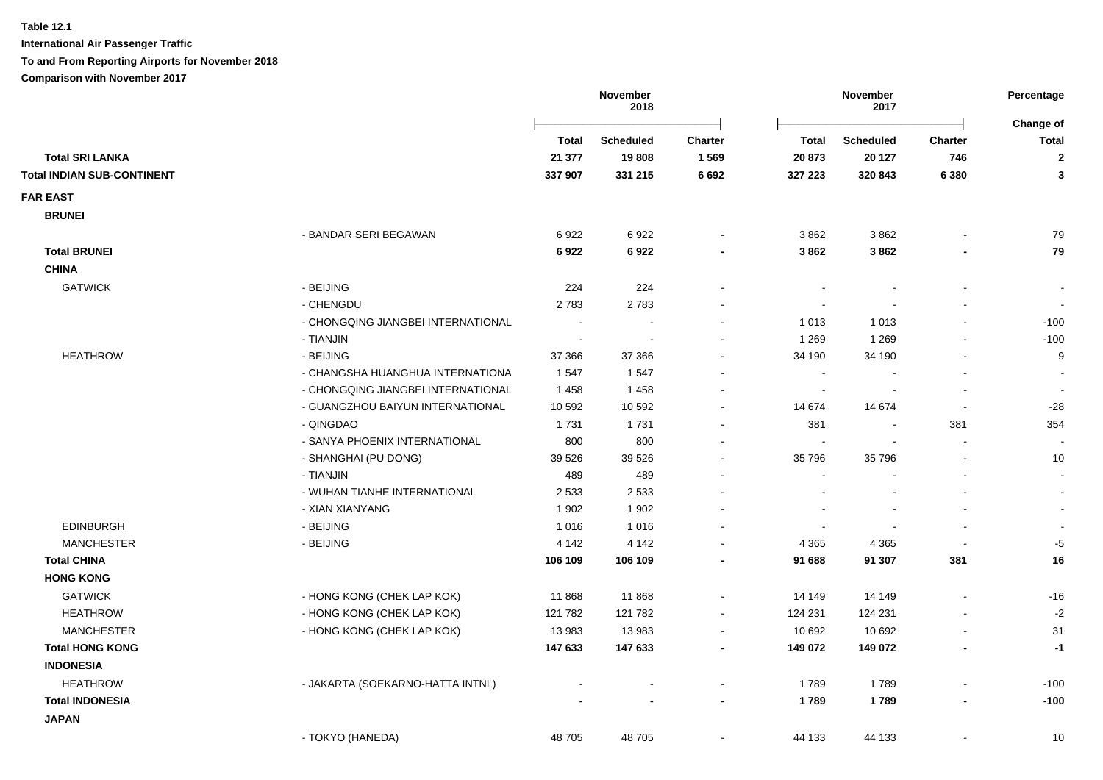**International Air Passenger Traffic**

**To and From Reporting Airports for November 2018**

|                                                     |         | November<br>2018 |                |         | November<br>2017         |                | Percentage<br>Change of |
|-----------------------------------------------------|---------|------------------|----------------|---------|--------------------------|----------------|-------------------------|
|                                                     | Total   | <b>Scheduled</b> | <b>Charter</b> | Total   | <b>Scheduled</b>         | Charter        | Total                   |
| <b>Total SRI LANKA</b>                              | 21 377  | 19808            | 1569           | 20 873  | 20 127                   | 746            | $\boldsymbol{2}$        |
| <b>Total INDIAN SUB-CONTINENT</b>                   | 337 907 | 331 215          | 6 6 9 2        | 327 223 | 320 843                  | 6 3 8 0        | $\mathbf{3}$            |
| <b>FAR EAST</b>                                     |         |                  |                |         |                          |                |                         |
| <b>BRUNEI</b>                                       |         |                  |                |         |                          |                |                         |
| - BANDAR SERI BEGAWAN                               | 6922    | 6922             | $\sim$         | 3862    | 3862                     |                | 79                      |
| <b>Total BRUNEI</b>                                 | 6922    | 6922             |                | 3862    | 3862                     |                | 79                      |
| <b>CHINA</b>                                        |         |                  |                |         |                          |                |                         |
| <b>GATWICK</b><br>- BEIJING                         | 224     | 224              |                | $\sim$  |                          | $\overline{a}$ | $\sim$                  |
| - CHENGDU                                           | 2783    | 2783             |                | $\sim$  |                          | $\blacksquare$ | $\sim$                  |
| - CHONGQING JIANGBEI INTERNATIONAL                  | $\sim$  |                  |                | 1 0 1 3 | 1 0 1 3                  | $\blacksquare$ | $-100$                  |
| - TIANJIN                                           |         |                  |                | 1 2 6 9 | 1 2 6 9                  |                | $-100$                  |
| <b>HEATHROW</b><br>- BEIJING                        | 37 366  | 37 366           |                | 34 190  | 34 190                   |                | 9                       |
| - CHANGSHA HUANGHUA INTERNATIONA                    | 1547    | 1547             |                |         |                          |                |                         |
| - CHONGQING JIANGBEI INTERNATIONAL                  | 1458    | 1458             |                |         |                          |                | $\blacksquare$          |
| - GUANGZHOU BAIYUN INTERNATIONAL                    | 10 592  | 10 592           | $\sim$         | 14 674  | 14 674                   | $\sim$         | $-28$                   |
| - QINGDAO                                           | 1731    | 1731             | $\blacksquare$ | 381     | $\overline{\phantom{a}}$ | 381            | 354                     |
| - SANYA PHOENIX INTERNATIONAL                       | 800     | 800              | $\sim$         | $\sim$  | $\sim$                   | $\sim$         | $\sim$                  |
| - SHANGHAI (PU DONG)                                | 39 5 26 | 39 5 26          |                | 35 796  | 35 796                   | $\blacksquare$ | 10                      |
| - TIANJIN                                           | 489     | 489              | $\blacksquare$ |         |                          | $\blacksquare$ | $\blacksquare$          |
| - WUHAN TIANHE INTERNATIONAL                        | 2 5 3 3 | 2 5 3 3          |                |         |                          | $\blacksquare$ | $\sim$                  |
| - XIAN XIANYANG                                     | 1 902   | 1 9 0 2          |                |         |                          | $\blacksquare$ | $\sim$                  |
| <b>EDINBURGH</b><br>- BEIJING                       | 1016    | 1016             |                |         |                          | $\blacksquare$ | $\sim$                  |
| <b>MANCHESTER</b><br>- BEIJING                      | 4 1 4 2 | 4 1 4 2          | $\sim$         | 4 3 6 5 | 4 3 6 5                  | $\sim$         | $-5$                    |
| <b>Total CHINA</b>                                  | 106 109 | 106 109          | $\blacksquare$ | 91 688  | 91 307                   | 381            | 16                      |
| <b>HONG KONG</b>                                    |         |                  |                |         |                          |                |                         |
| <b>GATWICK</b><br>- HONG KONG (CHEK LAP KOK)        | 11868   | 11 868           | $\sim$         | 14 14 9 | 14 14 9                  |                | $-16$                   |
| <b>HEATHROW</b><br>- HONG KONG (CHEK LAP KOK)       | 121 782 | 121 782          | $\sim$         | 124 231 | 124 231                  |                | $-2$                    |
| - HONG KONG (CHEK LAP KOK)<br><b>MANCHESTER</b>     | 13 983  | 13 983           | $\sim$         | 10 692  | 10 692                   | $\blacksquare$ | 31                      |
| <b>Total HONG KONG</b>                              | 147 633 | 147 633          | $\blacksquare$ | 149 072 | 149 072                  | $\blacksquare$ | $-1$                    |
| <b>INDONESIA</b>                                    |         |                  |                |         |                          |                |                         |
| <b>HEATHROW</b><br>- JAKARTA (SOEKARNO-HATTA INTNL) |         |                  |                | 1789    | 1789                     |                | $-100$                  |
| <b>Total INDONESIA</b>                              |         |                  | $\blacksquare$ | 1789    | 1789                     | $\blacksquare$ | $-100$                  |
| <b>JAPAN</b>                                        |         |                  |                |         |                          |                |                         |
| - TOKYO (HANEDA)                                    | 48 705  | 48705            | $\sim$         | 44 133  | 44 133                   | $\blacksquare$ | 10                      |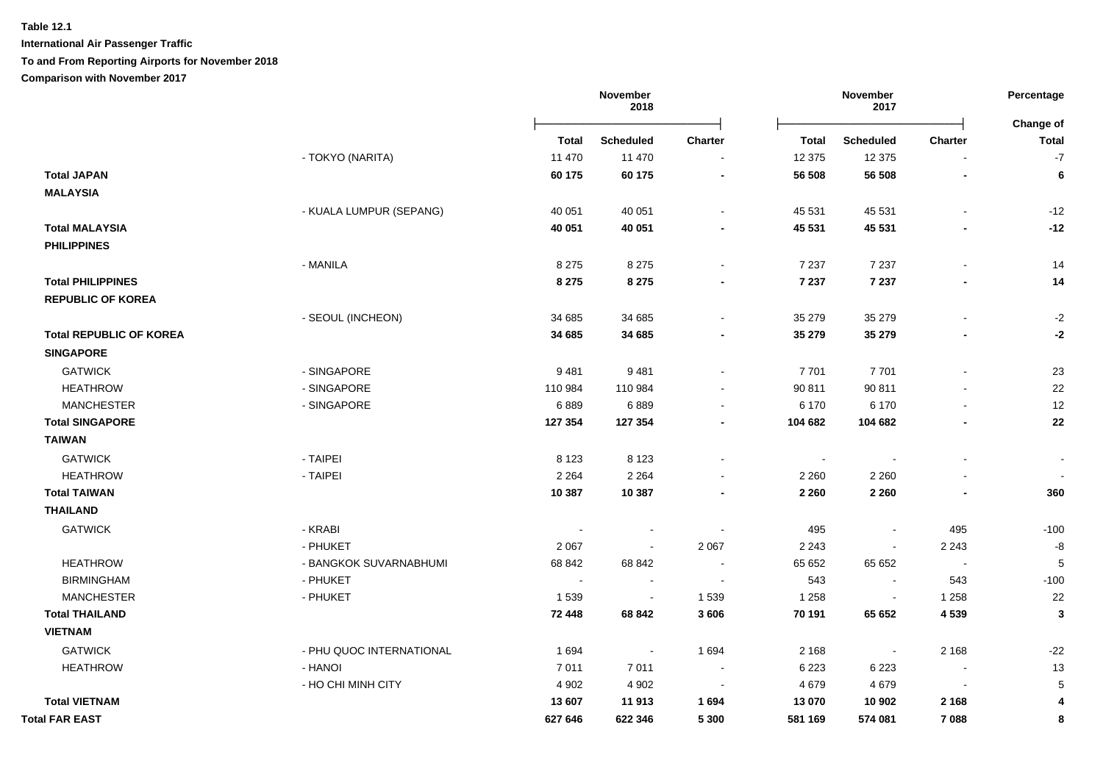**International Air Passenger Traffic**

### **To and From Reporting Airports for November 2018**

|                                |                          |         | November<br>2018 |                |              | November<br>2017 |                          | Percentage                |
|--------------------------------|--------------------------|---------|------------------|----------------|--------------|------------------|--------------------------|---------------------------|
|                                |                          | Total   | <b>Scheduled</b> | Charter        | <b>Total</b> | <b>Scheduled</b> | <b>Charter</b>           | Change of<br><b>Total</b> |
|                                | - TOKYO (NARITA)         | 11 470  | 11 470           |                | 12 375       | 12 375           |                          | $-7$                      |
| <b>Total JAPAN</b>             |                          | 60 175  | 60 175           |                | 56 508       | 56 508           |                          | $\bf 6$                   |
| <b>MALAYSIA</b>                |                          |         |                  |                |              |                  |                          |                           |
|                                | - KUALA LUMPUR (SEPANG)  | 40 051  | 40 051           |                | 45 531       | 45 531           |                          | $-12$                     |
| <b>Total MALAYSIA</b>          |                          | 40 051  | 40 051           |                | 45 531       | 45 531           |                          | $-12$                     |
| <b>PHILIPPINES</b>             |                          |         |                  |                |              |                  |                          |                           |
|                                | - MANILA                 | 8 2 7 5 | 8 2 7 5          | $\blacksquare$ | 7 2 3 7      | 7 2 3 7          | $\mathbf{r}$             | 14                        |
| <b>Total PHILIPPINES</b>       |                          | 8 2 7 5 | 8 2 7 5          |                | 7 2 3 7      | 7 2 3 7          |                          | 14                        |
| <b>REPUBLIC OF KOREA</b>       |                          |         |                  |                |              |                  |                          |                           |
|                                | - SEOUL (INCHEON)        | 34 685  | 34 685           |                | 35 279       | 35 279           |                          | $-2$                      |
| <b>Total REPUBLIC OF KOREA</b> |                          | 34 685  | 34 685           |                | 35 279       | 35 279           |                          | $-2$                      |
| <b>SINGAPORE</b>               |                          |         |                  |                |              |                  |                          |                           |
| <b>GATWICK</b>                 | - SINGAPORE              | 9481    | 9481             |                | 7701         | 7701             |                          | 23                        |
| <b>HEATHROW</b>                | - SINGAPORE              | 110 984 | 110 984          |                | 90 811       | 90 811           |                          | 22                        |
| <b>MANCHESTER</b>              | - SINGAPORE              | 6889    | 6889             |                | 6 170        | 6 170            |                          | 12                        |
| <b>Total SINGAPORE</b>         |                          | 127 354 | 127 354          |                | 104 682      | 104 682          |                          | ${\bf 22}$                |
| <b>TAIWAN</b>                  |                          |         |                  |                |              |                  |                          |                           |
| <b>GATWICK</b>                 | - TAIPEI                 | 8 1 2 3 | 8 1 2 3          |                | $\sim$       |                  |                          |                           |
| <b>HEATHROW</b>                | - TAIPEI                 | 2 2 6 4 | 2 2 6 4          |                | 2 2 6 0      | 2 2 6 0          |                          |                           |
| <b>Total TAIWAN</b>            |                          | 10 387  | 10 387           |                | 2 2 6 0      | 2 2 6 0          |                          | 360                       |
| <b>THAILAND</b>                |                          |         |                  |                |              |                  |                          |                           |
| <b>GATWICK</b>                 | - KRABI                  |         |                  |                | 495          | $\blacksquare$   | 495                      | $-100$                    |
|                                | - PHUKET                 | 2 0 6 7 | $\blacksquare$   | 2 0 6 7        | 2 2 4 3      | $\blacksquare$   | 2 2 4 3                  | -8                        |
| <b>HEATHROW</b>                | - BANGKOK SUVARNABHUMI   | 68 842  | 68 842           |                | 65 652       | 65 652           | $\sim$                   | 5                         |
| <b>BIRMINGHAM</b>              | - PHUKET                 | $\sim$  | $\blacksquare$   |                | 543          | $\blacksquare$   | 543                      | $-100$                    |
| <b>MANCHESTER</b>              | - PHUKET                 | 1539    | $\blacksquare$   | 1 5 3 9        | 1 2 5 8      | $\blacksquare$   | 1 2 5 8                  | 22                        |
| <b>Total THAILAND</b>          |                          | 72 448  | 68 842           | 3606           | 70 191       | 65 652           | 4 5 3 9                  | 3                         |
| <b>VIETNAM</b>                 |                          |         |                  |                |              |                  |                          |                           |
| <b>GATWICK</b>                 | - PHU QUOC INTERNATIONAL | 1 6 9 4 | $\sim$           | 1 6 9 4        | 2 1 6 8      |                  | 2 1 6 8                  | $-22$                     |
| <b>HEATHROW</b>                | - HANOI                  | 7011    | 7011             | $\blacksquare$ | 6 2 2 3      | 6 2 2 3          | $\overline{\phantom{a}}$ | 13                        |
|                                | - HO CHI MINH CITY       | 4 9 0 2 | 4 9 0 2          | $\sim$         | 4679         | 4679             | $\overline{\phantom{a}}$ | $\sqrt{5}$                |
| <b>Total VIETNAM</b>           |                          | 13 607  | 11 913           | 1694           | 13 070       | 10 902           | 2 1 6 8                  | $\overline{4}$            |
| <b>Total FAR EAST</b>          |                          | 627 646 | 622 346          | 5 3 0 0        | 581 169      | 574 081          | 7088                     | 8                         |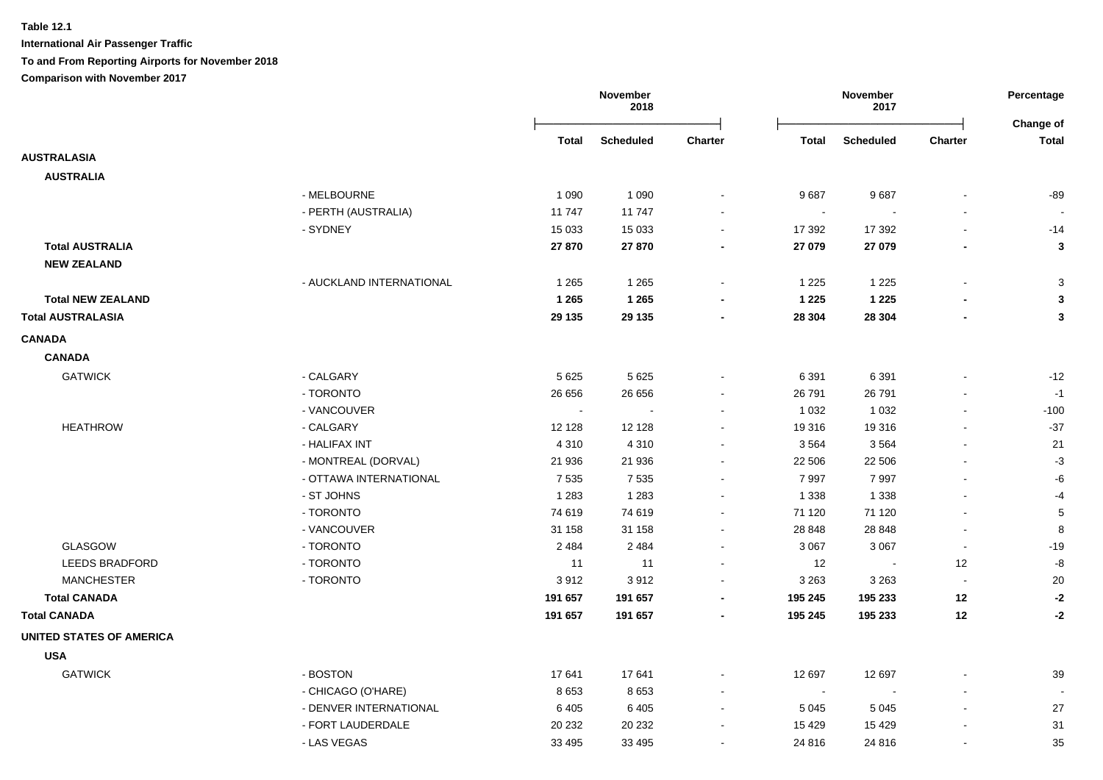|                                 |                          |                | November<br>2018 |                          | November<br>2017 |                  |                          | Percentage                |
|---------------------------------|--------------------------|----------------|------------------|--------------------------|------------------|------------------|--------------------------|---------------------------|
|                                 |                          | Total          | <b>Scheduled</b> | <b>Charter</b>           | <b>Total</b>     | <b>Scheduled</b> | Charter                  | Change of<br><b>Total</b> |
| <b>AUSTRALASIA</b>              |                          |                |                  |                          |                  |                  |                          |                           |
| <b>AUSTRALIA</b>                |                          |                |                  |                          |                  |                  |                          |                           |
|                                 | - MELBOURNE              | 1 0 9 0        | 1 0 9 0          |                          | 9687             | 9687             |                          | $-89$                     |
|                                 | - PERTH (AUSTRALIA)      | 11747          | 11747            |                          |                  |                  |                          |                           |
|                                 | - SYDNEY                 | 15 0 33        | 15 0 33          |                          | 17 392           | 17 392           |                          | $-14$                     |
| <b>Total AUSTRALIA</b>          |                          | 27 870         | 27 870           | $\blacksquare$           | 27 079           | 27 079           | $\blacksquare$           | $\mathbf{3}$              |
| <b>NEW ZEALAND</b>              |                          |                |                  |                          |                  |                  |                          |                           |
|                                 | - AUCKLAND INTERNATIONAL | 1 2 6 5        | 1 2 6 5          |                          | 1 2 2 5          | 1 2 2 5          |                          | 3                         |
| <b>Total NEW ZEALAND</b>        |                          | 1 2 6 5        | 1 2 6 5          |                          | 1 2 2 5          | 1 2 2 5          |                          | 3                         |
| <b>Total AUSTRALASIA</b>        |                          | 29 135         | 29 135           |                          | 28 304           | 28 304           |                          | $\mathbf{3}$              |
| <b>CANADA</b>                   |                          |                |                  |                          |                  |                  |                          |                           |
| <b>CANADA</b>                   |                          |                |                  |                          |                  |                  |                          |                           |
| <b>GATWICK</b>                  | - CALGARY                | 5 6 2 5        | 5 6 2 5          |                          | 6 3 9 1          | 6 3 9 1          |                          | $-12$                     |
|                                 | - TORONTO                | 26 656         | 26 656           |                          | 26 791           | 26 791           |                          | $-1$                      |
|                                 | - VANCOUVER              | $\blacksquare$ |                  |                          | 1 0 3 2          | 1 0 3 2          | $\blacksquare$           | $-100$                    |
| <b>HEATHROW</b>                 | - CALGARY                | 12 128         | 12 128           |                          | 19 316           | 19316            | $\overline{\phantom{a}}$ | $-37$                     |
|                                 | - HALIFAX INT            | 4 3 1 0        | 4 3 1 0          |                          | 3564             | 3564             |                          | 21                        |
|                                 | - MONTREAL (DORVAL)      | 21 936         | 21 936           |                          | 22 506           | 22 506           |                          | $-3$                      |
|                                 | - OTTAWA INTERNATIONAL   | 7 5 3 5        | 7535             |                          | 7997             | 7997             |                          | -6                        |
|                                 | - ST JOHNS               | 1 2 8 3        | 1 2 8 3          |                          | 1 3 3 8          | 1 3 3 8          |                          | -4                        |
|                                 | - TORONTO                | 74 619         | 74 619           |                          | 71 120           | 71 120           | $\sim$                   | 5                         |
|                                 | - VANCOUVER              | 31 158         | 31 158           | $\sim$                   | 28 848           | 28 848           | $\blacksquare$           | 8                         |
| <b>GLASGOW</b>                  | - TORONTO                | 2 4 8 4        | 2484             | $\sim$                   | 3 0 6 7          | 3 0 6 7          | $\blacksquare$           | $-19$                     |
| <b>LEEDS BRADFORD</b>           | - TORONTO                | 11             | 11               | $\overline{\phantom{a}}$ | 12               | $\sim$           | 12                       | -8                        |
| <b>MANCHESTER</b>               | - TORONTO                | 3912           | 3912             | $\sim$                   | 3 2 6 3          | 3 2 6 3          | $\blacksquare$           | 20                        |
| <b>Total CANADA</b>             |                          | 191 657        | 191 657          | $\blacksquare$           | 195 245          | 195 233          | 12                       | $-2$                      |
| <b>Total CANADA</b>             |                          | 191 657        | 191 657          | $\overline{\phantom{a}}$ | 195 245          | 195 233          | 12                       | $-2$                      |
| <b>UNITED STATES OF AMERICA</b> |                          |                |                  |                          |                  |                  |                          |                           |
| <b>USA</b>                      |                          |                |                  |                          |                  |                  |                          |                           |
| <b>GATWICK</b>                  | - BOSTON                 | 17641          | 17641            |                          | 12 697           | 12 697           |                          | 39                        |
|                                 | - CHICAGO (O'HARE)       | 8653           | 8653             |                          | $\sim$           |                  |                          |                           |
|                                 | - DENVER INTERNATIONAL   | 6405           | 6405             |                          | 5 0 4 5          | 5 0 4 5          |                          | 27                        |
|                                 | - FORT LAUDERDALE        | 20 232         | 20 232           |                          | 15 4 29          | 15 4 29          |                          | 31                        |
|                                 | - LAS VEGAS              | 33 4 95        | 33 4 95          |                          | 24 816           | 24 816           | $\overline{a}$           | 35                        |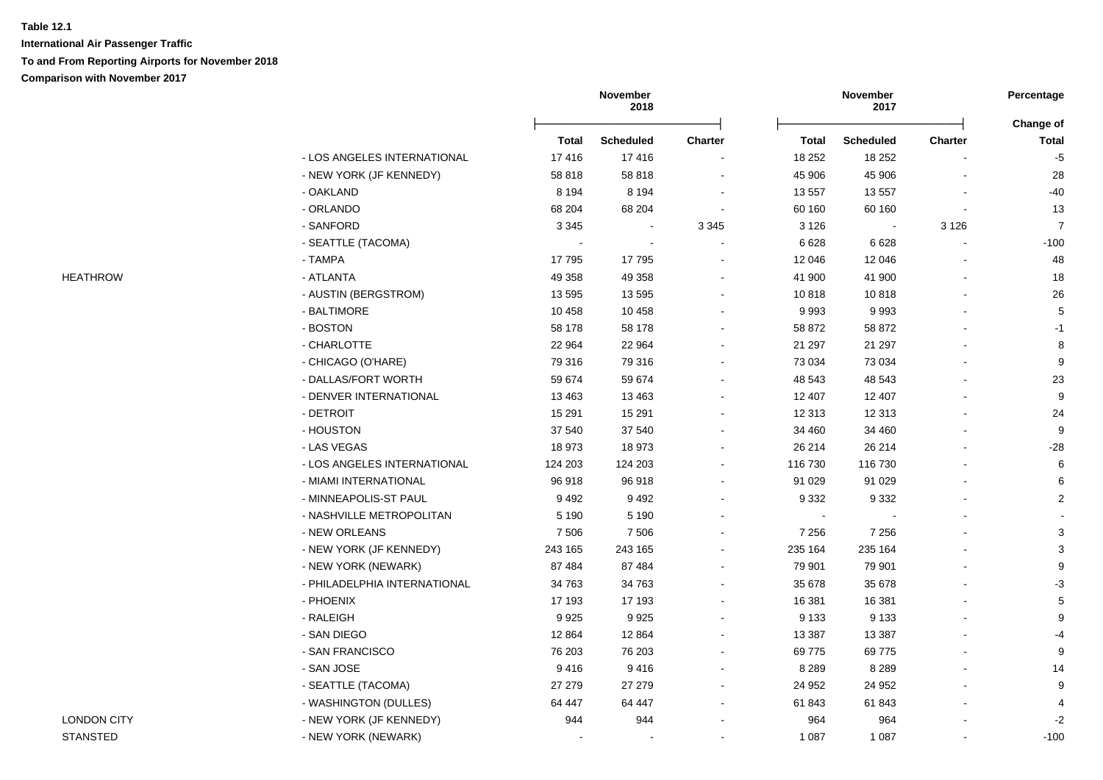|                    |                              |              | November<br>2018 |                |              | November<br>2017 |                | Percentage                |
|--------------------|------------------------------|--------------|------------------|----------------|--------------|------------------|----------------|---------------------------|
|                    |                              | <b>Total</b> | <b>Scheduled</b> | <b>Charter</b> | <b>Total</b> | <b>Scheduled</b> | Charter        | Change of<br><b>Total</b> |
|                    | - LOS ANGELES INTERNATIONAL  | 17416        | 17416            |                | 18 25 2      | 18 25 2          |                | $-5$                      |
|                    | - NEW YORK (JF KENNEDY)      | 58 818       | 58 818           | $\blacksquare$ | 45 906       | 45 906           |                | 28                        |
|                    | - OAKLAND                    | 8 1 9 4      | 8 1 9 4          | $\blacksquare$ | 13 557       | 13 557           |                | $-40$                     |
|                    | - ORLANDO                    | 68 204       | 68 204           | $\blacksquare$ | 60 160       | 60 160           |                | 13                        |
|                    | - SANFORD                    | 3 3 4 5      |                  | 3 3 4 5        | 3 1 2 6      | $\blacksquare$   | 3 1 2 6        | $\overline{7}$            |
|                    | - SEATTLE (TACOMA)           |              |                  |                | 6628         | 6628             |                | $-100$                    |
|                    | - TAMPA                      | 17795        | 17795            |                | 12 046       | 12 046           |                | 48                        |
| <b>HEATHROW</b>    | - ATLANTA                    | 49 358       | 49 358           | $\blacksquare$ | 41 900       | 41 900           |                | 18                        |
|                    | - AUSTIN (BERGSTROM)         | 13 5 95      | 13 5 95          |                | 10818        | 10818            |                | 26                        |
|                    | - BALTIMORE                  | 10 458       | 10 458           |                | 9993         | 9993             |                | $\,$ 5 $\,$               |
|                    | - BOSTON                     | 58 178       | 58 178           |                | 58 872       | 58 872           |                | $-1$                      |
|                    | - CHARLOTTE                  | 22 9 64      | 22 964           |                | 21 297       | 21 297           |                | 8                         |
|                    | - CHICAGO (O'HARE)           | 79 316       | 79 316           |                | 73 0 34      | 73 034           |                | $\boldsymbol{9}$          |
|                    | - DALLAS/FORT WORTH          | 59 674       | 59 674           |                | 48 543       | 48 543           |                | 23                        |
|                    | - DENVER INTERNATIONAL       | 13 4 63      | 13 4 63          |                | 12 407       | 12 407           |                | $\boldsymbol{9}$          |
|                    | - DETROIT                    | 15 291       | 15 291           |                | 12 313       | 12 313           |                | 24                        |
|                    | - HOUSTON                    | 37 540       | 37 540           |                | 34 460       | 34 460           |                | 9                         |
|                    | - LAS VEGAS                  | 18 973       | 18 973           |                | 26 214       | 26 214           |                | $-28$                     |
|                    | - LOS ANGELES INTERNATIONAL  | 124 203      | 124 203          |                | 116 730      | 116 730          |                | 6                         |
|                    | - MIAMI INTERNATIONAL        | 96 918       | 96918            |                | 91 0 29      | 91 0 29          |                | 6                         |
|                    | - MINNEAPOLIS-ST PAUL        | 9492         | 9 4 9 2          |                | 9 3 3 2      | 9 3 3 2          |                | $\overline{c}$            |
|                    | - NASHVILLE METROPOLITAN     | 5 1 9 0      | 5 1 9 0          |                | $\sim$       |                  |                |                           |
|                    | - NEW ORLEANS                | 7506         | 7506             |                | 7 2 5 6      | 7 2 5 6          |                | $\sqrt{3}$                |
|                    | - NEW YORK (JF KENNEDY)      | 243 165      | 243 165          |                | 235 164      | 235 164          |                | $\sqrt{3}$                |
|                    | - NEW YORK (NEWARK)          | 87 484       | 87 484           |                | 79 901       | 79 901           |                | $\boldsymbol{9}$          |
|                    | - PHILADELPHIA INTERNATIONAL | 34 763       | 34 763           | $\blacksquare$ | 35 678       | 35 678           |                | $-3$                      |
|                    | - PHOENIX                    | 17 193       | 17 193           |                | 16 381       | 16 381           |                | $\sqrt{5}$                |
|                    | - RALEIGH                    | 9925         | 9925             |                | 9 1 3 3      | 9 1 3 3          |                | 9                         |
|                    | - SAN DIEGO                  | 12 8 64      | 12 8 64          |                | 13 3 8 7     | 13 3 8 7         |                | -4                        |
|                    | - SAN FRANCISCO              | 76 203       | 76 203           |                | 69 775       | 69775            |                | 9                         |
|                    | - SAN JOSE                   | 9416         | 9416             |                | 8 2 8 9      | 8 2 8 9          |                | 14                        |
|                    | - SEATTLE (TACOMA)           | 27 279       | 27 27 9          |                | 24 952       | 24 952           |                | 9                         |
|                    | - WASHINGTON (DULLES)        | 64 447       | 64 447           |                | 61 843       | 61 843           |                | $\overline{4}$            |
| <b>LONDON CITY</b> | - NEW YORK (JF KENNEDY)      | 944          | 944              |                | 964          | 964              |                | $-2$                      |
| <b>STANSTED</b>    | - NEW YORK (NEWARK)          |              |                  |                | 1 0 8 7      | 1 0 8 7          | $\overline{a}$ | $-100$                    |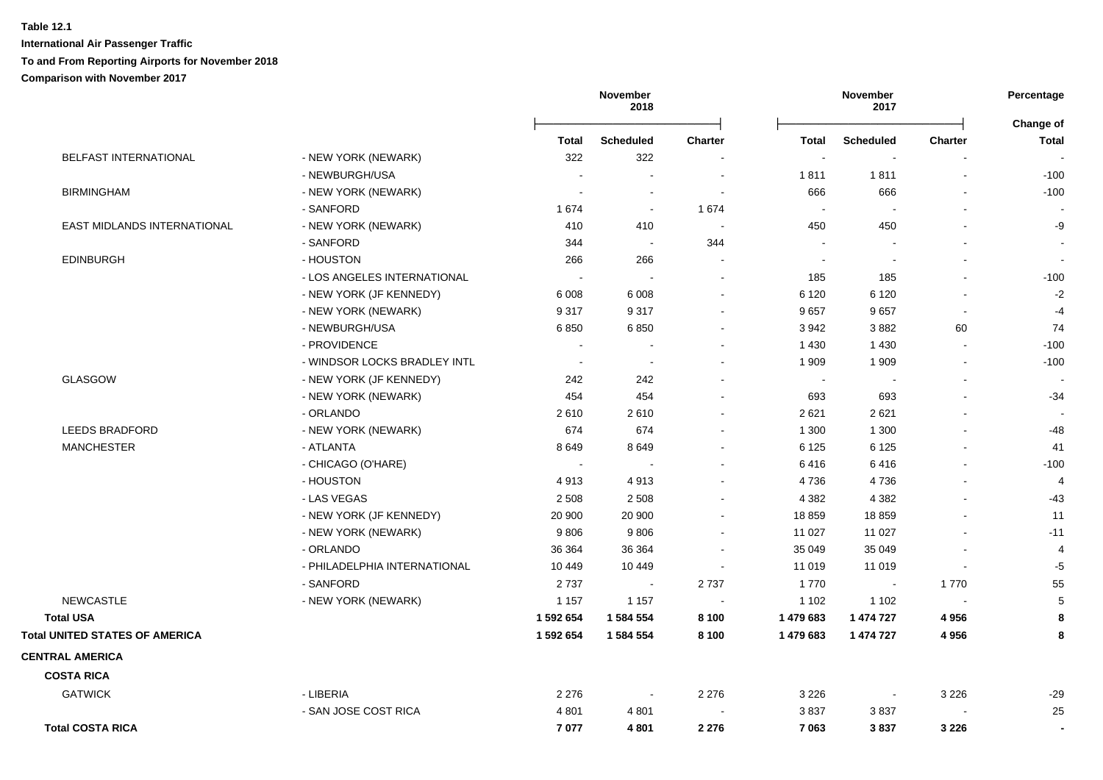|                                       |                              |                          | November<br>2018         |                | November<br>2017 |                          |         | Percentage<br><b>Change of</b> |  |
|---------------------------------------|------------------------------|--------------------------|--------------------------|----------------|------------------|--------------------------|---------|--------------------------------|--|
|                                       |                              | <b>Total</b>             | <b>Scheduled</b>         | <b>Charter</b> | <b>Total</b>     | <b>Scheduled</b>         | Charter | <b>Total</b>                   |  |
| <b>BELFAST INTERNATIONAL</b>          | - NEW YORK (NEWARK)          | 322                      | 322                      |                | $\sim$           |                          |         |                                |  |
|                                       | - NEWBURGH/USA               |                          |                          |                | 1811             | 1811                     |         | $-100$                         |  |
| <b>BIRMINGHAM</b>                     | - NEW YORK (NEWARK)          |                          | $\sim$                   |                | 666              | 666                      |         | $-100$                         |  |
|                                       | - SANFORD                    | 1674                     | $\sim$                   | 1 674          | $\sim$           |                          |         |                                |  |
| EAST MIDLANDS INTERNATIONAL           | - NEW YORK (NEWARK)          | 410                      | 410                      |                | 450              | 450                      |         | -9                             |  |
|                                       | - SANFORD                    | 344                      | $\sim$                   | 344            | $\sim$           | $\overline{\phantom{a}}$ |         | $\overline{\phantom{a}}$       |  |
| <b>EDINBURGH</b>                      | - HOUSTON                    | 266                      | 266                      |                | $\sim$           | $\overline{\phantom{a}}$ |         | $\sim$                         |  |
|                                       | - LOS ANGELES INTERNATIONAL  |                          | $\sim$                   | $\sim$         | 185              | 185                      |         | $-100$                         |  |
|                                       | - NEW YORK (JF KENNEDY)      | 6 0 08                   | 6 0 0 8                  | $\sim$         | 6 1 2 0          | 6 1 2 0                  |         | $-2$                           |  |
|                                       | - NEW YORK (NEWARK)          | 9317                     | 9317                     |                | 9657             | 9657                     |         | $-4$                           |  |
|                                       | - NEWBURGH/USA               | 6850                     | 6850                     | $\sim$         | 3942             | 3882                     | 60      | 74                             |  |
|                                       | - PROVIDENCE                 |                          | $\sim$                   |                | 1 4 3 0          | 1 4 3 0                  |         | $-100$                         |  |
|                                       | - WINDSOR LOCKS BRADLEY INTL | $\overline{\phantom{a}}$ | $\sim$                   |                | 1 9 0 9          | 1 909                    |         | $-100$                         |  |
| <b>GLASGOW</b>                        | - NEW YORK (JF KENNEDY)      | 242                      | 242                      |                | $\sim$           | $\sim$                   |         |                                |  |
|                                       | - NEW YORK (NEWARK)          | 454                      | 454                      |                | 693              | 693                      |         | $-34$                          |  |
|                                       | - ORLANDO                    | 2610                     | 2610                     |                | 2621             | 2621                     |         |                                |  |
| <b>LEEDS BRADFORD</b>                 | - NEW YORK (NEWARK)          | 674                      | 674                      |                | 1 300            | 1 300                    |         | $-48$                          |  |
| <b>MANCHESTER</b>                     | - ATLANTA                    | 8649                     | 8649                     |                | 6 1 2 5          | 6 1 2 5                  |         | 41                             |  |
|                                       | - CHICAGO (O'HARE)           |                          |                          |                | 6416             | 6416                     |         | $-100$                         |  |
|                                       | - HOUSTON                    | 4913                     | 4913                     |                | 4736             | 4736                     |         | $\overline{4}$                 |  |
|                                       | - LAS VEGAS                  | 2 5 0 8                  | 2 5 0 8                  |                | 4 3 8 2          | 4 3 8 2                  |         | $-43$                          |  |
|                                       | - NEW YORK (JF KENNEDY)      | 20 900                   | 20 900                   |                | 18 859           | 18859                    |         | 11                             |  |
|                                       | - NEW YORK (NEWARK)          | 9806                     | 9806                     |                | 11 027           | 11 0 27                  |         | $-11$                          |  |
|                                       | - ORLANDO                    | 36 364                   | 36 364                   |                | 35 049           | 35 049                   |         | $\overline{4}$                 |  |
|                                       | - PHILADELPHIA INTERNATIONAL | 10 449                   | 10 449                   |                | 11 019           | 11 019                   |         | $-5$                           |  |
|                                       | - SANFORD                    | 2737                     | $\sim$                   | 2737           | 1770             | $\overline{\phantom{a}}$ | 1770    | 55                             |  |
| <b>NEWCASTLE</b>                      | - NEW YORK (NEWARK)          | 1 1 5 7                  | 1 1 5 7                  |                | 1 1 0 2          | 1 1 0 2                  |         | 5                              |  |
| <b>Total USA</b>                      |                              | 1 592 654                | 1 584 554                | 8 100          | 1 479 683        | 1 474 727                | 4956    | 8                              |  |
| <b>Total UNITED STATES OF AMERICA</b> |                              | 1 592 654                | 1 584 554                | 8 100          | 1 479 683        | 1 474 727                | 4956    | 8                              |  |
| <b>CENTRAL AMERICA</b>                |                              |                          |                          |                |                  |                          |         |                                |  |
| <b>COSTA RICA</b>                     |                              |                          |                          |                |                  |                          |         |                                |  |
| <b>GATWICK</b>                        | - LIBERIA                    | 2 2 7 6                  | $\overline{\phantom{a}}$ | 2 2 7 6        | 3 2 2 6          | $\overline{\phantom{a}}$ | 3 2 2 6 | $-29$                          |  |
|                                       | - SAN JOSE COST RICA         | 4 8 0 1                  | 4801                     |                | 3837             | 3837                     |         | 25                             |  |
| <b>Total COSTA RICA</b>               |                              | 7077                     | 4801                     | 2 2 7 6        | 7 0 63           | 3837                     | 3 2 2 6 | $\blacksquare$                 |  |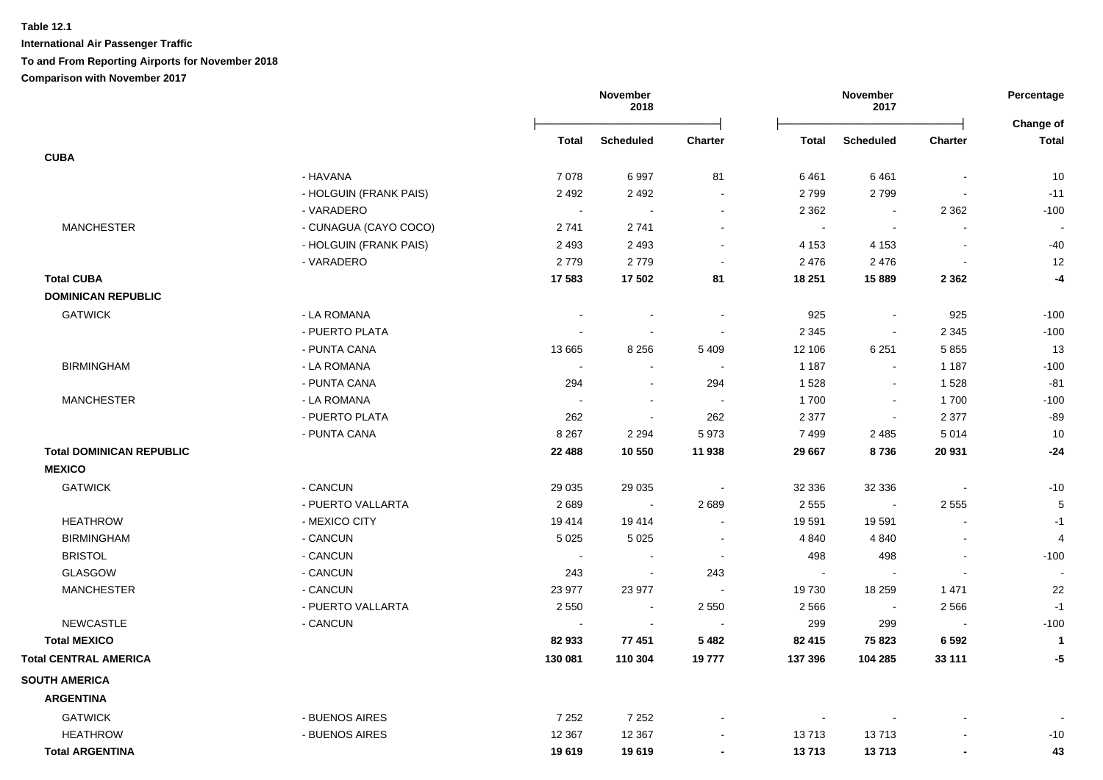|                                 |                        |                | November<br>2018         |                |                | November<br>2017 |                          | Percentage<br>Change of |
|---------------------------------|------------------------|----------------|--------------------------|----------------|----------------|------------------|--------------------------|-------------------------|
|                                 |                        | Total          | <b>Scheduled</b>         | <b>Charter</b> | <b>Total</b>   | <b>Scheduled</b> | <b>Charter</b>           | <b>Total</b>            |
| <b>CUBA</b>                     |                        |                |                          |                |                |                  |                          |                         |
|                                 | - HAVANA               | 7078           | 6997                     | 81             | 6461           | 6461             |                          | 10                      |
|                                 | - HOLGUIN (FRANK PAIS) | 2 4 9 2        | 2 4 9 2                  | $\sim$         | 2799           | 2799             |                          | $-11$                   |
|                                 | - VARADERO             | $\sim$         | $\blacksquare$           | $\sim$         | 2 3 6 2        | $\sim$           | 2 3 6 2                  | $-100$                  |
| <b>MANCHESTER</b>               | - CUNAGUA (CAYO COCO)  | 2741           | 2741                     | $\sim$         | $\blacksquare$ | $\blacksquare$   |                          |                         |
|                                 | - HOLGUIN (FRANK PAIS) | 2 4 9 3        | 2 4 9 3                  |                | 4 1 5 3        | 4 1 5 3          | $\sim$                   | $-40$                   |
|                                 | - VARADERO             | 2779           | 2779                     |                | 2476           | 2 4 7 6          |                          | 12                      |
| <b>Total CUBA</b>               |                        | 17 583         | 17 502                   | 81             | 18 251         | 15 8 89          | 2 3 6 2                  | $-4$                    |
| <b>DOMINICAN REPUBLIC</b>       |                        |                |                          |                |                |                  |                          |                         |
| <b>GATWICK</b>                  | - LA ROMANA            |                |                          |                | 925            | $\mathbf{r}$     | 925                      | $-100$                  |
|                                 | - PUERTO PLATA         |                |                          |                | 2 3 4 5        | $\blacksquare$   | 2 3 4 5                  | $-100$                  |
|                                 | - PUNTA CANA           | 13 6 65        | 8 2 5 6                  | 5 4 0 9        | 12 106         | 6 2 5 1          | 5855                     | 13                      |
| <b>BIRMINGHAM</b>               | - LA ROMANA            | $\blacksquare$ |                          |                | 1 1 8 7        | $\sim$           | 1 1 8 7                  | $-100$                  |
|                                 | - PUNTA CANA           | 294            |                          | 294            | 1528           | $\mathbf{r}$     | 1528                     | $-81$                   |
| <b>MANCHESTER</b>               | - LA ROMANA            | $\blacksquare$ | $\overline{\phantom{a}}$ | $\sim$         | 1700           | $\blacksquare$   | 1700                     | $-100$                  |
|                                 | - PUERTO PLATA         | 262            | $\blacksquare$           | 262            | 2 3 7 7        | $\blacksquare$   | 2 3 7 7                  | $-89$                   |
|                                 | - PUNTA CANA           | 8 2 6 7        | 2 2 9 4                  | 5973           | 7499           | 2 4 8 5          | 5014                     | 10                      |
| <b>Total DOMINICAN REPUBLIC</b> |                        | 22 4 8 8       | 10 550                   | 11 938         | 29 667         | 8736             | 20 931                   | $-24$                   |
| <b>MEXICO</b>                   |                        |                |                          |                |                |                  |                          |                         |
| <b>GATWICK</b>                  | - CANCUN               | 29 0 35        | 29 0 35                  | $\blacksquare$ | 32 336         | 32 336           | $\sim$                   | $-10$                   |
|                                 | - PUERTO VALLARTA      | 2689           | $\sim$                   | 2689           | 2 5 5 5        | $\blacksquare$   | 2 5 5 5                  | $\sqrt{5}$              |
| <b>HEATHROW</b>                 | - MEXICO CITY          | 19414          | 19414                    | $\sim$         | 19 591         | 19591            |                          | $-1$                    |
| <b>BIRMINGHAM</b>               | - CANCUN               | 5 0 2 5        | 5 0 2 5                  | $\blacksquare$ | 4 8 4 0        | 4 8 4 0          |                          | $\overline{4}$          |
| <b>BRISTOL</b>                  | - CANCUN               | $\sim$         |                          |                | 498            | 498              |                          | $-100$                  |
| <b>GLASGOW</b>                  | - CANCUN               | 243            |                          | 243            | $\sim$         | $\blacksquare$   | $\overline{\phantom{a}}$ | $\blacksquare$          |
| <b>MANCHESTER</b>               | - CANCUN               | 23 977         | 23 977                   | $\sim$         | 19730          | 18 259           | 1471                     | 22                      |
|                                 | - PUERTO VALLARTA      | 2 5 5 0        | $\sim$                   | 2 5 5 0        | 2 5 6 6        | $\blacksquare$   | 2566                     | $-1$                    |
| <b>NEWCASTLE</b>                | - CANCUN               | $\blacksquare$ | $\blacksquare$           |                | 299            | 299              | $\blacksquare$           | $-100$                  |
| <b>Total MEXICO</b>             |                        | 82 933         | 77 451                   | 5 4 8 2        | 82 415         | 75 823           | 6 5 9 2                  | $\mathbf{1}$            |
| <b>Total CENTRAL AMERICA</b>    |                        | 130 081        | 110 304                  | 19777          | 137 396        | 104 285          | 33 111                   | $-5$                    |
| <b>SOUTH AMERICA</b>            |                        |                |                          |                |                |                  |                          |                         |
| <b>ARGENTINA</b>                |                        |                |                          |                |                |                  |                          |                         |
| <b>GATWICK</b>                  | - BUENOS AIRES         | 7 2 5 2        | 7 2 5 2                  |                |                |                  |                          |                         |
| <b>HEATHROW</b>                 | - BUENOS AIRES         | 12 3 67        | 12 3 67                  |                | 13713          | 13713            |                          | $-10$                   |
| <b>Total ARGENTINA</b>          |                        | 19619          | 19619                    |                | 13713          | 13713            | $\overline{\phantom{a}}$ | 43                      |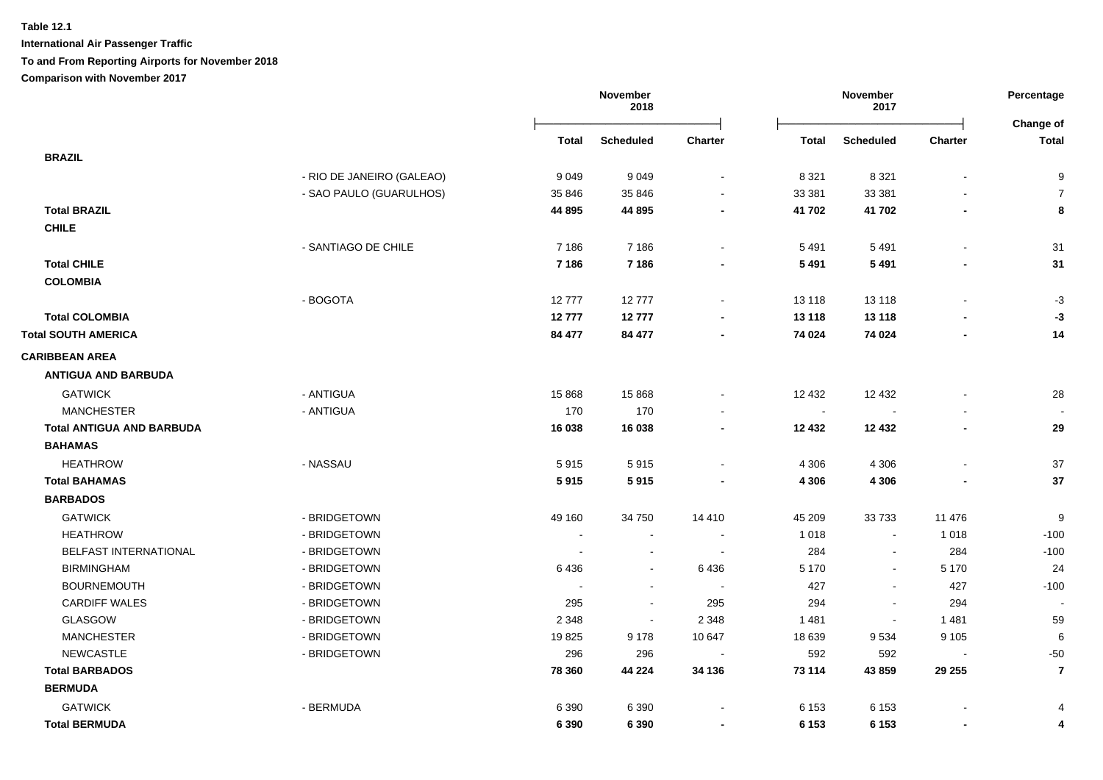**International Air Passenger Traffic**

**To and From Reporting Airports for November 2018**

|                                  |                           |                          | November<br>2018 |                          | November<br>2017 |                  |                          | Percentage<br>Change of |
|----------------------------------|---------------------------|--------------------------|------------------|--------------------------|------------------|------------------|--------------------------|-------------------------|
|                                  |                           | Total                    | <b>Scheduled</b> | <b>Charter</b>           | Total            | <b>Scheduled</b> | <b>Charter</b>           | <b>Total</b>            |
| <b>BRAZIL</b>                    |                           |                          |                  |                          |                  |                  |                          |                         |
|                                  | - RIO DE JANEIRO (GALEAO) | 9049                     | 9049             | $\sim$                   | 8 3 2 1          | 8 3 2 1          | $\overline{\phantom{a}}$ | 9                       |
|                                  | - SAO PAULO (GUARULHOS)   | 35 846                   | 35 846           | $\sim$                   | 33 381           | 33 381           |                          | $\overline{7}$          |
| <b>Total BRAZIL</b>              |                           | 44 895                   | 44 895           | $\blacksquare$           | 41 702           | 41 702           | $\overline{\phantom{a}}$ | 8                       |
| <b>CHILE</b>                     |                           |                          |                  |                          |                  |                  |                          |                         |
|                                  | - SANTIAGO DE CHILE       | 7 1 8 6                  | 7 1 8 6          |                          | 5 4 9 1          | 5 4 9 1          |                          | 31                      |
| <b>Total CHILE</b>               |                           | 7 1 8 6                  | 7 1 8 6          |                          | 5 4 9 1          | 5 4 9 1          |                          | 31                      |
| <b>COLOMBIA</b>                  |                           |                          |                  |                          |                  |                  |                          |                         |
|                                  | - BOGOTA                  | 12777                    | 12777            | $\sim$                   | 13 118           | 13 118           |                          | $-3$                    |
| <b>Total COLOMBIA</b>            |                           | 12777                    | 12777            |                          | 13 118           | 13 118           |                          | $-3$                    |
| <b>Total SOUTH AMERICA</b>       |                           | 84 477                   | 84 477           | $\blacksquare$           | 74 024           | 74 024           |                          | 14                      |
| <b>CARIBBEAN AREA</b>            |                           |                          |                  |                          |                  |                  |                          |                         |
| <b>ANTIGUA AND BARBUDA</b>       |                           |                          |                  |                          |                  |                  |                          |                         |
| <b>GATWICK</b>                   | - ANTIGUA                 | 15 8 68                  | 15 8 68          |                          | 12 432           | 12 4 32          |                          | 28                      |
| <b>MANCHESTER</b>                | - ANTIGUA                 | 170                      | 170              |                          | $\blacksquare$   |                  |                          |                         |
| <b>Total ANTIGUA AND BARBUDA</b> |                           | 16 038                   | 16 038           |                          | 12 432           | 12 4 32          |                          | 29                      |
| <b>BAHAMAS</b>                   |                           |                          |                  |                          |                  |                  |                          |                         |
| <b>HEATHROW</b>                  | - NASSAU                  | 5915                     | 5915             | $\sim$                   | 4 3 0 6          | 4 3 0 6          |                          | 37                      |
| <b>Total BAHAMAS</b>             |                           | 5915                     | 5915             |                          | 4 3 0 6          | 4 3 0 6          |                          | 37                      |
| <b>BARBADOS</b>                  |                           |                          |                  |                          |                  |                  |                          |                         |
| <b>GATWICK</b>                   | - BRIDGETOWN              | 49 160                   | 34 750           | 14 4 10                  | 45 209           | 33733            | 11 476                   | 9                       |
| <b>HEATHROW</b>                  | - BRIDGETOWN              | $\overline{\phantom{a}}$ | $\sim$           | $\sim$                   | 1 0 1 8          | $\blacksquare$   | 1 0 1 8                  | $-100$                  |
| BELFAST INTERNATIONAL            | - BRIDGETOWN              |                          | $\sim$           | $\sim$                   | 284              | $\blacksquare$   | 284                      | $-100$                  |
| <b>BIRMINGHAM</b>                | - BRIDGETOWN              | 6436                     | $\blacksquare$   | 6436                     | 5 1 7 0          | $\blacksquare$   | 5 1 7 0                  | 24                      |
| <b>BOURNEMOUTH</b>               | - BRIDGETOWN              |                          | $\blacksquare$   |                          | 427              | $\blacksquare$   | 427                      | $-100$                  |
| <b>CARDIFF WALES</b>             | - BRIDGETOWN              | 295                      | $\blacksquare$   | 295                      | 294              | $\blacksquare$   | 294                      |                         |
| <b>GLASGOW</b>                   | - BRIDGETOWN              | 2 3 4 8                  | $\sim$           | 2 3 4 8                  | 1481             | $\blacksquare$   | 1481                     | 59                      |
| <b>MANCHESTER</b>                | - BRIDGETOWN              | 19825                    | 9 1 7 8          | 10 647                   | 18 639           | 9534             | 9 1 0 5                  | 6                       |
| <b>NEWCASTLE</b>                 | - BRIDGETOWN              | 296                      | 296              |                          | 592              | 592              |                          | $-50$                   |
| <b>Total BARBADOS</b>            |                           | 78 360                   | 44 224           | 34 136                   | 73 114           | 43 859           | 29 255                   | $\overline{7}$          |
| <b>BERMUDA</b>                   |                           |                          |                  |                          |                  |                  |                          |                         |
| <b>GATWICK</b>                   | - BERMUDA                 | 6 3 9 0                  | 6 3 9 0          |                          | 6 1 5 3          | 6 1 5 3          |                          | $\overline{4}$          |
| <b>Total BERMUDA</b>             |                           | 6 3 9 0                  | 6 3 9 0          | $\overline{\phantom{a}}$ | 6 1 5 3          | 6 1 5 3          | $\blacksquare$           | 4                       |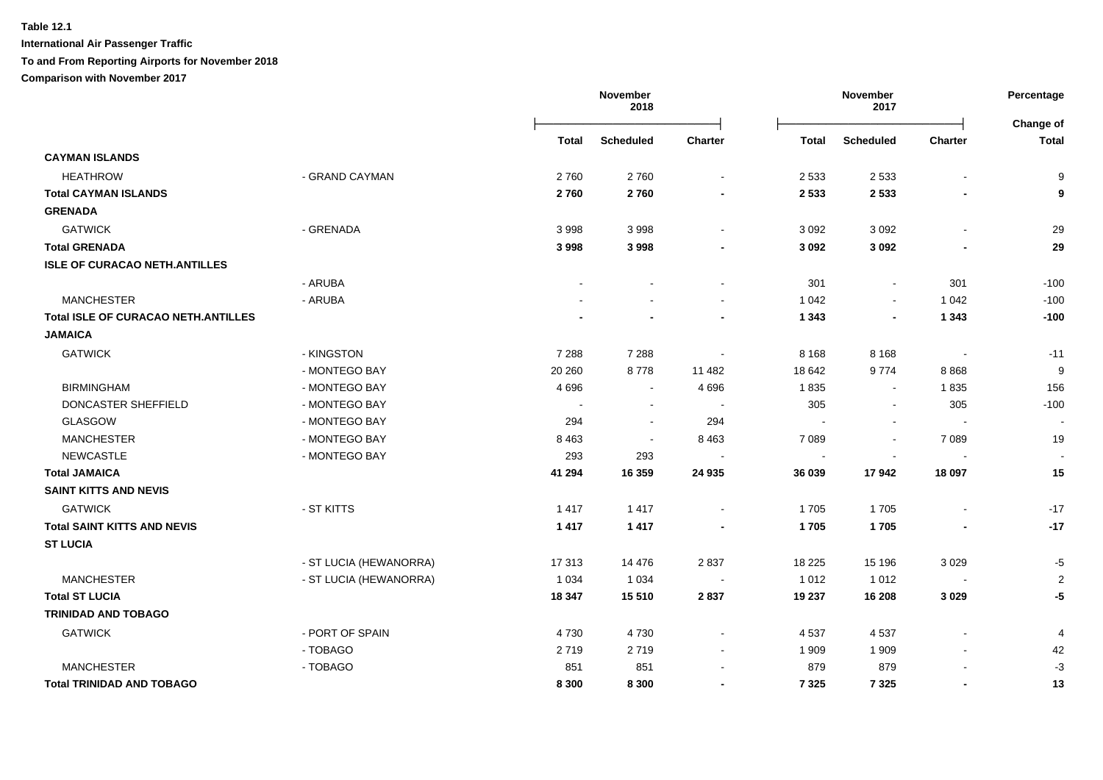**International Air Passenger Traffic**

**To and From Reporting Airports for November 2018**

|                                            |                        |         | November<br>2018 |                | November<br>2017 |                  | Percentage               |                          |
|--------------------------------------------|------------------------|---------|------------------|----------------|------------------|------------------|--------------------------|--------------------------|
|                                            |                        | Total   | <b>Scheduled</b> | <b>Charter</b> | <b>Total</b>     | <b>Scheduled</b> | <b>Charter</b>           | Change of<br>Total       |
| <b>CAYMAN ISLANDS</b>                      |                        |         |                  |                |                  |                  |                          |                          |
| <b>HEATHROW</b>                            | - GRAND CAYMAN         | 2760    | 2760             | $\blacksquare$ | 2 5 3 3          | 2 5 3 3          | $\blacksquare$           | 9                        |
| <b>Total CAYMAN ISLANDS</b>                |                        | 2760    | 2760             |                | 2 5 3 3          | 2 5 3 3          |                          | 9                        |
| <b>GRENADA</b>                             |                        |         |                  |                |                  |                  |                          |                          |
| <b>GATWICK</b>                             | - GRENADA              | 3998    | 3998             | $\blacksquare$ | 3 0 9 2          | 3 0 9 2          | $\sim$                   | 29                       |
| <b>Total GRENADA</b>                       |                        | 3998    | 3998             |                | 3 0 9 2          | 3 0 9 2          |                          | 29                       |
| <b>ISLE OF CURACAO NETH.ANTILLES</b>       |                        |         |                  |                |                  |                  |                          |                          |
|                                            | - ARUBA                |         |                  |                | 301              | $\blacksquare$   | 301                      | $-100$                   |
| <b>MANCHESTER</b>                          | - ARUBA                |         |                  |                | 1 0 4 2          | $\blacksquare$   | 1 0 4 2                  | $-100$                   |
| <b>Total ISLE OF CURACAO NETH.ANTILLES</b> |                        |         |                  |                | 1 3 4 3          | $\blacksquare$   | 1 3 4 3                  | $-100$                   |
| <b>JAMAICA</b>                             |                        |         |                  |                |                  |                  |                          |                          |
| <b>GATWICK</b>                             | - KINGSTON             | 7 2 8 8 | 7 2 8 8          | $\blacksquare$ | 8 1 6 8          | 8 1 6 8          | $\blacksquare$           | $-11$                    |
|                                            | - MONTEGO BAY          | 20 260  | 8778             | 11 482         | 18 642           | 9774             | 8868                     | 9                        |
| <b>BIRMINGHAM</b>                          | - MONTEGO BAY          | 4696    | $\sim$           | 4 6 9 6        | 1835             | $\sim$           | 1835                     | 156                      |
| DONCASTER SHEFFIELD                        | - MONTEGO BAY          | i iz    | $\sim$           |                | 305              | $\sim$           | 305                      | $-100$                   |
| GLASGOW                                    | - MONTEGO BAY          | 294     | $\sim$           | 294            |                  |                  |                          | $\overline{\phantom{a}}$ |
| <b>MANCHESTER</b>                          | - MONTEGO BAY          | 8 4 6 3 | $\sim$           | 8 4 6 3        | 7 0 8 9          | $\blacksquare$   | 7 0 8 9                  | 19                       |
| <b>NEWCASTLE</b>                           | - MONTEGO BAY          | 293     | 293              |                | $\blacksquare$   |                  |                          | $\sim$                   |
| <b>Total JAMAICA</b>                       |                        | 41 294  | 16 359           | 24 935         | 36 039           | 17942            | 18 097                   | 15                       |
| <b>SAINT KITTS AND NEVIS</b>               |                        |         |                  |                |                  |                  |                          |                          |
| <b>GATWICK</b>                             | - ST KITTS             | 1417    | 1417             |                | 1705             | 1705             |                          | $-17$                    |
| <b>Total SAINT KITTS AND NEVIS</b>         |                        | 1417    | 1 4 1 7          |                | 1705             | 1705             |                          | $-17$                    |
| <b>ST LUCIA</b>                            |                        |         |                  |                |                  |                  |                          |                          |
|                                            | - ST LUCIA (HEWANORRA) | 17313   | 14 4 76          | 2837           | 18 2 25          | 15 196           | 3 0 2 9                  | $-5$                     |
| <b>MANCHESTER</b>                          | - ST LUCIA (HEWANORRA) | 1 0 3 4 | 1 0 3 4          |                | 1 0 1 2          | 1 0 1 2          | $\overline{\phantom{a}}$ | $\overline{2}$           |
| <b>Total ST LUCIA</b>                      |                        | 18 347  | 15 5 10          | 2837           | 19 237           | 16 208           | 3 0 2 9                  | $-5$                     |
| <b>TRINIDAD AND TOBAGO</b>                 |                        |         |                  |                |                  |                  |                          |                          |
| <b>GATWICK</b>                             | - PORT OF SPAIN        | 4730    | 4730             | $\blacksquare$ | 4 5 3 7          | 4537             | $\sim$                   | $\overline{4}$           |
|                                            | - TOBAGO               | 2719    | 2719             | $\blacksquare$ | 1 909            | 1 9 0 9          |                          | 42                       |
| <b>MANCHESTER</b>                          | - TOBAGO               | 851     | 851              |                | 879              | 879              |                          | $-3$                     |
| <b>Total TRINIDAD AND TOBAGO</b>           |                        | 8 3 0 0 | 8 3 0 0          |                | 7 3 2 5          | 7 3 2 5          |                          | 13                       |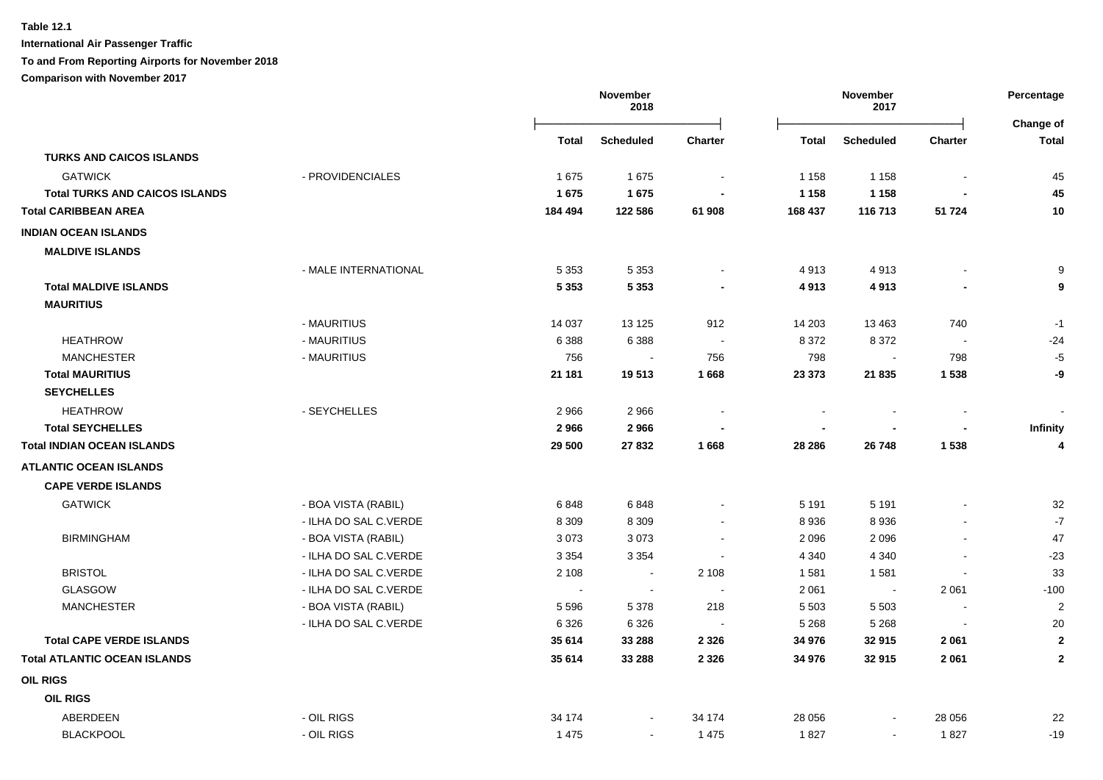**International Air Passenger Traffic**

### **To and From Reporting Airports for November 2018**

|                                       |                       |                          | November<br>2018 |                          | November<br>2017 |                  |                          |                           |
|---------------------------------------|-----------------------|--------------------------|------------------|--------------------------|------------------|------------------|--------------------------|---------------------------|
|                                       |                       | <b>Total</b>             | <b>Scheduled</b> | <b>Charter</b>           | <b>Total</b>     | <b>Scheduled</b> | <b>Charter</b>           | Change of<br><b>Total</b> |
| <b>TURKS AND CAICOS ISLANDS</b>       |                       |                          |                  |                          |                  |                  |                          |                           |
| <b>GATWICK</b>                        | - PROVIDENCIALES      | 1675                     | 1675             | $\blacksquare$           | 1 1 5 8          | 1 1 5 8          | $\overline{\phantom{a}}$ | 45                        |
| <b>Total TURKS AND CAICOS ISLANDS</b> |                       | 1675                     | 1675             |                          | 1 1 5 8          | 1 1 5 8          |                          | 45                        |
| <b>Total CARIBBEAN AREA</b>           |                       | 184 494                  | 122 586          | 61 908                   | 168 437          | 116 713          | 51 724                   | 10                        |
| <b>INDIAN OCEAN ISLANDS</b>           |                       |                          |                  |                          |                  |                  |                          |                           |
| <b>MALDIVE ISLANDS</b>                |                       |                          |                  |                          |                  |                  |                          |                           |
|                                       | - MALE INTERNATIONAL  | 5 3 5 3                  | 5 3 5 3          |                          | 4913             | 4913             |                          | 9                         |
| <b>Total MALDIVE ISLANDS</b>          |                       | 5 3 5 3                  | 5 3 5 3          |                          | 4913             | 4913             |                          | 9                         |
| <b>MAURITIUS</b>                      |                       |                          |                  |                          |                  |                  |                          |                           |
|                                       | - MAURITIUS           | 14 037                   | 13 1 25          | 912                      | 14 203           | 13 4 63          | 740                      | $-1$                      |
| <b>HEATHROW</b>                       | - MAURITIUS           | 6 3 8 8                  | 6 3 8 8          |                          | 8 3 7 2          | 8 3 7 2          | $\overline{\phantom{a}}$ | $-24$                     |
| <b>MANCHESTER</b>                     | - MAURITIUS           | 756                      | $\sim$           | 756                      | 798              |                  | 798                      | $-5$                      |
| <b>Total MAURITIUS</b>                |                       | 21 181                   | 19513            | 1668                     | 23 373           | 21 835           | 1538                     | -9                        |
| <b>SEYCHELLES</b>                     |                       |                          |                  |                          |                  |                  |                          |                           |
| <b>HEATHROW</b>                       | - SEYCHELLES          | 2966                     | 2966             |                          |                  |                  |                          |                           |
| <b>Total SEYCHELLES</b>               |                       | 2966                     | 2966             |                          |                  |                  | $\overline{\phantom{a}}$ | Infinity                  |
| <b>Total INDIAN OCEAN ISLANDS</b>     |                       | 29 500                   | 27 832           | 1668                     | 28 28 6          | 26 748           | 1538                     | 4                         |
| <b>ATLANTIC OCEAN ISLANDS</b>         |                       |                          |                  |                          |                  |                  |                          |                           |
| <b>CAPE VERDE ISLANDS</b>             |                       |                          |                  |                          |                  |                  |                          |                           |
| <b>GATWICK</b>                        | - BOA VISTA (RABIL)   | 6848                     | 6848             |                          | 5 1 9 1          | 5 1 9 1          |                          | 32                        |
|                                       | - ILHA DO SAL C.VERDE | 8 3 0 9                  | 8 3 0 9          | $\overline{\phantom{a}}$ | 8936             | 8936             |                          | $-7$                      |
| <b>BIRMINGHAM</b>                     | - BOA VISTA (RABIL)   | 3073                     | 3073             |                          | 2 0 9 6          | 2096             | $\blacksquare$           | 47                        |
|                                       | - ILHA DO SAL C.VERDE | 3 3 5 4                  | 3 3 5 4          |                          | 4 3 4 0          | 4 3 4 0          |                          | $-23$                     |
| <b>BRISTOL</b>                        | - ILHA DO SAL C.VERDE | 2 1 0 8                  | $\blacksquare$   | 2 1 0 8                  | 1581             | 1581             |                          | 33                        |
| <b>GLASGOW</b>                        | - ILHA DO SAL C.VERDE | $\overline{\phantom{a}}$ | $\overline{a}$   |                          | 2 0 6 1          | $\sim$           | 2 0 6 1                  | $-100$                    |
| <b>MANCHESTER</b>                     | - BOA VISTA (RABIL)   | 5 5 9 6                  | 5 3 7 8          | 218                      | 5 5 0 3          | 5 5 0 3          | $\blacksquare$           | $\overline{c}$            |
|                                       | - ILHA DO SAL C.VERDE | 6 3 2 6                  | 6 3 2 6          |                          | 5 2 6 8          | 5 2 6 8          |                          | 20                        |
| <b>Total CAPE VERDE ISLANDS</b>       |                       | 35 614                   | 33 288           | 2 3 2 6                  | 34 976           | 32915            | 2 0 6 1                  | $\mathbf{2}$              |
| <b>Total ATLANTIC OCEAN ISLANDS</b>   |                       | 35 614                   | 33 288           | 2 3 2 6                  | 34 976           | 32915            | 2 0 6 1                  | $\mathbf{2}$              |
| <b>OIL RIGS</b>                       |                       |                          |                  |                          |                  |                  |                          |                           |
| <b>OIL RIGS</b>                       |                       |                          |                  |                          |                  |                  |                          |                           |
| ABERDEEN                              | - OIL RIGS            | 34 174                   |                  | 34 174                   | 28 056           |                  | 28 0 56                  | 22                        |
| <b>BLACKPOOL</b>                      | - OIL RIGS            | 1 4 7 5                  | $\sim$           | 1 4 7 5                  | 1827             | $\sim$           | 1827                     | $-19$                     |